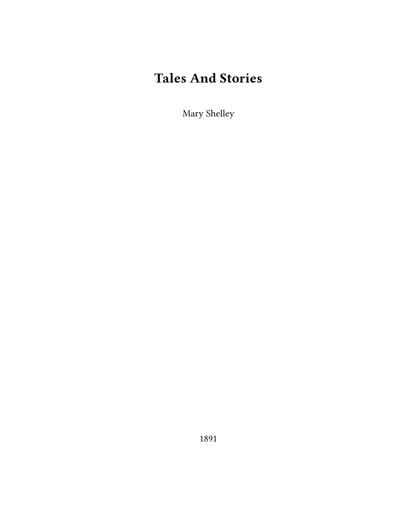# **Tales And Stories**

Mary Shelley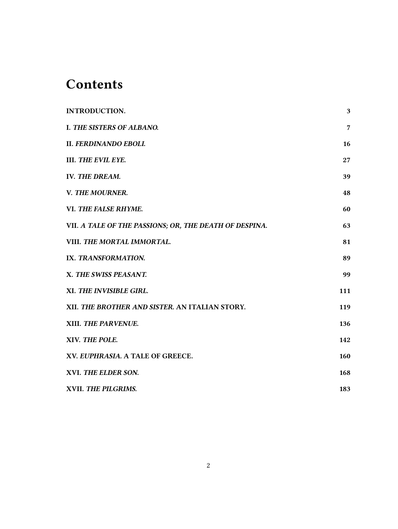# **Contents**

| <b>INTRODUCTION.</b>                                   | 3   |
|--------------------------------------------------------|-----|
| <b>I. THE SISTERS OF ALBANO.</b>                       | 7   |
| <b>II. FERDINANDO EBOLI.</b>                           | 16  |
| III. THE EVIL EYE.                                     | 27  |
| IV. THE DREAM.                                         | 39  |
| V. THE MOURNER.                                        | 48  |
| VI. THE FALSE RHYME.                                   | 60  |
| VII. A TALE OF THE PASSIONS; OR, THE DEATH OF DESPINA. | 63  |
| VIII. THE MORTAL IMMORTAL.                             | 81  |
| IX. TRANSFORMATION.                                    | 89  |
| X. THE SWISS PEASANT.                                  | 99  |
| XI. THE INVISIBLE GIRL.                                | 111 |
| XII. THE BROTHER AND SISTER. AN ITALIAN STORY.         | 119 |
| XIII. THE PARVENUE.                                    | 136 |
| XIV. THE POLE.                                         | 142 |
| XV. EUPHRASIA. A TALE OF GREECE.                       | 160 |
| XVI. THE ELDER SON.                                    | 168 |
| XVII. THE PILGRIMS.                                    | 183 |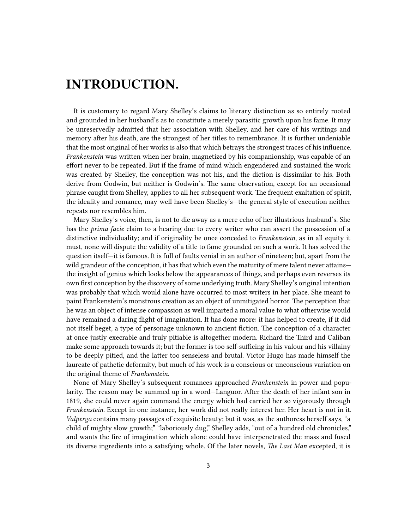# <span id="page-2-0"></span>**INTRODUCTION.**

It is customary to regard Mary Shelley's claims to literary distinction as so entirely rooted and grounded in her husband's as to constitute a merely parasitic growth upon his fame. It may be unreservedly admitted that her association with Shelley, and her care of his writings and memory after his death, are the strongest of her titles to remembrance. It is further undeniable that the most original of her works is also that which betrays the strongest traces of his influence. *Frankenstein* was written when her brain, magnetized by his companionship, was capable of an effort never to be repeated. But if the frame of mind which engendered and sustained the work was created by Shelley, the conception was not his, and the diction is dissimilar to his. Both derive from Godwin, but neither is Godwin's. The same observation, except for an occasional phrase caught from Shelley, applies to all her subsequent work. The frequent exaltation of spirit, the ideality and romance, may well have been Shelley's—the general style of execution neither repeats nor resembles him.

Mary Shelley's voice, then, is not to die away as a mere echo of her illustrious husband's. She has the *prima facie* claim to a hearing due to every writer who can assert the possession of a distinctive individuality; and if originality be once conceded to *Frankenstein*, as in all equity it must, none will dispute the validity of a title to fame grounded on such a work. It has solved the question itself—it is famous. It is full of faults venial in an author of nineteen; but, apart from the wild grandeur of the conception, it has that which even the maturity of mere talent never attains the insight of genius which looks below the appearances of things, and perhaps even reverses its own first conception by the discovery of some underlying truth. Mary Shelley's original intention was probably that which would alone have occurred to most writers in her place. She meant to paint Frankenstein's monstrous creation as an object of unmitigated horror. The perception that he was an object of intense compassion as well imparted a moral value to what otherwise would have remained a daring flight of imagination. It has done more: it has helped to create, if it did not itself beget, a type of personage unknown to ancient fiction. The conception of a character at once justly execrable and truly pitiable is altogether modern. Richard the Third and Caliban make some approach towards it; but the former is too self-sufficing in his valour and his villainy to be deeply pitied, and the latter too senseless and brutal. Victor Hugo has made himself the laureate of pathetic deformity, but much of his work is a conscious or unconscious variation on the original theme of *Frankenstein*.

None of Mary Shelley's subsequent romances approached *Frankenstein* in power and popularity. The reason may be summed up in a word—Languor. After the death of her infant son in 1819, she could never again command the energy which had carried her so vigorously through *Frankenstein*. Except in one instance, her work did not really interest her. Her heart is not in it. *Valperga* contains many passages of exquisite beauty; but it was, as the authoress herself says, "a child of mighty slow growth;" "laboriously dug," Shelley adds, "out of a hundred old chronicles," and wants the fire of imagination which alone could have interpenetrated the mass and fused its diverse ingredients into a satisfying whole. Of the later novels, *The Last Man* excepted, it is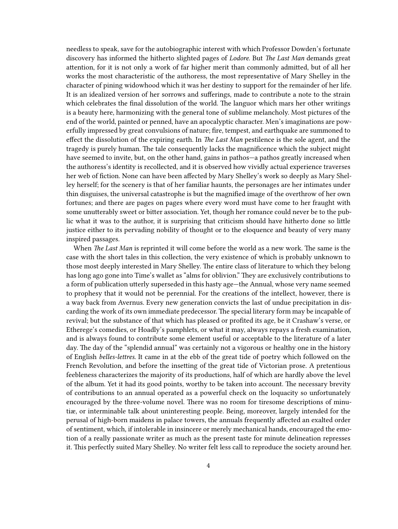needless to speak, save for the autobiographic interest with which Professor Dowden's fortunate discovery has informed the hitherto slighted pages of *Lodore*. But *The Last Man* demands great attention, for it is not only a work of far higher merit than commonly admitted, but of all her works the most characteristic of the authoress, the most representative of Mary Shelley in the character of pining widowhood which it was her destiny to support for the remainder of her life. It is an idealized version of her sorrows and sufferings, made to contribute a note to the strain which celebrates the final dissolution of the world. The languor which mars her other writings is a beauty here, harmonizing with the general tone of sublime melancholy. Most pictures of the end of the world, painted or penned, have an apocalyptic character. Men's imaginations are powerfully impressed by great convulsions of nature; fire, tempest, and earthquake are summoned to effect the dissolution of the expiring earth. In *The Last Man* pestilence is the sole agent, and the tragedy is purely human. The tale consequently lacks the magnificence which the subject might have seemed to invite, but, on the other hand, gains in pathos—a pathos greatly increased when the authoress's identity is recollected, and it is observed how vividly actual experience traverses her web of fiction. None can have been affected by Mary Shelley's work so deeply as Mary Shelley herself; for the scenery is that of her familiar haunts, the personages are her intimates under thin disguises, the universal catastrophe is but the magnified image of the overthrow of her own fortunes; and there are pages on pages where every word must have come to her fraught with some unutterably sweet or bitter association. Yet, though her romance could never be to the public what it was to the author, it is surprising that criticism should have hitherto done so little justice either to its pervading nobility of thought or to the eloquence and beauty of very many inspired passages.

When *The Last Man* is reprinted it will come before the world as a new work. The same is the case with the short tales in this collection, the very existence of which is probably unknown to those most deeply interested in Mary Shelley. The entire class of literature to which they belong has long ago gone into Time's wallet as "alms for oblivion." They are exclusively contributions to a form of publication utterly superseded in this hasty age—the Annual, whose very name seemed to prophesy that it would not be perennial. For the creations of the intellect, however, there is a way back from Avernus. Every new generation convicts the last of undue precipitation in discarding the work of its own immediate predecessor. The special literary form may be incapable of revival; but the substance of that which has pleased or profited its age, be it Crashaw's verse, or Etherege's comedies, or Hoadly's pamphlets, or what it may, always repays a fresh examination, and is always found to contribute some element useful or acceptable to the literature of a later day. The day of the "splendid annual" was certainly not a vigorous or healthy one in the history of English *belles-lettres*. It came in at the ebb of the great tide of poetry which followed on the French Revolution, and before the insetting of the great tide of Victorian prose. A pretentious feebleness characterizes the majority of its productions, half of which are hardly above the level of the album. Yet it had its good points, worthy to be taken into account. The necessary brevity of contributions to an annual operated as a powerful check on the loquacity so unfortunately encouraged by the three-volume novel. There was no room for tiresome descriptions of minutiæ, or interminable talk about uninteresting people. Being, moreover, largely intended for the perusal of high-born maidens in palace towers, the annuals frequently affected an exalted order of sentiment, which, if intolerable in insincere or merely mechanical hands, encouraged the emotion of a really passionate writer as much as the present taste for minute delineation represses it. This perfectly suited Mary Shelley. No writer felt less call to reproduce the society around her.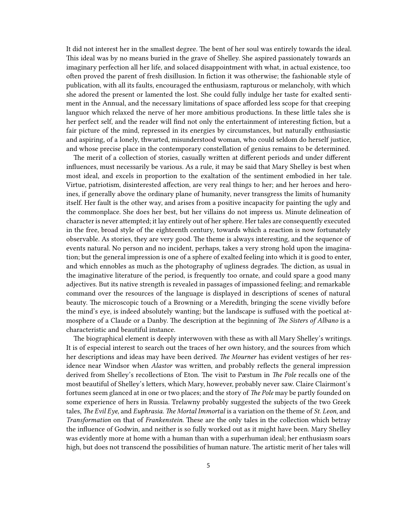It did not interest her in the smallest degree. The bent of her soul was entirely towards the ideal. This ideal was by no means buried in the grave of Shelley. She aspired passionately towards an imaginary perfection all her life, and solaced disappointment with what, in actual existence, too often proved the parent of fresh disillusion. In fiction it was otherwise; the fashionable style of publication, with all its faults, encouraged the enthusiasm, rapturous or melancholy, with which she adored the present or lamented the lost. She could fully indulge her taste for exalted sentiment in the Annual, and the necessary limitations of space afforded less scope for that creeping languor which relaxed the nerve of her more ambitious productions. In these little tales she is her perfect self, and the reader will find not only the entertainment of interesting fiction, but a fair picture of the mind, repressed in its energies by circumstances, but naturally enthusiastic and aspiring, of a lonely, thwarted, misunderstood woman, who could seldom do herself justice, and whose precise place in the contemporary constellation of genius remains to be determined.

The merit of a collection of stories, casually written at different periods and under different influences, must necessarily be various. As a rule, it may be said that Mary Shelley is best when most ideal, and excels in proportion to the exaltation of the sentiment embodied in her tale. Virtue, patriotism, disinterested affection, are very real things to her; and her heroes and heroines, if generally above the ordinary plane of humanity, never transgress the limits of humanity itself. Her fault is the other way, and arises from a positive incapacity for painting the ugly and the commonplace. She does her best, but her villains do not impress us. Minute delineation of character is never attempted; it lay entirely out of her sphere. Her tales are consequently executed in the free, broad style of the eighteenth century, towards which a reaction is now fortunately observable. As stories, they are very good. The theme is always interesting, and the sequence of events natural. No person and no incident, perhaps, takes a very strong hold upon the imagination; but the general impression is one of a sphere of exalted feeling into which it is good to enter, and which ennobles as much as the photography of ugliness degrades. The diction, as usual in the imaginative literature of the period, is frequently too ornate, and could spare a good many adjectives. But its native strength is revealed in passages of impassioned feeling; and remarkable command over the resources of the language is displayed in descriptions of scenes of natural beauty. The microscopic touch of a Browning or a Meredith, bringing the scene vividly before the mind's eye, is indeed absolutely wanting; but the landscape is suffused with the poetical atmosphere of a Claude or a Danby. The description at the beginning of *The Sisters of Albano* is a characteristic and beautiful instance.

The biographical element is deeply interwoven with these as with all Mary Shelley's writings. It is of especial interest to search out the traces of her own history, and the sources from which her descriptions and ideas may have been derived. *The Mourner* has evident vestiges of her residence near Windsor when *Alastor* was written, and probably reflects the general impression derived from Shelley's recollections of Eton. The visit to Pæstum in *The Pole* recalls one of the most beautiful of Shelley's letters, which Mary, however, probably never saw. Claire Clairmont's fortunes seem glanced at in one or two places; and the story of *The Pole* may be partly founded on some experience of hers in Russia. Trelawny probably suggested the subjects of the two Greek tales, *The Evil Eye*, and *Euphrasia. The Mortal Immortal* is a variation on the theme of *St. Leon*, and *Transformation* on that of *Frankenstein*. These are the only tales in the collection which betray the influence of Godwin, and neither is so fully worked out as it might have been. Mary Shelley was evidently more at home with a human than with a superhuman ideal; her enthusiasm soars high, but does not transcend the possibilities of human nature. The artistic merit of her tales will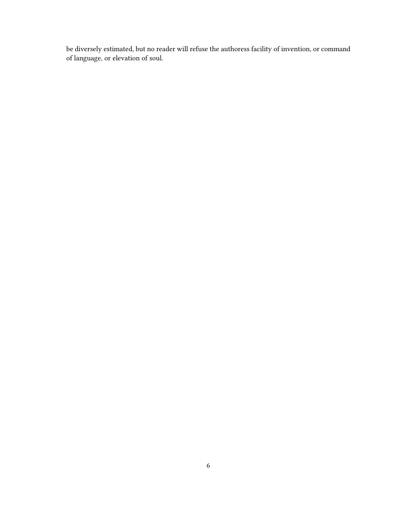be diversely estimated, but no reader will refuse the authoress facility of invention, or command of language, or elevation of soul.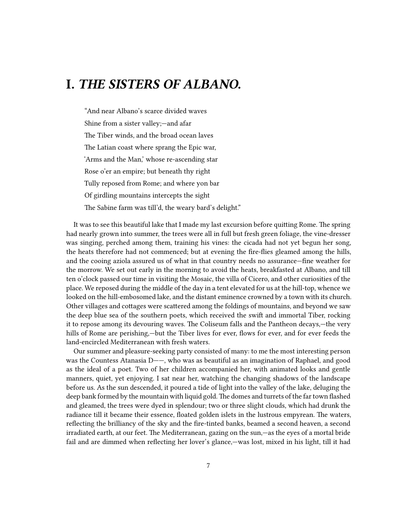#### <span id="page-6-0"></span>**I.** *THE SISTERS OF ALBANO.*

"And near Albano's scarce divided waves Shine from a sister valley;—and afar The Tiber winds, and the broad ocean laves The Latian coast where sprang the Epic war, 'Arms and the Man,' whose re-ascending star Rose o'er an empire; but beneath thy right Tully reposed from Rome; and where yon bar Of girdling mountains intercepts the sight The Sabine farm was till'd, the weary bard's delight."

It was to see this beautiful lake that I made my last excursion before quitting Rome. The spring had nearly grown into summer, the trees were all in full but fresh green foliage, the vine-dresser was singing, perched among them, training his vines: the cicada had not yet begun her song, the heats therefore had not commenced; but at evening the fire-flies gleamed among the hills, and the cooing aziola assured us of what in that country needs no assurance—fine weather for the morrow. We set out early in the morning to avoid the heats, breakfasted at Albano, and till ten o'clock passed our time in visiting the Mosaic, the villa of Cicero, and other curiosities of the place. We reposed during the middle of the day in a tent elevated for us at the hill-top, whence we looked on the hill-embosomed lake, and the distant eminence crowned by a town with its church. Other villages and cottages were scattered among the foldings of mountains, and beyond we saw the deep blue sea of the southern poets, which received the swift and immortal Tiber, rocking it to repose among its devouring waves. The Coliseum falls and the Pantheon decays,—the very hills of Rome are perishing,—but the Tiber lives for ever, flows for ever, and for ever feeds the land-encircled Mediterranean with fresh waters.

Our summer and pleasure-seeking party consisted of many: to me the most interesting person was the Countess Atanasia D——, who was as beautiful as an imagination of Raphael, and good as the ideal of a poet. Two of her children accompanied her, with animated looks and gentle manners, quiet, yet enjoying. I sat near her, watching the changing shadows of the landscape before us. As the sun descended, it poured a tide of light into the valley of the lake, deluging the deep bank formed by the mountain with liquid gold. The domes and turrets of the far town flashed and gleamed, the trees were dyed in splendour; two or three slight clouds, which had drunk the radiance till it became their essence, floated golden islets in the lustrous empyrean. The waters, reflecting the brilliancy of the sky and the fire-tinted banks, beamed a second heaven, a second irradiated earth, at our feet. The Mediterranean, gazing on the sun,—as the eyes of a mortal bride fail and are dimmed when reflecting her lover's glance,—was lost, mixed in his light, till it had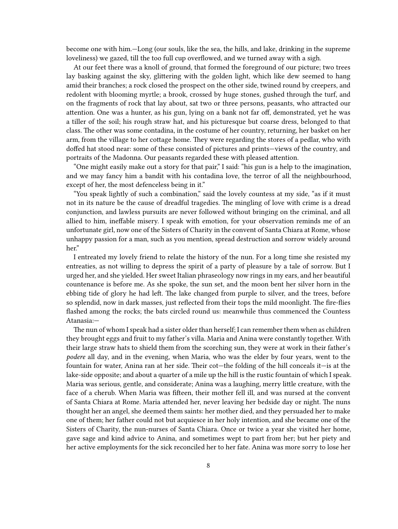become one with him.—Long (our souls, like the sea, the hills, and lake, drinking in the supreme loveliness) we gazed, till the too full cup overflowed, and we turned away with a sigh.

At our feet there was a knoll of ground, that formed the foreground of our picture; two trees lay basking against the sky, glittering with the golden light, which like dew seemed to hang amid their branches; a rock closed the prospect on the other side, twined round by creepers, and redolent with blooming myrtle; a brook, crossed by huge stones, gushed through the turf, and on the fragments of rock that lay about, sat two or three persons, peasants, who attracted our attention. One was a hunter, as his gun, lying on a bank not far off, demonstrated, yet he was a tiller of the soil; his rough straw hat, and his picturesque but coarse dress, belonged to that class. The other was some contadina, in the costume of her country, returning, her basket on her arm, from the village to her cottage home. They were regarding the stores of a pedlar, who with doffed hat stood near: some of these consisted of pictures and prints—views of the country, and portraits of the Madonna. Our peasants regarded these with pleased attention.

"One might easily make out a story for that pair," I said: "his gun is a help to the imagination, and we may fancy him a bandit with his contadina love, the terror of all the neighbourhood, except of her, the most defenceless being in it."

"You speak lightly of such a combination," said the lovely countess at my side, "as if it must not in its nature be the cause of dreadful tragedies. The mingling of love with crime is a dread conjunction, and lawless pursuits are never followed without bringing on the criminal, and all allied to him, ineffable misery. I speak with emotion, for your observation reminds me of an unfortunate girl, now one of the Sisters of Charity in the convent of Santa Chiara at Rome, whose unhappy passion for a man, such as you mention, spread destruction and sorrow widely around her."

I entreated my lovely friend to relate the history of the nun. For a long time she resisted my entreaties, as not willing to depress the spirit of a party of pleasure by a tale of sorrow. But I urged her, and she yielded. Her sweet Italian phraseology now rings in my ears, and her beautiful countenance is before me. As she spoke, the sun set, and the moon bent her silver horn in the ebbing tide of glory he had left. The lake changed from purple to silver, and the trees, before so splendid, now in dark masses, just reflected from their tops the mild moonlight. The fire-flies flashed among the rocks; the bats circled round us: meanwhile thus commenced the Countess Atanasia:—

The nun of whom I speak had a sister older than herself; I can remember them when as children they brought eggs and fruit to my father's villa. Maria and Anina were constantly together. With their large straw hats to shield them from the scorching sun, they were at work in their father's *podere* all day, and in the evening, when Maria, who was the elder by four years, went to the fountain for water, Anina ran at her side. Their cot—the folding of the hill conceals it—is at the lake-side opposite; and about a quarter of a mile up the hill is the rustic fountain of which I speak. Maria was serious, gentle, and considerate; Anina was a laughing, merry little creature, with the face of a cherub. When Maria was fifteen, their mother fell ill, and was nursed at the convent of Santa Chiara at Rome. Maria attended her, never leaving her bedside day or night. The nuns thought her an angel, she deemed them saints: her mother died, and they persuaded her to make one of them; her father could not but acquiesce in her holy intention, and she became one of the Sisters of Charity, the nun-nurses of Santa Chiara. Once or twice a year she visited her home, gave sage and kind advice to Anina, and sometimes wept to part from her; but her piety and her active employments for the sick reconciled her to her fate. Anina was more sorry to lose her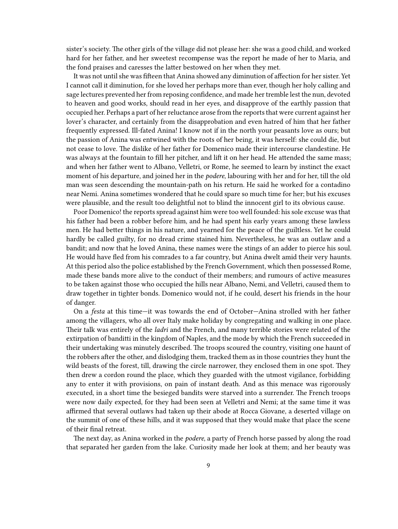sister's society. The other girls of the village did not please her: she was a good child, and worked hard for her father, and her sweetest recompense was the report he made of her to Maria, and the fond praises and caresses the latter bestowed on her when they met.

It was not until she was fifteen that Anina showed any diminution of affection for her sister. Yet I cannot call it diminution, for she loved her perhaps more than ever, though her holy calling and sage lectures prevented her from reposing confidence, and made her tremble lest the nun, devoted to heaven and good works, should read in her eyes, and disapprove of the earthly passion that occupied her. Perhaps a part of her reluctance arose from the reports that were current against her lover's character, and certainly from the disapprobation and even hatred of him that her father frequently expressed. Ill-fated Anina! I know not if in the north your peasants love as ours; but the passion of Anina was entwined with the roots of her being, it was herself: she could die, but not cease to love. The dislike of her father for Domenico made their intercourse clandestine. He was always at the fountain to fill her pitcher, and lift it on her head. He attended the same mass; and when her father went to Albano, Velletri, or Rome, he seemed to learn by instinct the exact moment of his departure, and joined her in the *podere*, labouring with her and for her, till the old man was seen descending the mountain-path on his return. He said he worked for a contadino near Nemi. Anina sometimes wondered that he could spare so much time for her; but his excuses were plausible, and the result too delightful not to blind the innocent girl to its obvious cause.

Poor Domenico! the reports spread against him were too well founded: his sole excuse was that his father had been a robber before him, and he had spent his early years among these lawless men. He had better things in his nature, and yearned for the peace of the guiltless. Yet he could hardly be called guilty, for no dread crime stained him. Nevertheless, he was an outlaw and a bandit; and now that he loved Anina, these names were the stings of an adder to pierce his soul. He would have fled from his comrades to a far country, but Anina dwelt amid their very haunts. At this period also the police established by the French Government, which then possessed Rome, made these bands more alive to the conduct of their members; and rumours of active measures to be taken against those who occupied the hills near Albano, Nemi, and Velletri, caused them to draw together in tighter bonds. Domenico would not, if he could, desert his friends in the hour of danger.

On a *festa* at this time—it was towards the end of October—Anina strolled with her father among the villagers, who all over Italy make holiday by congregating and walking in one place. Their talk was entirely of the *ladri* and the French, and many terrible stories were related of the extirpation of banditti in the kingdom of Naples, and the mode by which the French succeeded in their undertaking was minutely described. The troops scoured the country, visiting one haunt of the robbers after the other, and dislodging them, tracked them as in those countries they hunt the wild beasts of the forest, till, drawing the circle narrower, they enclosed them in one spot. They then drew a cordon round the place, which they guarded with the utmost vigilance, forbidding any to enter it with provisions, on pain of instant death. And as this menace was rigorously executed, in a short time the besieged bandits were starved into a surrender. The French troops were now daily expected, for they had been seen at Velletri and Nemi; at the same time it was affirmed that several outlaws had taken up their abode at Rocca Giovane, a deserted village on the summit of one of these hills, and it was supposed that they would make that place the scene of their final retreat.

The next day, as Anina worked in the *podere*, a party of French horse passed by along the road that separated her garden from the lake. Curiosity made her look at them; and her beauty was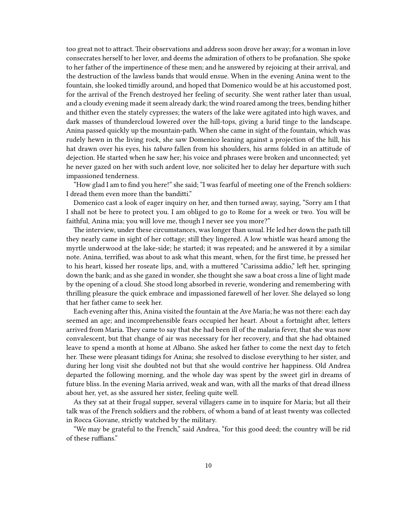too great not to attract. Their observations and address soon drove her away; for a woman in love consecrates herself to her lover, and deems the admiration of others to be profanation. She spoke to her father of the impertinence of these men; and he answered by rejoicing at their arrival, and the destruction of the lawless bands that would ensue. When in the evening Anina went to the fountain, she looked timidly around, and hoped that Domenico would be at his accustomed post, for the arrival of the French destroyed her feeling of security. She went rather later than usual, and a cloudy evening made it seem already dark; the wind roared among the trees, bending hither and thither even the stately cypresses; the waters of the lake were agitated into high waves, and dark masses of thundercloud lowered over the hill-tops, giving a lurid tinge to the landscape. Anina passed quickly up the mountain-path. When she came in sight of the fountain, which was rudely hewn in the living rock, she saw Domenico leaning against a projection of the hill, his hat drawn over his eyes, his *tabaro* fallen from his shoulders, his arms folded in an attitude of dejection. He started when he saw her; his voice and phrases were broken and unconnected; yet he never gazed on her with such ardent love, nor solicited her to delay her departure with such impassioned tenderness.

"How glad I am to find you here!" she said; "I was fearful of meeting one of the French soldiers: I dread them even more than the banditti."

Domenico cast a look of eager inquiry on her, and then turned away, saying, "Sorry am I that I shall not be here to protect you. I am obliged to go to Rome for a week or two. You will be faithful, Anina mia; you will love me, though I never see you more?"

The interview, under these circumstances, was longer than usual. He led her down the path till they nearly came in sight of her cottage; still they lingered. A low whistle was heard among the myrtle underwood at the lake-side; he started; it was repeated; and he answered it by a similar note. Anina, terrified, was about to ask what this meant, when, for the first time, he pressed her to his heart, kissed her roseate lips, and, with a muttered "Carissima addio," left her, springing down the bank; and as she gazed in wonder, she thought she saw a boat cross a line of light made by the opening of a cloud. She stood long absorbed in reverie, wondering and remembering with thrilling pleasure the quick embrace and impassioned farewell of her lover. She delayed so long that her father came to seek her.

Each evening after this, Anina visited the fountain at the Ave Maria; he was not there: each day seemed an age; and incomprehensible fears occupied her heart. About a fortnight after, letters arrived from Maria. They came to say that she had been ill of the malaria fever, that she was now convalescent, but that change of air was necessary for her recovery, and that she had obtained leave to spend a month at home at Albano. She asked her father to come the next day to fetch her. These were pleasant tidings for Anina; she resolved to disclose everything to her sister, and during her long visit she doubted not but that she would contrive her happiness. Old Andrea departed the following morning, and the whole day was spent by the sweet girl in dreams of future bliss. In the evening Maria arrived, weak and wan, with all the marks of that dread illness about her, yet, as she assured her sister, feeling quite well.

As they sat at their frugal supper, several villagers came in to inquire for Maria; but all their talk was of the French soldiers and the robbers, of whom a band of at least twenty was collected in Rocca Giovane, strictly watched by the military.

"We may be grateful to the French," said Andrea, "for this good deed; the country will be rid of these ruffians."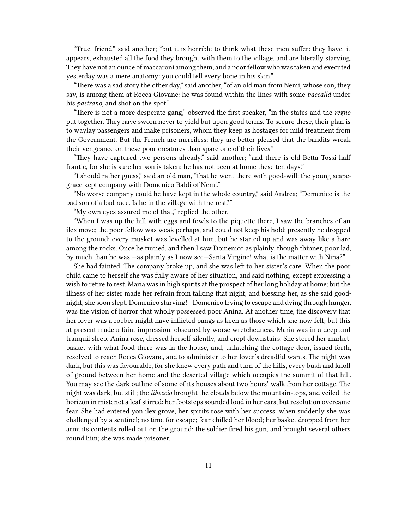"True, friend," said another; "but it is horrible to think what these men suffer: they have, it appears, exhausted all the food they brought with them to the village, and are literally starving. They have not an ounce of maccaroni among them; and a poor fellow who was taken and executed yesterday was a mere anatomy: you could tell every bone in his skin."

"There was a sad story the other day," said another, "of an old man from Nemi, whose son, they say, is among them at Rocca Giovane: he was found within the lines with some *baccallà* under his *pastrano*, and shot on the spot."

"There is not a more desperate gang," observed the first speaker, "in the states and the *regno* put together. They have sworn never to yield but upon good terms. To secure these, their plan is to waylay passengers and make prisoners, whom they keep as hostages for mild treatment from the Government. But the French are merciless; they are better pleased that the bandits wreak their vengeance on these poor creatures than spare one of their lives."

"They have captured two persons already," said another; "and there is old Betta Tossi half frantic, for she is sure her son is taken: he has not been at home these ten days."

"I should rather guess," said an old man, "that he went there with good-will: the young scapegrace kept company with Domenico Baldi of Nemi."

"No worse company could he have kept in the whole country," said Andrea; "Domenico is the bad son of a bad race. Is he in the village with the rest?"

"My own eyes assured me of that," replied the other.

"When I was up the hill with eggs and fowls to the piquette there, I saw the branches of an ilex move; the poor fellow was weak perhaps, and could not keep his hold; presently he dropped to the ground; every musket was levelled at him, but he started up and was away like a hare among the rocks. Once he turned, and then I saw Domenico as plainly, though thinner, poor lad, by much than he was,—as plainly as I now see—Santa Virgine! what is the matter with Nina?"

She had fainted. The company broke up, and she was left to her sister's care. When the poor child came to herself she was fully aware of her situation, and said nothing, except expressing a wish to retire to rest. Maria was in high spirits at the prospect of her long holiday at home; but the illness of her sister made her refrain from talking that night, and blessing her, as she said goodnight, she soon slept. Domenico starving!—Domenico trying to escape and dying through hunger, was the vision of horror that wholly possessed poor Anina. At another time, the discovery that her lover was a robber might have inflicted pangs as keen as those which she now felt; but this at present made a faint impression, obscured by worse wretchedness. Maria was in a deep and tranquil sleep. Anina rose, dressed herself silently, and crept downstairs. She stored her marketbasket with what food there was in the house, and, unlatching the cottage-door, issued forth, resolved to reach Rocca Giovane, and to administer to her lover's dreadful wants. The night was dark, but this was favourable, for she knew every path and turn of the hills, every bush and knoll of ground between her home and the deserted village which occupies the summit of that hill. You may see the dark outline of some of its houses about two hours' walk from her cottage. The night was dark, but still; the *libeccio* brought the clouds below the mountain-tops, and veiled the horizon in mist; not a leaf stirred; her footsteps sounded loud in her ears, but resolution overcame fear. She had entered yon ilex grove, her spirits rose with her success, when suddenly she was challenged by a sentinel; no time for escape; fear chilled her blood; her basket dropped from her arm; its contents rolled out on the ground; the soldier fired his gun, and brought several others round him; she was made prisoner.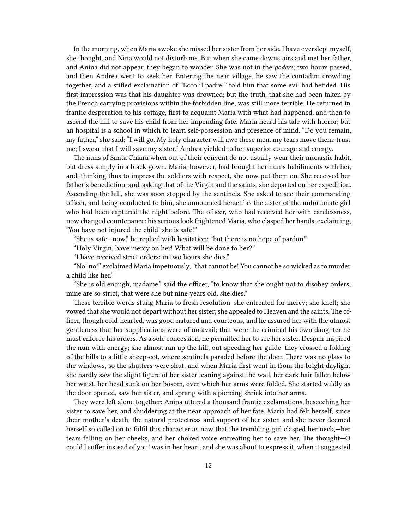In the morning, when Maria awoke she missed her sister from her side. I have overslept myself, she thought, and Nina would not disturb me. But when she came downstairs and met her father, and Anina did not appear, they began to wonder. She was not in the *podere*; two hours passed, and then Andrea went to seek her. Entering the near village, he saw the contadini crowding together, and a stifled exclamation of "Ecco il padre!" told him that some evil had betided. His first impression was that his daughter was drowned; but the truth, that she had been taken by the French carrying provisions within the forbidden line, was still more terrible. He returned in frantic desperation to his cottage, first to acquaint Maria with what had happened, and then to ascend the hill to save his child from her impending fate. Maria heard his tale with horror; but an hospital is a school in which to learn self-possession and presence of mind. "Do you remain, my father," she said; "I will go. My holy character will awe these men, my tears move them: trust me; I swear that I will save my sister." Andrea yielded to her superior courage and energy.

The nuns of Santa Chiara when out of their convent do not usually wear their monastic habit, but dress simply in a black gown. Maria, however, had brought her nun's habiliments with her, and, thinking thus to impress the soldiers with respect, she now put them on. She received her father's benediction, and, asking that of the Virgin and the saints, she departed on her expedition. Ascending the hill, she was soon stopped by the sentinels. She asked to see their commanding officer, and being conducted to him, she announced herself as the sister of the unfortunate girl who had been captured the night before. The officer, who had received her with carelessness, now changed countenance: his serious look frightened Maria, who clasped her hands, exclaiming, "You have not injured the child! she is safe!"

"She is safe—now," he replied with hesitation; "but there is no hope of pardon."

"Holy Virgin, have mercy on her! What will be done to her?"

"I have received strict orders: in two hours she dies."

"No! no!" exclaimed Maria impetuously, "that cannot be! You cannot be so wicked as to murder a child like her."

"She is old enough, madame," said the officer, "to know that she ought not to disobey orders; mine are so strict, that were she but nine years old, she dies."

These terrible words stung Maria to fresh resolution: she entreated for mercy; she knelt; she vowed that she would not depart without her sister; she appealed to Heaven and the saints. The officer, though cold-hearted, was good-natured and courteous, and he assured her with the utmost gentleness that her supplications were of no avail; that were the criminal his own daughter he must enforce his orders. As a sole concession, he permitted her to see her sister. Despair inspired the nun with energy; she almost ran up the hill, out-speeding her guide: they crossed a folding of the hills to a little sheep-cot, where sentinels paraded before the door. There was no glass to the windows, so the shutters were shut; and when Maria first went in from the bright daylight she hardly saw the slight figure of her sister leaning against the wall, her dark hair fallen below her waist, her head sunk on her bosom, over which her arms were folded. She started wildly as the door opened, saw her sister, and sprang with a piercing shriek into her arms.

They were left alone together: Anina uttered a thousand frantic exclamations, beseeching her sister to save her, and shuddering at the near approach of her fate. Maria had felt herself, since their mother's death, the natural protectress and support of her sister, and she never deemed herself so called on to fulfil this character as now that the trembling girl clasped her neck,—her tears falling on her cheeks, and her choked voice entreating her to save her. The thought—O could I suffer instead of you! was in her heart, and she was about to express it, when it suggested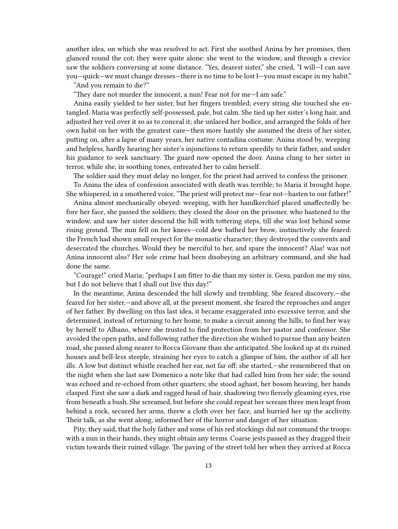another idea, on which she was resolved to act. First she soothed Anina by her promises, then glanced round the cot; they were quite alone: she went to the window, and through a crevice saw the soldiers conversing at some distance. "Yes, dearest sister," she cried, "I will—I can save you—quick—we must change dresses—there is no time to be lost I—you must escape in my habit."

"And you remain to die?"

"They dare not murder the innocent, a nun! Fear not for me—I am safe."

Anina easily yielded to her sister, but her fingers trembled; every string she touched she entangled. Maria was perfectly self-possessed, pale, but calm. She tied up her sister's long hair, and adjusted her veil over it so as to conceal it; she unlaced her bodice, and arranged the folds of her own habit on her with the greatest care—then more hastily she assumed the dress of her sister, putting on, after a lapse of many years, her native contadina costume. Anina stood by, weeping and helpless, hardly hearing her sister's injunctions to return speedily to their father, and under his guidance to seek sanctuary. The guard now opened the door. Anina clung to her sister in terror, while she, in soothing tones, entreated her to calm herself.

The soldier said they must delay no longer, for the priest had arrived to confess the prisoner.

To Anina the idea of confession associated with death was terrible; to Maria it brought hope. She whispered, in a smothered voice, "The priest will protect me—fear not—hasten to our father!"

Anina almost mechanically obeyed: weeping, with her handkerchief placed unaffectedly before her face, she passed the soldiers; they closed the door on the prisoner, who hastened to the window, and saw her sister descend the hill with tottering steps, till she was lost behind some rising ground. The nun fell on her knees—cold dew bathed her brow, instinctively she feared: the French had shown small respect for the monastic character; they destroyed the convents and desecrated the churches. Would they be merciful to her, and spare the innocent? Alas! was not Anina innocent also? Her sole crime had been disobeying an arbitrary command, and she had done the same.

"Courage!" cried Maria; "perhaps I am fitter to die than my sister is. Gesu, pardon me my sins, but I do not believe that I shall out live this day!"

In the meantime, Anina descended the hill slowly and trembling. She feared discovery,—she feared for her sister,—and above all, at the present moment, she feared the reproaches and anger of her father. By dwelling on this last idea, it became exaggerated into excessive terror, and she determined, instead of returning to her home, to make a circuit among the hills, to find her way by herself to Albano, where she trusted to find protection from her pastor and confessor. She avoided the open paths, and following rather the direction she wished to pursue than any beaten road, she passed along nearer to Rocca Giovane than she anticipated. She looked up at its ruined houses and bell-less steeple, straining her eyes to catch a glimpse of him, the author of all her ills. A low but distinct whistle reached her ear, not far off; she started,—she remembered that on the night when she last saw Domenico a note like that had called him from her side; the sound was echoed and re-echoed from other quarters; she stood aghast, her bosom heaving, her hands clasped. First she saw a dark and ragged head of hair, shadowing two fiercely gleaming eyes, rise from beneath a bush. She screamed, but before she could repeat her scream three men leapt from behind a rock, secured her arms, threw a cloth over her face, and hurried her up the acclivity. Their talk, as she went along, informed her of the horror and danger of her situation.

Pity, they said, that the holy father and some of his red stockings did not command the troops: with a nun in their hands, they might obtain any terms. Coarse jests passed as they dragged their victim towards their ruined village. The paving of the street told her when they arrived at Rocca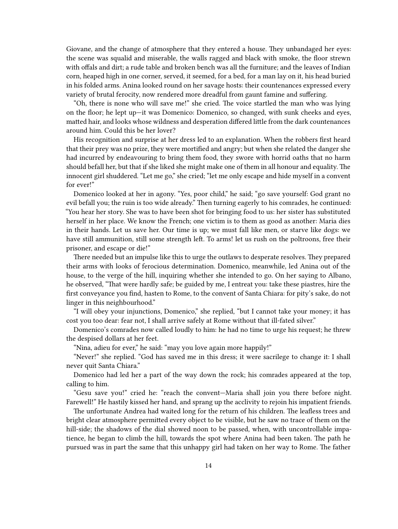Giovane, and the change of atmosphere that they entered a house. They unbandaged her eyes: the scene was squalid and miserable, the walls ragged and black with smoke, the floor strewn with offals and dirt; a rude table and broken bench was all the furniture; and the leaves of Indian corn, heaped high in one corner, served, it seemed, for a bed, for a man lay on it, his head buried in his folded arms. Anina looked round on her savage hosts: their countenances expressed every variety of brutal ferocity, now rendered more dreadful from gaunt famine and suffering.

"Oh, there is none who will save me!" she cried. The voice startled the man who was lying on the floor; he lept up—it was Domenico: Domenico, so changed, with sunk cheeks and eyes, matted hair, and looks whose wildness and desperation differed little from the dark countenances around him. Could this be her lover?

His recognition and surprise at her dress led to an explanation. When the robbers first heard that their prey was no prize, they were mortified and angry; but when she related the danger she had incurred by endeavouring to bring them food, they swore with horrid oaths that no harm should befall her, but that if she liked she might make one of them in all honour and equality. The innocent girl shuddered. "Let me go," she cried; "let me only escape and hide myself in a convent for ever!"

Domenico looked at her in agony. "Yes, poor child," he said; "go save yourself: God grant no evil befall you; the ruin is too wide already." Then turning eagerly to his comrades, he continued: "You hear her story. She was to have been shot for bringing food to us: her sister has substituted herself in her place. We know the French; one victim is to them as good as another: Maria dies in their hands. Let us save her. Our time is up; we must fall like men, or starve like dogs: we have still ammunition, still some strength left. To arms! let us rush on the poltroons, free their prisoner, and escape or die!"

There needed but an impulse like this to urge the outlaws to desperate resolves. They prepared their arms with looks of ferocious determination. Domenico, meanwhile, led Anina out of the house, to the verge of the hill, inquiring whether she intended to go. On her saying to Albano, he observed, "That were hardly safe; be guided by me, I entreat you: take these piastres, hire the first conveyance you find, hasten to Rome, to the convent of Santa Chiara: for pity's sake, do not linger in this neighbourhood."

"I will obey your injunctions, Domenico," she replied, "but I cannot take your money; it has cost you too dear: fear not, I shall arrive safely at Rome without that ill-fated silver."

Domenico's comrades now called loudly to him: he had no time to urge his request; he threw the despised dollars at her feet.

"Nina, adieu for ever," he said: "may you love again more happily!"

"Never!" she replied. "God has saved me in this dress; it were sacrilege to change it: I shall never quit Santa Chiara."

Domenico had led her a part of the way down the rock; his comrades appeared at the top, calling to him.

"Gesu save you!" cried he: "reach the convent—Maria shall join you there before night. Farewell!" He hastily kissed her hand, and sprang up the acclivity to rejoin his impatient friends.

The unfortunate Andrea had waited long for the return of his children. The leafless trees and bright clear atmosphere permitted every object to be visible, but he saw no trace of them on the hill-side; the shadows of the dial showed noon to be passed, when, with uncontrollable impatience, he began to climb the hill, towards the spot where Anina had been taken. The path he pursued was in part the same that this unhappy girl had taken on her way to Rome. The father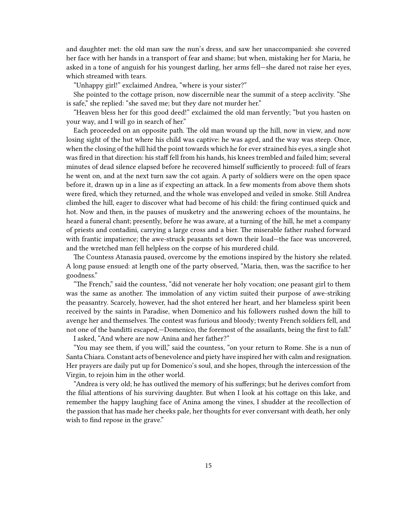and daughter met: the old man saw the nun's dress, and saw her unaccompanied: she covered her face with her hands in a transport of fear and shame; but when, mistaking her for Maria, he asked in a tone of anguish for his youngest darling, her arms fell—she dared not raise her eyes, which streamed with tears.

"Unhappy girl!" exclaimed Andrea, "where is your sister?"

She pointed to the cottage prison, now discernible near the summit of a steep acclivity. "She is safe," she replied: "she saved me; but they dare not murder her."

"Heaven bless her for this good deed!" exclaimed the old man fervently; "but you hasten on your way, and I will go in search of her."

Each proceeded on an opposite path. The old man wound up the hill, now in view, and now losing sight of the hut where his child was captive: he was aged, and the way was steep. Once, when the closing of the hill hid the point towards which he for ever strained his eyes, a single shot was fired in that direction: his staff fell from his hands, his knees trembled and failed him; several minutes of dead silence elapsed before he recovered himself sufficiently to proceed: full of fears he went on, and at the next turn saw the cot again. A party of soldiers were on the open space before it, drawn up in a line as if expecting an attack. In a few moments from above them shots were fired, which they returned, and the whole was enveloped and veiled in smoke. Still Andrea climbed the hill, eager to discover what had become of his child: the firing continued quick and hot. Now and then, in the pauses of musketry and the answering echoes of the mountains, he heard a funeral chant; presently, before he was aware, at a turning of the hill, he met a company of priests and contadini, carrying a large cross and a bier. The miserable father rushed forward with frantic impatience; the awe-struck peasants set down their load—the face was uncovered, and the wretched man fell helpless on the corpse of his murdered child.

The Countess Atanasia paused, overcome by the emotions inspired by the history she related. A long pause ensued: at length one of the party observed, "Maria, then, was the sacrifice to her goodness."

"The French," said the countess, "did not venerate her holy vocation; one peasant girl to them was the same as another. The immolation of any victim suited their purpose of awe-striking the peasantry. Scarcely, however, had the shot entered her heart, and her blameless spirit been received by the saints in Paradise, when Domenico and his followers rushed down the hill to avenge her and themselves. The contest was furious and bloody; twenty French soldiers fell, and not one of the banditti escaped,—Domenico, the foremost of the assailants, being the first to fall." I asked, "And where are now Anina and her father?"

"You may see them, if you will," said the countess, "on your return to Rome. She is a nun of Santa Chiara. Constant acts of benevolence and piety have inspired her with calm and resignation. Her prayers are daily put up for Domenico's soul, and she hopes, through the intercession of the Virgin, to rejoin him in the other world.

"Andrea is very old; he has outlived the memory of his sufferings; but he derives comfort from the filial attentions of his surviving daughter. But when I look at his cottage on this lake, and remember the happy laughing face of Anina among the vines, I shudder at the recollection of the passion that has made her cheeks pale, her thoughts for ever conversant with death, her only wish to find repose in the grave."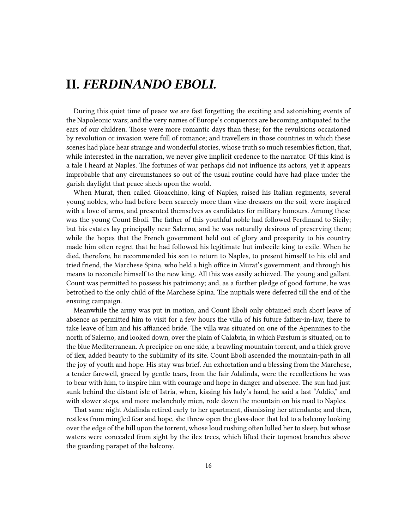## <span id="page-15-0"></span>**II.** *FERDINANDO EBOLI.*

During this quiet time of peace we are fast forgetting the exciting and astonishing events of the Napoleonic wars; and the very names of Europe's conquerors are becoming antiquated to the ears of our children. Those were more romantic days than these; for the revulsions occasioned by revolution or invasion were full of romance; and travellers in those countries in which these scenes had place hear strange and wonderful stories, whose truth so much resembles fiction, that, while interested in the narration, we never give implicit credence to the narrator. Of this kind is a tale I heard at Naples. The fortunes of war perhaps did not influence its actors, yet it appears improbable that any circumstances so out of the usual routine could have had place under the garish daylight that peace sheds upon the world.

When Murat, then called Gioacchino, king of Naples, raised his Italian regiments, several young nobles, who had before been scarcely more than vine-dressers on the soil, were inspired with a love of arms, and presented themselves as candidates for military honours. Among these was the young Count Eboli. The father of this youthful noble had followed Ferdinand to Sicily; but his estates lay principally near Salerno, and he was naturally desirous of preserving them; while the hopes that the French government held out of glory and prosperity to his country made him often regret that he had followed his legitimate but imbecile king to exile. When he died, therefore, he recommended his son to return to Naples, to present himself to his old and tried friend, the Marchese Spina, who held a high office in Murat's government, and through his means to reconcile himself to the new king. All this was easily achieved. The young and gallant Count was permitted to possess his patrimony; and, as a further pledge of good fortune, he was betrothed to the only child of the Marchese Spina. The nuptials were deferred till the end of the ensuing campaign.

Meanwhile the army was put in motion, and Count Eboli only obtained such short leave of absence as permitted him to visit for a few hours the villa of his future father-in-law, there to take leave of him and his affianced bride. The villa was situated on one of the Apennines to the north of Salerno, and looked down, over the plain of Calabria, in which Pæstum is situated, on to the blue Mediterranean. A precipice on one side, a brawling mountain torrent, and a thick grove of ilex, added beauty to the sublimity of its site. Count Eboli ascended the mountain-path in all the joy of youth and hope. His stay was brief. An exhortation and a blessing from the Marchese, a tender farewell, graced by gentle tears, from the fair Adalinda, were the recollections he was to bear with him, to inspire him with courage and hope in danger and absence. The sun had just sunk behind the distant isle of Istria, when, kissing his lady's hand, he said a last "Addio," and with slower steps, and more melancholy mien, rode down the mountain on his road to Naples.

That same night Adalinda retired early to her apartment, dismissing her attendants; and then, restless from mingled fear and hope, she threw open the glass-door that led to a balcony looking over the edge of the hill upon the torrent, whose loud rushing often lulled her to sleep, but whose waters were concealed from sight by the ilex trees, which lifted their topmost branches above the guarding parapet of the balcony.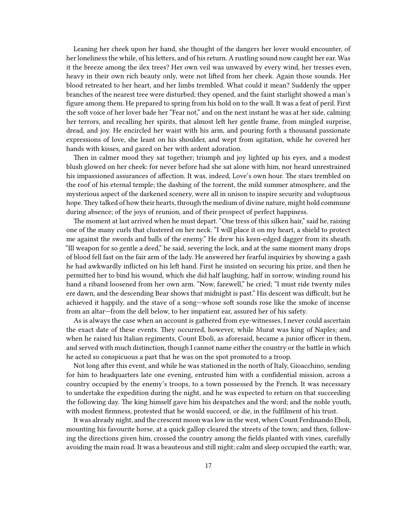Leaning her cheek upon her hand, she thought of the dangers her lover would encounter, of her loneliness the while, of his letters, and of his return. A rustling sound now caught her ear. Was it the breeze among the ilex trees? Her own veil was unwaved by every wind, her tresses even, heavy in their own rich beauty only, were not lifted from her cheek. Again those sounds. Her blood retreated to her heart, and her limbs trembled. What could it mean? Suddenly the upper branches of the nearest tree were disturbed; they opened, and the faint starlight showed a man's figure among them. He prepared to spring from his hold on to the wall. It was a feat of peril. First the soft voice of her lover bade her "Fear not," and on the next instant he was at her side, calming her terrors, and recalling her spirits, that almost left her gentle frame, from mingled surprise, dread, and joy. He encircled her waist with his arm, and pouring forth a thousand passionate expressions of love, she leant on his shoulder, and wept from agitation, while he covered her hands with kisses, and gazed on her with ardent adoration.

Then in calmer mood they sat together; triumph and joy lighted up his eyes, and a modest blush glowed on her cheek: for never before had she sat alone with him, nor heard unrestrained his impassioned assurances of affection. It was, indeed, Love's own hour. The stars trembled on the roof of his eternal temple; the dashing of the torrent, the mild summer atmosphere, and the mysterious aspect of the darkened scenery, were all in unison to inspire security and voluptuous hope.They talked of how their hearts, through the medium of divine nature, might hold commune during absence; of the joys of reunion, and of their prospect of perfect happiness.

The moment at last arrived when he must depart. "One tress of this silken hair," said he, raising one of the many curls that clustered on her neck. "I will place it on my heart, a shield to protect me against the swords and balls of the enemy." He drew his keen-edged dagger from its sheath. "Ill weapon for so gentle a deed," he said, severing the lock, and at the same moment many drops of blood fell fast on the fair arm of the lady. He answered her fearful inquiries by showing a gash he had awkwardly inflicted on his left hand. First he insisted on securing his prize, and then he permitted her to bind his wound, which she did half laughing, half in sorrow, winding round his hand a riband loosened from her own arm. "Now, farewell," he cried; "I must ride twenty miles ere dawn, and the descending Bear shows that midnight is past." His descent was difficult, but he achieved it happily, and the stave of a song—whose soft sounds rose like the smoke of incense from an altar—from the dell below, to her impatient ear, assured her of his safety.

As is always the case when an account is gathered from eye-witnesses, I never could ascertain the exact date of these events. They occurred, however, while Murat was king of Naples; and when he raised his Italian regiments, Count Eboli, as aforesaid, became a junior officer in them, and served with much distinction, though I cannot name either the country or the battle in which he acted so conspicuous a part that he was on the spot promoted to a troop.

Not long after this event, and while he was stationed in the north of Italy, Gioacchino, sending for him to headquarters late one evening, entrusted him with a confidential mission, across a country occupied by the enemy's troops, to a town possessed by the French. It was necessary to undertake the expedition during the night, and he was expected to return on that succeeding the following day. The king himself gave him his despatches and the word; and the noble youth, with modest firmness, protested that he would succeed, or die, in the fulfilment of his trust.

It was already night, and the crescent moon was low in the west, when Count Ferdinando Eboli, mounting his favourite horse, at a quick gallop cleared the streets of the town; and then, following the directions given him, crossed the country among the fields planted with vines, carefully avoiding the main road. It was a beauteous and still night; calm and sleep occupied the earth; war,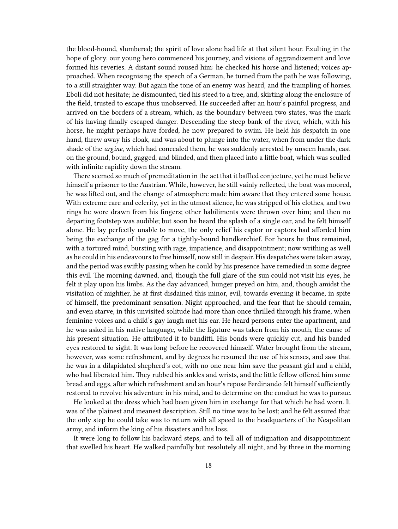the blood-hound, slumbered; the spirit of love alone had life at that silent hour. Exulting in the hope of glory, our young hero commenced his journey, and visions of aggrandizement and love formed his reveries. A distant sound roused him: he checked his horse and listened; voices approached. When recognising the speech of a German, he turned from the path he was following, to a still straighter way. But again the tone of an enemy was heard, and the trampling of horses. Eboli did not hesitate; he dismounted, tied his steed to a tree, and, skirting along the enclosure of the field, trusted to escape thus unobserved. He succeeded after an hour's painful progress, and arrived on the borders of a stream, which, as the boundary between two states, was the mark of his having finally escaped danger. Descending the steep bank of the river, which, with his horse, he might perhaps have forded, he now prepared to swim. He held his despatch in one hand, threw away his cloak, and was about to plunge into the water, when from under the dark shade of the *argine*, which had concealed them, he was suddenly arrested by unseen hands, cast on the ground, bound, gagged, and blinded, and then placed into a little boat, which was sculled with infinite rapidity down the stream.

There seemed so much of premeditation in the act that it baffled conjecture, yet he must believe himself a prisoner to the Austrian. While, however, he still vainly reflected, the boat was moored, he was lifted out, and the change of atmosphere made him aware that they entered some house. With extreme care and celerity, yet in the utmost silence, he was stripped of his clothes, and two rings he wore drawn from his fingers; other habiliments were thrown over him; and then no departing footstep was audible; but soon he heard the splash of a single oar, and he felt himself alone. He lay perfectly unable to move, the only relief his captor or captors had afforded him being the exchange of the gag for a tightly-bound handkerchief. For hours he thus remained, with a tortured mind, bursting with rage, impatience, and disappointment; now writhing as well as he could in his endeavours to free himself, now still in despair. His despatches were taken away, and the period was swiftly passing when he could by his presence have remedied in some degree this evil. The morning dawned, and, though the full glare of the sun could not visit his eyes, he felt it play upon his limbs. As the day advanced, hunger preyed on him, and, though amidst the visitation of mightier, he at first disdained this minor, evil, towards evening it became, in spite of himself, the predominant sensation. Night approached, and the fear that he should remain, and even starve, in this unvisited solitude had more than once thrilled through his frame, when feminine voices and a child's gay laugh met his ear. He heard persons enter the apartment, and he was asked in his native language, while the ligature was taken from his mouth, the cause of his present situation. He attributed it to banditti. His bonds were quickly cut, and his banded eyes restored to sight. It was long before he recovered himself. Water brought from the stream, however, was some refreshment, and by degrees he resumed the use of his senses, and saw that he was in a dilapidated shepherd's cot, with no one near him save the peasant girl and a child, who had liberated him. They rubbed his ankles and wrists, and the little fellow offered him some bread and eggs, after which refreshment and an hour's repose Ferdinando felt himself sufficiently restored to revolve his adventure in his mind, and to determine on the conduct he was to pursue.

He looked at the dress which had been given him in exchange for that which he had worn. It was of the plainest and meanest description. Still no time was to be lost; and he felt assured that the only step he could take was to return with all speed to the headquarters of the Neapolitan army, and inform the king of his disasters and his loss.

It were long to follow his backward steps, and to tell all of indignation and disappointment that swelled his heart. He walked painfully but resolutely all night, and by three in the morning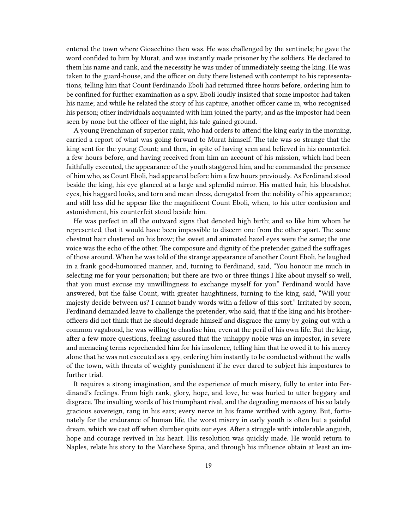entered the town where Gioacchino then was. He was challenged by the sentinels; he gave the word confided to him by Murat, and was instantly made prisoner by the soldiers. He declared to them his name and rank, and the necessity he was under of immediately seeing the king. He was taken to the guard-house, and the officer on duty there listened with contempt to his representations, telling him that Count Ferdinando Eboli had returned three hours before, ordering him to be confined for further examination as a spy. Eboli loudly insisted that some impostor had taken his name; and while he related the story of his capture, another officer came in, who recognised his person; other individuals acquainted with him joined the party; and as the impostor had been seen by none but the officer of the night, his tale gained ground.

A young Frenchman of superior rank, who had orders to attend the king early in the morning, carried a report of what was going forward to Murat himself. The tale was so strange that the king sent for the young Count; and then, in spite of having seen and believed in his counterfeit a few hours before, and having received from him an account of his mission, which had been faithfully executed, the appearance of the youth staggered him, and he commanded the presence of him who, as Count Eboli, had appeared before him a few hours previously. As Ferdinand stood beside the king, his eye glanced at a large and splendid mirror. His matted hair, his bloodshot eyes, his haggard looks, and torn and mean dress, derogated from the nobility of his appearance; and still less did he appear like the magnificent Count Eboli, when, to his utter confusion and astonishment, his counterfeit stood beside him.

He was perfect in all the outward signs that denoted high birth; and so like him whom he represented, that it would have been impossible to discern one from the other apart. The same chestnut hair clustered on his brow; the sweet and animated hazel eyes were the same; the one voice was the echo of the other. The composure and dignity of the pretender gained the suffrages of those around. When he was told of the strange appearance of another Count Eboli, he laughed in a frank good-humoured manner, and, turning to Ferdinand, said, "You honour me much in selecting me for your personation; but there are two or three things I like about myself so well, that you must excuse my unwillingness to exchange myself for you." Ferdinand would have answered, but the false Count, with greater haughtiness, turning to the king, said, "Will your majesty decide between us? I cannot bandy words with a fellow of this sort." Irritated by scorn, Ferdinand demanded leave to challenge the pretender; who said, that if the king and his brotherofficers did not think that he should degrade himself and disgrace the army by going out with a common vagabond, he was willing to chastise him, even at the peril of his own life. But the king, after a few more questions, feeling assured that the unhappy noble was an impostor, in severe and menacing terms reprehended him for his insolence, telling him that he owed it to his mercy alone that he was not executed as a spy, ordering him instantly to be conducted without the walls of the town, with threats of weighty punishment if he ever dared to subject his impostures to further trial.

It requires a strong imagination, and the experience of much misery, fully to enter into Ferdinand's feelings. From high rank, glory, hope, and love, he was hurled to utter beggary and disgrace. The insulting words of his triumphant rival, and the degrading menaces of his so lately gracious sovereign, rang in his ears; every nerve in his frame writhed with agony. But, fortunately for the endurance of human life, the worst misery in early youth is often but a painful dream, which we cast off when slumber quits our eyes. After a struggle with intolerable anguish, hope and courage revived in his heart. His resolution was quickly made. He would return to Naples, relate his story to the Marchese Spina, and through his influence obtain at least an im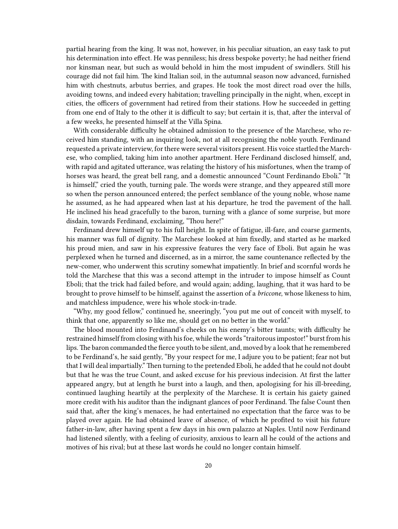partial hearing from the king. It was not, however, in his peculiar situation, an easy task to put his determination into effect. He was penniless; his dress bespoke poverty; he had neither friend nor kinsman near, but such as would behold in him the most impudent of swindlers. Still his courage did not fail him. The kind Italian soil, in the autumnal season now advanced, furnished him with chestnuts, arbutus berries, and grapes. He took the most direct road over the hills, avoiding towns, and indeed every habitation; travelling principally in the night, when, except in cities, the officers of government had retired from their stations. How he succeeded in getting from one end of Italy to the other it is difficult to say; but certain it is, that, after the interval of a few weeks, he presented himself at the Villa Spina.

With considerable difficulty he obtained admission to the presence of the Marchese, who received him standing, with an inquiring look, not at all recognising the noble youth. Ferdinand requested a private interview, for there were several visitors present. His voice startled the Marchese, who complied, taking him into another apartment. Here Ferdinand disclosed himself, and, with rapid and agitated utterance, was relating the history of his misfortunes, when the tramp of horses was heard, the great bell rang, and a domestic announced "Count Ferdinando Eboli." "It is himself," cried the youth, turning pale. The words were strange, and they appeared still more so when the person announced entered; the perfect semblance of the young noble, whose name he assumed, as he had appeared when last at his departure, he trod the pavement of the hall. He inclined his head gracefully to the baron, turning with a glance of some surprise, but more disdain, towards Ferdinand, exclaiming, "Thou here!"

Ferdinand drew himself up to his full height. In spite of fatigue, ill-fare, and coarse garments, his manner was full of dignity. The Marchese looked at him fixedly, and started as he marked his proud mien, and saw in his expressive features the very face of Eboli. But again he was perplexed when he turned and discerned, as in a mirror, the same countenance reflected by the new-comer, who underwent this scrutiny somewhat impatiently. In brief and scornful words he told the Marchese that this was a second attempt in the intruder to impose himself as Count Eboli; that the trick had failed before, and would again; adding, laughing, that it was hard to be brought to prove himself to be himself, against the assertion of a *briccone*, whose likeness to him, and matchless impudence, were his whole stock-in-trade.

"Why, my good fellow," continued he, sneeringly, "you put me out of conceit with myself, to think that one, apparently so like me, should get on no better in the world."

The blood mounted into Ferdinand's cheeks on his enemy's bitter taunts; with difficulty he restrained himself from closing with his foe, while the words "traitorous impostor!" burst from his lips.The baron commanded the fierce youth to be silent, and, moved by a look that he remembered to be Ferdinand's, he said gently, "By your respect for me, I adjure you to be patient; fear not but that I will deal impartially." Then turning to the pretended Eboli, he added that he could not doubt but that he was the true Count, and asked excuse for his previous indecision. At first the latter appeared angry, but at length he burst into a laugh, and then, apologising for his ill-breeding, continued laughing heartily at the perplexity of the Marchese. It is certain his gaiety gained more credit with his auditor than the indignant glances of poor Ferdinand. The false Count then said that, after the king's menaces, he had entertained no expectation that the farce was to be played over again. He had obtained leave of absence, of which he profited to visit his future father-in-law, after having spent a few days in his own palazzo at Naples. Until now Ferdinand had listened silently, with a feeling of curiosity, anxious to learn all he could of the actions and motives of his rival; but at these last words he could no longer contain himself.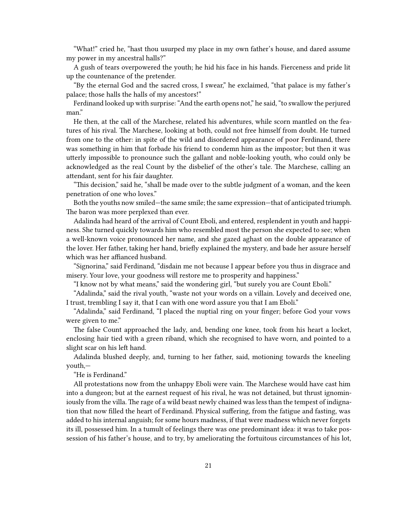"What!" cried he, "hast thou usurped my place in my own father's house, and dared assume my power in my ancestral halls?"

A gush of tears overpowered the youth; he hid his face in his hands. Fierceness and pride lit up the countenance of the pretender.

"By the eternal God and the sacred cross, I swear," he exclaimed, "that palace is my father's palace; those halls the halls of my ancestors!"

Ferdinand looked up with surprise: "And the earth opens not," he said, "to swallow the perjured man."

He then, at the call of the Marchese, related his adventures, while scorn mantled on the features of his rival. The Marchese, looking at both, could not free himself from doubt. He turned from one to the other: in spite of the wild and disordered appearance of poor Ferdinand, there was something in him that forbade his friend to condemn him as the impostor; but then it was utterly impossible to pronounce such the gallant and noble-looking youth, who could only be acknowledged as the real Count by the disbelief of the other's tale. The Marchese, calling an attendant, sent for his fair daughter.

"This decision," said he, "shall be made over to the subtle judgment of a woman, and the keen penetration of one who loves."

Both the youths now smiled—the same smile; the same expression—that of anticipated triumph. The baron was more perplexed than ever.

Adalinda had heard of the arrival of Count Eboli, and entered, resplendent in youth and happiness. She turned quickly towards him who resembled most the person she expected to see; when a well-known voice pronounced her name, and she gazed aghast on the double appearance of the lover. Her father, taking her hand, briefly explained the mystery, and bade her assure herself which was her affianced husband.

"Signorina," said Ferdinand, "disdain me not because I appear before you thus in disgrace and misery. Your love, your goodness will restore me to prosperity and happiness."

"I know not by what means," said the wondering girl, "but surely you are Count Eboli."

"Adalinda," said the rival youth, "waste not your words on a villain. Lovely and deceived one, I trust, trembling I say it, that I can with one word assure you that I am Eboli."

"Adalinda," said Ferdinand, "I placed the nuptial ring on your finger; before God your vows were given to me."

The false Count approached the lady, and, bending one knee, took from his heart a locket, enclosing hair tied with a green riband, which she recognised to have worn, and pointed to a slight scar on his left hand.

Adalinda blushed deeply, and, turning to her father, said, motioning towards the kneeling youth,—

"He is Ferdinand."

All protestations now from the unhappy Eboli were vain. The Marchese would have cast him into a dungeon; but at the earnest request of his rival, he was not detained, but thrust ignominiously from the villa. The rage of a wild beast newly chained was less than the tempest of indignation that now filled the heart of Ferdinand. Physical suffering, from the fatigue and fasting, was added to his internal anguish; for some hours madness, if that were madness which never forgets its ill, possessed him. In a tumult of feelings there was one predominant idea: it was to take possession of his father's house, and to try, by ameliorating the fortuitous circumstances of his lot,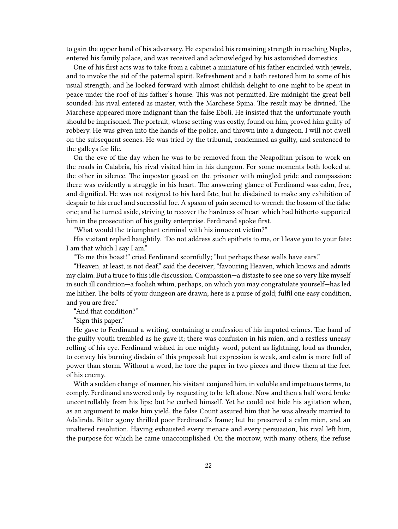to gain the upper hand of his adversary. He expended his remaining strength in reaching Naples, entered his family palace, and was received and acknowledged by his astonished domestics.

One of his first acts was to take from a cabinet a miniature of his father encircled with jewels, and to invoke the aid of the paternal spirit. Refreshment and a bath restored him to some of his usual strength; and he looked forward with almost childish delight to one night to be spent in peace under the roof of his father's house. This was not permitted. Ere midnight the great bell sounded: his rival entered as master, with the Marchese Spina. The result may be divined. The Marchese appeared more indignant than the false Eboli. He insisted that the unfortunate youth should be imprisoned. The portrait, whose setting was costly, found on him, proved him guilty of robbery. He was given into the hands of the police, and thrown into a dungeon. I will not dwell on the subsequent scenes. He was tried by the tribunal, condemned as guilty, and sentenced to the galleys for life.

On the eve of the day when he was to be removed from the Neapolitan prison to work on the roads in Calabria, his rival visited him in his dungeon. For some moments both looked at the other in silence. The impostor gazed on the prisoner with mingled pride and compassion: there was evidently a struggle in his heart. The answering glance of Ferdinand was calm, free, and dignified. He was not resigned to his hard fate, but he disdained to make any exhibition of despair to his cruel and successful foe. A spasm of pain seemed to wrench the bosom of the false one; and he turned aside, striving to recover the hardness of heart which had hitherto supported him in the prosecution of his guilty enterprise. Ferdinand spoke first.

"What would the triumphant criminal with his innocent victim?"

His visitant replied haughtily, "Do not address such epithets to me, or I leave you to your fate: I am that which I say I am."

"To me this boast!" cried Ferdinand scornfully; "but perhaps these walls have ears."

"Heaven, at least, is not deaf," said the deceiver; "favouring Heaven, which knows and admits my claim. But a truce to this idle discussion. Compassion—a distaste to see one so very like myself in such ill condition—a foolish whim, perhaps, on which you may congratulate yourself—has led me hither. The bolts of your dungeon are drawn; here is a purse of gold; fulfil one easy condition, and you are free."

"And that condition?"

"Sign this paper."

He gave to Ferdinand a writing, containing a confession of his imputed crimes. The hand of the guilty youth trembled as he gave it; there was confusion in his mien, and a restless uneasy rolling of his eye. Ferdinand wished in one mighty word, potent as lightning, loud as thunder, to convey his burning disdain of this proposal: but expression is weak, and calm is more full of power than storm. Without a word, he tore the paper in two pieces and threw them at the feet of his enemy.

With a sudden change of manner, his visitant conjured him, in voluble and impetuous terms, to comply. Ferdinand answered only by requesting to be left alone. Now and then a half word broke uncontrollably from his lips; but he curbed himself. Yet he could not hide his agitation when, as an argument to make him yield, the false Count assured him that he was already married to Adalinda. Bitter agony thrilled poor Ferdinand's frame; but he preserved a calm mien, and an unaltered resolution. Having exhausted every menace and every persuasion, his rival left him, the purpose for which he came unaccomplished. On the morrow, with many others, the refuse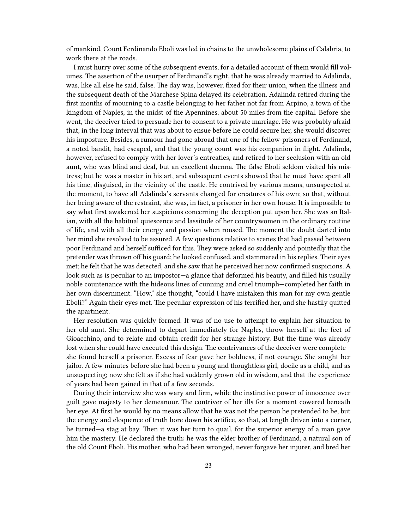of mankind, Count Ferdinando Eboli was led in chains to the unwholesome plains of Calabria, to work there at the roads.

I must hurry over some of the subsequent events, for a detailed account of them would fill volumes. The assertion of the usurper of Ferdinand's right, that he was already married to Adalinda, was, like all else he said, false. The day was, however, fixed for their union, when the illness and the subsequent death of the Marchese Spina delayed its celebration. Adalinda retired during the first months of mourning to a castle belonging to her father not far from Arpino, a town of the kingdom of Naples, in the midst of the Apennines, about 50 miles from the capital. Before she went, the deceiver tried to persuade her to consent to a private marriage. He was probably afraid that, in the long interval that was about to ensue before he could secure her, she would discover his imposture. Besides, a rumour had gone abroad that one of the fellow-prisoners of Ferdinand, a noted bandit, had escaped, and that the young count was his companion in flight. Adalinda, however, refused to comply with her lover's entreaties, and retired to her seclusion with an old aunt, who was blind and deaf, but an excellent duenna. The false Eboli seldom visited his mistress; but he was a master in his art, and subsequent events showed that he must have spent all his time, disguised, in the vicinity of the castle. He contrived by various means, unsuspected at the moment, to have all Adalinda's servants changed for creatures of his own; so that, without her being aware of the restraint, she was, in fact, a prisoner in her own house. It is impossible to say what first awakened her suspicions concerning the deception put upon her. She was an Italian, with all the habitual quiescence and lassitude of her countrywomen in the ordinary routine of life, and with all their energy and passion when roused. The moment the doubt darted into her mind she resolved to be assured. A few questions relative to scenes that had passed between poor Ferdinand and herself sufficed for this. They were asked so suddenly and pointedly that the pretender was thrown off his guard; he looked confused, and stammered in his replies. Their eyes met; he felt that he was detected, and she saw that he perceived her now confirmed suspicions. A look such as is peculiar to an impostor—a glance that deformed his beauty, and filled his usually noble countenance with the hideous lines of cunning and cruel triumph—completed her faith in her own discernment. "How," she thought, "could I have mistaken this man for my own gentle Eboli?" Again their eyes met. The peculiar expression of his terrified her, and she hastily quitted the apartment.

Her resolution was quickly formed. It was of no use to attempt to explain her situation to her old aunt. She determined to depart immediately for Naples, throw herself at the feet of Gioacchino, and to relate and obtain credit for her strange history. But the time was already lost when she could have executed this design. The contrivances of the deceiver were complete she found herself a prisoner. Excess of fear gave her boldness, if not courage. She sought her jailor. A few minutes before she had been a young and thoughtless girl, docile as a child, and as unsuspecting; now she felt as if she had suddenly grown old in wisdom, and that the experience of years had been gained in that of a few seconds.

During their interview she was wary and firm, while the instinctive power of innocence over guilt gave majesty to her demeanour. The contriver of her ills for a moment cowered beneath her eye. At first he would by no means allow that he was not the person he pretended to be, but the energy and eloquence of truth bore down his artifice, so that, at length driven into a corner, he turned—a stag at bay. Then it was her turn to quail, for the superior energy of a man gave him the mastery. He declared the truth: he was the elder brother of Ferdinand, a natural son of the old Count Eboli. His mother, who had been wronged, never forgave her injurer, and bred her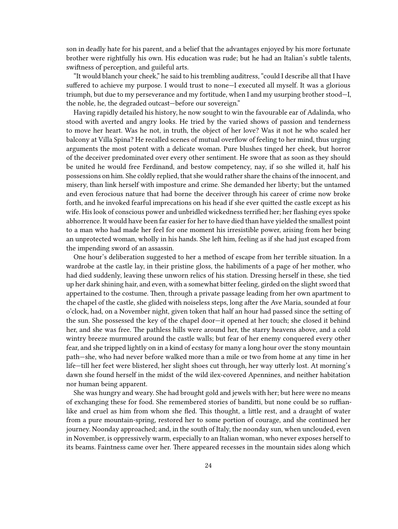son in deadly hate for his parent, and a belief that the advantages enjoyed by his more fortunate brother were rightfully his own. His education was rude; but he had an Italian's subtle talents, swiftness of perception, and guileful arts.

"It would blanch your cheek," he said to his trembling auditress, "could I describe all that I have suffered to achieve my purpose. I would trust to none—I executed all myself. It was a glorious triumph, but due to my perseverance and my fortitude, when I and my usurping brother stood—I, the noble, he, the degraded outcast—before our sovereign."

Having rapidly detailed his history, he now sought to win the favourable ear of Adalinda, who stood with averted and angry looks. He tried by the varied shows of passion and tenderness to move her heart. Was he not, in truth, the object of her love? Was it not he who scaled her balcony at Villa Spina? He recalled scenes of mutual overflow of feeling to her mind, thus urging arguments the most potent with a delicate woman. Pure blushes tinged her cheek, but horror of the deceiver predominated over every other sentiment. He swore that as soon as they should be united he would free Ferdinand, and bestow competency, nay, if so she willed it, half his possessions on him. She coldly replied, that she would rather share the chains of the innocent, and misery, than link herself with imposture and crime. She demanded her liberty; but the untamed and even ferocious nature that had borne the deceiver through his career of crime now broke forth, and he invoked fearful imprecations on his head if she ever quitted the castle except as his wife. His look of conscious power and unbridled wickedness terrified her; her flashing eyes spoke abhorrence. It would have been far easier for her to have died than have yielded the smallest point to a man who had made her feel for one moment his irresistible power, arising from her being an unprotected woman, wholly in his hands. She left him, feeling as if she had just escaped from the impending sword of an assassin.

One hour's deliberation suggested to her a method of escape from her terrible situation. In a wardrobe at the castle lay, in their pristine gloss, the habiliments of a page of her mother, who had died suddenly, leaving these unworn relics of his station. Dressing herself in these, she tied up her dark shining hair, and even, with a somewhat bitter feeling, girded on the slight sword that appertained to the costume. Then, through a private passage leading from her own apartment to the chapel of the castle, she glided with noiseless steps, long after the Ave Maria, sounded at four o'clock, had, on a November night, given token that half an hour had passed since the setting of the sun. She possessed the key of the chapel door—it opened at her touch; she closed it behind her, and she was free. The pathless hills were around her, the starry heavens above, and a cold wintry breeze murmured around the castle walls; but fear of her enemy conquered every other fear, and she tripped lightly on in a kind of ecstasy for many a long hour over the stony mountain path—she, who had never before walked more than a mile or two from home at any time in her life—till her feet were blistered, her slight shoes cut through, her way utterly lost. At morning's dawn she found herself in the midst of the wild ilex-covered Apennines, and neither habitation nor human being apparent.

She was hungry and weary. She had brought gold and jewels with her; but here were no means of exchanging these for food. She remembered stories of banditti, but none could be so ruffianlike and cruel as him from whom she fled. This thought, a little rest, and a draught of water from a pure mountain-spring, restored her to some portion of courage, and she continued her journey. Noonday approached; and, in the south of Italy, the noonday sun, when unclouded, even in November, is oppressively warm, especially to an Italian woman, who never exposes herself to its beams. Faintness came over her. There appeared recesses in the mountain sides along which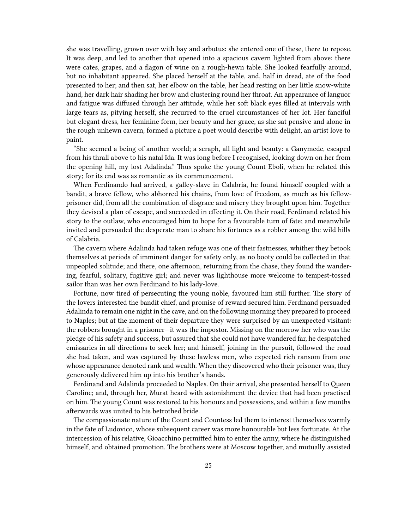she was travelling, grown over with bay and arbutus: she entered one of these, there to repose. It was deep, and led to another that opened into a spacious cavern lighted from above: there were cates, grapes, and a flagon of wine on a rough-hewn table. She looked fearfully around, but no inhabitant appeared. She placed herself at the table, and, half in dread, ate of the food presented to her; and then sat, her elbow on the table, her head resting on her little snow-white hand, her dark hair shading her brow and clustering round her throat. An appearance of languor and fatigue was diffused through her attitude, while her soft black eyes filled at intervals with large tears as, pitying herself, she recurred to the cruel circumstances of her lot. Her fanciful but elegant dress, her feminine form, her beauty and her grace, as she sat pensive and alone in the rough unhewn cavern, formed a picture a poet would describe with delight, an artist love to paint.

"She seemed a being of another world; a seraph, all light and beauty: a Ganymede, escaped from his thrall above to his natal Ida. It was long before I recognised, looking down on her from the opening hill, my lost Adalinda." Thus spoke the young Count Eboli, when he related this story; for its end was as romantic as its commencement.

When Ferdinando had arrived, a galley-slave in Calabria, he found himself coupled with a bandit, a brave fellow, who abhorred his chains, from love of freedom, as much as his fellowprisoner did, from all the combination of disgrace and misery they brought upon him. Together they devised a plan of escape, and succeeded in effecting it. On their road, Ferdinand related his story to the outlaw, who encouraged him to hope for a favourable turn of fate; and meanwhile invited and persuaded the desperate man to share his fortunes as a robber among the wild hills of Calabria.

The cavern where Adalinda had taken refuge was one of their fastnesses, whither they betook themselves at periods of imminent danger for safety only, as no booty could be collected in that unpeopled solitude; and there, one afternoon, returning from the chase, they found the wandering, fearful, solitary, fugitive girl; and never was lighthouse more welcome to tempest-tossed sailor than was her own Ferdinand to his lady-love.

Fortune, now tired of persecuting the young noble, favoured him still further. The story of the lovers interested the bandit chief, and promise of reward secured him. Ferdinand persuaded Adalinda to remain one night in the cave, and on the following morning they prepared to proceed to Naples; but at the moment of their departure they were surprised by an unexpected visitant: the robbers brought in a prisoner—it was the impostor. Missing on the morrow her who was the pledge of his safety and success, but assured that she could not have wandered far, he despatched emissaries in all directions to seek her; and himself, joining in the pursuit, followed the road she had taken, and was captured by these lawless men, who expected rich ransom from one whose appearance denoted rank and wealth. When they discovered who their prisoner was, they generously delivered him up into his brother's hands.

Ferdinand and Adalinda proceeded to Naples. On their arrival, she presented herself to Queen Caroline; and, through her, Murat heard with astonishment the device that had been practised on him. The young Count was restored to his honours and possessions, and within a few months afterwards was united to his betrothed bride.

The compassionate nature of the Count and Countess led them to interest themselves warmly in the fate of Ludovico, whose subsequent career was more honourable but less fortunate. At the intercession of his relative, Gioacchino permitted him to enter the army, where he distinguished himself, and obtained promotion. The brothers were at Moscow together, and mutually assisted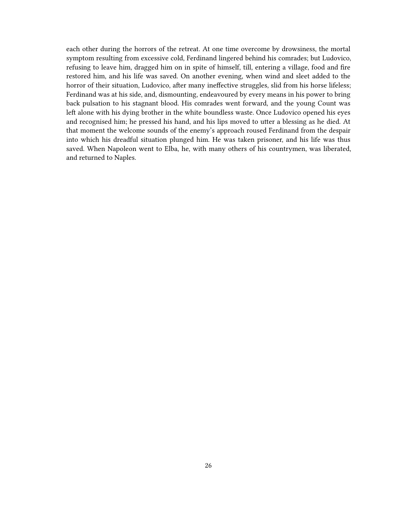each other during the horrors of the retreat. At one time overcome by drowsiness, the mortal symptom resulting from excessive cold, Ferdinand lingered behind his comrades; but Ludovico, refusing to leave him, dragged him on in spite of himself, till, entering a village, food and fire restored him, and his life was saved. On another evening, when wind and sleet added to the horror of their situation, Ludovico, after many ineffective struggles, slid from his horse lifeless; Ferdinand was at his side, and, dismounting, endeavoured by every means in his power to bring back pulsation to his stagnant blood. His comrades went forward, and the young Count was left alone with his dying brother in the white boundless waste. Once Ludovico opened his eyes and recognised him; he pressed his hand, and his lips moved to utter a blessing as he died. At that moment the welcome sounds of the enemy's approach roused Ferdinand from the despair into which his dreadful situation plunged him. He was taken prisoner, and his life was thus saved. When Napoleon went to Elba, he, with many others of his countrymen, was liberated, and returned to Naples.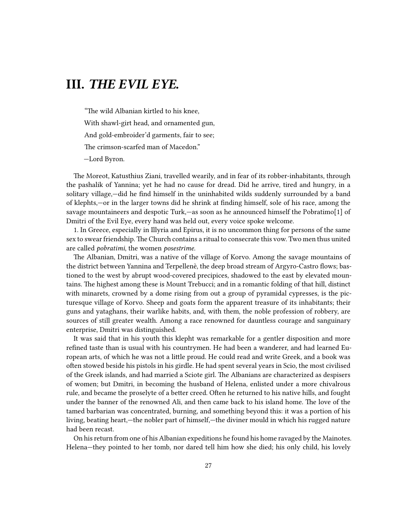# <span id="page-26-0"></span>**III.** *THE EVIL EYE.*

"The wild Albanian kirtled to his knee, With shawl-girt head, and ornamented gun, And gold-embroider'd garments, fair to see; The crimson-scarfed man of Macedon." —Lord Byron.

The Moreot, Katusthius Ziani, travelled wearily, and in fear of its robber-inhabitants, through the pashalik of Yannina; yet he had no cause for dread. Did he arrive, tired and hungry, in a solitary village,—did he find himself in the uninhabited wilds suddenly surrounded by a band of klephts,—or in the larger towns did he shrink at finding himself, sole of his race, among the savage mountaineers and despotic Turk,—as soon as he announced himself the Pobratimo[1] of Dmitri of the Evil Eye, every hand was held out, every voice spoke welcome.

1. In Greece, especially in Illyria and Epirus, it is no uncommon thing for persons of the same sex to swear friendship. The Church contains a ritual to consecrate this vow. Two men thus united are called *pobratimi*, the women *posestrime*.

The Albanian, Dmitri, was a native of the village of Korvo. Among the savage mountains of the district between Yannina and Terpellenè, the deep broad stream of Argyro-Castro flows; bastioned to the west by abrupt wood-covered precipices, shadowed to the east by elevated mountains. The highest among these is Mount Trebucci; and in a romantic folding of that hill, distinct with minarets, crowned by a dome rising from out a group of pyramidal cypresses, is the picturesque village of Korvo. Sheep and goats form the apparent treasure of its inhabitants; their guns and yataghans, their warlike habits, and, with them, the noble profession of robbery, are sources of still greater wealth. Among a race renowned for dauntless courage and sanguinary enterprise, Dmitri was distinguished.

It was said that in his youth this klepht was remarkable for a gentler disposition and more refined taste than is usual with his countrymen. He had been a wanderer, and had learned European arts, of which he was not a little proud. He could read and write Greek, and a book was often stowed beside his pistols in his girdle. He had spent several years in Scio, the most civilised of the Greek islands, and had married a Sciote girl. The Albanians are characterized as despisers of women; but Dmitri, in becoming the husband of Helena, enlisted under a more chivalrous rule, and became the proselyte of a better creed. Often he returned to his native hills, and fought under the banner of the renowned Ali, and then came back to his island home. The love of the tamed barbarian was concentrated, burning, and something beyond this: it was a portion of his living, beating heart,—the nobler part of himself,—the diviner mould in which his rugged nature had been recast.

On his return from one of his Albanian expeditions he found his home ravaged by the Mainotes. Helena—they pointed to her tomb, nor dared tell him how she died; his only child, his lovely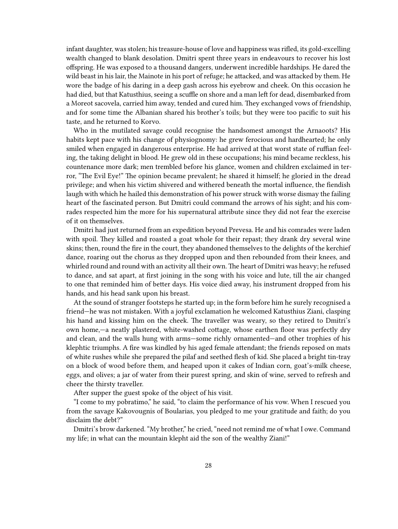infant daughter, was stolen; his treasure-house of love and happiness was rifled, its gold-excelling wealth changed to blank desolation. Dmitri spent three years in endeavours to recover his lost offspring. He was exposed to a thousand dangers, underwent incredible hardships. He dared the wild beast in his lair, the Mainote in his port of refuge; he attacked, and was attacked by them. He wore the badge of his daring in a deep gash across his eyebrow and cheek. On this occasion he had died, but that Katusthius, seeing a scuffle on shore and a man left for dead, disembarked from a Moreot sacovela, carried him away, tended and cured him. They exchanged vows of friendship, and for some time the Albanian shared his brother's toils; but they were too pacific to suit his taste, and he returned to Korvo.

Who in the mutilated savage could recognise the handsomest amongst the Arnaoots? His habits kept pace with his change of physiognomy: he grew ferocious and hardhearted; he only smiled when engaged in dangerous enterprise. He had arrived at that worst state of ruffian feeling, the taking delight in blood. He grew old in these occupations; his mind became reckless, his countenance more dark; men trembled before his glance, women and children exclaimed in terror, "The Evil Eye!" The opinion became prevalent; he shared it himself; he gloried in the dread privilege; and when his victim shivered and withered beneath the mortal influence, the fiendish laugh with which he hailed this demonstration of his power struck with worse dismay the failing heart of the fascinated person. But Dmitri could command the arrows of his sight; and his comrades respected him the more for his supernatural attribute since they did not fear the exercise of it on themselves.

Dmitri had just returned from an expedition beyond Prevesa. He and his comrades were laden with spoil. They killed and roasted a goat whole for their repast; they drank dry several wine skins; then, round the fire in the court, they abandoned themselves to the delights of the kerchief dance, roaring out the chorus as they dropped upon and then rebounded from their knees, and whirled round and round with an activity all their own. The heart of Dmitri was heavy; he refused to dance, and sat apart, at first joining in the song with his voice and lute, till the air changed to one that reminded him of better days. His voice died away, his instrument dropped from his hands, and his head sank upon his breast.

At the sound of stranger footsteps he started up; in the form before him he surely recognised a friend—he was not mistaken. With a joyful exclamation he welcomed Katusthius Ziani, clasping his hand and kissing him on the cheek. The traveller was weary, so they retired to Dmitri's own home,—a neatly plastered, white-washed cottage, whose earthen floor was perfectly dry and clean, and the walls hung with arms—some richly ornamented—and other trophies of his klephtic triumphs. A fire was kindled by his aged female attendant; the friends reposed on mats of white rushes while she prepared the pilaf and seethed flesh of kid. She placed a bright tin-tray on a block of wood before them, and heaped upon it cakes of Indian corn, goat's-milk cheese, eggs, and olives; a jar of water from their purest spring, and skin of wine, served to refresh and cheer the thirsty traveller.

After supper the guest spoke of the object of his visit.

"I come to my pobratimo," he said, "to claim the performance of his vow. When I rescued you from the savage Kakovougnis of Boularias, you pledged to me your gratitude and faith; do you disclaim the debt?"

Dmitri's brow darkened. "My brother," he cried, "need not remind me of what I owe. Command my life; in what can the mountain klepht aid the son of the wealthy Ziani!"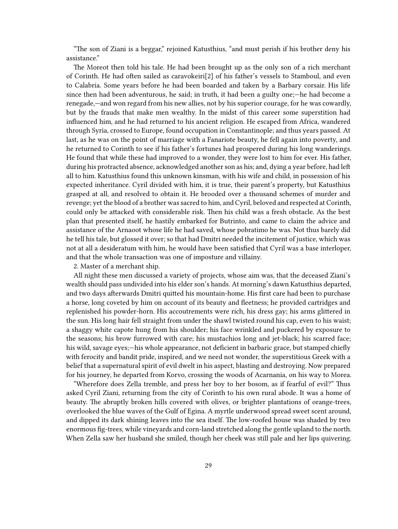"The son of Ziani is a beggar," rejoined Katusthius, "and must perish if his brother deny his assistance."

The Moreot then told his tale. He had been brought up as the only son of a rich merchant of Corinth. He had often sailed as caravokeiri[2] of his father's vessels to Stamboul, and even to Calabria. Some years before he had been boarded and taken by a Barbary corsair. His life since then had been adventurous, he said; in truth, it had been a guilty one;—he had become a renegade,—and won regard from his new allies, not by his superior courage, for he was cowardly, but by the frauds that make men wealthy. In the midst of this career some superstition had influenced him, and he had returned to his ancient religion. He escaped from Africa, wandered through Syria, crossed to Europe, found occupation in Constantinople; and thus years passed. At last, as he was on the point of marriage with a Fanariote beauty, he fell again into poverty, and he returned to Corinth to see if his father's fortunes had prospered during his long wanderings. He found that while these had improved to a wonder, they were lost to him for ever. His father, during his protracted absence, acknowledged another son as his; and, dying a year before, had left all to him. Katusthius found this unknown kinsman, with his wife and child, in possession of his expected inheritance. Cyril divided with him, it is true, their parent's property, but Katusthius grasped at all, and resolved to obtain it. He brooded over a thousand schemes of murder and revenge; yet the blood of a brother was sacred to him, and Cyril, beloved and respected at Corinth, could only be attacked with considerable risk. Then his child was a fresh obstacle. As the best plan that presented itself, he hastily embarked for Butrinto, and came to claim the advice and assistance of the Arnaoot whose life he had saved, whose pobratimo he was. Not thus barely did he tell his tale, but glossed it over; so that had Dmitri needed the incitement of justice, which was not at all a desideratum with him, he would have been satisfied that Cyril was a base interloper, and that the whole transaction was one of imposture and villainy.

2. Master of a merchant ship.

All night these men discussed a variety of projects, whose aim was, that the deceased Ziani's wealth should pass undivided into his elder son's hands. At morning's dawn Katusthius departed, and two days afterwards Dmitri quitted his mountain-home. His first care had been to purchase a horse, long coveted by him on account of its beauty and fleetness; he provided cartridges and replenished his powder-horn. His accoutrements were rich, his dress gay; his arms glittered in the sun. His long hair fell straight from under the shawl twisted round his cap, even to his waist; a shaggy white capote hung from his shoulder; his face wrinkled and puckered by exposure to the seasons; his brow furrowed with care; his mustachios long and jet-black; his scarred face; his wild, savage eyes;—his whole appearance, not deficient in barbaric grace, but stamped chiefly with ferocity and bandit pride, inspired, and we need not wonder, the superstitious Greek with a belief that a supernatural spirit of evil dwelt in his aspect, blasting and destroying. Now prepared for his journey, he departed from Korvo, crossing the woods of Acarnania, on his way to Morea.

"Wherefore does Zella tremble, and press her boy to her bosom, as if fearful of evil?" Thus asked Cyril Ziani, returning from the city of Corinth to his own rural abode. It was a home of beauty. The abruptly broken hills covered with olives, or brighter plantations of orange-trees, overlooked the blue waves of the Gulf of Egina. A myrtle underwood spread sweet scent around, and dipped its dark shining leaves into the sea itself. The low-roofed house was shaded by two enormous fig-trees, while vineyards and corn-land stretched along the gentle upland to the north. When Zella saw her husband she smiled, though her cheek was still pale and her lips quivering.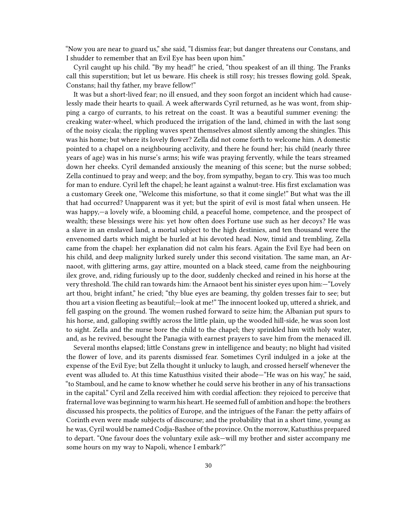"Now you are near to guard us," she said, "I dismiss fear; but danger threatens our Constans, and I shudder to remember that an Evil Eye has been upon him."

Cyril caught up his child. "By my head!" he cried, "thou speakest of an ill thing. The Franks call this superstition; but let us beware. His cheek is still rosy; his tresses flowing gold. Speak, Constans; hail thy father, my brave fellow!"

It was but a short-lived fear; no ill ensued, and they soon forgot an incident which had causelessly made their hearts to quail. A week afterwards Cyril returned, as he was wont, from shipping a cargo of currants, to his retreat on the coast. It was a beautiful summer evening: the creaking water-wheel, which produced the irrigation of the land, chimed in with the last song of the noisy cicala; the rippling waves spent themselves almost silently among the shingles. This was his home; but where its lovely flower? Zella did not come forth to welcome him. A domestic pointed to a chapel on a neighbouring acclivity, and there he found her; his child (nearly three years of age) was in his nurse's arms; his wife was praying fervently, while the tears streamed down her cheeks. Cyril demanded anxiously the meaning of this scene; but the nurse sobbed; Zella continued to pray and weep; and the boy, from sympathy, began to cry. This was too much for man to endure. Cyril left the chapel; he leant against a walnut-tree. His first exclamation was a customary Greek one, "Welcome this misfortune, so that it come single!" But what was the ill that had occurred? Unapparent was it yet; but the spirit of evil is most fatal when unseen. He was happy,—a lovely wife, a blooming child, a peaceful home, competence, and the prospect of wealth; these blessings were his: yet how often does Fortune use such as her decoys? He was a slave in an enslaved land, a mortal subject to the high destinies, and ten thousand were the envenomed darts which might be hurled at his devoted head. Now, timid and trembling, Zella came from the chapel: her explanation did not calm his fears. Again the Evil Eye had been on his child, and deep malignity lurked surely under this second visitation. The same man, an Arnaoot, with glittering arms, gay attire, mounted on a black steed, came from the neighbouring ilex grove, and, riding furiously up to the door, suddenly checked and reined in his horse at the very threshold. The child ran towards him: the Arnaoot bent his sinister eyes upon him:—"Lovely art thou, bright infant," he cried; "thy blue eyes are beaming, thy golden tresses fair to see; but thou art a vision fleeting as beautiful;—look at me!" The innocent looked up, uttered a shriek, and fell gasping on the ground. The women rushed forward to seize him; the Albanian put spurs to his horse, and, galloping swiftly across the little plain, up the wooded hill-side, he was soon lost to sight. Zella and the nurse bore the child to the chapel; they sprinkled him with holy water, and, as he revived, besought the Panagia with earnest prayers to save him from the menaced ill.

Several months elapsed; little Constans grew in intelligence and beauty; no blight had visited the flower of love, and its parents dismissed fear. Sometimes Cyril indulged in a joke at the expense of the Evil Eye; but Zella thought it unlucky to laugh, and crossed herself whenever the event was alluded to. At this time Katusthius visited their abode—"He was on his way," he said, "to Stamboul, and he came to know whether he could serve his brother in any of his transactions in the capital." Cyril and Zella received him with cordial affection: they rejoiced to perceive that fraternal love was beginning to warm his heart. He seemed full of ambition and hope: the brothers discussed his prospects, the politics of Europe, and the intrigues of the Fanar: the petty affairs of Corinth even were made subjects of discourse; and the probability that in a short time, young as he was, Cyril would be named Codja-Bashee of the province. On the morrow, Katusthius prepared to depart. "One favour does the voluntary exile ask—will my brother and sister accompany me some hours on my way to Napoli, whence I embark?"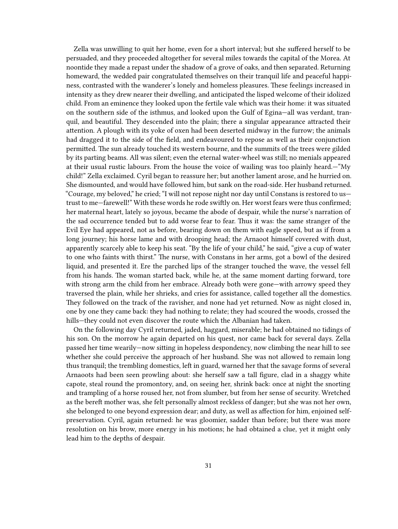Zella was unwilling to quit her home, even for a short interval; but she suffered herself to be persuaded, and they proceeded altogether for several miles towards the capital of the Morea. At noontide they made a repast under the shadow of a grove of oaks, and then separated. Returning homeward, the wedded pair congratulated themselves on their tranquil life and peaceful happiness, contrasted with the wanderer's lonely and homeless pleasures. These feelings increased in intensity as they drew nearer their dwelling, and anticipated the lisped welcome of their idolized child. From an eminence they looked upon the fertile vale which was their home: it was situated on the southern side of the isthmus, and looked upon the Gulf of Egina—all was verdant, tranquil, and beautiful. They descended into the plain; there a singular appearance attracted their attention. A plough with its yoke of oxen had been deserted midway in the furrow; the animals had dragged it to the side of the field, and endeavoured to repose as well as their conjunction permitted. The sun already touched its western bourne, and the summits of the trees were gilded by its parting beams. All was silent; even the eternal water-wheel was still; no menials appeared at their usual rustic labours. From the house the voice of wailing was too plainly heard.—"My child!" Zella exclaimed. Cyril began to reassure her; but another lament arose, and he hurried on. She dismounted, and would have followed him, but sank on the road-side. Her husband returned. "Courage, my beloved," he cried; "I will not repose night nor day until Constans is restored to us trust to me—farewell!" With these words he rode swiftly on. Her worst fears were thus confirmed; her maternal heart, lately so joyous, became the abode of despair, while the nurse's narration of the sad occurrence tended but to add worse fear to fear. Thus it was: the same stranger of the Evil Eye had appeared, not as before, bearing down on them with eagle speed, but as if from a long journey; his horse lame and with drooping head; the Arnaoot himself covered with dust, apparently scarcely able to keep his seat. "By the life of your child," he said, "give a cup of water to one who faints with thirst." The nurse, with Constans in her arms, got a bowl of the desired liquid, and presented it. Ere the parched lips of the stranger touched the wave, the vessel fell from his hands. The woman started back, while he, at the same moment darting forward, tore with strong arm the child from her embrace. Already both were gone—with arrowy speed they traversed the plain, while her shrieks, and cries for assistance, called together all the domestics. They followed on the track of the ravisher, and none had yet returned. Now as night closed in, one by one they came back: they had nothing to relate; they had scoured the woods, crossed the hills—they could not even discover the route which the Albanian had taken.

On the following day Cyril returned, jaded, haggard, miserable; he had obtained no tidings of his son. On the morrow he again departed on his quest, nor came back for several days. Zella passed her time wearily—now sitting in hopeless despondency, now climbing the near hill to see whether she could perceive the approach of her husband. She was not allowed to remain long thus tranquil; the trembling domestics, left in guard, warned her that the savage forms of several Arnaoots had been seen prowling about: she herself saw a tall figure, clad in a shaggy white capote, steal round the promontory, and, on seeing her, shrink back: once at night the snorting and trampling of a horse roused her, not from slumber, but from her sense of security. Wretched as the bereft mother was, she felt personally almost reckless of danger; but she was not her own, she belonged to one beyond expression dear; and duty, as well as affection for him, enjoined selfpreservation. Cyril, again returned: he was gloomier, sadder than before; but there was more resolution on his brow, more energy in his motions; he had obtained a clue, yet it might only lead him to the depths of despair.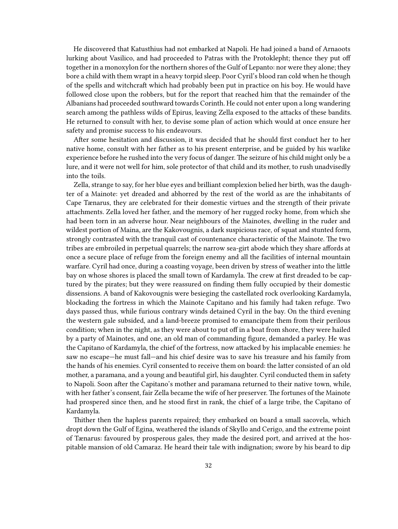He discovered that Katusthius had not embarked at Napoli. He had joined a band of Arnaoots lurking about Vasilico, and had proceeded to Patras with the Protoklepht; thence they put off together in a monoxylon for the northern shores of the Gulf of Lepanto: nor were they alone; they bore a child with them wrapt in a heavy torpid sleep. Poor Cyril's blood ran cold when he though of the spells and witchcraft which had probably been put in practice on his boy. He would have followed close upon the robbers, but for the report that reached him that the remainder of the Albanians had proceeded southward towards Corinth. He could not enter upon a long wandering search among the pathless wilds of Epirus, leaving Zella exposed to the attacks of these bandits. He returned to consult with her, to devise some plan of action which would at once ensure her safety and promise success to his endeavours.

After some hesitation and discussion, it was decided that he should first conduct her to her native home, consult with her father as to his present enterprise, and be guided by his warlike experience before he rushed into the very focus of danger. The seizure of his child might only be a lure, and it were not well for him, sole protector of that child and its mother, to rush unadvisedly into the toils.

Zella, strange to say, for her blue eyes and brilliant complexion belied her birth, was the daughter of a Mainote: yet dreaded and abhorred by the rest of the world as are the inhabitants of Cape Tænarus, they are celebrated for their domestic virtues and the strength of their private attachments. Zella loved her father, and the memory of her rugged rocky home, from which she had been torn in an adverse hour. Near neighbours of the Mainotes, dwelling in the ruder and wildest portion of Maina, are the Kakovougnis, a dark suspicious race, of squat and stunted form, strongly contrasted with the tranquil cast of countenance characteristic of the Mainote. The two tribes are embroiled in perpetual quarrels; the narrow sea-girt abode which they share affords at once a secure place of refuge from the foreign enemy and all the facilities of internal mountain warfare. Cyril had once, during a coasting voyage, been driven by stress of weather into the little bay on whose shores is placed the small town of Kardamyla. The crew at first dreaded to be captured by the pirates; but they were reassured on finding them fully occupied by their domestic dissensions. A band of Kakovougnis were besieging the castellated rock overlooking Kardamyla, blockading the fortress in which the Mainote Capitano and his family had taken refuge. Two days passed thus, while furious contrary winds detained Cyril in the bay. On the third evening the western gale subsided, and a land-breeze promised to emancipate them from their perilous condition; when in the night, as they were about to put off in a boat from shore, they were hailed by a party of Mainotes, and one, an old man of commanding figure, demanded a parley. He was the Capitano of Kardamyla, the chief of the fortress, now attacked by his implacable enemies: he saw no escape—he must fall—and his chief desire was to save his treasure and his family from the hands of his enemies. Cyril consented to receive them on board: the latter consisted of an old mother, a paramana, and a young and beautiful girl, his daughter. Cyril conducted them in safety to Napoli. Soon after the Capitano's mother and paramana returned to their native town, while, with her father's consent, fair Zella became the wife of her preserver. The fortunes of the Mainote had prospered since then, and he stood first in rank, the chief of a large tribe, the Capitano of Kardamyla.

Thither then the hapless parents repaired; they embarked on board a small sacovela, which dropt down the Gulf of Egina, weathered the islands of Skyllo and Cerigo, and the extreme point of Tænarus: favoured by prosperous gales, they made the desired port, and arrived at the hospitable mansion of old Camaraz. He heard their tale with indignation; swore by his beard to dip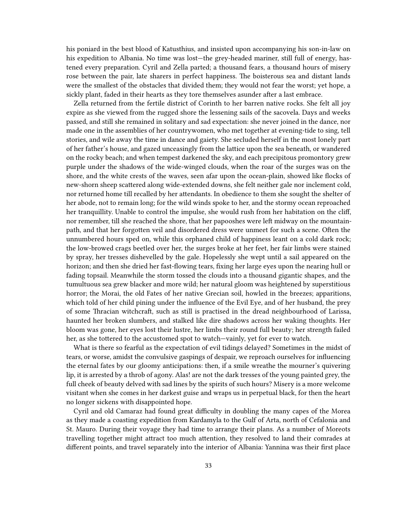his poniard in the best blood of Katusthius, and insisted upon accompanying his son-in-law on his expedition to Albania. No time was lost—the grey-headed mariner, still full of energy, hastened every preparation. Cyril and Zella parted; a thousand fears, a thousand hours of misery rose between the pair, late sharers in perfect happiness. The boisterous sea and distant lands were the smallest of the obstacles that divided them; they would not fear the worst; yet hope, a sickly plant, faded in their hearts as they tore themselves asunder after a last embrace.

Zella returned from the fertile district of Corinth to her barren native rocks. She felt all joy expire as she viewed from the rugged shore the lessening sails of the sacovela. Days and weeks passed, and still she remained in solitary and sad expectation: she never joined in the dance, nor made one in the assemblies of her countrywomen, who met together at evening-tide to sing, tell stories, and wile away the time in dance and gaiety. She secluded herself in the most lonely part of her father's house, and gazed unceasingly from the lattice upon the sea beneath, or wandered on the rocky beach; and when tempest darkened the sky, and each precipitous promontory grew purple under the shadows of the wide-winged clouds, when the roar of the surges was on the shore, and the white crests of the waves, seen afar upon the ocean-plain, showed like flocks of new-shorn sheep scattered along wide-extended downs, she felt neither gale nor inclement cold, nor returned home till recalled by her attendants. In obedience to them she sought the shelter of her abode, not to remain long; for the wild winds spoke to her, and the stormy ocean reproached her tranquillity. Unable to control the impulse, she would rush from her habitation on the cliff, nor remember, till she reached the shore, that her papooshes were left midway on the mountainpath, and that her forgotten veil and disordered dress were unmeet for such a scene. Often the unnumbered hours sped on, while this orphaned child of happiness leant on a cold dark rock; the low-browed crags beetled over her, the surges broke at her feet, her fair limbs were stained by spray, her tresses dishevelled by the gale. Hopelessly she wept until a sail appeared on the horizon; and then she dried her fast-flowing tears, fixing her large eyes upon the nearing hull or fading topsail. Meanwhile the storm tossed the clouds into a thousand gigantic shapes, and the tumultuous sea grew blacker and more wild; her natural gloom was heightened by superstitious horror; the Morai, the old Fates of her native Grecian soil, howled in the breezes; apparitions, which told of her child pining under the influence of the Evil Eye, and of her husband, the prey of some Thracian witchcraft, such as still is practised in the dread neighbourhood of Larissa, haunted her broken slumbers, and stalked like dire shadows across her waking thoughts. Her bloom was gone, her eyes lost their lustre, her limbs their round full beauty; her strength failed her, as she tottered to the accustomed spot to watch—vainly, yet for ever to watch.

What is there so fearful as the expectation of evil tidings delayed? Sometimes in the midst of tears, or worse, amidst the convulsive gaspings of despair, we reproach ourselves for influencing the eternal fates by our gloomy anticipations: then, if a smile wreathe the mourner's quivering lip, it is arrested by a throb of agony. Alas! are not the dark tresses of the young painted grey, the full cheek of beauty delved with sad lines by the spirits of such hours? Misery is a more welcome visitant when she comes in her darkest guise and wraps us in perpetual black, for then the heart no longer sickens with disappointed hope.

Cyril and old Camaraz had found great difficulty in doubling the many capes of the Morea as they made a coasting expedition from Kardamyla to the Gulf of Arta, north of Cefalonia and St. Mauro. During their voyage they had time to arrange their plans. As a number of Moreots travelling together might attract too much attention, they resolved to land their comrades at different points, and travel separately into the interior of Albania: Yannina was their first place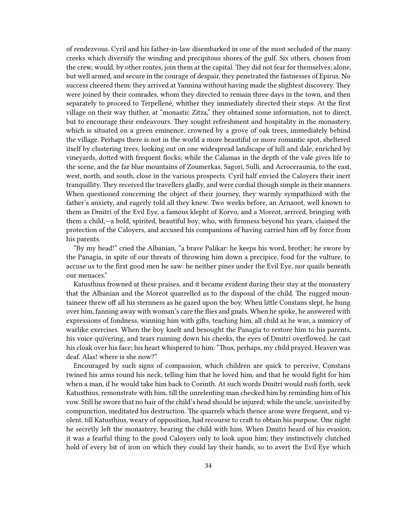of rendezvous. Cyril and his father-in-law disembarked in one of the most secluded of the many creeks which diversify the winding and precipitous shores of the gulf. Six others, chosen from the crew, would, by other routes, join them at the capital. They did not fear for themselves; alone, but well armed, and secure in the courage of despair, they penetrated the fastnesses of Epirus. No success cheered them: they arrived at Yannina without having made the slightest discovery. They were joined by their comrades, whom they directed to remain three days in the town, and then separately to proceed to Terpellenè, whither they immediately directed their steps. At the first village on their way thither, at "monastic Zitza," they obtained some information, not to direct, but to encourage their endeavours. They sought refreshment and hospitality in the monastery, which is situated on a green eminence, crowned by a grove of oak trees, immediately behind the village. Perhaps there is not in the world a more beautiful or more romantic spot, sheltered itself by clustering trees, looking out on one widespread landscape of hill and dale, enriched by vineyards, dotted with frequent flocks; while the Calamas in the depth of the vale gives life to the scene, and the far blue mountains of Zoumerkas, Sagori, Sulli, and Acroceraunia, to the east, west, north, and south, close in the various prospects. Cyril half envied the Caloyers their inert tranquillity. They received the travellers gladly, and were cordial though simple in their manners. When questioned concerning the object of their journey, they warmly sympathized with the father's anxiety, and eagerly told all they knew. Two weeks before, an Arnaoot, well known to them as Dmitri of the Evil Eye, a famous klepht of Korvo, and a Moreot, arrived, bringing with them a child,—a bold, spirited, beautiful boy, who, with firmness beyond his years, claimed the protection of the Caloyers, and accused his companions of having carried him off by force from his parents.

"By my head!" cried the Albanian, "a brave Palikar: he keeps his word, brother; he swore by the Panagia, in spite of our threats of throwing him down a precipice, food for the vulture, to accuse us to the first good men he saw: he neither pines under the Evil Eye, nor quails beneath our menaces."

Katusthius frowned at these praises, and it became evident during their stay at the monastery that the Albanian and the Moreot quarrelled as to the disposal of the child. The rugged mountaineer threw off all his sternness as he gazed upon the boy. When little Constans slept, he hung over him, fanning away with woman's care the flies and gnats. When he spoke, he answered with expressions of fondness, winning him with gifts, teaching him, all child as he was, a mimicry of warlike exercises. When the boy knelt and besought the Panagia to restore him to his parents, his voice quivering, and tears running down his cheeks, the eyes of Dmitri overflowed; he cast his cloak over his face; his heart whispered to him: "Thus, perhaps, my child prayed. Heaven was deaf. Alas! where is she now?"

Encouraged by such signs of compassion, which children are quick to perceive, Constans twined his arms round his neck, telling him that he loved him, and that he would fight for him when a man, if he would take him back to Corinth. At such words Dmitri would rush forth, seek Katusthius, remonstrate with him, till the unrelenting man checked him by reminding him of his vow. Still he swore that no hair of the child's head should be injured; while the uncle, unvisited by compunction, meditated his destruction. The quarrels which thence arose were frequent, and violent, till Katusthius, weary of opposition, had recourse to craft to obtain his purpose. One night he secretly left the monastery, bearing the child with him. When Dmitri heard of his evasion, it was a fearful thing to the good Caloyers only to look upon him; they instinctively clutched hold of every bit of iron on which they could lay their hands, so to avert the Evil Eye which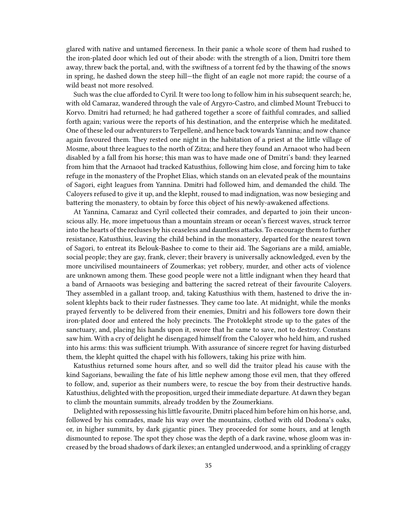glared with native and untamed fierceness. In their panic a whole score of them had rushed to the iron-plated door which led out of their abode: with the strength of a lion, Dmitri tore them away, threw back the portal, and, with the swiftness of a torrent fed by the thawing of the snows in spring, he dashed down the steep hill—the flight of an eagle not more rapid; the course of a wild beast not more resolved.

Such was the clue afforded to Cyril. It were too long to follow him in his subsequent search; he, with old Camaraz, wandered through the vale of Argyro-Castro, and climbed Mount Trebucci to Korvo. Dmitri had returned; he had gathered together a score of faithful comrades, and sallied forth again; various were the reports of his destination, and the enterprise which he meditated. One of these led our adventurers to Terpellenè, and hence back towards Yannina; and now chance again favoured them. They rested one night in the habitation of a priest at the little village of Mosme, about three leagues to the north of Zitza; and here they found an Arnaoot who had been disabled by a fall from his horse; this man was to have made one of Dmitri's band: they learned from him that the Arnaoot had tracked Katusthius, following him close, and forcing him to take refuge in the monastery of the Prophet Elias, which stands on an elevated peak of the mountains of Sagori, eight leagues from Yannina. Dmitri had followed him, and demanded the child. The Caloyers refused to give it up, and the klepht, roused to mad indignation, was now besieging and battering the monastery, to obtain by force this object of his newly-awakened affections.

At Yannina, Camaraz and Cyril collected their comrades, and departed to join their unconscious ally. He, more impetuous than a mountain stream or ocean's fiercest waves, struck terror into the hearts of the recluses by his ceaseless and dauntless attacks. To encourage them to further resistance, Katusthius, leaving the child behind in the monastery, departed for the nearest town of Sagori, to entreat its Belouk-Bashee to come to their aid. The Sagorians are a mild, amiable, social people; they are gay, frank, clever; their bravery is universally acknowledged, even by the more uncivilised mountaineers of Zoumerkas; yet robbery, murder, and other acts of violence are unknown among them. These good people were not a little indignant when they heard that a band of Arnaoots was besieging and battering the sacred retreat of their favourite Caloyers. They assembled in a gallant troop, and, taking Katusthius with them, hastened to drive the insolent klephts back to their ruder fastnesses. They came too late. At midnight, while the monks prayed fervently to be delivered from their enemies, Dmitri and his followers tore down their iron-plated door and entered the holy precincts. The Protoklepht strode up to the gates of the sanctuary, and, placing his hands upon it, swore that he came to save, not to destroy. Constans saw him. With a cry of delight he disengaged himself from the Caloyer who held him, and rushed into his arms: this was sufficient triumph. With assurance of sincere regret for having disturbed them, the klepht quitted the chapel with his followers, taking his prize with him.

Katusthius returned some hours after, and so well did the traitor plead his cause with the kind Sagorians, bewailing the fate of his little nephew among those evil men, that they offered to follow, and, superior as their numbers were, to rescue the boy from their destructive hands. Katusthius, delighted with the proposition, urged their immediate departure. At dawn they began to climb the mountain summits, already trodden by the Zoumerkians.

Delighted with repossessing his little favourite, Dmitri placed him before him on his horse, and, followed by his comrades, made his way over the mountains, clothed with old Dodona's oaks, or, in higher summits, by dark gigantic pines. They proceeded for some hours, and at length dismounted to repose. The spot they chose was the depth of a dark ravine, whose gloom was increased by the broad shadows of dark ilexes; an entangled underwood, and a sprinkling of craggy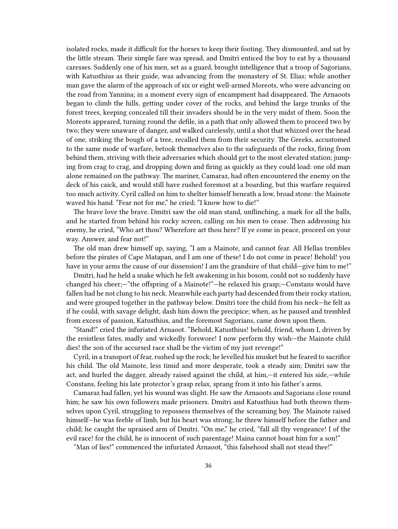isolated rocks, made it difficult for the horses to keep their footing. They dismounted, and sat by the little stream. Their simple fare was spread, and Dmitri enticed the boy to eat by a thousand caresses. Suddenly one of his men, set as a guard, brought intelligence that a troop of Sagorians, with Katusthius as their guide, was advancing from the monastery of St. Elias; while another man gave the alarm of the approach of six or eight well-armed Moreots, who were advancing on the road from Yannina; in a moment every sign of encampment had disappeared. The Arnaoots began to climb the hills, getting under cover of the rocks, and behind the large trunks of the forest trees, keeping concealed till their invaders should be in the very midst of them. Soon the Moreots appeared, turning round the defile, in a path that only allowed them to proceed two by two; they were unaware of danger, and walked carelessly, until a shot that whizzed over the head of one, striking the bough of a tree, recalled them from their security. The Greeks, accustomed to the same mode of warfare, betook themselves also to the safeguards of the rocks, firing from behind them, striving with their adversaries which should get to the most elevated station; jumping from crag to crag, and dropping down and firing as quickly as they could load: one old man alone remained on the pathway. The mariner, Camaraz, had often encountered the enemy on the deck of his caick, and would still have rushed foremost at a boarding, but this warfare required too much activity. Cyril called on him to shelter himself beneath a low, broad stone: the Mainote waved his hand. "Fear not for me," he cried; "I know how to die!"

The brave love the brave. Dmitri saw the old man stand, unflinching, a mark for all the balls, and he started from behind his rocky screen, calling on his men to cease. Then addressing his enemy, he cried, "Who art thou? Wherefore art thou here? If ye come in peace, proceed on your way. Answer, and fear not!"

The old man drew himself up, saying, "I am a Mainote, and cannot fear. All Hellas trembles before the pirates of Cape Matapan, and I am one of these! I do not come in peace! Behold! you have in your arms the cause of our dissension! I am the grandsire of that child—give him to me!"

Dmitri, had he held a snake which he felt awakening in his bosom, could not so suddenly have changed his cheer;—"the offspring of a Mainote!"—he relaxed his grasp;—Constans would have fallen had he not clung to his neck. Meanwhile each party had descended from their rocky station, and were grouped together in the pathway below. Dmitri tore the child from his neck—he felt as if he could, with savage delight, dash him down the precipice; when, as he paused and trembled from excess of passion, Katusthius, and the foremost Sagorians, came down upon them.

"Stand!" cried the infuriated Arnaoot. "Behold, Katusthius! behold, friend, whom I, driven by the resistless fates, madly and wickedly forswore! I now perform thy wish—the Mainote child dies! the son of the accursed race shall be the victim of my just revenge!"

Cyril, in a transport of fear, rushed up the rock; he levelled his musket but he feared to sacrifice his child. The old Mainote, less timid and more desperate, took a steady aim; Dmitri saw the act, and hurled the dagger, already raised against the child, at him,—it entered his side,—while Constans, feeling his late protector's grasp relax, sprang from it into his father's arms.

Camaraz had fallen, yet his wound was slight. He saw the Arnaoots and Sagorians close round him; he saw his own followers made prisoners. Dmitri and Katusthius had both thrown themselves upon Cyril, struggling to repossess themselves of the screaming boy. The Mainote raised himself—he was feeble of limb, but his heart was strong; he threw himself before the father and child; he caught the upraised arm of Dmitri. "On me," he cried, "fall all thy vengeance! I of the evil race! for the child, he is innocent of such parentage! Maina cannot boast him for a son!"

"Man of lies!" commenced the infuriated Arnaoot, "this falsehood shall not stead thee!"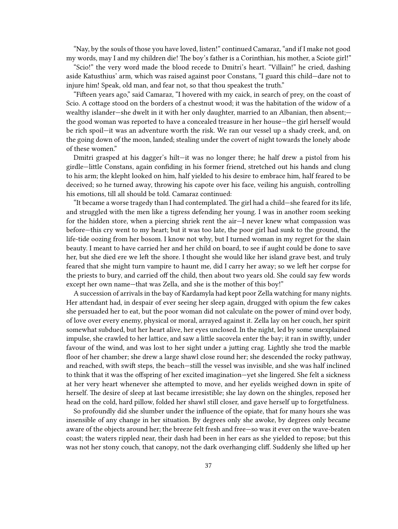"Nay, by the souls of those you have loved, listen!" continued Camaraz, "and if I make not good my words, may I and my children die! The boy's father is a Corinthian, his mother, a Sciote girl!"

"Scio!" the very word made the blood recede to Dmitri's heart. "Villain!" he cried, dashing aside Katusthius' arm, which was raised against poor Constans, "I guard this child—dare not to injure him! Speak, old man, and fear not, so that thou speakest the truth."

"Fifteen years ago," said Camaraz, "I hovered with my caick, in search of prey, on the coast of Scio. A cottage stood on the borders of a chestnut wood; it was the habitation of the widow of a wealthy islander—she dwelt in it with her only daughter, married to an Albanian, then absent; the good woman was reported to have a concealed treasure in her house—the girl herself would be rich spoil—it was an adventure worth the risk. We ran our vessel up a shady creek, and, on the going down of the moon, landed; stealing under the covert of night towards the lonely abode of these women."

Dmitri grasped at his dagger's hilt—it was no longer there; he half drew a pistol from his girdle—little Constans, again confiding in his former friend, stretched out his hands and clung to his arm; the klepht looked on him, half yielded to his desire to embrace him, half feared to be deceived; so he turned away, throwing his capote over his face, veiling his anguish, controlling his emotions, till all should be told. Camaraz continued:

"It became a worse tragedy than I had contemplated. The girl had a child—she feared for its life, and struggled with the men like a tigress defending her young. I was in another room seeking for the hidden store, when a piercing shriek rent the air—I never knew what compassion was before—this cry went to my heart; but it was too late, the poor girl had sunk to the ground, the life-tide oozing from her bosom. I know not why, but I turned woman in my regret for the slain beauty. I meant to have carried her and her child on board, to see if aught could be done to save her, but she died ere we left the shore. I thought she would like her island grave best, and truly feared that she might turn vampire to haunt me, did I carry her away; so we left her corpse for the priests to bury, and carried off the child, then about two years old. She could say few words except her own name—that was Zella, and she is the mother of this boy!"

A succession of arrivals in the bay of Kardamyla had kept poor Zella watching for many nights. Her attendant had, in despair of ever seeing her sleep again, drugged with opium the few cakes she persuaded her to eat, but the poor woman did not calculate on the power of mind over body, of love over every enemy, physical or moral, arrayed against it. Zella lay on her couch, her spirit somewhat subdued, but her heart alive, her eyes unclosed. In the night, led by some unexplained impulse, she crawled to her lattice, and saw a little sacovela enter the bay; it ran in swiftly, under favour of the wind, and was lost to her sight under a jutting crag. Lightly she trod the marble floor of her chamber; she drew a large shawl close round her; she descended the rocky pathway, and reached, with swift steps, the beach—still the vessel was invisible, and she was half inclined to think that it was the offspring of her excited imagination—yet she lingered. She felt a sickness at her very heart whenever she attempted to move, and her eyelids weighed down in spite of herself. The desire of sleep at last became irresistible; she lay down on the shingles, reposed her head on the cold, hard pillow, folded her shawl still closer, and gave herself up to forgetfulness.

So profoundly did she slumber under the influence of the opiate, that for many hours she was insensible of any change in her situation. By degrees only she awoke, by degrees only became aware of the objects around her; the breeze felt fresh and free—so was it ever on the wave-beaten coast; the waters rippled near, their dash had been in her ears as she yielded to repose; but this was not her stony couch, that canopy, not the dark overhanging cliff. Suddenly she lifted up her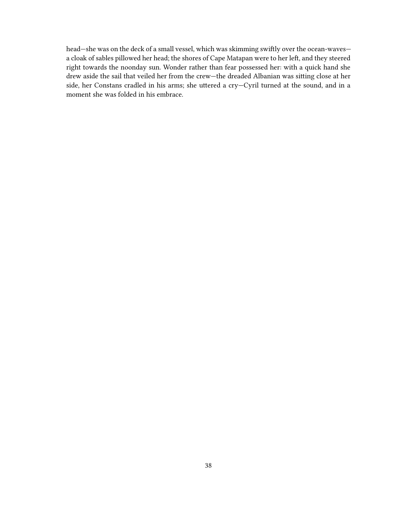head—she was on the deck of a small vessel, which was skimming swiftly over the ocean-waves a cloak of sables pillowed her head; the shores of Cape Matapan were to her left, and they steered right towards the noonday sun. Wonder rather than fear possessed her: with a quick hand she drew aside the sail that veiled her from the crew—the dreaded Albanian was sitting close at her side, her Constans cradled in his arms; she uttered a cry—Cyril turned at the sound, and in a moment she was folded in his embrace.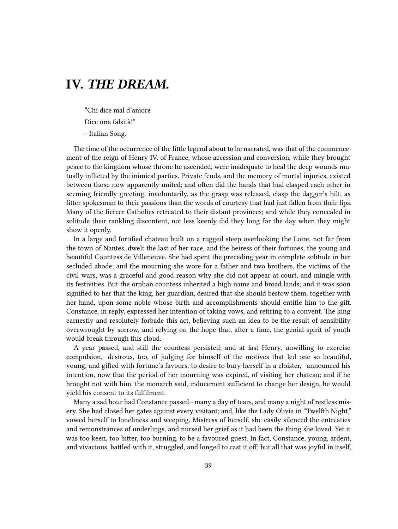## **IV.** *THE DREAM.*

"Chi dice mal d'amore Dice una falsità!"

—Italian Song.

The time of the occurrence of the little legend about to be narrated, was that of the commencement of the reign of Henry IV. of France, whose accession and conversion, while they brought peace to the kingdom whose throne he ascended, were inadequate to heal the deep wounds mutually inflicted by the inimical parties. Private feuds, and the memory of mortal injuries, existed between those now apparently united; and often did the hands that had clasped each other in seeming friendly greeting, involuntarily, as the grasp was released, clasp the dagger's hilt, as fitter spokesman to their passions than the words of courtesy that had just fallen from their lips. Many of the fiercer Catholics retreated to their distant provinces; and while they concealed in solitude their rankling discontent, not less keenly did they long for the day when they might show it openly.

In a large and fortified chateau built on a rugged steep overlooking the Loire, not far from the town of Nantes, dwelt the last of her race, and the heiress of their fortunes, the young and beautiful Countess de Villeneuve. She had spent the preceding year in complete solitude in her secluded abode; and the mourning she wore for a father and two brothers, the victims of the civil wars, was a graceful and good reason why she did not appear at court, and mingle with its festivities. But the orphan countess inherited a high name and broad lands; and it was soon signified to her that the king, her guardian, desired that she should bestow them, together with her hand, upon some noble whose birth and accomplishments should entitle him to the gift. Constance, in reply, expressed her intention of taking vows, and retiring to a convent. The king earnestly and resolutely forbade this act, believing such an idea to be the result of sensibility overwrought by sorrow, and relying on the hope that, after a time, the genial spirit of youth would break through this cloud.

A year passed, and still the countess persisted; and at last Henry, unwilling to exercise compulsion,—desirous, too, of judging for himself of the motives that led one so beautiful, young, and gifted with fortune's favours, to desire to bury herself in a cloister,—announced his intention, now that the period of her mourning was expired, of visiting her chateau; and if he brought not with him, the monarch said, inducement sufficient to change her design, he would yield his consent to its fulfilment.

Many a sad hour had Constance passed—many a day of tears, and many a night of restless misery. She had closed her gates against every visitant; and, like the Lady Olivia in "Twelfth Night," vowed herself to loneliness and weeping. Mistress of herself, she easily silenced the entreaties and remonstrances of underlings, and nursed her grief as it had been the thing she loved. Yet it was too keen, too bitter, too burning, to be a favoured guest. In fact, Constance, young, ardent, and vivacious, battled with it, struggled, and longed to cast it off; but all that was joyful in itself,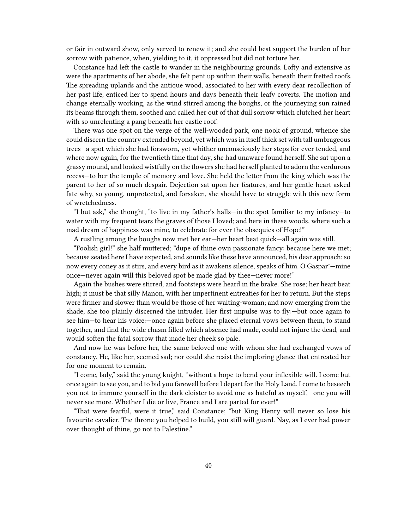or fair in outward show, only served to renew it; and she could best support the burden of her sorrow with patience, when, yielding to it, it oppressed but did not torture her.

Constance had left the castle to wander in the neighbouring grounds. Lofty and extensive as were the apartments of her abode, she felt pent up within their walls, beneath their fretted roofs. The spreading uplands and the antique wood, associated to her with every dear recollection of her past life, enticed her to spend hours and days beneath their leafy coverts. The motion and change eternally working, as the wind stirred among the boughs, or the journeying sun rained its beams through them, soothed and called her out of that dull sorrow which clutched her heart with so unrelenting a pang beneath her castle roof.

There was one spot on the verge of the well-wooded park, one nook of ground, whence she could discern the country extended beyond, yet which was in itself thick set with tall umbrageous trees—a spot which she had forsworn, yet whither unconsciously her steps for ever tended, and where now again, for the twentieth time that day, she had unaware found herself. She sat upon a grassy mound, and looked wistfully on the flowers she had herself planted to adorn the verdurous recess—to her the temple of memory and love. She held the letter from the king which was the parent to her of so much despair. Dejection sat upon her features, and her gentle heart asked fate why, so young, unprotected, and forsaken, she should have to struggle with this new form of wretchedness.

"I but ask," she thought, "to live in my father's halls—in the spot familiar to my infancy—to water with my frequent tears the graves of those I loved; and here in these woods, where such a mad dream of happiness was mine, to celebrate for ever the obsequies of Hope!"

A rustling among the boughs now met her ear—her heart beat quick—all again was still.

"Foolish girl!" she half muttered; "dupe of thine own passionate fancy: because here we met; because seated here I have expected, and sounds like these have announced, his dear approach; so now every coney as it stirs, and every bird as it awakens silence, speaks of him. O Gaspar!—mine once—never again will this beloved spot be made glad by thee—never more!"

Again the bushes were stirred, and footsteps were heard in the brake. She rose; her heart beat high; it must be that silly Manon, with her impertinent entreaties for her to return. But the steps were firmer and slower than would be those of her waiting-woman; and now emerging from the shade, she too plainly discerned the intruder. Her first impulse was to fly:—but once again to see him—to hear his voice:—once again before she placed eternal vows between them, to stand together, and find the wide chasm filled which absence had made, could not injure the dead, and would soften the fatal sorrow that made her cheek so pale.

And now he was before her, the same beloved one with whom she had exchanged vows of constancy. He, like her, seemed sad; nor could she resist the imploring glance that entreated her for one moment to remain.

"I come, lady," said the young knight, "without a hope to bend your inflexible will. I come but once again to see you, and to bid you farewell before I depart for the Holy Land. I come to beseech you not to immure yourself in the dark cloister to avoid one as hateful as myself,—one you will never see more. Whether I die or live, France and I are parted for ever!"

"That were fearful, were it true," said Constance; "but King Henry will never so lose his favourite cavalier. The throne you helped to build, you still will guard. Nay, as I ever had power over thought of thine, go not to Palestine."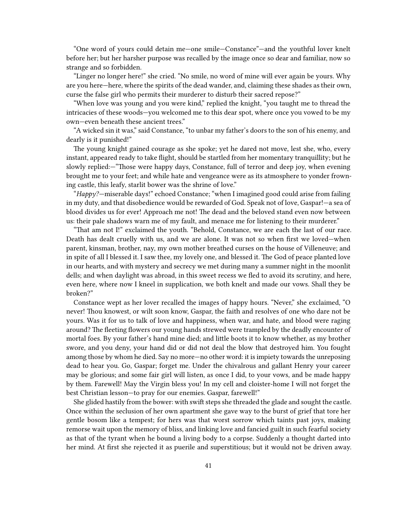"One word of yours could detain me—one smile—Constance"—and the youthful lover knelt before her; but her harsher purpose was recalled by the image once so dear and familiar, now so strange and so forbidden.

"Linger no longer here!" she cried. "No smile, no word of mine will ever again be yours. Why are you here—here, where the spirits of the dead wander, and, claiming these shades as their own, curse the false girl who permits their murderer to disturb their sacred repose?"

"When love was young and you were kind," replied the knight, "you taught me to thread the intricacies of these woods—you welcomed me to this dear spot, where once you vowed to be my own—even beneath these ancient trees."

"A wicked sin it was," said Constance, "to unbar my father's doors to the son of his enemy, and dearly is it punished!"

The young knight gained courage as she spoke; yet he dared not move, lest she, who, every instant, appeared ready to take flight, should be startled from her momentary tranquillity; but he slowly replied:—"Those were happy days, Constance, full of terror and deep joy, when evening brought me to your feet; and while hate and vengeance were as its atmosphere to yonder frowning castle, this leafy, starlit bower was the shrine of love."

"*Happy?*—miserable days!" echoed Constance; "when I imagined good could arise from failing in my duty, and that disobedience would be rewarded of God. Speak not of love, Gaspar!—a sea of blood divides us for ever! Approach me not! The dead and the beloved stand even now between us: their pale shadows warn me of my fault, and menace me for listening to their murderer."

"That am not I!" exclaimed the youth. "Behold, Constance, we are each the last of our race. Death has dealt cruelly with us, and we are alone. It was not so when first we loved—when parent, kinsman, brother, nay, my own mother breathed curses on the house of Villeneuve; and in spite of all I blessed it. I saw thee, my lovely one, and blessed it. The God of peace planted love in our hearts, and with mystery and secrecy we met during many a summer night in the moonlit dells; and when daylight was abroad, in this sweet recess we fled to avoid its scrutiny, and here, even here, where now I kneel in supplication, we both knelt and made our vows. Shall they be broken?"

Constance wept as her lover recalled the images of happy hours. "Never," she exclaimed, "O never! Thou knowest, or wilt soon know, Gaspar, the faith and resolves of one who dare not be yours. Was it for us to talk of love and happiness, when war, and hate, and blood were raging around? The fleeting flowers our young hands strewed were trampled by the deadly encounter of mortal foes. By your father's hand mine died; and little boots it to know whether, as my brother swore, and you deny, your hand did or did not deal the blow that destroyed him. You fought among those by whom he died. Say no more—no other word: it is impiety towards the unreposing dead to hear you. Go, Gaspar; forget me. Under the chivalrous and gallant Henry your career may be glorious; and some fair girl will listen, as once I did, to your vows, and be made happy by them. Farewell! May the Virgin bless you! In my cell and cloister-home I will not forget the best Christian lesson—to pray for our enemies. Gaspar, farewell!"

She glided hastily from the bower: with swift steps she threaded the glade and sought the castle. Once within the seclusion of her own apartment she gave way to the burst of grief that tore her gentle bosom like a tempest; for hers was that worst sorrow which taints past joys, making remorse wait upon the memory of bliss, and linking love and fancied guilt in such fearful society as that of the tyrant when he bound a living body to a corpse. Suddenly a thought darted into her mind. At first she rejected it as puerile and superstitious; but it would not be driven away.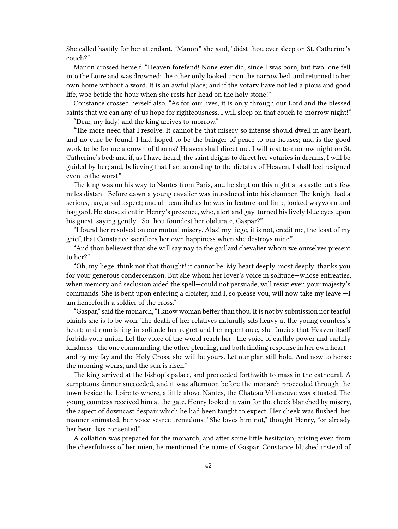She called hastily for her attendant. "Manon," she said, "didst thou ever sleep on St. Catherine's couch?"

Manon crossed herself. "Heaven forefend! None ever did, since I was born, but two: one fell into the Loire and was drowned; the other only looked upon the narrow bed, and returned to her own home without a word. It is an awful place; and if the votary have not led a pious and good life, woe betide the hour when she rests her head on the holy stone!"

Constance crossed herself also. "As for our lives, it is only through our Lord and the blessed saints that we can any of us hope for righteousness. I will sleep on that couch to-morrow night!" "Dear, my lady! and the king arrives to-morrow."

"The more need that I resolve. It cannot be that misery so intense should dwell in any heart, and no cure be found. I had hoped to be the bringer of peace to our houses; and is the good work to be for me a crown of thorns? Heaven shall direct me. I will rest to-morrow night on St. Catherine's bed: and if, as I have heard, the saint deigns to direct her votaries in dreams, I will be guided by her; and, believing that I act according to the dictates of Heaven, I shall feel resigned even to the worst."

The king was on his way to Nantes from Paris, and he slept on this night at a castle but a few miles distant. Before dawn a young cavalier was introduced into his chamber. The knight had a serious, nay, a sad aspect; and all beautiful as he was in feature and limb, looked wayworn and haggard. He stood silent in Henry's presence, who, alert and gay, turned his lively blue eyes upon his guest, saying gently, "So thou foundest her obdurate, Gaspar?"

"I found her resolved on our mutual misery. Alas! my liege, it is not, credit me, the least of my grief, that Constance sacrifices her own happiness when she destroys mine."

"And thou believest that she will say nay to the gaillard chevalier whom we ourselves present to her?"

"Oh, my liege, think not that thought! it cannot be. My heart deeply, most deeply, thanks you for your generous condescension. But she whom her lover's voice in solitude—whose entreaties, when memory and seclusion aided the spell—could not persuade, will resist even your majesty's commands. She is bent upon entering a cloister; and I, so please you, will now take my leave:—I am henceforth a soldier of the cross."

"Gaspar," said the monarch, "I know woman better than thou. It is not by submission nor tearful plaints she is to be won. The death of her relatives naturally sits heavy at the young countess's heart; and nourishing in solitude her regret and her repentance, she fancies that Heaven itself forbids your union. Let the voice of the world reach her—the voice of earthly power and earthly kindness—the one commanding, the other pleading, and both finding response in her own heart and by my fay and the Holy Cross, she will be yours. Let our plan still hold. And now to horse: the morning wears, and the sun is risen."

The king arrived at the bishop's palace, and proceeded forthwith to mass in the cathedral. A sumptuous dinner succeeded, and it was afternoon before the monarch proceeded through the town beside the Loire to where, a little above Nantes, the Chateau Villeneuve was situated. The young countess received him at the gate. Henry looked in vain for the cheek blanched by misery, the aspect of downcast despair which he had been taught to expect. Her cheek was flushed, her manner animated, her voice scarce tremulous. "She loves him not," thought Henry, "or already her heart has consented."

A collation was prepared for the monarch; and after some little hesitation, arising even from the cheerfulness of her mien, he mentioned the name of Gaspar. Constance blushed instead of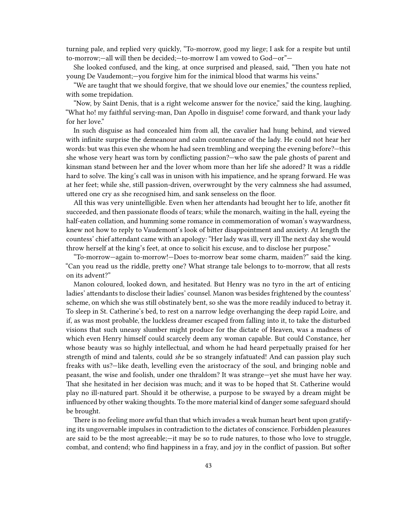turning pale, and replied very quickly, "To-morrow, good my liege; I ask for a respite but until to-morrow;—all will then be decided;—to-morrow I am vowed to God—or"—

She looked confused, and the king, at once surprised and pleased, said, "Then you hate not young De Vaudemont;—you forgive him for the inimical blood that warms his veins."

"We are taught that we should forgive, that we should love our enemies," the countess replied, with some trepidation.

"Now, by Saint Denis, that is a right welcome answer for the novice," said the king, laughing. "What ho! my faithful serving-man, Dan Apollo in disguise! come forward, and thank your lady for her love."

In such disguise as had concealed him from all, the cavalier had hung behind, and viewed with infinite surprise the demeanour and calm countenance of the lady. He could not hear her words: but was this even she whom he had seen trembling and weeping the evening before?—this she whose very heart was torn by conflicting passion?—who saw the pale ghosts of parent and kinsman stand between her and the lover whom more than her life she adored? It was a riddle hard to solve. The king's call was in unison with his impatience, and he sprang forward. He was at her feet; while she, still passion-driven, overwrought by the very calmness she had assumed, uttered one cry as she recognised him, and sank senseless on the floor.

All this was very unintelligible. Even when her attendants had brought her to life, another fit succeeded, and then passionate floods of tears; while the monarch, waiting in the hall, eyeing the half-eaten collation, and humming some romance in commemoration of woman's waywardness, knew not how to reply to Vaudemont's look of bitter disappointment and anxiety. At length the countess' chief attendant came with an apology: "Her lady was ill, very ill The next day she would throw herself at the king's feet, at once to solicit his excuse, and to disclose her purpose."

"To-morrow—again to-morrow!—Does to-morrow bear some charm, maiden?" said the king. "Can you read us the riddle, pretty one? What strange tale belongs to to-morrow, that all rests on its advent?"

Manon coloured, looked down, and hesitated. But Henry was no tyro in the art of enticing ladies' attendants to disclose their ladies' counsel. Manon was besides frightened by the countess' scheme, on which she was still obstinately bent, so she was the more readily induced to betray it. To sleep in St. Catherine's bed, to rest on a narrow ledge overhanging the deep rapid Loire, and if, as was most probable, the luckless dreamer escaped from falling into it, to take the disturbed visions that such uneasy slumber might produce for the dictate of Heaven, was a madness of which even Henry himself could scarcely deem any woman capable. But could Constance, her whose beauty was so highly intellectual, and whom he had heard perpetually praised for her strength of mind and talents, could *she* be so strangely infatuated! And can passion play such freaks with us?—like death, levelling even the aristocracy of the soul, and bringing noble and peasant, the wise and foolish, under one thraldom? It was strange—yet she must have her way. That she hesitated in her decision was much; and it was to be hoped that St. Catherine would play no ill-natured part. Should it be otherwise, a purpose to be swayed by a dream might be influenced by other waking thoughts. To the more material kind of danger some safeguard should be brought.

There is no feeling more awful than that which invades a weak human heart bent upon gratifying its ungovernable impulses in contradiction to the dictates of conscience. Forbidden pleasures are said to be the most agreeable;—it may be so to rude natures, to those who love to struggle, combat, and contend; who find happiness in a fray, and joy in the conflict of passion. But softer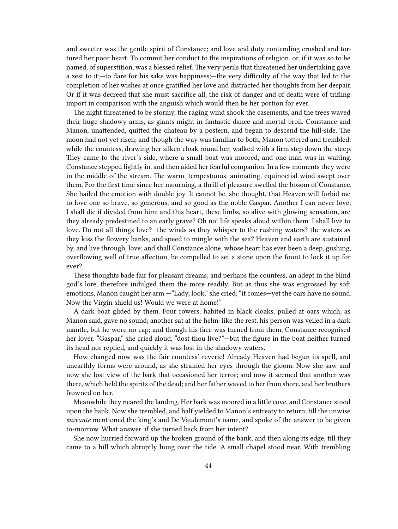and sweeter was the gentle spirit of Constance; and love and duty contending crushed and tortured her poor heart. To commit her conduct to the inspirations of religion, or, if it was so to be named, of superstition, was a blessed relief. The very perils that threatened her undertaking gave a zest to it;—to dare for his sake was happiness;—the very difficulty of the way that led to the completion of her wishes at once gratified her love and distracted her thoughts from her despair. Or if it was decreed that she must sacrifice all, the risk of danger and of death were of trifling import in comparison with the anguish which would then be her portion for ever.

The night threatened to be stormy, the raging wind shook the casements, and the trees waved their huge shadowy arms, as giants might in fantastic dance and mortal broil. Constance and Manon, unattended, quitted the chateau by a postern, and began to descend the hill-side. The moon had not yet risen; and though the way was familiar to both, Manon tottered and trembled; while the countess, drawing her silken cloak round her, walked with a firm step down the steep. They came to the river's side, where a small boat was moored, and one man was in waiting. Constance stepped lightly in, and then aided her fearful companion. In a few moments they were in the middle of the stream. The warm, tempestuous, animating, equinoctial wind swept over them. For the first time since her mourning, a thrill of pleasure swelled the bosom of Constance. She hailed the emotion with double joy. It cannot be, she thought, that Heaven will forbid me to love one so brave, so generous, and so good as the noble Gaspar. Another I can never love; I shall die if divided from him; and this heart, these limbs, so alive with glowing sensation, are they already predestined to an early grave? Oh no! life speaks aloud within them. I shall live to love. Do not all things love?—the winds as they whisper to the rushing waters? the waters as they kiss the flowery banks, and speed to mingle with the sea? Heaven and earth are sustained by, and live through, love; and shall Constance alone, whose heart has ever been a deep, gushing, overflowing well of true affection, be compelled to set a stone upon the fount to lock it up for ever?

These thoughts bade fair for pleasant dreams; and perhaps the countess, an adept in the blind god's lore, therefore indulged them the more readily. But as thus she was engrossed by soft emotions, Manon caught her arm:—"Lady, look," she cried; "it comes—yet the oars have no sound. Now the Virgin shield us! Would we were at home!"

A dark boat glided by them. Four rowers, habited in black cloaks, pulled at oars which, as Manon said, gave no sound; another sat at the helm: like the rest, his person was veiled in a dark mantle, but he wore no cap; and though his face was turned from them, Constance recognised her lover. "Gaspar," she cried aloud, "dost thou live?"—but the figure in the boat neither turned its head nor replied, and quickly it was lost in the shadowy waters.

How changed now was the fair countess' reverie! Already Heaven had begun its spell, and unearthly forms were around, as she strained her eyes through the gloom. Now she saw and now she lost view of the bark that occasioned her terror; and now it seemed that another was there, which held the spirits of the dead; and her father waved to her from shore, and her brothers frowned on her.

Meanwhile they neared the landing. Her bark was moored in a little cove, and Constance stood upon the bank. Now she trembled, and half yielded to Manon's entreaty to return; till the unwise *suivante* mentioned the king's and De Vaudemont's name, and spoke of the answer to be given to-morrow. What answer, if she turned back from her intent?

She now hurried forward up the broken ground of the bank, and then along its edge, till they came to a hill which abruptly hung over the tide. A small chapel stood near. With trembling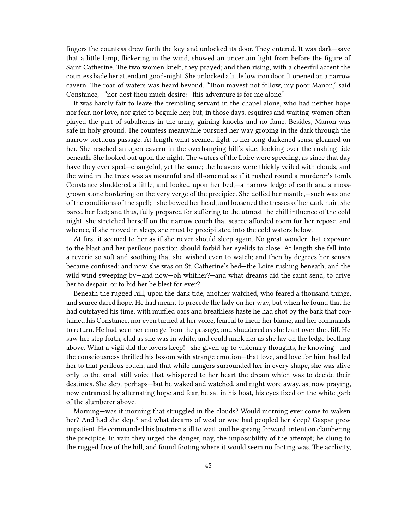fingers the countess drew forth the key and unlocked its door. They entered. It was dark—save that a little lamp, flickering in the wind, showed an uncertain light from before the figure of Saint Catherine. The two women knelt; they prayed; and then rising, with a cheerful accent the countess bade her attendant good-night. She unlocked a little low iron door. It opened on a narrow cavern. The roar of waters was heard beyond. "Thou mayest not follow, my poor Manon," said Constance,—"nor dost thou much desire:—this adventure is for me alone."

It was hardly fair to leave the trembling servant in the chapel alone, who had neither hope nor fear, nor love, nor grief to beguile her; but, in those days, esquires and waiting-women often played the part of subalterns in the army, gaining knocks and no fame. Besides, Manon was safe in holy ground. The countess meanwhile pursued her way groping in the dark through the narrow tortuous passage. At length what seemed light to her long-darkened sense gleamed on her. She reached an open cavern in the overhanging hill's side, looking over the rushing tide beneath. She looked out upon the night. The waters of the Loire were speeding, as since that day have they ever sped—changeful, yet the same; the heavens were thickly veiled with clouds, and the wind in the trees was as mournful and ill-omened as if it rushed round a murderer's tomb. Constance shuddered a little, and looked upon her bed,—a narrow ledge of earth and a mossgrown stone bordering on the very verge of the precipice. She doffed her mantle,—such was one of the conditions of the spell;—she bowed her head, and loosened the tresses of her dark hair; she bared her feet; and thus, fully prepared for suffering to the utmost the chill influence of the cold night, she stretched herself on the narrow couch that scarce afforded room for her repose, and whence, if she moved in sleep, she must be precipitated into the cold waters below.

At first it seemed to her as if she never should sleep again. No great wonder that exposure to the blast and her perilous position should forbid her eyelids to close. At length she fell into a reverie so soft and soothing that she wished even to watch; and then by degrees her senses became confused; and now she was on St. Catherine's bed—the Loire rushing beneath, and the wild wind sweeping by—and now—oh whither?—and what dreams did the saint send, to drive her to despair, or to bid her be blest for ever?

Beneath the rugged hill, upon the dark tide, another watched, who feared a thousand things, and scarce dared hope. He had meant to precede the lady on her way, but when he found that he had outstayed his time, with muffled oars and breathless haste he had shot by the bark that contained his Constance, nor even turned at her voice, fearful to incur her blame, and her commands to return. He had seen her emerge from the passage, and shuddered as she leant over the cliff. He saw her step forth, clad as she was in white, and could mark her as she lay on the ledge beetling above. What a vigil did the lovers keep!—she given up to visionary thoughts, he knowing—and the consciousness thrilled his bosom with strange emotion—that love, and love for him, had led her to that perilous couch; and that while dangers surrounded her in every shape, she was alive only to the small still voice that whispered to her heart the dream which was to decide their destinies. She slept perhaps—but he waked and watched, and night wore away, as, now praying, now entranced by alternating hope and fear, he sat in his boat, his eyes fixed on the white garb of the slumberer above.

Morning—was it morning that struggled in the clouds? Would morning ever come to waken her? And had she slept? and what dreams of weal or woe had peopled her sleep? Gaspar grew impatient. He commanded his boatmen still to wait, and he sprang forward, intent on clambering the precipice. In vain they urged the danger, nay, the impossibility of the attempt; he clung to the rugged face of the hill, and found footing where it would seem no footing was. The acclivity,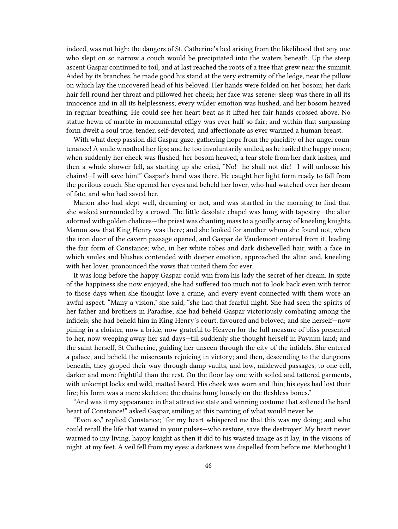indeed, was not high; the dangers of St. Catherine's bed arising from the likelihood that any one who slept on so narrow a couch would be precipitated into the waters beneath. Up the steep ascent Gaspar continued to toil, and at last reached the roots of a tree that grew near the summit. Aided by its branches, he made good his stand at the very extremity of the ledge, near the pillow on which lay the uncovered head of his beloved. Her hands were folded on her bosom; her dark hair fell round her throat and pillowed her cheek; her face was serene: sleep was there in all its innocence and in all its helplessness; every wilder emotion was hushed, and her bosom heaved in regular breathing. He could see her heart beat as it lifted her fair hands crossed above. No statue hewn of marble in monumental effigy was ever half so fair; and within that surpassing form dwelt a soul true, tender, self-devoted, and affectionate as ever warmed a human breast.

With what deep passion did Gaspar gaze, gathering hope from the placidity of her angel countenance! A smile wreathed her lips; and he too involuntarily smiled, as he hailed the happy omen; when suddenly her cheek was flushed, her bosom heaved, a tear stole from her dark lashes, and then a whole shower fell, as starting up she cried, "No!—he shall not die!—I will unloose his chains!—I will save him!" Gaspar's hand was there. He caught her light form ready to fall from the perilous couch. She opened her eyes and beheld her lover, who had watched over her dream of fate, and who had saved her.

Manon also had slept well, dreaming or not, and was startled in the morning to find that she waked surrounded by a crowd. The little desolate chapel was hung with tapestry—the altar adorned with golden chalices—the priest was chanting mass to a goodly array of kneeling knights. Manon saw that King Henry was there; and she looked for another whom she found not, when the iron door of the cavern passage opened, and Gaspar de Vaudemont entered from it, leading the fair form of Constance; who, in her white robes and dark dishevelled hair, with a face in which smiles and blushes contended with deeper emotion, approached the altar, and, kneeling with her lover, pronounced the vows that united them for ever.

It was long before the happy Gaspar could win from his lady the secret of her dream. In spite of the happiness she now enjoyed, she had suffered too much not to look back even with terror to those days when she thought love a crime, and every event connected with them wore an awful aspect. "Many a vision," she said, "she had that fearful night. She had seen the spirits of her father and brothers in Paradise; she had beheld Gaspar victoriously combating among the infidels; she had beheld him in King Henry's court, favoured and beloved; and she herself—now pining in a cloister, now a bride, now grateful to Heaven for the full measure of bliss presented to her, now weeping away her sad days—till suddenly she thought herself in Paynim land; and the saint herself, St Catherine, guiding her unseen through the city of the infidels. She entered a palace, and beheld the miscreants rejoicing in victory; and then, descending to the dungeons beneath, they groped their way through damp vaults, and low, mildewed passages, to one cell, darker and more frightful than the rest. On the floor lay one with soiled and tattered garments, with unkempt locks and wild, matted beard. His cheek was worn and thin; his eyes had lost their fire; his form was a mere skeleton; the chains hung loosely on the fleshless bones."

"And was it my appearance in that attractive state and winning costume that softened the hard heart of Constance!" asked Gaspar, smiling at this painting of what would never be.

"Even so," replied Constance; "for my heart whispered me that this was my doing; and who could recall the life that waned in your pulses—who restore, save the destroyer! My heart never warmed to my living, happy knight as then it did to his wasted image as it lay, in the visions of night, at my feet. A veil fell from my eyes; a darkness was dispelled from before me. Methought I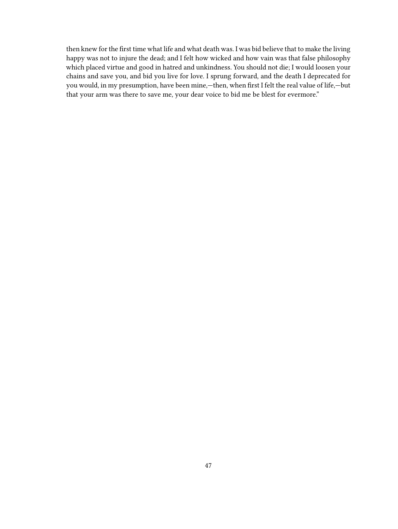then knew for the first time what life and what death was. I was bid believe that to make the living happy was not to injure the dead; and I felt how wicked and how vain was that false philosophy which placed virtue and good in hatred and unkindness. You should not die; I would loosen your chains and save you, and bid you live for love. I sprung forward, and the death I deprecated for you would, in my presumption, have been mine,—then, when first I felt the real value of life,—but that your arm was there to save me, your dear voice to bid me be blest for evermore."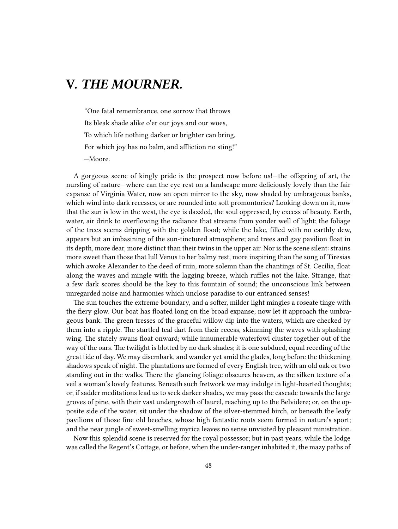## **V.** *THE MOURNER.*

"One fatal remembrance, one sorrow that throws Its bleak shade alike o'er our joys and our woes, To which life nothing darker or brighter can bring, For which joy has no balm, and affliction no sting!" —Moore.

A gorgeous scene of kingly pride is the prospect now before us!—the offspring of art, the nursling of nature—where can the eye rest on a landscape more deliciously lovely than the fair expanse of Virginia Water, now an open mirror to the sky, now shaded by umbrageous banks, which wind into dark recesses, or are rounded into soft promontories? Looking down on it, now that the sun is low in the west, the eye is dazzled, the soul oppressed, by excess of beauty. Earth, water, air drink to overflowing the radiance that streams from yonder well of light; the foliage of the trees seems dripping with the golden flood; while the lake, filled with no earthly dew, appears but an imbasining of the sun-tinctured atmosphere; and trees and gay pavilion float in its depth, more dear, more distinct than their twins in the upper air. Nor is the scene silent: strains more sweet than those that lull Venus to her balmy rest, more inspiring than the song of Tiresias which awoke Alexander to the deed of ruin, more solemn than the chantings of St. Cecilia, float along the waves and mingle with the lagging breeze, which ruffles not the lake. Strange, that a few dark scores should be the key to this fountain of sound; the unconscious link between unregarded noise and harmonies which unclose paradise to our entranced senses!

The sun touches the extreme boundary, and a softer, milder light mingles a roseate tinge with the fiery glow. Our boat has floated long on the broad expanse; now let it approach the umbrageous bank. The green tresses of the graceful willow dip into the waters, which are checked by them into a ripple. The startled teal dart from their recess, skimming the waves with splashing wing. The stately swans float onward; while innumerable waterfowl cluster together out of the way of the oars. The twilight is blotted by no dark shades; it is one subdued, equal receding of the great tide of day. We may disembark, and wander yet amid the glades, long before the thickening shadows speak of night. The plantations are formed of every English tree, with an old oak or two standing out in the walks. There the glancing foliage obscures heaven, as the silken texture of a veil a woman's lovely features. Beneath such fretwork we may indulge in light-hearted thoughts; or, if sadder meditations lead us to seek darker shades, we may pass the cascade towards the large groves of pine, with their vast undergrowth of laurel, reaching up to the Belvidere; or, on the opposite side of the water, sit under the shadow of the silver-stemmed birch, or beneath the leafy pavilions of those fine old beeches, whose high fantastic roots seem formed in nature's sport; and the near jungle of sweet-smelling myrica leaves no sense unvisited by pleasant ministration.

Now this splendid scene is reserved for the royal possessor; but in past years; while the lodge was called the Regent's Cottage, or before, when the under-ranger inhabited it, the mazy paths of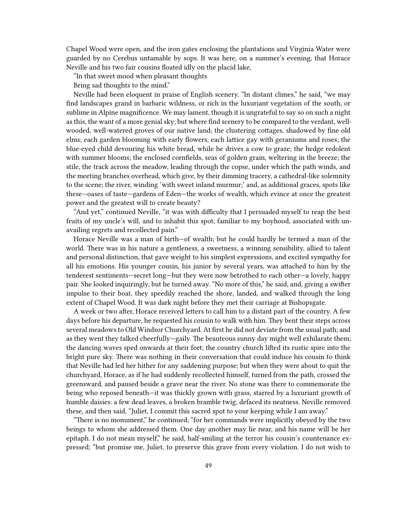Chapel Wood were open, and the iron gates enclosing the plantations and Virginia Water were guarded by no Cerebus untamable by sops. It was here, on a summer's evening, that Horace Neville and his two fair cousins floated idly on the placid lake,

"In that sweet mood when pleasant thoughts

Bring sad thoughts to the mind."

Neville had been eloquent in praise of English scenery. "In distant climes," he said, "we may find landscapes grand in barbaric wildness, or rich in the luxuriant vegetation of the south, or sublime in Alpine magnificence. We may lament, though it is ungrateful to say so on such a night as this, the want of a more genial sky; but where find scenery to be compared to the verdant, wellwooded, well-watered groves of our native land; the clustering cottages, shadowed by fine old elms; each garden blooming with early flowers, each lattice gay with geraniums and roses; the blue-eyed child devouring his white bread, while he drives a cow to graze; the hedge redolent with summer blooms; the enclosed cornfields, seas of golden grain, weltering in the breeze; the stile, the track across the meadow, leading through the copse, under which the path winds, and the meeting branches overhead, which give, by their dimming tracery, a cathedral-like solemnity to the scene; the river, winding 'with sweet inland murmur;' and, as additional graces, spots like these—oases of taste—gardens of Eden—the works of wealth, which evince at once the greatest power and the greatest will to create beauty?

"And yet," continued Neville, "it was with difficulty that I persuaded myself to reap the best fruits of my uncle's will, and to inhabit this spot, familiar to my boyhood, associated with unavailing regrets and recollected pain."

Horace Neville was a man of birth—of wealth; but he could hardly be termed a man of the world. There was in his nature a gentleness, a sweetness, a winning sensibility, allied to talent and personal distinction, that gave weight to his simplest expressions, and excited sympathy for all his emotions. His younger cousin, his junior by several years, was attached to him by the tenderest sentiments—secret long—but they were now betrothed to each other—a lovely, happy pair. She looked inquiringly, but he turned away. "No more of this," he said, and, giving a swifter impulse to their boat, they speedily reached the shore, landed, and walked through the long extent of Chapel Wood. It was dark night before they met their carriage at Bishopsgate.

A week or two after, Horace received letters to call him to a distant part of the country. A few days before his departure, he requested his cousin to walk with him. They bent their steps across several meadows to Old Windsor Churchyard. At first he did not deviate from the usual path; and as they went they talked cheerfully—gaily. The beauteous sunny day might well exhilarate them; the dancing waves sped onwards at their feet; the country church lifted its rustic spire into the bright pure sky. There was nothing in their conversation that could induce his cousin to think that Neville had led her hither for any saddening purpose; but when they were about to quit the churchyard, Horace, as if he had suddenly recollected himself, turned from the path, crossed the greensward, and paused beside a grave near the river. No stone was there to commemorate the being who reposed beneath—it was thickly grown with grass, starred by a luxuriant growth of humble daisies: a few dead leaves, a broken bramble twig, defaced its neatness. Neville removed these, and then said, "Juliet, I commit this sacred spot to your keeping while I am away."

"There is no monument," he continued; "for her commands were implicitly obeyed by the two beings to whom she addressed them. One day another may lie near, and his name will be her epitaph. I do not mean myself," he said, half-smiling at the terror his cousin's countenance expressed; "but promise me, Juliet, to preserve this grave from every violation. I do not wish to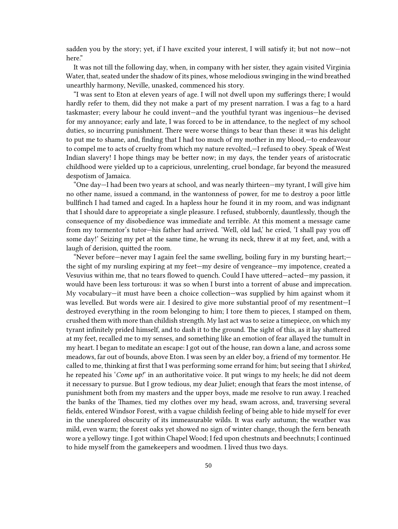sadden you by the story; yet, if I have excited your interest, I will satisfy it; but not now—not here."

It was not till the following day, when, in company with her sister, they again visited Virginia Water, that, seated under the shadow of its pines, whose melodious swinging in the wind breathed unearthly harmony, Neville, unasked, commenced his story.

"I was sent to Eton at eleven years of age. I will not dwell upon my sufferings there; I would hardly refer to them, did they not make a part of my present narration. I was a fag to a hard taskmaster; every labour he could invent—and the youthful tyrant was ingenious—he devised for my annoyance; early and late, I was forced to be in attendance, to the neglect of my school duties, so incurring punishment. There were worse things to bear than these: it was his delight to put me to shame, and, finding that I had too much of my mother in my blood,—to endeavour to compel me to acts of cruelty from which my nature revolted,—I refused to obey. Speak of West Indian slavery! I hope things may be better now; in my days, the tender years of aristocratic childhood were yielded up to a capricious, unrelenting, cruel bondage, far beyond the measured despotism of Jamaica.

"One day—I had been two years at school, and was nearly thirteen—my tyrant, I will give him no other name, issued a command, in the wantonness of power, for me to destroy a poor little bullfinch I had tamed and caged. In a hapless hour he found it in my room, and was indignant that I should dare to appropriate a single pleasure. I refused, stubbornly, dauntlessly, though the consequence of my disobedience was immediate and terrible. At this moment a message came from my tormentor's tutor—his father had arrived. 'Well, old lad,' he cried, 'I shall pay you off some day!' Seizing my pet at the same time, he wrung its neck, threw it at my feet, and, with a laugh of derision, quitted the room.

"Never before—never may I again feel the same swelling, boiling fury in my bursting heart; the sight of my nursling expiring at my feet—my desire of vengeance—my impotence, created a Vesuvius within me, that no tears flowed to quench. Could I have uttered—acted—my passion, it would have been less torturous: it was so when I burst into a torrent of abuse and imprecation. My vocabulary—it must have been a choice collection—was supplied by him against whom it was levelled. But words were air. I desired to give more substantial proof of my resentment—I destroyed everything in the room belonging to him; I tore them to pieces, I stamped on them, crushed them with more than childish strength. My last act was to seize a timepiece, on which my tyrant infinitely prided himself, and to dash it to the ground. The sight of this, as it lay shattered at my feet, recalled me to my senses, and something like an emotion of fear allayed the tumult in my heart. I began to meditate an escape: I got out of the house, ran down a lane, and across some meadows, far out of bounds, above Eton. I was seen by an elder boy, a friend of my tormentor. He called to me, thinking at first that I was performing some errand for him; but seeing that I *shirked*, he repeated his '*Come up!*' in an authoritative voice. It put wings to my heels; he did not deem it necessary to pursue. But I grow tedious, my dear Juliet; enough that fears the most intense, of punishment both from my masters and the upper boys, made me resolve to run away. I reached the banks of the Thames, tied my clothes over my head, swam across, and, traversing several fields, entered Windsor Forest, with a vague childish feeling of being able to hide myself for ever in the unexplored obscurity of its immeasurable wilds. It was early autumn; the weather was mild, even warm; the forest oaks yet showed no sign of winter change, though the fern beneath wore a yellowy tinge. I got within Chapel Wood; I fed upon chestnuts and beechnuts; I continued to hide myself from the gamekeepers and woodmen. I lived thus two days.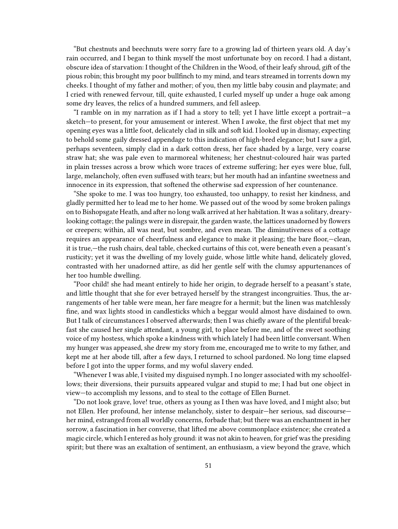"But chestnuts and beechnuts were sorry fare to a growing lad of thirteen years old. A day's rain occurred, and I began to think myself the most unfortunate boy on record. I had a distant, obscure idea of starvation: I thought of the Children in the Wood, of their leafy shroud, gift of the pious robin; this brought my poor bullfinch to my mind, and tears streamed in torrents down my cheeks. I thought of my father and mother; of you, then my little baby cousin and playmate; and I cried with renewed fervour, till, quite exhausted, I curled myself up under a huge oak among some dry leaves, the relics of a hundred summers, and fell asleep.

"I ramble on in my narration as if I had a story to tell; yet I have little except a portrait—a sketch—to present, for your amusement or interest. When I awoke, the first object that met my opening eyes was a little foot, delicately clad in silk and soft kid. I looked up in dismay, expecting to behold some gaily dressed appendage to this indication of high-bred elegance; but I saw a girl, perhaps seventeen, simply clad in a dark cotton dress, her face shaded by a large, very coarse straw hat; she was pale even to marmoreal whiteness; her chestnut-coloured hair was parted in plain tresses across a brow which wore traces of extreme suffering; her eyes were blue, full, large, melancholy, often even suffused with tears; but her mouth had an infantine sweetness and innocence in its expression, that softened the otherwise sad expression of her countenance.

"She spoke to me. I was too hungry, too exhausted, too unhappy, to resist her kindness, and gladly permitted her to lead me to her home. We passed out of the wood by some broken palings on to Bishopsgate Heath, and after no long walk arrived at her habitation. It was a solitary, drearylooking cottage; the palings were in disrepair, the garden waste, the lattices unadorned by flowers or creepers; within, all was neat, but sombre, and even mean. The diminutiveness of a cottage requires an appearance of cheerfulness and elegance to make it pleasing; the bare floor,—clean, it is true,—the rush chairs, deal table, checked curtains of this cot, were beneath even a peasant's rusticity; yet it was the dwelling of my lovely guide, whose little white hand, delicately gloved, contrasted with her unadorned attire, as did her gentle self with the clumsy appurtenances of her too humble dwelling.

"Poor child! she had meant entirely to hide her origin, to degrade herself to a peasant's state, and little thought that she for ever betrayed herself by the strangest incongruities. Thus, the arrangements of her table were mean, her fare meagre for a hermit; but the linen was matchlessly fine, and wax lights stood in candlesticks which a beggar would almost have disdained to own. But I talk of circumstances I observed afterwards; then I was chiefly aware of the plentiful breakfast she caused her single attendant, a young girl, to place before me, and of the sweet soothing voice of my hostess, which spoke a kindness with which lately I had been little conversant. When my hunger was appeased, she drew my story from me, encouraged me to write to my father, and kept me at her abode till, after a few days, I returned to school pardoned. No long time elapsed before I got into the upper forms, and my woful slavery ended.

"Whenever I was able, I visited my disguised nymph. I no longer associated with my schoolfellows; their diversions, their pursuits appeared vulgar and stupid to me; I had but one object in view—to accomplish my lessons, and to steal to the cottage of Ellen Burnet.

"Do not look grave, love! true, others as young as I then was have loved, and I might also; but not Ellen. Her profound, her intense melancholy, sister to despair—her serious, sad discourse her mind, estranged from all worldly concerns, forbade that; but there was an enchantment in her sorrow, a fascination in her converse, that lifted me above commonplace existence; she created a magic circle, which I entered as holy ground: it was not akin to heaven, for grief was the presiding spirit; but there was an exaltation of sentiment, an enthusiasm, a view beyond the grave, which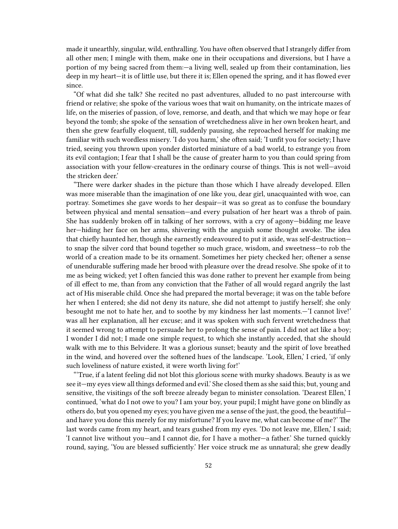made it unearthly, singular, wild, enthralling. You have often observed that I strangely differ from all other men; I mingle with them, make one in their occupations and diversions, but I have a portion of my being sacred from them:—a living well, sealed up from their contamination, lies deep in my heart—it is of little use, but there it is; Ellen opened the spring, and it has flowed ever since.

"Of what did she talk? She recited no past adventures, alluded to no past intercourse with friend or relative; she spoke of the various woes that wait on humanity, on the intricate mazes of life, on the miseries of passion, of love, remorse, and death, and that which we may hope or fear beyond the tomb; she spoke of the sensation of wretchedness alive in her own broken heart, and then she grew fearfully eloquent, till, suddenly pausing, she reproached herself for making me familiar with such wordless misery. 'I do you harm,' she often said; 'I unfit you for society; I have tried, seeing you thrown upon yonder distorted miniature of a bad world, to estrange you from its evil contagion; I fear that I shall be the cause of greater harm to you than could spring from association with your fellow-creatures in the ordinary course of things. This is not well—avoid the stricken deer.'

"There were darker shades in the picture than those which I have already developed. Ellen was more miserable than the imagination of one like you, dear girl, unacquainted with woe, can portray. Sometimes she gave words to her despair—it was so great as to confuse the boundary between physical and mental sensation—and every pulsation of her heart was a throb of pain. She has suddenly broken off in talking of her sorrows, with a cry of agony—bidding me leave her—hiding her face on her arms, shivering with the anguish some thought awoke. The idea that chiefly haunted her, though she earnestly endeavoured to put it aside, was self-destruction to snap the silver cord that bound together so much grace, wisdom, and sweetness—to rob the world of a creation made to be its ornament. Sometimes her piety checked her; oftener a sense of unendurable suffering made her brood with pleasure over the dread resolve. She spoke of it to me as being wicked; yet I often fancied this was done rather to prevent her example from being of ill effect to me, than from any conviction that the Father of all would regard angrily the last act of His miserable child. Once she had prepared the mortal beverage; it was on the table before her when I entered; she did not deny its nature, she did not attempt to justify herself; she only besought me not to hate her, and to soothe by my kindness her last moments.—'I cannot live!' was all her explanation, all her excuse; and it was spoken with such fervent wretchedness that it seemed wrong to attempt to persuade her to prolong the sense of pain. I did not act like a boy; I wonder I did not; I made one simple request, to which she instantly acceded, that she should walk with me to this Belvidere. It was a glorious sunset; beauty and the spirit of love breathed in the wind, and hovered over the softened hues of the landscape. 'Look, Ellen,' I cried, 'if only such loveliness of nature existed, it were worth living for!'

"'True, if a latent feeling did not blot this glorious scene with murky shadows. Beauty is as we see it—my eyes view all things deformed and evil.' She closed them as she said this; but, young and sensitive, the visitings of the soft breeze already began to minister consolation. 'Dearest Ellen,' I continued, 'what do I not owe to you? I am your boy, your pupil; I might have gone on blindly as others do, but you opened my eyes; you have given me a sense of the just, the good, the beautiful and have you done this merely for my misfortune? If you leave me, what can become of me?' The last words came from my heart, and tears gushed from my eyes. 'Do not leave me, Ellen,' I said; 'I cannot live without you—and I cannot die, for I have a mother—a father.' She turned quickly round, saying, 'You are blessed sufficiently.' Her voice struck me as unnatural; she grew deadly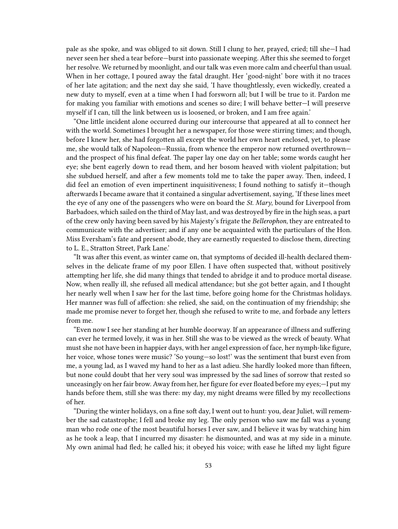pale as she spoke, and was obliged to sit down. Still I clung to her, prayed, cried; till she—I had never seen her shed a tear before—burst into passionate weeping. After this she seemed to forget her resolve. We returned by moonlight, and our talk was even more calm and cheerful than usual. When in her cottage, I poured away the fatal draught. Her 'good-night' bore with it no traces of her late agitation; and the next day she said, 'I have thoughtlessly, even wickedly, created a new duty to myself, even at a time when I had forsworn all; but I will be true to it. Pardon me for making you familiar with emotions and scenes so dire; I will behave better—I will preserve myself if I can, till the link between us is loosened, or broken, and I am free again.'

"One little incident alone occurred during our intercourse that appeared at all to connect her with the world. Sometimes I brought her a newspaper, for those were stirring times; and though, before I knew her, she had forgotten all except the world her own heart enclosed, yet, to please me, she would talk of Napoleon—Russia, from whence the emperor now returned overthrown and the prospect of his final defeat. The paper lay one day on her table; some words caught her eye; she bent eagerly down to read them, and her bosom heaved with violent palpitation; but she subdued herself, and after a few moments told me to take the paper away. Then, indeed, I did feel an emotion of even impertinent inquisitiveness; I found nothing to satisfy it—though afterwards I became aware that it contained a singular advertisement, saying, 'If these lines meet the eye of any one of the passengers who were on board the *St. Mary*, bound for Liverpool from Barbadoes, which sailed on the third of May last, and was destroyed by fire in the high seas, a part of the crew only having been saved by his Majesty's frigate the *Bellerophon*, they are entreated to communicate with the advertiser; and if any one be acquainted with the particulars of the Hon. Miss Eversham's fate and present abode, they are earnestly requested to disclose them, directing to L. E., Stratton Street, Park Lane.'

"It was after this event, as winter came on, that symptoms of decided ill-health declared themselves in the delicate frame of my poor Ellen. I have often suspected that, without positively attempting her life, she did many things that tended to abridge it and to produce mortal disease. Now, when really ill, she refused all medical attendance; but she got better again, and I thought her nearly well when I saw her for the last time, before going home for the Christmas holidays. Her manner was full of affection: she relied, she said, on the continuation of my friendship; she made me promise never to forget her, though she refused to write to me, and forbade any letters from me.

"Even now I see her standing at her humble doorway. If an appearance of illness and suffering can ever he termed lovely, it was in her. Still she was to be viewed as the wreck of beauty. What must she not have been in happier days, with her angel expression of face, her nymph-like figure, her voice, whose tones were music? 'So young—so lost!' was the sentiment that burst even from me, a young lad, as I waved my hand to her as a last adieu. She hardly looked more than fifteen, but none could doubt that her very soul was impressed by the sad lines of sorrow that rested so unceasingly on her fair brow. Away from her, her figure for ever floated before my eyes;—I put my hands before them, still she was there: my day, my night dreams were filled by my recollections of her.

"During the winter holidays, on a fine soft day, I went out to hunt: you, dear Juliet, will remember the sad catastrophe; I fell and broke my leg. The only person who saw me fall was a young man who rode one of the most beautiful horses I ever saw, and I believe it was by watching him as he took a leap, that I incurred my disaster: he dismounted, and was at my side in a minute. My own animal had fled; he called his; it obeyed his voice; with ease he lifted my light figure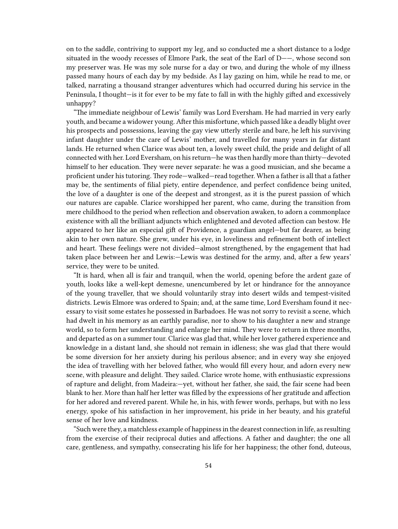on to the saddle, contriving to support my leg, and so conducted me a short distance to a lodge situated in the woody recesses of Elmore Park, the seat of the Earl of D——, whose second son my preserver was. He was my sole nurse for a day or two, and during the whole of my illness passed many hours of each day by my bedside. As I lay gazing on him, while he read to me, or talked, narrating a thousand stranger adventures which had occurred during his service in the Peninsula, I thought—is it for ever to be my fate to fall in with the highly gifted and excessively unhappy?

"The immediate neighbour of Lewis' family was Lord Eversham. He had married in very early youth, and became a widower young. After this misfortune, which passed like a deadly blight over his prospects and possessions, leaving the gay view utterly sterile and bare, he left his surviving infant daughter under the care of Lewis' mother, and travelled for many years in far distant lands. He returned when Clarice was about ten, a lovely sweet child, the pride and delight of all connected with her. Lord Eversham, on his return—he was then hardly more than thirty—devoted himself to her education. They were never separate: he was a good musician, and she became a proficient under his tutoring. They rode—walked—read together. When a father is all that a father may be, the sentiments of filial piety, entire dependence, and perfect confidence being united, the love of a daughter is one of the deepest and strongest, as it is the purest passion of which our natures are capable. Clarice worshipped her parent, who came, during the transition from mere childhood to the period when reflection and observation awaken, to adorn a commonplace existence with all the brilliant adjuncts which enlightened and devoted affection can bestow. He appeared to her like an especial gift of Providence, a guardian angel—but far dearer, as being akin to her own nature. She grew, under his eye, in loveliness and refinement both of intellect and heart. These feelings were not divided—almost strengthened, by the engagement that had taken place between her and Lewis:—Lewis was destined for the army, and, after a few years' service, they were to be united.

"It is hard, when all is fair and tranquil, when the world, opening before the ardent gaze of youth, looks like a well-kept demesne, unencumbered by let or hindrance for the annoyance of the young traveller, that we should voluntarily stray into desert wilds and tempest-visited districts. Lewis Elmore was ordered to Spain; and, at the same time, Lord Eversham found it necessary to visit some estates he possessed in Barbadoes. He was not sorry to revisit a scene, which had dwelt in his memory as an earthly paradise, nor to show to his daughter a new and strange world, so to form her understanding and enlarge her mind. They were to return in three months, and departed as on a summer tour. Clarice was glad that, while her lover gathered experience and knowledge in a distant land, she should not remain in idleness; she was glad that there would be some diversion for her anxiety during his perilous absence; and in every way she enjoyed the idea of travelling with her beloved father, who would fill every hour, and adorn every new scene, with pleasure and delight. They sailed. Clarice wrote home, with enthusiastic expressions of rapture and delight, from Madeira:—yet, without her father, she said, the fair scene had been blank to her. More than half her letter was filled by the expressions of her gratitude and affection for her adored and revered parent. While he, in his, with fewer words, perhaps, but with no less energy, spoke of his satisfaction in her improvement, his pride in her beauty, and his grateful sense of her love and kindness.

"Such were they, a matchless example of happiness in the dearest connection in life, as resulting from the exercise of their reciprocal duties and affections. A father and daughter; the one all care, gentleness, and sympathy, consecrating his life for her happiness; the other fond, duteous,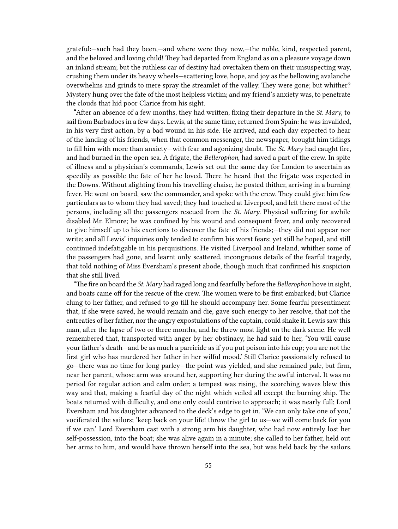grateful:—such had they been,—and where were they now,—the noble, kind, respected parent, and the beloved and loving child! They had departed from England as on a pleasure voyage down an inland stream; but the ruthless car of destiny had overtaken them on their unsuspecting way, crushing them under its heavy wheels—scattering love, hope, and joy as the bellowing avalanche overwhelms and grinds to mere spray the streamlet of the valley. They were gone; but whither? Mystery hung over the fate of the most helpless victim; and my friend's anxiety was, to penetrate the clouds that hid poor Clarice from his sight.

"After an absence of a few months, they had written, fixing their departure in the *St. Mary*, to sail from Barbadoes in a few days. Lewis, at the same time, returned from Spain: he was invalided, in his very first action, by a bad wound in his side. He arrived, and each day expected to hear of the landing of his friends, when that common messenger, the newspaper, brought him tidings to fill him with more than anxiety—with fear and agonizing doubt. The *St. Mary* had caught fire, and had burned in the open sea. A frigate, the *Bellerophon*, had saved a part of the crew. In spite of illness and a physician's commands, Lewis set out the same day for London to ascertain as speedily as possible the fate of her he loved. There he heard that the frigate was expected in the Downs. Without alighting from his travelling chaise, he posted thither, arriving in a burning fever. He went on board, saw the commander, and spoke with the crew. They could give him few particulars as to whom they had saved; they had touched at Liverpool, and left there most of the persons, including all the passengers rescued from the *St. Mary*. Physical suffering for awhile disabled Mr. Elmore; he was confined by his wound and consequent fever, and only recovered to give himself up to his exertions to discover the fate of his friends;—they did not appear nor write; and all Lewis' inquiries only tended to confirm his worst fears; yet still he hoped, and still continued indefatigable in his perquisitions. He visited Liverpool and Ireland, whither some of the passengers had gone, and learnt only scattered, incongruous details of the fearful tragedy, that told nothing of Miss Eversham's present abode, though much that confirmed his suspicion that she still lived.

"The fire on board the *St. Mary* had raged long and fearfully before the *Bellerophon* hove in sight, and boats came off for the rescue of the crew. The women were to be first embarked; but Clarice clung to her father, and refused to go till he should accompany her. Some fearful presentiment that, if she were saved, he would remain and die, gave such energy to her resolve, that not the entreaties of her father, nor the angry expostulations of the captain, could shake it. Lewis saw this man, after the lapse of two or three months, and he threw most light on the dark scene. He well remembered that, transported with anger by her obstinacy, he had said to her, 'You will cause your father's death—and be as much a parricide as if you put poison into his cup; you are not the first girl who has murdered her father in her wilful mood.' Still Clarice passionately refused to go—there was no time for long parley—the point was yielded, and she remained pale, but firm, near her parent, whose arm was around her, supporting her during the awful interval. It was no period for regular action and calm order; a tempest was rising, the scorching waves blew this way and that, making a fearful day of the night which veiled all except the burning ship. The boats returned with difficulty, and one only could contrive to approach; it was nearly full; Lord Eversham and his daughter advanced to the deck's edge to get in. 'We can only take one of you,' vociferated the sailors; 'keep back on your life! throw the girl to us—we will come back for you if we can.' Lord Eversham cast with a strong arm his daughter, who had now entirely lost her self-possession, into the boat; she was alive again in a minute; she called to her father, held out her arms to him, and would have thrown herself into the sea, but was held back by the sailors.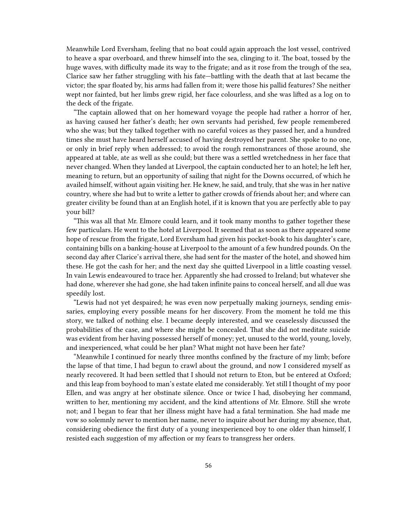Meanwhile Lord Eversham, feeling that no boat could again approach the lost vessel, contrived to heave a spar overboard, and threw himself into the sea, clinging to it. The boat, tossed by the huge waves, with difficulty made its way to the frigate; and as it rose from the trough of the sea, Clarice saw her father struggling with his fate—battling with the death that at last became the victor; the spar floated by, his arms had fallen from it; were those his pallid features? She neither wept nor fainted, but her limbs grew rigid, her face colourless, and she was lifted as a log on to the deck of the frigate.

"The captain allowed that on her homeward voyage the people had rather a horror of her, as having caused her father's death; her own servants had perished, few people remembered who she was; but they talked together with no careful voices as they passed her, and a hundred times she must have heard herself accused of having destroyed her parent. She spoke to no one, or only in brief reply when addressed; to avoid the rough remonstrances of those around, she appeared at table, ate as well as she could; but there was a settled wretchedness in her face that never changed. When they landed at Liverpool, the captain conducted her to an hotel; he left her, meaning to return, but an opportunity of sailing that night for the Downs occurred, of which he availed himself, without again visiting her. He knew, he said, and truly, that she was in her native country, where she had but to write a letter to gather crowds of friends about her; and where can greater civility be found than at an English hotel, if it is known that you are perfectly able to pay your bill?

"This was all that Mr. Elmore could learn, and it took many months to gather together these few particulars. He went to the hotel at Liverpool. It seemed that as soon as there appeared some hope of rescue from the frigate, Lord Eversham had given his pocket-book to his daughter's care, containing bills on a banking-house at Liverpool to the amount of a few hundred pounds. On the second day after Clarice's arrival there, she had sent for the master of the hotel, and showed him these. He got the cash for her; and the next day she quitted Liverpool in a little coasting vessel. In vain Lewis endeavoured to trace her. Apparently she had crossed to Ireland; but whatever she had done, wherever she had gone, she had taken infinite pains to conceal herself, and all due was speedily lost.

"Lewis had not yet despaired; he was even now perpetually making journeys, sending emissaries, employing every possible means for her discovery. From the moment he told me this story, we talked of nothing else. I became deeply interested, and we ceaselessly discussed the probabilities of the case, and where she might be concealed. That she did not meditate suicide was evident from her having possessed herself of money; yet, unused to the world, young, lovely, and inexperienced, what could be her plan? What might not have been her fate?

"Meanwhile I continued for nearly three months confined by the fracture of my limb; before the lapse of that time, I had begun to crawl about the ground, and now I considered myself as nearly recovered. It had been settled that I should not return to Eton, but be entered at Oxford; and this leap from boyhood to man's estate elated me considerably. Yet still I thought of my poor Ellen, and was angry at her obstinate silence. Once or twice I had, disobeying her command, written to her, mentioning my accident, and the kind attentions of Mr. Elmore. Still she wrote not; and I began to fear that her illness might have had a fatal termination. She had made me vow so solemnly never to mention her name, never to inquire about her during my absence, that, considering obedience the first duty of a young inexperienced boy to one older than himself, I resisted each suggestion of my affection or my fears to transgress her orders.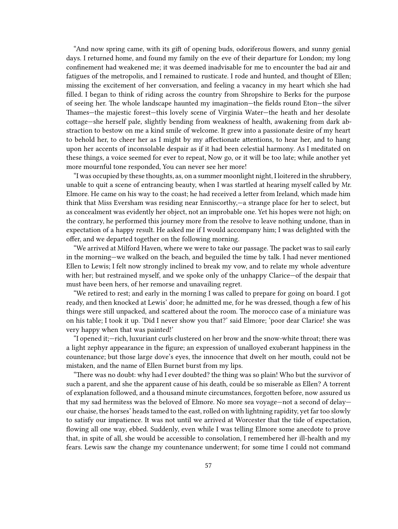"And now spring came, with its gift of opening buds, odoriferous flowers, and sunny genial days. I returned home, and found my family on the eve of their departure for London; my long confinement had weakened me; it was deemed inadvisable for me to encounter the bad air and fatigues of the metropolis, and I remained to rusticate. I rode and hunted, and thought of Ellen; missing the excitement of her conversation, and feeling a vacancy in my heart which she had filled. I began to think of riding across the country from Shropshire to Berks for the purpose of seeing her. The whole landscape haunted my imagination—the fields round Eton—the silver Thames—the majestic forest—this lovely scene of Virginia Water—the heath and her desolate cottage—she herself pale, slightly bending from weakness of health, awakening from dark abstraction to bestow on me a kind smile of welcome. It grew into a passionate desire of my heart to behold her, to cheer her as I might by my affectionate attentions, to hear her, and to hang upon her accents of inconsolable despair as if it had been celestial harmony. As I meditated on these things, a voice seemed for ever to repeat, Now go, or it will be too late; while another yet more mournful tone responded, You can never see her more!

"I was occupied by these thoughts, as, on a summer moonlight night, I loitered in the shrubbery, unable to quit a scene of entrancing beauty, when I was startled at hearing myself called by Mr. Elmore. He came on his way to the coast; he had received a letter from Ireland, which made him think that Miss Eversham was residing near Enniscorthy,—a strange place for her to select, but as concealment was evidently her object, not an improbable one. Yet his hopes were not high; on the contrary, he performed this journey more from the resolve to leave nothing undone, than in expectation of a happy result. He asked me if I would accompany him; I was delighted with the offer, and we departed together on the following morning.

"We arrived at Milford Haven, where we were to take our passage. The packet was to sail early in the morning—we walked on the beach, and beguiled the time by talk. I had never mentioned Ellen to Lewis; I felt now strongly inclined to break my vow, and to relate my whole adventure with her; but restrained myself, and we spoke only of the unhappy Clarice—of the despair that must have been hers, of her remorse and unavailing regret.

"We retired to rest; and early in the morning I was called to prepare for going on board. I got ready, and then knocked at Lewis' door; he admitted me, for he was dressed, though a few of his things were still unpacked, and scattered about the room. The morocco case of a miniature was on his table; I took it up. 'Did I never show you that?' said Elmore; 'poor dear Clarice! she was very happy when that was painted!'

"I opened it;—rich, luxuriant curls clustered on her brow and the snow-white throat; there was a light zephyr appearance in the figure; an expression of unalloyed exuberant happiness in the countenance; but those large dove's eyes, the innocence that dwelt on her mouth, could not be mistaken, and the name of Ellen Burnet burst from my lips.

"There was no doubt: why had I ever doubted? the thing was so plain! Who but the survivor of such a parent, and she the apparent cause of his death, could be so miserable as Ellen? A torrent of explanation followed, and a thousand minute circumstances, forgotten before, now assured us that my sad hermitess was the beloved of Elmore. No more sea voyage—not a second of delay our chaise, the horses' heads tamed to the east, rolled on with lightning rapidity, yet far too slowly to satisfy our impatience. It was not until we arrived at Worcester that the tide of expectation, flowing all one way, ebbed. Suddenly, even while I was telling Elmore some anecdote to prove that, in spite of all, she would be accessible to consolation, I remembered her ill-health and my fears. Lewis saw the change my countenance underwent; for some time I could not command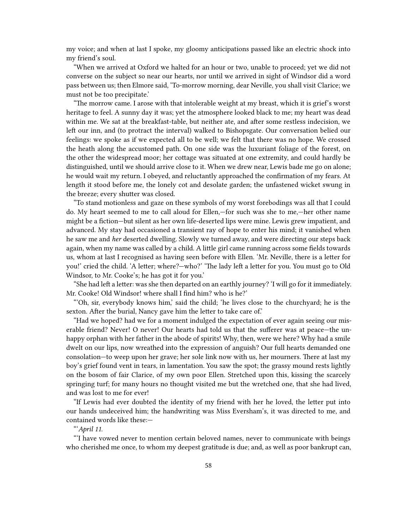my voice; and when at last I spoke, my gloomy anticipations passed like an electric shock into my friend's soul.

"When we arrived at Oxford we halted for an hour or two, unable to proceed; yet we did not converse on the subject so near our hearts, nor until we arrived in sight of Windsor did a word pass between us; then Elmore said, 'To-morrow morning, dear Neville, you shall visit Clarice; we must not be too precipitate.'

"The morrow came. I arose with that intolerable weight at my breast, which it is grief's worst heritage to feel. A sunny day it was; yet the atmosphere looked black to me; my heart was dead within me. We sat at the breakfast-table, but neither ate, and after some restless indecision, we left our inn, and (to protract the interval) walked to Bishopsgate. Our conversation belied our feelings: we spoke as if we expected all to be well; we felt that there was no hope. We crossed the heath along the accustomed path. On one side was the luxuriant foliage of the forest, on the other the widespread moor; her cottage was situated at one extremity, and could hardly be distinguished, until we should arrive close to it. When we drew near, Lewis bade me go on alone; he would wait my return. I obeyed, and reluctantly approached the confirmation of my fears. At length it stood before me, the lonely cot and desolate garden; the unfastened wicket swung in the breeze; every shutter was closed.

"To stand motionless and gaze on these symbols of my worst forebodings was all that I could do. My heart seemed to me to call aloud for Ellen,—for such was she to me,—her other name might be a fiction—but silent as her own life-deserted lips were mine. Lewis grew impatient, and advanced. My stay had occasioned a transient ray of hope to enter his mind; it vanished when he saw me and *her* deserted dwelling. Slowly we turned away, and were directing our steps back again, when my name was called by a child. A little girl came running across some fields towards us, whom at last I recognised as having seen before with Ellen. 'Mr. Neville, there is a letter for you!' cried the child. 'A letter; where?—who?' 'The lady left a letter for you. You must go to Old Windsor, to Mr. Cooke's; he has got it for you.'

"She had left a letter: was she then departed on an earthly journey? 'I will go for it immediately. Mr. Cooke! Old Windsor! where shall I find him? who is he?'

"'Oh, sir, everybody knows him,' said the child; 'he lives close to the churchyard; he is the sexton. After the burial, Nancy gave him the letter to take care of.'

"Had we hoped? had we for a moment indulged the expectation of ever again seeing our miserable friend? Never! O never! Our hearts had told us that the sufferer was at peace—the unhappy orphan with her father in the abode of spirits! Why, then, were we here? Why had a smile dwelt on our lips, now wreathed into the expression of anguish? Our full hearts demanded one consolation—to weep upon her grave; her sole link now with us, her mourners. There at last my boy's grief found vent in tears, in lamentation. You saw the spot; the grassy mound rests lightly on the bosom of fair Clarice, of my own poor Ellen. Stretched upon this, kissing the scarcely springing turf; for many hours no thought visited me but the wretched one, that she had lived, and was lost to me for ever!

"If Lewis had ever doubted the identity of my friend with her he loved, the letter put into our hands undeceived him; the handwriting was Miss Eversham's, it was directed to me, and contained words like these:—

"'*April 11*.

"'I have vowed never to mention certain beloved names, never to communicate with beings who cherished me once, to whom my deepest gratitude is due; and, as well as poor bankrupt can,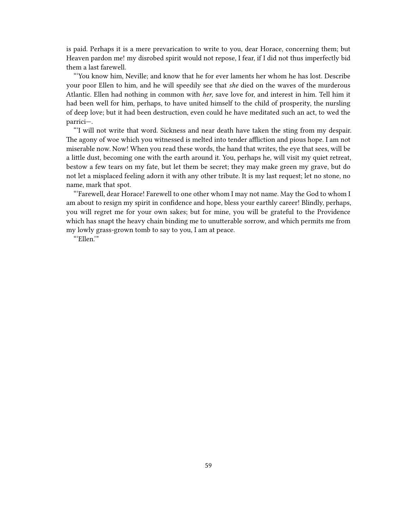is paid. Perhaps it is a mere prevarication to write to you, dear Horace, concerning them; but Heaven pardon me! my disrobed spirit would not repose, I fear, if I did not thus imperfectly bid them a last farewell.

"'You know him, Neville; and know that he for ever laments her whom he has lost. Describe your poor Ellen to him, and he will speedily see that *she* died on the waves of the murderous Atlantic. Ellen had nothing in common with *her*, save love for, and interest in him. Tell him it had been well for him, perhaps, to have united himself to the child of prosperity, the nursling of deep love; but it had been destruction, even could he have meditated such an act, to wed the parrici—.

"'I will not write that word. Sickness and near death have taken the sting from my despair. The agony of woe which you witnessed is melted into tender affliction and pious hope. I am not miserable now. Now! When you read these words, the hand that writes, the eye that sees, will be a little dust, becoming one with the earth around it. You, perhaps he, will visit my quiet retreat, bestow a few tears on my fate, but let them be secret; they may make green my grave, but do not let a misplaced feeling adorn it with any other tribute. It is my last request; let no stone, no name, mark that spot.

"'Farewell, dear Horace! Farewell to one other whom I may not name. May the God to whom I am about to resign my spirit in confidence and hope, bless your earthly career! Blindly, perhaps, you will regret me for your own sakes; but for mine, you will be grateful to the Providence which has snapt the heavy chain binding me to unutterable sorrow, and which permits me from my lowly grass-grown tomb to say to you, I am at peace.

"'Ellen.'"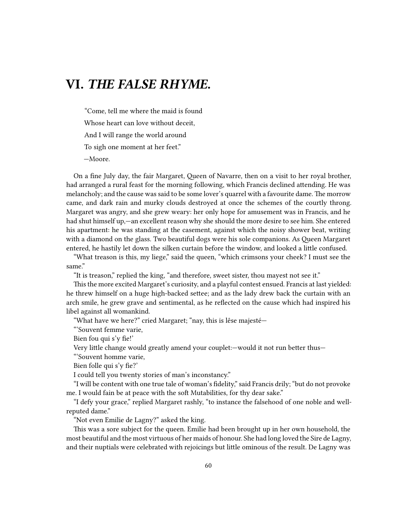## **VI.** *THE FALSE RHYME.*

"Come, tell me where the maid is found Whose heart can love without deceit, And I will range the world around To sigh one moment at her feet." —Moore.

On a fine July day, the fair Margaret, Queen of Navarre, then on a visit to her royal brother, had arranged a rural feast for the morning following, which Francis declined attending. He was melancholy; and the cause was said to be some lover's quarrel with a favourite dame. The morrow came, and dark rain and murky clouds destroyed at once the schemes of the courtly throng. Margaret was angry, and she grew weary: her only hope for amusement was in Francis, and he had shut himself up,—an excellent reason why she should the more desire to see him. She entered his apartment: he was standing at the casement, against which the noisy shower beat, writing with a diamond on the glass. Two beautiful dogs were his sole companions. As Queen Margaret entered, he hastily let down the silken curtain before the window, and looked a little confused.

"What treason is this, my liege," said the queen, "which crimsons your cheek? I must see the same."

"It is treason," replied the king, "and therefore, sweet sister, thou mayest not see it."

This the more excited Margaret's curiosity, and a playful contest ensued. Francis at last yielded: he threw himself on a huge high-backed settee; and as the lady drew back the curtain with an arch smile, he grew grave and sentimental, as he reflected on the cause which had inspired his libel against all womankind.

"What have we here?" cried Margaret; "nay, this is lêse majesté—

"'Souvent femme varie,

Bien fou qui s'y fie!'

Very little change would greatly amend your couplet:—would it not run better thus—

"'Souvent homme varie,

Bien folle qui s'y fie?'

I could tell you twenty stories of man's inconstancy."

"I will be content with one true tale of woman's fidelity," said Francis drily; "but do not provoke me. I would fain be at peace with the soft Mutabilities, for thy dear sake."

"I defy your grace," replied Margaret rashly, "to instance the falsehood of one noble and wellreputed dame."

"Not even Emilie de Lagny?" asked the king.

This was a sore subject for the queen. Emilie had been brought up in her own household, the most beautiful and the most virtuous of her maids of honour. She had long loved the Sire de Lagny, and their nuptials were celebrated with rejoicings but little ominous of the result. De Lagny was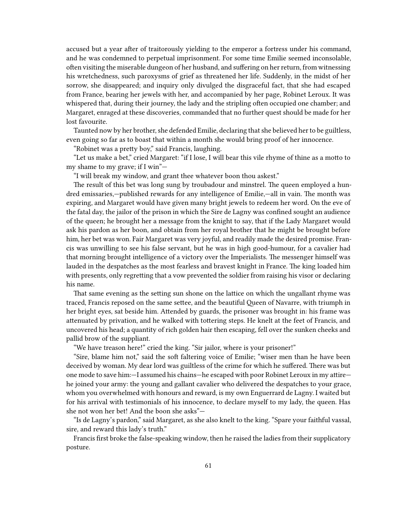accused but a year after of traitorously yielding to the emperor a fortress under his command, and he was condemned to perpetual imprisonment. For some time Emilie seemed inconsolable, often visiting the miserable dungeon of her husband, and suffering on her return, from witnessing his wretchedness, such paroxysms of grief as threatened her life. Suddenly, in the midst of her sorrow, she disappeared; and inquiry only divulged the disgraceful fact, that she had escaped from France, bearing her jewels with her, and accompanied by her page, Robinet Leroux. It was whispered that, during their journey, the lady and the stripling often occupied one chamber; and Margaret, enraged at these discoveries, commanded that no further quest should be made for her lost favourite.

Taunted now by her brother, she defended Emilie, declaring that she believed her to be guiltless, even going so far as to boast that within a month she would bring proof of her innocence.

"Robinet was a pretty boy," said Francis, laughing.

"Let us make a bet," cried Margaret: "if I lose, I will bear this vile rhyme of thine as a motto to my shame to my grave; if I win"—

"I will break my window, and grant thee whatever boon thou askest."

The result of this bet was long sung by troubadour and minstrel. The queen employed a hundred emissaries,—published rewards for any intelligence of Emilie,—all in vain. The month was expiring, and Margaret would have given many bright jewels to redeem her word. On the eve of the fatal day, the jailor of the prison in which the Sire de Lagny was confined sought an audience of the queen; he brought her a message from the knight to say, that if the Lady Margaret would ask his pardon as her boon, and obtain from her royal brother that he might be brought before him, her bet was won. Fair Margaret was very joyful, and readily made the desired promise. Francis was unwilling to see his false servant, but he was in high good-humour, for a cavalier had that morning brought intelligence of a victory over the Imperialists. The messenger himself was lauded in the despatches as the most fearless and bravest knight in France. The king loaded him with presents, only regretting that a vow prevented the soldier from raising his visor or declaring his name.

That same evening as the setting sun shone on the lattice on which the ungallant rhyme was traced, Francis reposed on the same settee, and the beautiful Queen of Navarre, with triumph in her bright eyes, sat beside him. Attended by guards, the prisoner was brought in: his frame was attenuated by privation, and he walked with tottering steps. He knelt at the feet of Francis, and uncovered his head; a quantity of rich golden hair then escaping, fell over the sunken cheeks and pallid brow of the suppliant.

"We have treason here!" cried the king. "Sir jailor, where is your prisoner!"

"Sire, blame him not," said the soft faltering voice of Emilie; "wiser men than he have been deceived by woman. My dear lord was guiltless of the crime for which he suffered. There was but one mode to save him:—I assumed his chains—he escaped with poor Robinet Leroux in my attire he joined your army: the young and gallant cavalier who delivered the despatches to your grace, whom you overwhelmed with honours and reward, is my own Enguerrard de Lagny. I waited but for his arrival with testimonials of his innocence, to declare myself to my lady, the queen. Has she not won her bet! And the boon she asks"—

"Is de Lagny's pardon," said Margaret, as she also knelt to the king. "Spare your faithful vassal, sire, and reward this lady's truth."

Francis first broke the false-speaking window, then he raised the ladies from their supplicatory posture.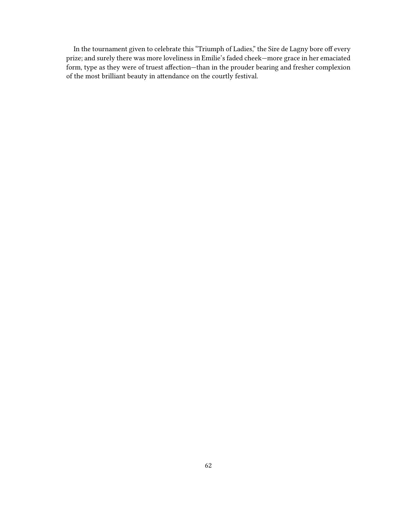In the tournament given to celebrate this "Triumph of Ladies," the Sire de Lagny bore off every prize; and surely there was more loveliness in Emilie's faded cheek—more grace in her emaciated form, type as they were of truest affection—than in the prouder bearing and fresher complexion of the most brilliant beauty in attendance on the courtly festival.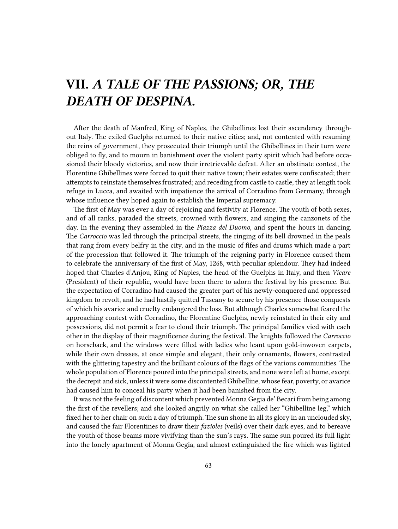## **VII.** *A TALE OF THE PASSIONS; OR, THE DEATH OF DESPINA.*

After the death of Manfred, King of Naples, the Ghibellines lost their ascendency throughout Italy. The exiled Guelphs returned to their native cities; and, not contented with resuming the reins of government, they prosecuted their triumph until the Ghibellines in their turn were obliged to fly, and to mourn in banishment over the violent party spirit which had before occasioned their bloody victories, and now their irretrievable defeat. After an obstinate contest, the Florentine Ghibellines were forced to quit their native town; their estates were confiscated; their attempts to reinstate themselves frustrated; and receding from castle to castle, they at length took refuge in Lucca, and awaited with impatience the arrival of Corradino from Germany, through whose influence they hoped again to establish the Imperial supremacy.

The first of May was ever a day of rejoicing and festivity at Florence. The youth of both sexes, and of all ranks, paraded the streets, crowned with flowers, and singing the canzonets of the day. In the evening they assembled in the *Piazza del Duomo*, and spent the hours in dancing. The *Carroccio* was led through the principal streets, the ringing of its bell drowned in the peals that rang from every belfry in the city, and in the music of fifes and drums which made a part of the procession that followed it. The triumph of the reigning party in Florence caused them to celebrate the anniversary of the first of May, 1268, with peculiar splendour. They had indeed hoped that Charles d'Anjou, King of Naples, the head of the Guelphs in Italy, and then *Vicare* (President) of their republic, would have been there to adorn the festival by his presence. But the expectation of Corradino had caused the greater part of his newly-conquered and oppressed kingdom to revolt, and he had hastily quitted Tuscany to secure by his presence those conquests of which his avarice and cruelty endangered the loss. But although Charles somewhat feared the approaching contest with Corradino, the Florentine Guelphs, newly reinstated in their city and possessions, did not permit a fear to cloud their triumph. The principal families vied with each other in the display of their magnificence during the festival. The knights followed the *Carroccio* on horseback, and the windows were filled with ladies who leant upon gold-inwoven carpets, while their own dresses, at once simple and elegant, their only ornaments, flowers, contrasted with the glittering tapestry and the brilliant colours of the flags of the various communities. The whole population of Florence poured into the principal streets, and none were left at home, except the decrepit and sick, unless it were some discontented Ghibelline, whose fear, poverty, or avarice had caused him to conceal his party when it had been banished from the city.

It was not the feeling of discontent which prevented Monna Gegia de' Becari from being among the first of the revellers; and she looked angrily on what she called her "Ghibelline leg," which fixed her to her chair on such a day of triumph. The sun shone in all its glory in an unclouded sky, and caused the fair Florentines to draw their *fazioles* (veils) over their dark eyes, and to bereave the youth of those beams more vivifying than the sun's rays. The same sun poured its full light into the lonely apartment of Monna Gegia, and almost extinguished the fire which was lighted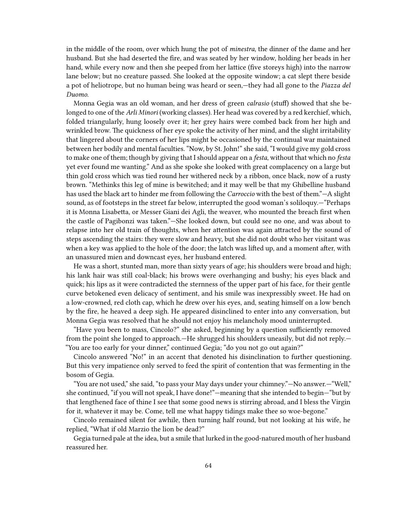in the middle of the room, over which hung the pot of *minestra*, the dinner of the dame and her husband. But she had deserted the fire, and was seated by her window, holding her beads in her hand, while every now and then she peeped from her lattice (five storeys high) into the narrow lane below; but no creature passed. She looked at the opposite window; a cat slept there beside a pot of heliotrope, but no human being was heard or seen,—they had all gone to the *Piazza del Duomo*.

Monna Gegia was an old woman, and her dress of green *calrasio* (stuff) showed that she belonged to one of the *Arli Minori* (working classes). Her head was covered by a red kerchief, which, folded triangularly, hung loosely over it; her grey hairs were combed back from her high and wrinkled brow. The quickness of her eye spoke the activity of her mind, and the slight irritability that lingered about the corners of her lips might be occasioned by the continual war maintained between her bodily and mental faculties. "Now, by St. John!" she said, "I would give my gold cross to make one of them; though by giving that I should appear on a *festa*, without that which no *festa* yet ever found me wanting." And as she spoke she looked with great complacency on a large but thin gold cross which was tied round her withered neck by a ribbon, once black, now of a rusty brown. "Methinks this leg of mine is bewitched; and it may well be that my Ghibelline husband has used the black art to hinder me from following the *Carroccio* with the best of them."—A slight sound, as of footsteps in the street far below, interrupted the good woman's soliloquy.—"Perhaps it is Monna Lisabetta, or Messer Giani dei Agli, the weaver, who mounted the breach first when the castle of Pagibonzi was taken."—She looked down, but could see no one, and was about to relapse into her old train of thoughts, when her attention was again attracted by the sound of steps ascending the stairs: they were slow and heavy, but she did not doubt who her visitant was when a key was applied to the hole of the door; the latch was lifted up, and a moment after, with an unassured mien and downcast eyes, her husband entered.

He was a short, stunted man, more than sixty years of age; his shoulders were broad and high; his lank hair was still coal-black; his brows were overhanging and bushy; his eyes black and quick; his lips as it were contradicted the sternness of the upper part of his face, for their gentle curve betokened even delicacy of sentiment, and his smile was inexpressibly sweet. He had on a low-crowned, red cloth cap, which he drew over his eyes, and, seating himself on a low bench by the fire, he heaved a deep sigh. He appeared disinclined to enter into any conversation, but Monna Gegia was resolved that he should not enjoy his melancholy mood uninterrupted.

"Have you been to mass, Cincolo?" she asked, beginning by a question sufficiently removed from the point she longed to approach.—He shrugged his shoulders uneasily, but did not reply.— "You are too early for your dinner," continued Gegia; "do you not go out again?"

Cincolo answered "No!" in an accent that denoted his disinclination to further questioning. But this very impatience only served to feed the spirit of contention that was fermenting in the bosom of Gegia.

"You are not used," she said, "to pass your May days under your chimney."—No answer.—"Well," she continued, "if you will not speak, I have done!"—meaning that she intended to begin—"but by that lengthened face of thine I see that some good news is stirring abroad, and I bless the Virgin for it, whatever it may be. Come, tell me what happy tidings make thee so woe-begone."

Cincolo remained silent for awhile, then turning half round, but not looking at his wife, he replied, "What if old Marzio the lion be dead?"

Gegia turned pale at the idea, but a smile that lurked in the good-natured mouth of her husband reassured her.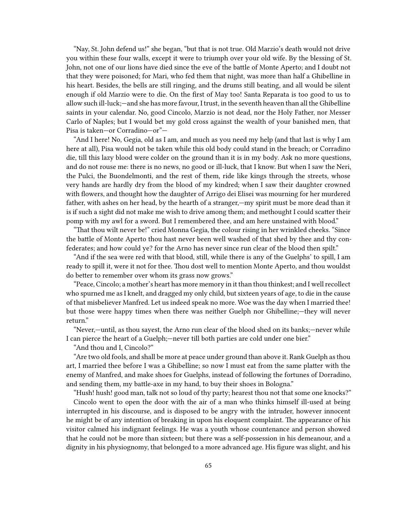"Nay, St. John defend us!" she began, "but that is not true. Old Marzio's death would not drive you within these four walls, except it were to triumph over your old wife. By the blessing of St. John, not one of our lions have died since the eve of the battle of Monte Aperto; and I doubt not that they were poisoned; for Mari, who fed them that night, was more than half a Ghibelline in his heart. Besides, the bells are still ringing, and the drums still beating, and all would be silent enough if old Marzio were to die. On the first of May too! Santa Reparata is too good to us to allow such ill-luck;—and she has more favour, I trust, in the seventh heaven than all the Ghibelline saints in your calendar. No, good Cincolo, Marzio is not dead, nor the Holy Father, nor Messer Carlo of Naples; but I would bet my gold cross against the wealth of your banished men, that Pisa is taken—or Corradino—or"—

"And I here! No, Gegia, old as I am, and much as you need my help (and that last is why I am here at all), Pisa would not be taken while this old body could stand in the breach; or Corradino die, till this lazy blood were colder on the ground than it is in my body. Ask no more questions, and do not rouse me: there is no news, no good or ill-luck, that I know. But when I saw the Neri, the Pulci, the Buondelmonti, and the rest of them, ride like kings through the streets, whose very hands are hardly dry from the blood of my kindred; when I saw their daughter crowned with flowers, and thought how the daughter of Arrigo dei Elisei was mourning for her murdered father, with ashes on her head, by the hearth of a stranger,—my spirit must be more dead than it is if such a sight did not make me wish to drive among them; and methought I could scatter their pomp with my awl for a sword. But I remembered thee, and am here unstained with blood."

"That thou wilt never be!" cried Monna Gegia, the colour rising in her wrinkled cheeks. "Since the battle of Monte Aperto thou hast never been well washed of that shed by thee and thy confederates; and how could ye? for the Arno has never since run clear of the blood then spilt."

"And if the sea were red with that blood, still, while there is any of the Guelphs' to spill, I am ready to spill it, were it not for thee. Thou dost well to mention Monte Aperto, and thou wouldst do better to remember over whom its grass now grows."

"Peace, Cincolo; a mother's heart has more memory in it than thou thinkest; and I well recollect who spurned me as I knelt, and dragged my only child, but sixteen years of age, to die in the cause of that misbeliever Manfred. Let us indeed speak no more. Woe was the day when I married thee! but those were happy times when there was neither Guelph nor Ghibelline;—they will never return."

"Never,—until, as thou sayest, the Arno run clear of the blood shed on its banks;—never while I can pierce the heart of a Guelph;—never till both parties are cold under one bier."

"And thou and I, Cincolo?"

"Are two old fools, and shall be more at peace under ground than above it. Rank Guelph as thou art, I married thee before I was a Ghibelline; so now I must eat from the same platter with the enemy of Manfred, and make shoes for Guelphs, instead of following the fortunes of Dorradino, and sending them, my battle-axe in my hand, to buy their shoes in Bologna."

"Hush! hush! good man, talk not so loud of thy party; hearest thou not that some one knocks?" Cincolo went to open the door with the air of a man who thinks himself ill-used at being interrupted in his discourse, and is disposed to be angry with the intruder, however innocent he might be of any intention of breaking in upon his eloquent complaint. The appearance of his visitor calmed his indignant feelings. He was a youth whose countenance and person showed that he could not be more than sixteen; but there was a self-possession in his demeanour, and a dignity in his physiognomy, that belonged to a more advanced age. His figure was slight, and his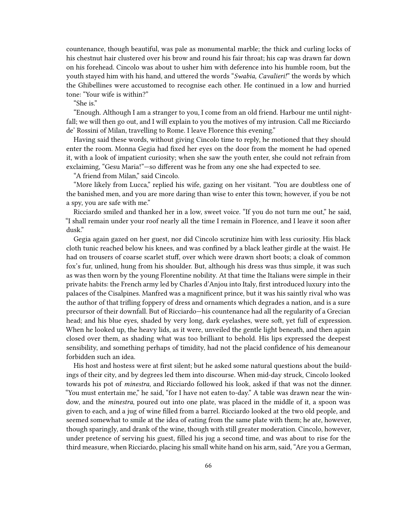countenance, though beautiful, was pale as monumental marble; the thick and curling locks of his chestnut hair clustered over his brow and round his fair throat; his cap was drawn far down on his forehead. Cincolo was about to usher him with deference into his humble room, but the youth stayed him with his hand, and uttered the words "*Swabia, Cavalieri!*" the words by which the Ghibellines were accustomed to recognise each other. He continued in a low and hurried tone: "Your wife is within?"

"She is."

"Enough. Although I am a stranger to you, I come from an old friend. Harbour me until nightfall; we will then go out, and I will explain to you the motives of my intrusion. Call me Ricciardo de' Rossini of Milan, travelling to Rome. I leave Florence this evening."

Having said these words, without giving Cincolo time to reply, he motioned that they should enter the room. Monna Gegia had fixed her eyes on the door from the moment he had opened it, with a look of impatient curiosity; when she saw the youth enter, she could not refrain from exclaiming, "Gesu Maria!"—so different was he from any one she had expected to see.

"A friend from Milan," said Cincolo.

"More likely from Lucca," replied his wife, gazing on her visitant. "You are doubtless one of the banished men, and you are more daring than wise to enter this town; however, if you be not a spy, you are safe with me."

Ricciardo smiled and thanked her in a low, sweet voice. "If you do not turn me out," he said, "I shall remain under your roof nearly all the time I remain in Florence, and I leave it soon after dusk."

Gegia again gazed on her guest, nor did Cincolo scrutinize him with less curiosity. His black cloth tunic reached below his knees, and was confined by a black leather girdle at the waist. He had on trousers of coarse scarlet stuff, over which were drawn short boots; a cloak of common fox's fur, unlined, hung from his shoulder. But, although his dress was thus simple, it was such as was then worn by the young Florentine nobility. At that time the Italians were simple in their private habits: the French army led by Charles d'Anjou into Italy, first introduced luxury into the palaces of the Cisalpines. Manfred was a magnificent prince, but it was his saintly rival who was the author of that trifling foppery of dress and ornaments which degrades a nation, and is a sure precursor of their downfall. But of Ricciardo—his countenance had all the regularity of a Grecian head; and his blue eyes, shaded by very long, dark eyelashes, were soft, yet full of expression. When he looked up, the heavy lids, as it were, unveiled the gentle light beneath, and then again closed over them, as shading what was too brilliant to behold. His lips expressed the deepest sensibility, and something perhaps of timidity, had not the placid confidence of his demeanour forbidden such an idea.

His host and hostess were at first silent; but he asked some natural questions about the buildings of their city, and by degrees led them into discourse. When mid-day struck, Cincolo looked towards his pot of *minestra*, and Ricciardo followed his look, asked if that was not the dinner. "You must entertain me," he said, "for I have not eaten to-day." A table was drawn near the window, and the *minestra*, poured out into one plate, was placed in the middle of it, a spoon was given to each, and a jug of wine filled from a barrel. Ricciardo looked at the two old people, and seemed somewhat to smile at the idea of eating from the same plate with them; he ate, however, though sparingly, and drank of the wine, though with still greater moderation. Cincolo, however, under pretence of serving his guest, filled his jug a second time, and was about to rise for the third measure, when Ricciardo, placing his small white hand on his arm, said, "Are you a German,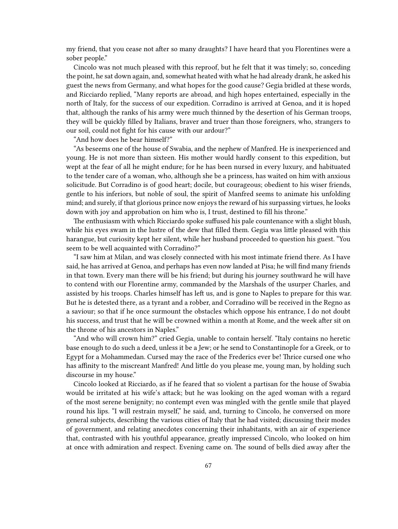my friend, that you cease not after so many draughts? I have heard that you Florentines were a sober people."

Cincolo was not much pleased with this reproof, but he felt that it was timely; so, conceding the point, he sat down again, and, somewhat heated with what he had already drank, he asked his guest the news from Germany, and what hopes for the good cause? Gegia bridled at these words, and Ricciardo replied, "Many reports are abroad, and high hopes entertained, especially in the north of Italy, for the success of our expedition. Corradino is arrived at Genoa, and it is hoped that, although the ranks of his army were much thinned by the desertion of his German troops, they will be quickly filled by Italians, braver and truer than those foreigners, who, strangers to our soil, could not fight for his cause with our ardour?"

"And how does he bear himself?"

"As beseems one of the house of Swabia, and the nephew of Manfred. He is inexperienced and young. He is not more than sixteen. His mother would hardly consent to this expedition, but wept at the fear of all he might endure; for he has been nursed in every luxury, and habituated to the tender care of a woman, who, although she be a princess, has waited on him with anxious solicitude. But Corradino is of good heart; docile, but courageous; obedient to his wiser friends, gentle to his inferiors, but noble of soul, the spirit of Manfred seems to animate his unfolding mind; and surely, if that glorious prince now enjoys the reward of his surpassing virtues, he looks down with joy and approbation on him who is, I trust, destined to fill his throne."

The enthusiasm with which Ricciardo spoke suffused his pale countenance with a slight blush, while his eyes swam in the lustre of the dew that filled them. Gegia was little pleased with this harangue, but curiosity kept her silent, while her husband proceeded to question his guest. "You seem to be well acquainted with Corradino?"

"I saw him at Milan, and was closely connected with his most intimate friend there. As I have said, he has arrived at Genoa, and perhaps has even now landed at Pisa; he will find many friends in that town. Every man there will be his friend; but during his journey southward he will have to contend with our Florentine army, commanded by the Marshals of the usurper Charles, and assisted by his troops. Charles himself has left us, and is gone to Naples to prepare for this war. But he is detested there, as a tyrant and a robber, and Corradino will be received in the Regno as a saviour; so that if he once surmount the obstacles which oppose his entrance, I do not doubt his success, and trust that he will be crowned within a month at Rome, and the week after sit on the throne of his ancestors in Naples."

"And who will crown him?" cried Gegia, unable to contain herself. "Italy contains no heretic base enough to do such a deed, unless it be a Jew; or he send to Constantinople for a Greek, or to Egypt for a Mohammedan. Cursed may the race of the Frederics ever be! Thrice cursed one who has affinity to the miscreant Manfred! And little do you please me, young man, by holding such discourse in my house."

Cincolo looked at Ricciardo, as if he feared that so violent a partisan for the house of Swabia would be irritated at his wife's attack; but he was looking on the aged woman with a regard of the most serene benignity; no contempt even was mingled with the gentle smile that played round his lips. "I will restrain myself," he said, and, turning to Cincolo, he conversed on more general subjects, describing the various cities of Italy that he had visited; discussing their modes of government, and relating anecdotes concerning their inhabitants, with an air of experience that, contrasted with his youthful appearance, greatly impressed Cincolo, who looked on him at once with admiration and respect. Evening came on. The sound of bells died away after the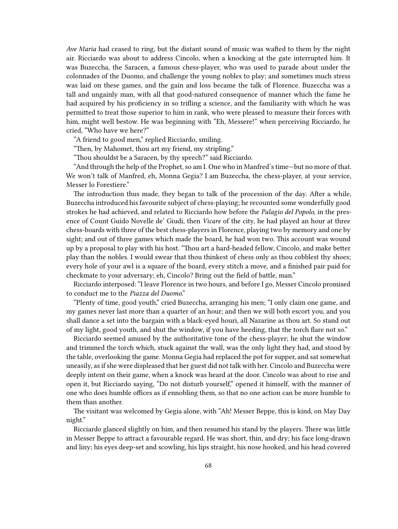*Ave Maria* had ceased to ring, but the distant sound of music was wafted to them by the night air. Ricciardo was about to address Cincolo, when a knocking at the gate interrupted him. It was Buzeccha, the Saracen, a famous chess-player, who was used to parade about under the colonnades of the Duomo, and challenge the young nobles to play; and sometimes much stress was laid on these games, and the gain and loss became the talk of Florence. Buzeccha was a tall and ungainly man, with all that good-natured consequence of manner which the fame he had acquired by his proficiency in so trifling a science, and the familiarity with which he was permitted to treat those superior to him in rank, who were pleased to measure their forces with him, might well bestow. He was beginning with "Eh, Messere!" when perceiving Ricciardo, he cried, "Who have we here?"

"A friend to good men," replied Ricciardo, smiling.

"Then, by Mahomet, thou art my friend, my stripling."

"Thou shouldst be a Saracen, by thy speech?" said Ricciardo.

"And through the help of the Prophet, so am I. One who in Manfred's time—but no more of that. We won't talk of Manfred, eh, Monna Gegia? I am Buzeccha, the chess-player, at your service, Messer lo Forestiere."

The introduction thus made, they began to talk of the procession of the day. After a while, Buzeccha introduced his favourite subject of chess-playing; he recounted some wonderfully good strokes he had achieved, and related to Ricciardo how before the *Palagio del Popolo*, in the presence of Count Guido Novelle de' Giudi, then *Vicare* of the city, he had played an hour at three chess-boards with three of the best chess-players in Florence, playing two by memory and one by sight; and out of three games which made the board, he had won two. This account was wound up by a proposal to play with his host. "Thou art a hard-headed fellow, Cincolo, and make better play than the nobles. I would swear that thou thinkest of chess only as thou cobblest thy shoes; every hole of your awl is a square of the board, every stitch a move, and a finished pair paid for checkmate to your adversary; eh, Cincolo? Bring out the field of battle, man."

Ricciardo interposed: "I leave Florence in two hours, and before I go, Messer Cincolo promised to conduct me to the *Piazza del Duomo*."

"Plenty of time, good youth," cried Buzeccha, arranging his men; "I only claim one game, and my games never last more than a quarter of an hour; and then we will both escort you, and you shall dance a set into the bargain with a black-eyed houri, all Nazarine as thou art. So stand out of my light, good youth, and shut the window, if you have heeding, that the torch flare not so."

Ricciardo seemed amused by the authoritative tone of the chess-player; he shut the window and trimmed the torch which, stuck against the wall, was the only light they had, and stood by the table, overlooking the game. Monna Gegia had replaced the pot for supper, and sat somewhat uneasily, as if she were displeased that her guest did not talk with her. Cincolo and Buzeccha were deeply intent on their game, when a knock was heard at the door. Cincolo was about to rise and open it, but Ricciardo saying, "Do not disturb yourself," opened it himself, with the manner of one who does humble offices as if ennobling them, so that no one action can be more humble to them than another.

The visitant was welcomed by Gegia alone, with "Ah! Messer Beppe, this is kind, on May Day night."

Ricciardo glanced slightly on him, and then resumed his stand by the players. There was little in Messer Beppe to attract a favourable regard. He was short, thin, and dry; his face long-drawn and liny; his eyes deep-set and scowling, his lips straight, his nose hooked, and his head covered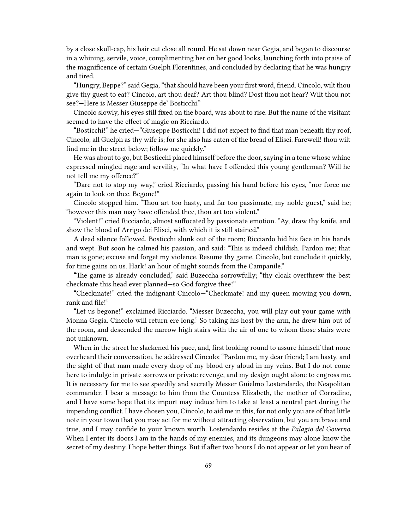by a close skull-cap, his hair cut close all round. He sat down near Gegia, and began to discourse in a whining, servile, voice, complimenting her on her good looks, launching forth into praise of the magnificence of certain Guelph Florentines, and concluded by declaring that he was hungry and tired.

"Hungry, Beppe?" said Gegia, "that should have been your first word, friend. Cincolo, wilt thou give thy guest to eat? Cincolo, art thou deaf? Art thou blind? Dost thou not hear? Wilt thou not see?—Here is Messer Giuseppe de' Bosticchi."

Cincolo slowly, his eyes still fixed on the board, was about to rise. But the name of the visitant seemed to have the effect of magic on Ricciardo.

"Bosticchi!" he cried—"Giuseppe Bosticchi! I did not expect to find that man beneath thy roof, Cincolo, all Guelph as thy wife is; for she also has eaten of the bread of Elisei. Farewell! thou wilt find me in the street below; follow me quickly."

He was about to go, but Bosticchi placed himself before the door, saying in a tone whose whine expressed mingled rage and servility, "In what have I offended this young gentleman? Will he not tell me my offence?"

"Dare not to stop my way," cried Ricciardo, passing his hand before his eyes, "nor force me again to look on thee. Begone!"

Cincolo stopped him. "Thou art too hasty, and far too passionate, my noble guest," said he; "however this man may have offended thee, thou art too violent."

"Violent!" cried Ricciardo, almost suffocated by passionate emotion. "Ay, draw thy knife, and show the blood of Arrigo dei Elisei, with which it is still stained."

A dead silence followed. Bosticchi slunk out of the room; Ricciardo hid his face in his hands and wept. But soon he calmed his passion, and said: "This is indeed childish. Pardon me; that man is gone; excuse and forget my violence. Resume thy game, Cincolo, but conclude it quickly, for time gains on us. Hark! an hour of night sounds from the Campanile."

"The game is already concluded," said Buzeccha sorrowfully; "thy cloak overthrew the best checkmate this head ever planned—so God forgive thee!"

"Checkmate!" cried the indignant Cincolo—"Checkmate! and my queen mowing you down, rank and file!"

"Let us begone!" exclaimed Ricciardo. "Messer Buzeccha, you will play out your game with Monna Gegia. Cincolo will return ere long." So taking his host by the arm, he drew him out of the room, and descended the narrow high stairs with the air of one to whom those stairs were not unknown.

When in the street he slackened his pace, and, first looking round to assure himself that none overheard their conversation, he addressed Cincolo: "Pardon me, my dear friend; I am hasty, and the sight of that man made every drop of my blood cry aloud in my veins. But I do not come here to indulge in private sorrows or private revenge, and my design ought alone to engross me. It is necessary for me to see speedily and secretly Messer Guielmo Lostendardo, the Neapolitan commander. I bear a message to him from the Countess Elizabeth, the mother of Corradino, and I have some hope that its import may induce him to take at least a neutral part during the impending conflict. I have chosen you, Cincolo, to aid me in this, for not only you are of that little note in your town that you may act for me without attracting observation, but you are brave and true, and I may confide to your known worth. Lostendardo resides at the *Palagio del Governo*. When I enter its doors I am in the hands of my enemies, and its dungeons may alone know the secret of my destiny. I hope better things. But if after two hours I do not appear or let you hear of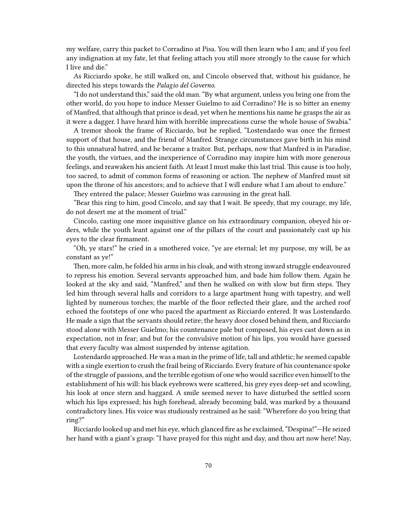my welfare, carry this packet to Corradino at Pisa. You will then learn who I am; and if you feel any indignation at my fate, let that feeling attach you still more strongly to the cause for which I live and die."

As Ricciardo spoke, he still walked on, and Cincolo observed that, without his guidance, he directed his steps towards the *Palagio del Governo*.

"I do not understand this," said the old man. "By what argument, unless you bring one from the other world, do you hope to induce Messer Guielmo to aid Corradino? He is so bitter an enemy of Manfred, that although that prince is dead, yet when he mentions his name he grasps the air as it were a dagger. I have heard him with horrible imprecations curse the whole house of Swabia."

A tremor shook the frame of Ricciardo, but he replied, "Lostendardo was once the firmest support of that house, and the friend of Manfred. Strange circumstances gave birth in his mind to this unnatural hatred, and he became a traitor. But, perhaps, now that Manfred is in Paradise, the youth, the virtues, and the inexperience of Corradino may inspire him with more generous feelings, and reawaken his ancient faith. At least I must make this last trial. This cause is too holy, too sacred, to admit of common forms of reasoning or action. The nephew of Manfred must sit upon the throne of his ancestors; and to achieve that I will endure what I am about to endure."

They entered the palace; Messer Guielmo was carousing in the great hall.

"Bear this ring to him, good Cincolo, and say that I wait. Be speedy, that my courage, my life, do not desert me at the moment of trial."

Cincolo, casting one more inquisitive glance on his extraordinary companion, obeyed his orders, while the youth leant against one of the pillars of the court and passionately cast up his eyes to the clear firmament.

"Oh, ye stars!" he cried in a smothered voice, "ye are eternal; let my purpose, my will, be as constant as ye!"

Then, more calm, he folded his arms in his cloak, and with strong inward struggle endeavoured to repress his emotion. Several servants approached him, and bade him follow them. Again he looked at the sky and said, "Manfred," and then he walked on with slow but firm steps. They led him through several halls and corridors to a large apartment hung with tapestry, and well lighted by numerous torches; the marble of the floor reflected their glare, and the arched roof echoed the footsteps of one who paced the apartment as Ricciardo entered. It was Lostendardo. He made a sign that the servants should retire; the heavy door closed behind them, and Ricciardo stood alone with Messer Guielmo; his countenance pale but composed, his eyes cast down as in expectation, not in fear; and but for the convulsive motion of his lips, you would have guessed that every faculty was almost suspended by intense agitation.

Lostendardo approached. He was a man in the prime of life, tall and athletic; he seemed capable with a single exertion to crush the frail being of Ricciardo. Every feature of his countenance spoke of the struggle of passions, and the terrible egotism of one who would sacrifice even himself to the establishment of his will: his black eyebrows were scattered, his grey eyes deep-set and scowling, his look at once stern and haggard. A smile seemed never to have disturbed the settled scorn which his lips expressed; his high forehead, already becoming bald, was marked by a thousand contradictory lines. His voice was studiously restrained as he said: "Wherefore do you bring that ring?"

Ricciardo looked up and met his eye, which glanced fire as he exclaimed, "Despina!"—He seized her hand with a giant's grasp: "I have prayed for this night and day, and thou art now here! Nay,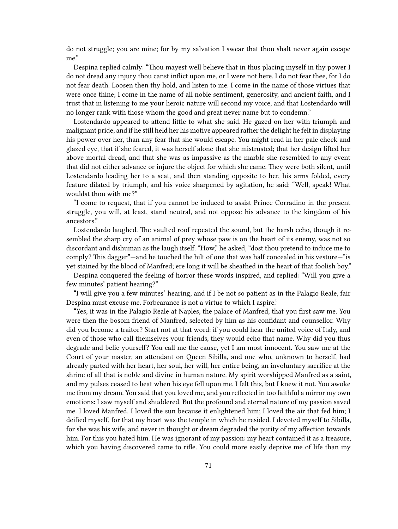do not struggle; you are mine; for by my salvation I swear that thou shalt never again escape me."

Despina replied calmly: "Thou mayest well believe that in thus placing myself in thy power I do not dread any injury thou canst inflict upon me, or I were not here. I do not fear thee, for I do not fear death. Loosen then thy hold, and listen to me. I come in the name of those virtues that were once thine; I come in the name of all noble sentiment, generosity, and ancient faith, and I trust that in listening to me your heroic nature will second my voice, and that Lostendardo will no longer rank with those whom the good and great never name but to condemn."

Lostendardo appeared to attend little to what she said. He gazed on her with triumph and malignant pride; and if he still held her his motive appeared rather the delight he felt in displaying his power over her, than any fear that she would escape. You might read in her pale cheek and glazed eye, that if she feared, it was herself alone that she mistrusted; that her design lifted her above mortal dread, and that she was as impassive as the marble she resembled to any event that did not either advance or injure the object for which she came. They were both silent, until Lostendardo leading her to a seat, and then standing opposite to her, his arms folded, every feature dilated by triumph, and his voice sharpened by agitation, he said: "Well, speak! What wouldst thou with me?"

"I come to request, that if you cannot be induced to assist Prince Corradino in the present struggle, you will, at least, stand neutral, and not oppose his advance to the kingdom of his ancestors."

Lostendardo laughed. The vaulted roof repeated the sound, but the harsh echo, though it resembled the sharp cry of an animal of prey whose paw is on the heart of its enemy, was not so discordant and dishuman as the laugh itself. "How," he asked, "dost thou pretend to induce me to comply? This dagger"—and he touched the hilt of one that was half concealed in his vesture—"is yet stained by the blood of Manfred; ere long it will be sheathed in the heart of that foolish boy."

Despina conquered the feeling of horror these words inspired, and replied: "Will you give a few minutes' patient hearing?"

"I will give you a few minutes' hearing, and if I be not so patient as in the Palagio Reale, fair Despina must excuse me. Forbearance is not a virtue to which I aspire."

"Yes, it was in the Palagio Reale at Naples, the palace of Manfred, that you first saw me. You were then the bosom friend of Manfred, selected by him as his confidant and counsellor. Why did you become a traitor? Start not at that word: if you could hear the united voice of Italy, and even of those who call themselves your friends, they would echo that name. Why did you thus degrade and belie yourself? You call me the cause, yet I am most innocent. You saw me at the Court of your master, an attendant on Queen Sibilla, and one who, unknown to herself, had already parted with her heart, her soul, her will, her entire being, an involuntary sacrifice at the shrine of all that is noble and divine in human nature. My spirit worshipped Manfred as a saint, and my pulses ceased to beat when his eye fell upon me. I felt this, but I knew it not. You awoke me from my dream. You said that you loved me, and you reflected in too faithful a mirror my own emotions: I saw myself and shuddered. But the profound and eternal nature of my passion saved me. I loved Manfred. I loved the sun because it enlightened him; I loved the air that fed him; I deified myself, for that my heart was the temple in which he resided. I devoted myself to Sibilla, for she was his wife, and never in thought or dream degraded the purity of my affection towards him. For this you hated him. He was ignorant of my passion: my heart contained it as a treasure, which you having discovered came to rifle. You could more easily deprive me of life than my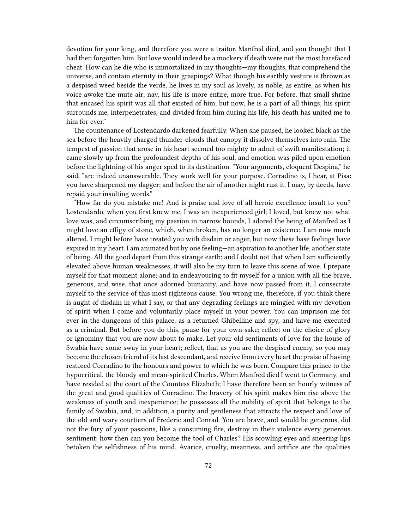devotion for your king, and therefore you were a traitor. Manfred died, and you thought that I had then forgotten him. But love would indeed be a mockery if death were not the most barefaced cheat. How can he die who is immortalized in my thoughts—my thoughts, that comprehend the universe, and contain eternity in their graspings? What though his earthly vesture is thrown as a despised weed beside the verde, he lives in my soul as lovely, as noble, as entire, as when his voice awoke the mute air; nay, his life is more entire, more true. For before, that small shrine that encased his spirit was all that existed of him; but now, he is a part of all things; his spirit surrounds me, interpenetrates; and divided from him during his life, his death has united me to him for ever."

The countenance of Lostendardo darkened fearfully. When she paused, he looked black as the sea before the heavily charged thunder-clouds that canopy it dissolve themselves into rain. The tempest of passion that arose in his heart seemed too mighty to admit of swift manifestation; it came slowly up from the profoundest depths of his soul, and emotion was piled upon emotion before the lightning of his anger sped to its destination. "Your arguments, eloquent Despina," he said, "are indeed unanswerable. They work well for your purpose. Corradino is, I hear, at Pisa: you have sharpened my dagger; and before the air of another night rust it, I may, by deeds, have repaid your insulting words."

"How far do you mistake me! And is praise and love of all heroic excellence insult to you? Lostendardo, when you first knew me, I was an inexperienced girl; I loved, but knew not what love was, and circumscribing my passion in narrow bounds, I adored the being of Manfred as I might love an effigy of stone, which, when broken, has no longer an existence. I am now much altered. I might before have treated you with disdain or anger, but now these base feelings have expired in my heart. I am animated but by one feeling—an aspiration to another life, another state of being. All the good depart from this strange earth; and I doubt not that when I am sufficiently elevated above human weaknesses, it will also be my turn to leave this scene of woe. I prepare myself for that moment alone; and in endeavouring to fit myself for a union with all the brave, generous, and wise, that once adorned humanity, and have now passed from it, I consecrate myself to the service of this most righteous cause. You wrong me, therefore, if you think there is aught of disdain in what I say, or that any degrading feelings are mingled with my devotion of spirit when I come and voluntarily place myself in your power. You can imprison me for ever in the dungeons of this palace, as a returned Ghibelline and spy, and have me executed as a criminal. But before you do this, pause for your own sake; reflect on the choice of glory or ignominy that you are now about to make. Let your old sentiments of love for the house of Swabia have some sway in your heart; reflect, that as you are the despised enemy, so you may become the chosen friend of its last descendant, and receive from every heart the praise of having restored Corradino to the honours and power to which he was born. Compare this prince to the hypocritical, the bloody and mean-spirited Charles. When Manfred died I went to Germany, and have resided at the court of the Countess Elizabeth; I have therefore been an hourly witness of the great and good qualities of Corradino. The bravery of his spirit makes him rise above the weakness of youth and inexperience; he possesses all the nobility of spirit that belongs to the family of Swabia, and, in addition, a purity and gentleness that attracts the respect and love of the old and wary courtiers of Frederic and Conrad. You are brave, and would be generous, did not the fury of your passions, like a consuming fire, destroy in their violence every generous sentiment: how then can you become the tool of Charles? His scowling eyes and sneering lips betoken the selfishness of his mind. Avarice, cruelty, meanness, and artifice are the qualities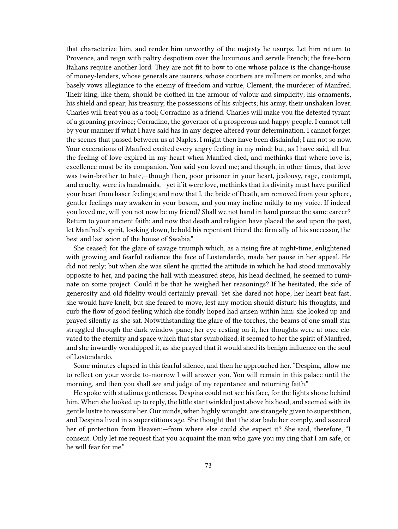that characterize him, and render him unworthy of the majesty he usurps. Let him return to Provence, and reign with paltry despotism over the luxurious and servile French; the free-born Italians require another lord. They are not fit to bow to one whose palace is the change-house of money-lenders, whose generals are usurers, whose courtiers are milliners or monks, and who basely vows allegiance to the enemy of freedom and virtue, Clement, the murderer of Manfred. Their king, like them, should be clothed in the armour of valour and simplicity; his ornaments, his shield and spear; his treasury, the possessions of his subjects; his army, their unshaken lover. Charles will treat you as a tool; Corradino as a friend. Charles will make you the detested tyrant of a groaning province; Corradino, the governor of a prosperous and happy people. I cannot tell by your manner if what I have said has in any degree altered your determination. I cannot forget the scenes that passed between us at Naples. I might then have been disdainful; I am not so now. Your execrations of Manfred excited every angry feeling in my mind; but, as I have said, all but the feeling of love expired in my heart when Manfred died, and methinks that where love is, excellence must be its companion. You said you loved me; and though, in other times, that love was twin-brother to hate,—though then, poor prisoner in your heart, jealousy, rage, contempt, and cruelty, were its handmaids,—yet if it were love, methinks that its divinity must have purified your heart from baser feelings; and now that I, the bride of Death, am removed from your sphere, gentler feelings may awaken in your bosom, and you may incline mildly to my voice. If indeed you loved me, will you not now be my friend? Shall we not hand in hand pursue the same career? Return to your ancient faith; and now that death and religion have placed the seal upon the past, let Manfred's spirit, looking down, behold his repentant friend the firm ally of his successor, the best and last scion of the house of Swabia."

She ceased; for the glare of savage triumph which, as a rising fire at night-time, enlightened with growing and fearful radiance the face of Lostendardo, made her pause in her appeal. He did not reply; but when she was silent he quitted the attitude in which he had stood immovably opposite to her, and pacing the hall with measured steps, his head declined, he seemed to ruminate on some project. Could it be that he weighed her reasonings? If he hesitated, the side of generosity and old fidelity would certainly prevail. Yet she dared not hope; her heart beat fast; she would have knelt, but she feared to move, lest any motion should disturb his thoughts, and curb the flow of good feeling which she fondly hoped had arisen within him: she looked up and prayed silently as she sat. Notwithstanding the glare of the torches, the beams of one small star struggled through the dark window pane; her eye resting on it, her thoughts were at once elevated to the eternity and space which that star symbolized; it seemed to her the spirit of Manfred, and she inwardly worshipped it, as she prayed that it would shed its benign influence on the soul of Lostendardo.

Some minutes elapsed in this fearful silence, and then he approached her. "Despina, allow me to reflect on your words; to-morrow I will answer you. You will remain in this palace until the morning, and then you shall see and judge of my repentance and returning faith."

He spoke with studious gentleness. Despina could not see his face, for the lights shone behind him. When she looked up to reply, the little star twinkled just above his head, and seemed with its gentle lustre to reassure her. Our minds, when highly wrought, are strangely given to superstition, and Despina lived in a superstitious age. She thought that the star bade her comply, and assured her of protection from Heaven;—from where else could she expect it? She said, therefore, "I consent. Only let me request that you acquaint the man who gave you my ring that I am safe, or he will fear for me."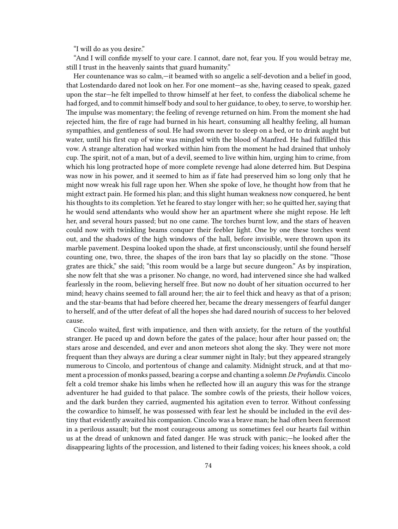"I will do as you desire."

"And I will confide myself to your care. I cannot, dare not, fear you. If you would betray me, still I trust in the heavenly saints that guard humanity."

Her countenance was so calm,—it beamed with so angelic a self-devotion and a belief in good, that Lostendardo dared not look on her. For one moment—as she, having ceased to speak, gazed upon the star—he felt impelled to throw himself at her feet, to confess the diabolical scheme he had forged, and to commit himself body and soul to her guidance, to obey, to serve, to worship her. The impulse was momentary; the feeling of revenge returned on him. From the moment she had rejected him, the fire of rage had burned in his heart, consuming all healthy feeling, all human sympathies, and gentleness of soul. He had sworn never to sleep on a bed, or to drink aught but water, until his first cup of wine was mingled with the blood of Manfred. He had fulfilled this vow. A strange alteration had worked within him from the moment he had drained that unholy cup. The spirit, not of a man, but of a devil, seemed to live within him, urging him to crime, from which his long protracted hope of more complete revenge had alone deterred him. But Despina was now in his power, and it seemed to him as if fate had preserved him so long only that he might now wreak his full rage upon her. When she spoke of love, he thought how from that he might extract pain. He formed his plan; and this slight human weakness now conquered, he bent his thoughts to its completion. Yet he feared to stay longer with her; so he quitted her, saying that he would send attendants who would show her an apartment where she might repose. He left her, and several hours passed; but no one came. The torches burnt low, and the stars of heaven could now with twinkling beams conquer their feebler light. One by one these torches went out, and the shadows of the high windows of the hall, before invisible, were thrown upon its marble pavement. Despina looked upon the shade, at first unconsciously, until she found herself counting one, two, three, the shapes of the iron bars that lay so placidly on the stone. "Those grates are thick," she said; "this room would be a large but secure dungeon." As by inspiration, she now felt that she was a prisoner. No change, no word, had intervened since she had walked fearlessly in the room, believing herself free. But now no doubt of her situation occurred to her mind; heavy chains seemed to fall around her; the air to feel thick and heavy as that of a prison; and the star-beams that had before cheered her, became the dreary messengers of fearful danger to herself, and of the utter defeat of all the hopes she had dared nourish of success to her beloved cause.

Cincolo waited, first with impatience, and then with anxiety, for the return of the youthful stranger. He paced up and down before the gates of the palace; hour after hour passed on; the stars arose and descended, and ever and anon meteors shot along the sky. They were not more frequent than they always are during a clear summer night in Italy; but they appeared strangely numerous to Cincolo, and portentous of change and calamity. Midnight struck, and at that moment a procession of monks passed, bearing a corpse and chanting a solemn *De Profundis*. Cincolo felt a cold tremor shake his limbs when he reflected how ill an augury this was for the strange adventurer he had guided to that palace. The sombre cowls of the priests, their hollow voices, and the dark burden they carried, augmented his agitation even to terror. Without confessing the cowardice to himself, he was possessed with fear lest he should be included in the evil destiny that evidently awaited his companion. Cincolo was a brave man; he had often been foremost in a perilous assault; but the most courageous among us sometimes feel our hearts fail within us at the dread of unknown and fated danger. He was struck with panic;—he looked after the disappearing lights of the procession, and listened to their fading voices; his knees shook, a cold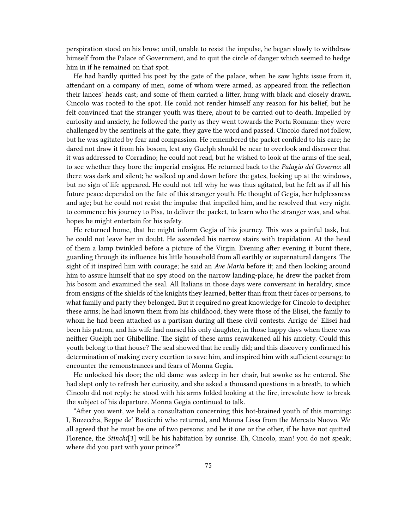perspiration stood on his brow; until, unable to resist the impulse, he began slowly to withdraw himself from the Palace of Government, and to quit the circle of danger which seemed to hedge him in if he remained on that spot.

He had hardly quitted his post by the gate of the palace, when he saw lights issue from it, attendant on a company of men, some of whom were armed, as appeared from the reflection their lances' heads cast; and some of them carried a litter, hung with black and closely drawn. Cincolo was rooted to the spot. He could not render himself any reason for his belief, but he felt convinced that the stranger youth was there, about to be carried out to death. Impelled by curiosity and anxiety, he followed the party as they went towards the Porta Romana: they were challenged by the sentinels at the gate; they gave the word and passed. Cincolo dared not follow, but he was agitated by fear and compassion. He remembered the packet confided to his care; he dared not draw it from his bosom, lest any Guelph should be near to overlook and discover that it was addressed to Corradino; he could not read, but he wished to look at the arms of the seal, to see whether they bore the imperial ensigns. He returned back to the *Palagio del Governo*: all there was dark and silent; he walked up and down before the gates, looking up at the windows, but no sign of life appeared. He could not tell why he was thus agitated, but he felt as if all his future peace depended on the fate of this stranger youth. He thought of Gegia, her helplessness and age; but he could not resist the impulse that impelled him, and he resolved that very night to commence his journey to Pisa, to deliver the packet, to learn who the stranger was, and what hopes he might entertain for his safety.

He returned home, that he might inform Gegia of his journey. This was a painful task, but he could not leave her in doubt. He ascended his narrow stairs with trepidation. At the head of them a lamp twinkled before a picture of the Virgin. Evening after evening it burnt there, guarding through its influence his little household from all earthly or supernatural dangers. The sight of it inspired him with courage; he said an *Ave Maria* before it; and then looking around him to assure himself that no spy stood on the narrow landing-place, he drew the packet from his bosom and examined the seal. All Italians in those days were conversant in heraldry, since from ensigns of the shields of the knights they learned, better than from their faces or persons, to what family and party they belonged. But it required no great knowledge for Cincolo to decipher these arms; he had known them from his childhood; they were those of the Elisei, the family to whom he had been attached as a partisan during all these civil contests. Arrigo de' Elisei had been his patron, and his wife had nursed his only daughter, in those happy days when there was neither Guelph nor Ghibelline. The sight of these arms reawakened all his anxiety. Could this youth belong to that house? The seal showed that he really did; and this discovery confirmed his determination of making every exertion to save him, and inspired him with sufficient courage to encounter the remonstrances and fears of Monna Gegia.

He unlocked his door; the old dame was asleep in her chair, but awoke as he entered. She had slept only to refresh her curiosity, and she asked a thousand questions in a breath, to which Cincolo did not reply: he stood with his arms folded looking at the fire, irresolute how to break the subject of his departure. Monna Gegia continued to talk.

"After you went, we held a consultation concerning this hot-brained youth of this morning: I, Buzeccha, Beppe de' Bosticchi who returned, and Monna Lissa from the Mercato Nuovo. We all agreed that he must be one of two persons; and be it one or the other, if he have not quitted Florence, the *Stinchi*[3] will be his habitation by sunrise. Eh, Cincolo, man! you do not speak; where did you part with your prince?"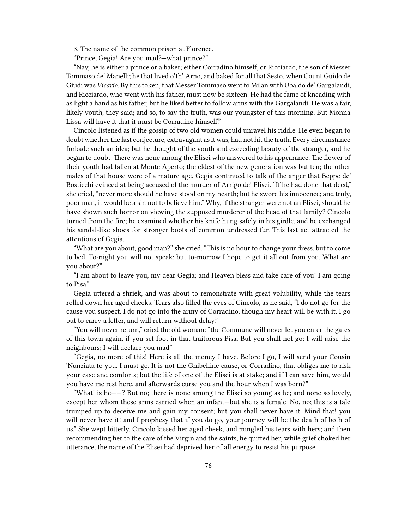3. The name of the common prison at Florence.

"Prince, Gegia! Are you mad?—what prince?"

"Nay, he is either a prince or a baker; either Corradino himself, or Ricciardo, the son of Messer Tommaso de' Manelli; he that lived o'th' Arno, and baked for all that Sesto, when Count Guido de Giudi was *Vicario*. By this token, that Messer Tommaso went to Milan with Ubaldo de' Gargalandi, and Ricciardo, who went with his father, must now be sixteen. He had the fame of kneading with as light a hand as his father, but he liked better to follow arms with the Gargalandi. He was a fair, likely youth, they said; and so, to say the truth, was our youngster of this morning. But Monna Lissa will have it that it must be Corradino himself."

Cincolo listened as if the gossip of two old women could unravel his riddle. He even began to doubt whether the last conjecture, extravagant as it was, had not hit the truth. Every circumstance forbade such an idea; but he thought of the youth and exceeding beauty of the stranger, and he began to doubt. There was none among the Elisei who answered to his appearance. The flower of their youth had fallen at Monte Aperto; the eldest of the new generation was but ten; the other males of that house were of a mature age. Gegia continued to talk of the anger that Beppe de' Bosticchi evinced at being accused of the murder of Arrigo de' Elisei. "If he had done that deed," she cried, "never more should he have stood on my hearth; but he swore his innocence; and truly, poor man, it would be a sin not to believe him." Why, if the stranger were not an Elisei, should he have shown such horror on viewing the supposed murderer of the head of that family? Cincolo turned from the fire; he examined whether his knife hung safely in his girdle, and he exchanged his sandal-like shoes for stronger boots of common undressed fur. This last act attracted the attentions of Gegia.

"What are you about, good man?" she cried. "This is no hour to change your dress, but to come to bed. To-night you will not speak; but to-morrow I hope to get it all out from you. What are you about?"

"I am about to leave you, my dear Gegia; and Heaven bless and take care of you! I am going to Pisa."

Gegia uttered a shriek, and was about to remonstrate with great volubility, while the tears rolled down her aged cheeks. Tears also filled the eyes of Cincolo, as he said, "I do not go for the cause you suspect. I do not go into the army of Corradino, though my heart will be with it. I go but to carry a letter, and will return without delay."

"You will never return," cried the old woman: "the Commune will never let you enter the gates of this town again, if you set foot in that traitorous Pisa. But you shall not go; I will raise the neighbours; I will declare you mad"—

"Gegia, no more of this! Here is all the money I have. Before I go, I will send your Cousin 'Nunziata to you. I must go. It is not the Ghibelline cause, or Corradino, that obliges me to risk your ease and comforts; but the life of one of the Elisei is at stake; and if I can save him, would you have me rest here, and afterwards curse you and the hour when I was born?"

"What! is he——? But no; there is none among the Elisei so young as he; and none so lovely, except her whom these arms carried when an infant—but she is a female. No, no; this is a tale trumped up to deceive me and gain my consent; but you shall never have it. Mind that! you will never have it! and I prophesy that if you do go, your journey will be the death of both of us." She wept bitterly. Cincolo kissed her aged cheek, and mingled his tears with hers; and then recommending her to the care of the Virgin and the saints, he quitted her; while grief choked her utterance, the name of the Elisei had deprived her of all energy to resist his purpose.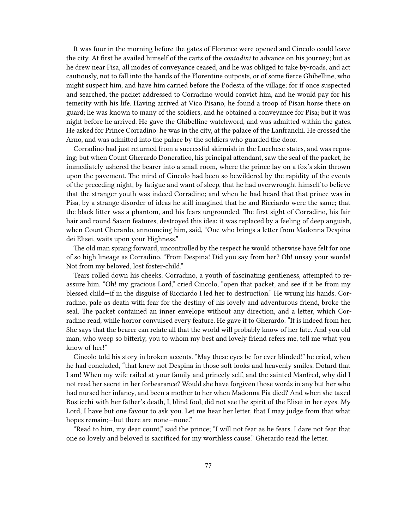It was four in the morning before the gates of Florence were opened and Cincolo could leave the city. At first he availed himself of the carts of the *contadini* to advance on his journey; but as he drew near Pisa, all modes of conveyance ceased, and he was obliged to take by-roads, and act cautiously, not to fall into the hands of the Florentine outposts, or of some fierce Ghibelline, who might suspect him, and have him carried before the Podesta of the village; for if once suspected and searched, the packet addressed to Corradino would convict him, and he would pay for his temerity with his life. Having arrived at Vico Pisano, he found a troop of Pisan horse there on guard; he was known to many of the soldiers, and he obtained a conveyance for Pisa; but it was night before he arrived. He gave the Ghibelline watchword, and was admitted within the gates. He asked for Prince Corradino: he was in the city, at the palace of the Lanfranchi. He crossed the Arno, and was admitted into the palace by the soldiers who guarded the door.

Corradino had just returned from a successful skirmish in the Lucchese states, and was reposing; but when Count Gherardo Doneratico, his principal attendant, saw the seal of the packet, he immediately ushered the bearer into a small room, where the prince lay on a fox's skin thrown upon the pavement. The mind of Cincolo had been so bewildered by the rapidity of the events of the preceding night, by fatigue and want of sleep, that he had overwrought himself to believe that the stranger youth was indeed Corradino; and when he had heard that that prince was in Pisa, by a strange disorder of ideas he still imagined that he and Ricciardo were the same; that the black litter was a phantom, and his fears ungrounded. The first sight of Corradino, his fair hair and round Saxon features, destroyed this idea: it was replaced by a feeling of deep anguish, when Count Gherardo, announcing him, said, "One who brings a letter from Madonna Despina dei Elisei, waits upon your Highness."

The old man sprang forward, uncontrolled by the respect he would otherwise have felt for one of so high lineage as Corradino. "From Despina! Did you say from her? Oh! unsay your words! Not from my beloved, lost foster-child."

Tears rolled down his cheeks. Corradino, a youth of fascinating gentleness, attempted to reassure him. "Oh! my gracious Lord," cried Cincolo, "open that packet, and see if it be from my blessed child—if in the disguise of Ricciardo I led her to destruction." He wrung his hands. Corradino, pale as death with fear for the destiny of his lovely and adventurous friend, broke the seal. The packet contained an inner envelope without any direction, and a letter, which Corradino read, while horror convulsed every feature. He gave it to Gherardo. "It is indeed from her. She says that the bearer can relate all that the world will probably know of her fate. And you old man, who weep so bitterly, you to whom my best and lovely friend refers me, tell me what you know of her!"

Cincolo told his story in broken accents. "May these eyes be for ever blinded!" he cried, when he had concluded, "that knew not Despina in those soft looks and heavenly smiles. Dotard that I am! When my wife railed at your family and princely self, and the sainted Manfred, why did I not read her secret in her forbearance? Would she have forgiven those words in any but her who had nursed her infancy, and been a mother to her when Madonna Pia died? And when she taxed Bosticchi with her father's death, I, blind fool, did not see the spirit of the Elisei in her eyes. My Lord, I have but one favour to ask you. Let me hear her letter, that I may judge from that what hopes remain;—but there are none—none."

"Read to him, my dear count," said the prince; "I will not fear as he fears. I dare not fear that one so lovely and beloved is sacrificed for my worthless cause." Gherardo read the letter.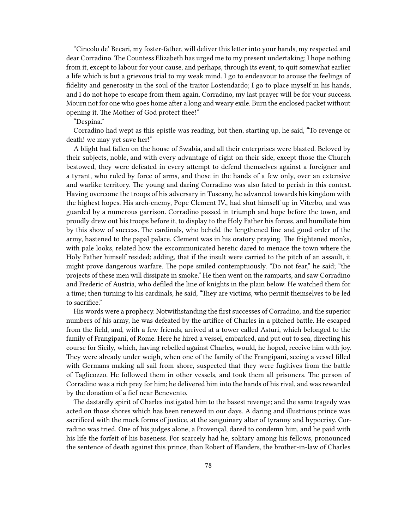"Cincolo de' Becari, my foster-father, will deliver this letter into your hands, my respected and dear Corradino. The Countess Elizabeth has urged me to my present undertaking; I hope nothing from it, except to labour for your cause, and perhaps, through its event, to quit somewhat earlier a life which is but a grievous trial to my weak mind. I go to endeavour to arouse the feelings of fidelity and generosity in the soul of the traitor Lostendardo; I go to place myself in his hands, and I do not hope to escape from them again. Corradino, my last prayer will be for your success. Mourn not for one who goes home after a long and weary exile. Burn the enclosed packet without opening it. The Mother of God protect thee!"

"Despina."

Corradino had wept as this epistle was reading, but then, starting up, he said, "To revenge or death! we may yet save her!"

A blight had fallen on the house of Swabia, and all their enterprises were blasted. Beloved by their subjects, noble, and with every advantage of right on their side, except those the Church bestowed, they were defeated in every attempt to defend themselves against a foreigner and a tyrant, who ruled by force of arms, and those in the hands of a few only, over an extensive and warlike territory. The young and daring Corradino was also fated to perish in this contest. Having overcome the troops of his adversary in Tuscany, he advanced towards his kingdom with the highest hopes. His arch-enemy, Pope Clement IV., had shut himself up in Viterbo, and was guarded by a numerous garrison. Corradino passed in triumph and hope before the town, and proudly drew out his troops before it, to display to the Holy Father his forces, and humiliate him by this show of success. The cardinals, who beheld the lengthened line and good order of the army, hastened to the papal palace. Clement was in his oratory praying. The frightened monks, with pale looks, related how the excommunicated heretic dared to menace the town where the Holy Father himself resided; adding, that if the insult were carried to the pitch of an assault, it might prove dangerous warfare. The pope smiled contemptuously. "Do not fear," he said; "the projects of these men will dissipate in smoke." He then went on the ramparts, and saw Corradino and Frederic of Austria, who defiled the line of knights in the plain below. He watched them for a time; then turning to his cardinals, he said, "They are victims, who permit themselves to be led to sacrifice."

His words were a prophecy. Notwithstanding the first successes of Corradino, and the superior numbers of his army, he was defeated by the artifice of Charles in a pitched battle. He escaped from the field, and, with a few friends, arrived at a tower called Asturi, which belonged to the family of Frangipani, of Rome. Here he hired a vessel, embarked, and put out to sea, directing his course for Sicily, which, having rebelled against Charles, would, he hoped, receive him with joy. They were already under weigh, when one of the family of the Frangipani, seeing a vessel filled with Germans making all sail from shore, suspected that they were fugitives from the battle of Taglicozzo. He followed them in other vessels, and took them all prisoners. The person of Corradino was a rich prey for him; he delivered him into the hands of his rival, and was rewarded by the donation of a fief near Benevento.

The dastardly spirit of Charles instigated him to the basest revenge; and the same tragedy was acted on those shores which has been renewed in our days. A daring and illustrious prince was sacrificed with the mock forms of justice, at the sanguinary altar of tyranny and hypocrisy. Corradino was tried. One of his judges alone, a Provençal, dared to condemn him, and he paid with his life the forfeit of his baseness. For scarcely had he, solitary among his fellows, pronounced the sentence of death against this prince, than Robert of Flanders, the brother-in-law of Charles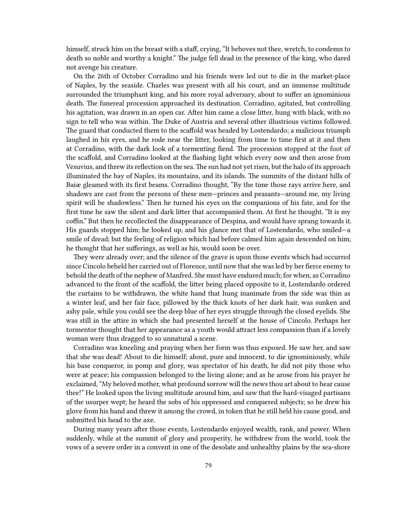himself, struck him on the breast with a staff, crying, "It behoves not thee, wretch, to condemn to death so noble and worthy a knight." The judge fell dead in the presence of the king, who dared not avenge his creature.

On the 26th of October Corradino and his friends were led out to die in the market-place of Naples, by the seaside. Charles was present with all his court, and an immense multitude surrounded the triumphant king, and his more royal adversary, about to suffer an ignominious death. The funereal procession approached its destination. Corradino, agitated, but controlling his agitation, was drawn in an open car. After him came a close litter, hung with black, with no sign to tell who was within. The Duke of Austria and several other illustrious victims followed. The guard that conducted them to the scaffold was headed by Lostendardo; a malicious triumph laughed in his eyes, and he rode near the litter, looking from time to time first at it and then at Corradino, with the dark look of a tormenting fiend. The procession stopped at the foot of the scaffold, and Corradino looked at the flashing light which every now and then arose from Vesuvius, and threw its reflection on the sea.The sun had not yet risen, but the halo of its approach illuminated the bay of Naples, its mountains, and its islands. The summits of the distant hills of Baiæ gleamed with its first beams. Corradino thought, "By the time those rays arrive here, and shadows are cast from the persons of these men—princes and peasants—around me, my living spirit will be shadowless." Then he turned his eyes on the companions of his fate, and for the first time he saw the silent and dark litter that accompanied them. At first he thought, "It is my coffin." But then he recollected the disappearance of Despina, and would have sprang towards it. His guards stopped him; he looked up, and his glance met that of Lostendardo, who smiled—a smile of dread; but the feeling of religion which had before calmed him again descended on him; he thought that her sufferings, as well as his, would soon be over.

They were already over; and the silence of the grave is upon those events which had occurred since Cincolo beheld her carried out of Florence, until now that she was led by her fierce enemy to behold the death of the nephew of Manfred. She must have endured much; for when, as Corradino advanced to the front of the scaffold, the litter being placed opposite to it, Lostendardo ordered the curtains to be withdrawn, the white hand that hung inanimate from the side was thin as a winter leaf, and her fair face, pillowed by the thick knots of her dark hair, was sunken and ashy pale, while you could see the deep blue of her eyes struggle through the closed eyelids. She was still in the attire in which she had presented herself at the house of Cincolo. Perhaps her tormentor thought that her appearance as a youth would attract less compassion than if a lovely woman were thus dragged to so unnatural a scene.

Corradino was kneeling and praying when her form was thus exposed. He saw her, and saw that she was dead! About to die himself; about, pure and innocent, to die ignominiously, while his base conqueror, in pomp and glory, was spectator of his death, he did not pity those who were at peace; his compassion belonged to the living alone; and as he arose from his prayer he exclaimed, "My beloved mother, what profound sorrow will the news thou art about to hear cause thee!" He looked upon the living multitude around him, and saw that the hard-visaged partisans of the usurper wept; he heard the sobs of his oppressed and conquered subjects; so he drew his glove from his hand and threw it among the crowd, in token that he still held his cause good, and submitted his head to the axe.

During many years after those events, Lostendardo enjoyed wealth, rank, and power. When suddenly, while at the summit of glory and prosperity, he withdrew from the world, took the vows of a severe order in a convent in one of the desolate and unhealthy plains by the sea-shore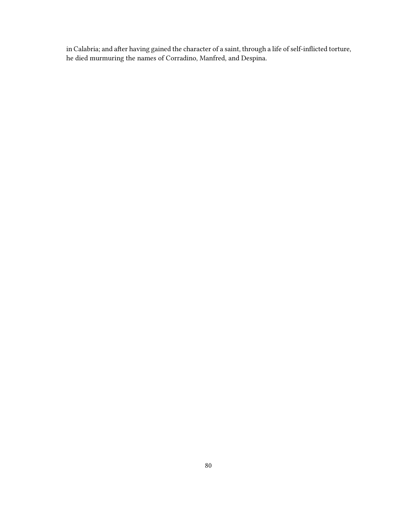in Calabria; and after having gained the character of a saint, through a life of self-inflicted torture, he died murmuring the names of Corradino, Manfred, and Despina.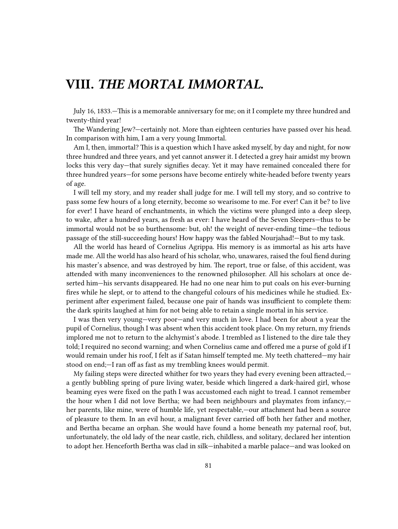## **VIII.** *THE MORTAL IMMORTAL.*

July 16, 1833.—This is a memorable anniversary for me; on it I complete my three hundred and twenty-third year!

The Wandering Jew?—certainly not. More than eighteen centuries have passed over his head. In comparison with him, I am a very young Immortal.

Am I, then, immortal? This is a question which I have asked myself, by day and night, for now three hundred and three years, and yet cannot answer it. I detected a grey hair amidst my brown locks this very day—that surely signifies decay. Yet it may have remained concealed there for three hundred years—for some persons have become entirely white-headed before twenty years of age.

I will tell my story, and my reader shall judge for me. I will tell my story, and so contrive to pass some few hours of a long eternity, become so wearisome to me. For ever! Can it be? to live for ever! I have heard of enchantments, in which the victims were plunged into a deep sleep, to wake, after a hundred years, as fresh as ever: I have heard of the Seven Sleepers—thus to be immortal would not be so burthensome: but, oh! the weight of never-ending time—the tedious passage of the still-succeeding hours! How happy was the fabled Nourjahad!—But to my task.

All the world has heard of Cornelius Agrippa. His memory is as immortal as his arts have made me. All the world has also heard of his scholar, who, unawares, raised the foul fiend during his master's absence, and was destroyed by him. The report, true or false, of this accident, was attended with many inconveniences to the renowned philosopher. All his scholars at once deserted him—his servants disappeared. He had no one near him to put coals on his ever-burning fires while he slept, or to attend to the changeful colours of his medicines while he studied. Experiment after experiment failed, because one pair of hands was insufficient to complete them: the dark spirits laughed at him for not being able to retain a single mortal in his service.

I was then very young—very poor—and very much in love. I had been for about a year the pupil of Cornelius, though I was absent when this accident took place. On my return, my friends implored me not to return to the alchymist's abode. I trembled as I listened to the dire tale they told; I required no second warning; and when Cornelius came and offered me a purse of gold if I would remain under his roof, I felt as if Satan himself tempted me. My teeth chattered—my hair stood on end;—I ran off as fast as my trembling knees would permit.

My failing steps were directed whither for two years they had every evening been attracted, a gently bubbling spring of pure living water, beside which lingered a dark-haired girl, whose beaming eyes were fixed on the path I was accustomed each night to tread. I cannot remember the hour when I did not love Bertha; we had been neighbours and playmates from infancy, her parents, like mine, were of humble life, yet respectable,—our attachment had been a source of pleasure to them. In an evil hour, a malignant fever carried off both her father and mother, and Bertha became an orphan. She would have found a home beneath my paternal roof, but, unfortunately, the old lady of the near castle, rich, childless, and solitary, declared her intention to adopt her. Henceforth Bertha was clad in silk—inhabited a marble palace—and was looked on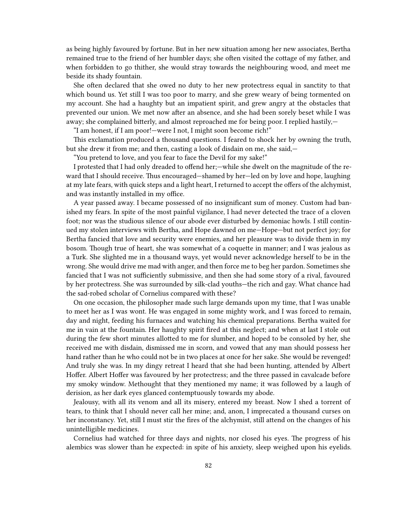as being highly favoured by fortune. But in her new situation among her new associates, Bertha remained true to the friend of her humbler days; she often visited the cottage of my father, and when forbidden to go thither, she would stray towards the neighbouring wood, and meet me beside its shady fountain.

She often declared that she owed no duty to her new protectress equal in sanctity to that which bound us. Yet still I was too poor to marry, and she grew weary of being tormented on my account. She had a haughty but an impatient spirit, and grew angry at the obstacles that prevented our union. We met now after an absence, and she had been sorely beset while I was away; she complained bitterly, and almost reproached me for being poor. I replied hastily,

"I am honest, if I am poor!—were I not, I might soon become rich!"

This exclamation produced a thousand questions. I feared to shock her by owning the truth, but she drew it from me; and then, casting a look of disdain on me, she said,—

"You pretend to love, and you fear to face the Devil for my sake!"

I protested that I had only dreaded to offend her;—while she dwelt on the magnitude of the reward that I should receive. Thus encouraged—shamed by her—led on by love and hope, laughing at my late fears, with quick steps and a light heart, I returned to accept the offers of the alchymist, and was instantly installed in my office.

A year passed away. I became possessed of no insignificant sum of money. Custom had banished my fears. In spite of the most painful vigilance, I had never detected the trace of a cloven foot; nor was the studious silence of our abode ever disturbed by demoniac howls. I still continued my stolen interviews with Bertha, and Hope dawned on me—Hope—but not perfect joy; for Bertha fancied that love and security were enemies, and her pleasure was to divide them in my bosom. Though true of heart, she was somewhat of a coquette in manner; and I was jealous as a Turk. She slighted me in a thousand ways, yet would never acknowledge herself to be in the wrong. She would drive me mad with anger, and then force me to beg her pardon. Sometimes she fancied that I was not sufficiently submissive, and then she had some story of a rival, favoured by her protectress. She was surrounded by silk-clad youths—the rich and gay. What chance had the sad-robed scholar of Cornelius compared with these?

On one occasion, the philosopher made such large demands upon my time, that I was unable to meet her as I was wont. He was engaged in some mighty work, and I was forced to remain, day and night, feeding his furnaces and watching his chemical preparations. Bertha waited for me in vain at the fountain. Her haughty spirit fired at this neglect; and when at last I stole out during the few short minutes allotted to me for slumber, and hoped to be consoled by her, she received me with disdain, dismissed me in scorn, and vowed that any man should possess her hand rather than he who could not be in two places at once for her sake. She would be revenged! And truly she was. In my dingy retreat I heard that she had been hunting, attended by Albert Hoffer. Albert Hoffer was favoured by her protectress; and the three passed in cavalcade before my smoky window. Methought that they mentioned my name; it was followed by a laugh of derision, as her dark eyes glanced contemptuously towards my abode.

Jealousy, with all its venom and all its misery, entered my breast. Now I shed a torrent of tears, to think that I should never call her mine; and, anon, I imprecated a thousand curses on her inconstancy. Yet, still I must stir the fires of the alchymist, still attend on the changes of his unintelligible medicines.

Cornelius had watched for three days and nights, nor closed his eyes. The progress of his alembics was slower than he expected: in spite of his anxiety, sleep weighed upon his eyelids.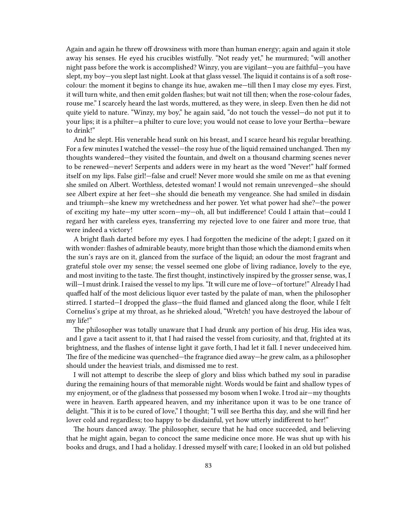Again and again he threw off drowsiness with more than human energy; again and again it stole away his senses. He eyed his crucibles wistfully. "Not ready yet," he murmured; "will another night pass before the work is accomplished? Winzy, you are vigilant—you are faithful—you have slept, my boy—you slept last night. Look at that glass vessel. The liquid it contains is of a soft rosecolour: the moment it begins to change its hue, awaken me—till then I may close my eyes. First, it will turn white, and then emit golden flashes; but wait not till then; when the rose-colour fades, rouse me." I scarcely heard the last words, muttered, as they were, in sleep. Even then he did not quite yield to nature. "Winzy, my boy," he again said, "do not touch the vessel—do not put it to your lips; it is a philter—a philter to cure love; you would not cease to love your Bertha—beware to drink!"

And he slept. His venerable head sunk on his breast, and I scarce heard his regular breathing. For a few minutes I watched the vessel—the rosy hue of the liquid remained unchanged. Then my thoughts wandered—they visited the fountain, and dwelt on a thousand charming scenes never to be renewed—never! Serpents and adders were in my heart as the word "Never!" half formed itself on my lips. False girl!—false and cruel! Never more would she smile on me as that evening she smiled on Albert. Worthless, detested woman! I would not remain unrevenged—she should see Albert expire at her feet—she should die beneath my vengeance. She had smiled in disdain and triumph—she knew my wretchedness and her power. Yet what power had she?—the power of exciting my hate—my utter scorn—my—oh, all but indifference! Could I attain that—could I regard her with careless eyes, transferring my rejected love to one fairer and more true, that were indeed a victory!

A bright flash darted before my eyes. I had forgotten the medicine of the adept; I gazed on it with wonder: flashes of admirable beauty, more bright than those which the diamond emits when the sun's rays are on it, glanced from the surface of the liquid; an odour the most fragrant and grateful stole over my sense; the vessel seemed one globe of living radiance, lovely to the eye, and most inviting to the taste. The first thought, instinctively inspired by the grosser sense, was, I will—I must drink. I raised the vessel to my lips. "It will cure me of love—of torture!" Already I had quaffed half of the most delicious liquor ever tasted by the palate of man, when the philosopher stirred. I started—I dropped the glass—the fluid flamed and glanced along the floor, while I felt Cornelius's gripe at my throat, as he shrieked aloud, "Wretch! you have destroyed the labour of my life!"

The philosopher was totally unaware that I had drunk any portion of his drug. His idea was, and I gave a tacit assent to it, that I had raised the vessel from curiosity, and that, frighted at its brightness, and the flashes of intense light it gave forth, I had let it fall. I never undeceived him. The fire of the medicine was quenched—the fragrance died away—he grew calm, as a philosopher should under the heaviest trials, and dismissed me to rest.

I will not attempt to describe the sleep of glory and bliss which bathed my soul in paradise during the remaining hours of that memorable night. Words would be faint and shallow types of my enjoyment, or of the gladness that possessed my bosom when I woke. I trod air—my thoughts were in heaven. Earth appeared heaven, and my inheritance upon it was to be one trance of delight. "This it is to be cured of love," I thought; "I will see Bertha this day, and she will find her lover cold and regardless; too happy to be disdainful, yet how utterly indifferent to her!"

The hours danced away. The philosopher, secure that he had once succeeded, and believing that he might again, began to concoct the same medicine once more. He was shut up with his books and drugs, and I had a holiday. I dressed myself with care; I looked in an old but polished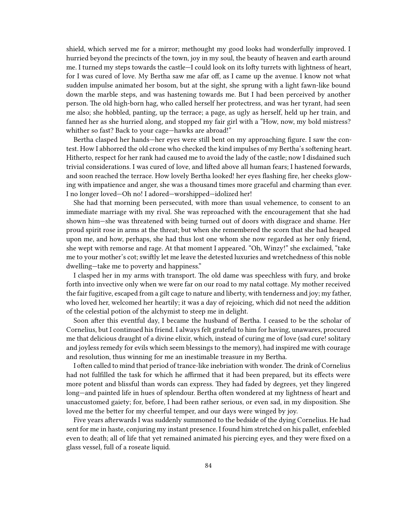shield, which served me for a mirror; methought my good looks had wonderfully improved. I hurried beyond the precincts of the town, joy in my soul, the beauty of heaven and earth around me. I turned my steps towards the castle—I could look on its lofty turrets with lightness of heart, for I was cured of love. My Bertha saw me afar off, as I came up the avenue. I know not what sudden impulse animated her bosom, but at the sight, she sprung with a light fawn-like bound down the marble steps, and was hastening towards me. But I had been perceived by another person. The old high-born hag, who called herself her protectress, and was her tyrant, had seen me also; she hobbled, panting, up the terrace; a page, as ugly as herself, held up her train, and fanned her as she hurried along, and stopped my fair girl with a "How, now, my bold mistress? whither so fast? Back to your cage—hawks are abroad!"

Bertha clasped her hands—her eyes were still bent on my approaching figure. I saw the contest. How I abhorred the old crone who checked the kind impulses of my Bertha's softening heart. Hitherto, respect for her rank had caused me to avoid the lady of the castle; now I disdained such trivial considerations. I was cured of love, and lifted above all human fears; I hastened forwards, and soon reached the terrace. How lovely Bertha looked! her eyes flashing fire, her cheeks glowing with impatience and anger, she was a thousand times more graceful and charming than ever. I no longer loved—Oh no! I adored—worshipped—idolized her!

She had that morning been persecuted, with more than usual vehemence, to consent to an immediate marriage with my rival. She was reproached with the encouragement that she had shown him—she was threatened with being turned out of doors with disgrace and shame. Her proud spirit rose in arms at the threat; but when she remembered the scorn that she had heaped upon me, and how, perhaps, she had thus lost one whom she now regarded as her only friend, she wept with remorse and rage. At that moment I appeared. "Oh, Winzy!" she exclaimed, "take me to your mother's cot; swiftly let me leave the detested luxuries and wretchedness of this noble dwelling—take me to poverty and happiness."

I clasped her in my arms with transport. The old dame was speechless with fury, and broke forth into invective only when we were far on our road to my natal cottage. My mother received the fair fugitive, escaped from a gilt cage to nature and liberty, with tenderness and joy; my father, who loved her, welcomed her heartily; it was a day of rejoicing, which did not need the addition of the celestial potion of the alchymist to steep me in delight.

Soon after this eventful day, I became the husband of Bertha. I ceased to be the scholar of Cornelius, but I continued his friend. I always felt grateful to him for having, unawares, procured me that delicious draught of a divine elixir, which, instead of curing me of love (sad cure! solitary and joyless remedy for evils which seem blessings to the memory), had inspired me with courage and resolution, thus winning for me an inestimable treasure in my Bertha.

I often called to mind that period of trance-like inebriation with wonder. The drink of Cornelius had not fulfilled the task for which he affirmed that it had been prepared, but its effects were more potent and blissful than words can express. They had faded by degrees, yet they lingered long—and painted life in hues of splendour. Bertha often wondered at my lightness of heart and unaccustomed gaiety; for, before, I had been rather serious, or even sad, in my disposition. She loved me the better for my cheerful temper, and our days were winged by joy.

Five years afterwards I was suddenly summoned to the bedside of the dying Cornelius. He had sent for me in haste, conjuring my instant presence. I found him stretched on his pallet, enfeebled even to death; all of life that yet remained animated his piercing eyes, and they were fixed on a glass vessel, full of a roseate liquid.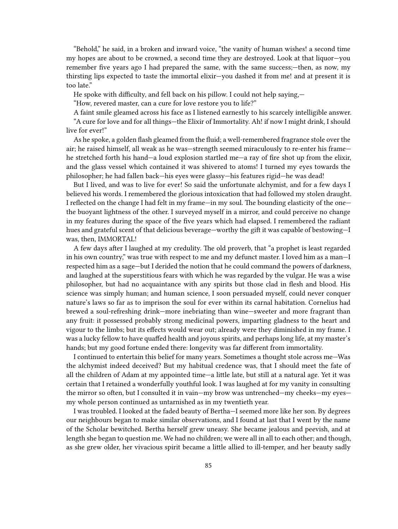"Behold," he said, in a broken and inward voice, "the vanity of human wishes! a second time my hopes are about to be crowned, a second time they are destroyed. Look at that liquor—you remember five years ago I had prepared the same, with the same success;—then, as now, my thirsting lips expected to taste the immortal elixir—you dashed it from me! and at present it is too late."

He spoke with difficulty, and fell back on his pillow. I could not help saying,—

"How, revered master, can a cure for love restore you to life?"

A faint smile gleamed across his face as I listened earnestly to his scarcely intelligible answer. "A cure for love and for all things—the Elixir of Immortality. Ah! if now I might drink, I should live for ever!"

As he spoke, a golden flash gleamed from the fluid; a well-remembered fragrance stole over the air; he raised himself, all weak as he was—strength seemed miraculously to re-enter his frame he stretched forth his hand—a loud explosion startled me—a ray of fire shot up from the elixir, and the glass vessel which contained it was shivered to atoms! I turned my eyes towards the philosopher; he had fallen back—his eyes were glassy—his features rigid—he was dead!

But I lived, and was to live for ever! So said the unfortunate alchymist, and for a few days I believed his words. I remembered the glorious intoxication that had followed my stolen draught. I reflected on the change I had felt in my frame—in my soul. The bounding elasticity of the one the buoyant lightness of the other. I surveyed myself in a mirror, and could perceive no change in my features during the space of the five years which had elapsed. I remembered the radiant hues and grateful scent of that delicious beverage—worthy the gift it was capable of bestowing—I was, then, IMMORTAL!

A few days after I laughed at my credulity. The old proverb, that "a prophet is least regarded in his own country," was true with respect to me and my defunct master. I loved him as a man—I respected him as a sage—but I derided the notion that he could command the powers of darkness, and laughed at the superstitious fears with which he was regarded by the vulgar. He was a wise philosopher, but had no acquaintance with any spirits but those clad in flesh and blood. His science was simply human; and human science, I soon persuaded myself, could never conquer nature's laws so far as to imprison the soul for ever within its carnal habitation. Cornelius had brewed a soul-refreshing drink—more inebriating than wine—sweeter and more fragrant than any fruit: it possessed probably strong medicinal powers, imparting gladness to the heart and vigour to the limbs; but its effects would wear out; already were they diminished in my frame. I was a lucky fellow to have quaffed health and joyous spirits, and perhaps long life, at my master's hands; but my good fortune ended there: longevity was far different from immortality.

I continued to entertain this belief for many years. Sometimes a thought stole across me—Was the alchymist indeed deceived? But my habitual credence was, that I should meet the fate of all the children of Adam at my appointed time—a little late, but still at a natural age. Yet it was certain that I retained a wonderfully youthful look. I was laughed at for my vanity in consulting the mirror so often, but I consulted it in vain—my brow was untrenched—my cheeks—my eyes my whole person continued as untarnished as in my twentieth year.

I was troubled. I looked at the faded beauty of Bertha—I seemed more like her son. By degrees our neighbours began to make similar observations, and I found at last that I went by the name of the Scholar bewitched. Bertha herself grew uneasy. She became jealous and peevish, and at length she began to question me. We had no children; we were all in all to each other; and though, as she grew older, her vivacious spirit became a little allied to ill-temper, and her beauty sadly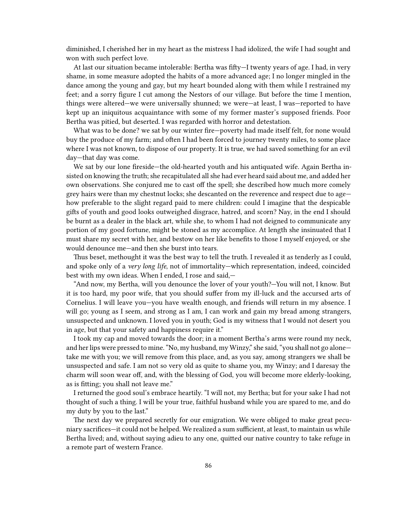diminished, I cherished her in my heart as the mistress I had idolized, the wife I had sought and won with such perfect love.

At last our situation became intolerable: Bertha was fifty—I twenty years of age. I had, in very shame, in some measure adopted the habits of a more advanced age; I no longer mingled in the dance among the young and gay, but my heart bounded along with them while I restrained my feet; and a sorry figure I cut among the Nestors of our village. But before the time I mention, things were altered—we were universally shunned; we were—at least, I was—reported to have kept up an iniquitous acquaintance with some of my former master's supposed friends. Poor Bertha was pitied, but deserted. I was regarded with horror and detestation.

What was to be done? we sat by our winter fire—poverty had made itself felt, for none would buy the produce of my farm; and often I had been forced to journey twenty miles, to some place where I was not known, to dispose of our property. It is true, we had saved something for an evil day—that day was come.

We sat by our lone fireside—the old-hearted youth and his antiquated wife. Again Bertha insisted on knowing the truth; she recapitulated all she had ever heard said about me, and added her own observations. She conjured me to cast off the spell; she described how much more comely grey hairs were than my chestnut locks; she descanted on the reverence and respect due to age how preferable to the slight regard paid to mere children: could I imagine that the despicable gifts of youth and good looks outweighed disgrace, hatred, and scorn? Nay, in the end I should be burnt as a dealer in the black art, while she, to whom I had not deigned to communicate any portion of my good fortune, might be stoned as my accomplice. At length she insinuated that I must share my secret with her, and bestow on her like benefits to those I myself enjoyed, or she would denounce me—and then she burst into tears.

Thus beset, methought it was the best way to tell the truth. I revealed it as tenderly as I could, and spoke only of a *very long life*, not of immortality—which representation, indeed, coincided best with my own ideas. When I ended, I rose and said,—

"And now, my Bertha, will you denounce the lover of your youth?—You will not, I know. But it is too hard, my poor wife, that you should suffer from my ill-luck and the accursed arts of Cornelius. I will leave you—you have wealth enough, and friends will return in my absence. I will go; young as I seem, and strong as I am, I can work and gain my bread among strangers, unsuspected and unknown. I loved you in youth; God is my witness that I would not desert you in age, but that your safety and happiness require it."

I took my cap and moved towards the door; in a moment Bertha's arms were round my neck, and her lips were pressed to mine. "No, my husband, my Winzy," she said, "you shall not go alone take me with you; we will remove from this place, and, as you say, among strangers we shall be unsuspected and safe. I am not so very old as quite to shame you, my Winzy; and I daresay the charm will soon wear off, and, with the blessing of God, you will become more elderly-looking, as is fitting; you shall not leave me."

I returned the good soul's embrace heartily. "I will not, my Bertha; but for your sake I had not thought of such a thing. I will be your true, faithful husband while you are spared to me, and do my duty by you to the last."

The next day we prepared secretly for our emigration. We were obliged to make great pecuniary sacrifices—it could not be helped. We realized a sum sufficient, at least, to maintain us while Bertha lived; and, without saying adieu to any one, quitted our native country to take refuge in a remote part of western France.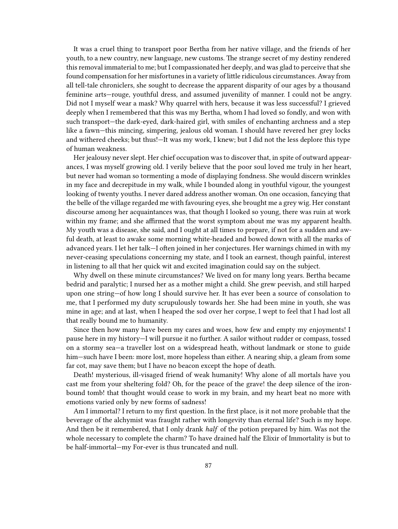It was a cruel thing to transport poor Bertha from her native village, and the friends of her youth, to a new country, new language, new customs. The strange secret of my destiny rendered this removal immaterial to me; but I compassionated her deeply, and was glad to perceive that she found compensation for her misfortunes in a variety of little ridiculous circumstances. Away from all tell-tale chroniclers, she sought to decrease the apparent disparity of our ages by a thousand feminine arts—rouge, youthful dress, and assumed juvenility of manner. I could not be angry. Did not I myself wear a mask? Why quarrel with hers, because it was less successful? I grieved deeply when I remembered that this was my Bertha, whom I had loved so fondly, and won with such transport—the dark-eyed, dark-haired girl, with smiles of enchanting archness and a step like a fawn—this mincing, simpering, jealous old woman. I should have revered her grey locks and withered cheeks; but thus!—It was my work, I knew; but I did not the less deplore this type of human weakness.

Her jealousy never slept. Her chief occupation was to discover that, in spite of outward appearances, I was myself growing old. I verily believe that the poor soul loved me truly in her heart, but never had woman so tormenting a mode of displaying fondness. She would discern wrinkles in my face and decrepitude in my walk, while I bounded along in youthful vigour, the youngest looking of twenty youths. I never dared address another woman. On one occasion, fancying that the belle of the village regarded me with favouring eyes, she brought me a grey wig. Her constant discourse among her acquaintances was, that though I looked so young, there was ruin at work within my frame; and she affirmed that the worst symptom about me was my apparent health. My youth was a disease, she said, and I ought at all times to prepare, if not for a sudden and awful death, at least to awake some morning white-headed and bowed down with all the marks of advanced years. I let her talk—I often joined in her conjectures. Her warnings chimed in with my never-ceasing speculations concerning my state, and I took an earnest, though painful, interest in listening to all that her quick wit and excited imagination could say on the subject.

Why dwell on these minute circumstances? We lived on for many long years. Bertha became bedrid and paralytic; I nursed her as a mother might a child. She grew peevish, and still harped upon one string—of how long I should survive her. It has ever been a source of consolation to me, that I performed my duty scrupulously towards her. She had been mine in youth, she was mine in age; and at last, when I heaped the sod over her corpse, I wept to feel that I had lost all that really bound me to humanity.

Since then how many have been my cares and woes, how few and empty my enjoyments! I pause here in my history—I will pursue it no further. A sailor without rudder or compass, tossed on a stormy sea—a traveller lost on a widespread heath, without landmark or stone to guide him—such have I been: more lost, more hopeless than either. A nearing ship, a gleam from some far cot, may save them; but I have no beacon except the hope of death.

Death! mysterious, ill-visaged friend of weak humanity! Why alone of all mortals have you cast me from your sheltering fold? Oh, for the peace of the grave! the deep silence of the ironbound tomb! that thought would cease to work in my brain, and my heart beat no more with emotions varied only by new forms of sadness!

Am I immortal? I return to my first question. In the first place, is it not more probable that the beverage of the alchymist was fraught rather with longevity than eternal life? Such is my hope. And then be it remembered, that I only drank *half* of the potion prepared by him. Was not the whole necessary to complete the charm? To have drained half the Elixir of Immortality is but to be half-immortal—my For-ever is thus truncated and null.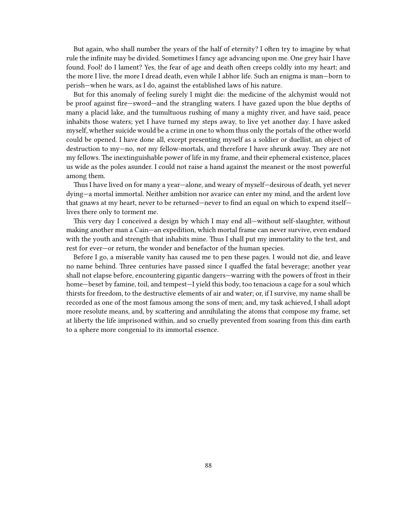But again, who shall number the years of the half of eternity? I often try to imagine by what rule the infinite may be divided. Sometimes I fancy age advancing upon me. One grey hair I have found. Fool! do I lament? Yes, the fear of age and death often creeps coldly into my heart; and the more I live, the more I dread death, even while I abhor life. Such an enigma is man—born to perish—when he wars, as I do, against the established laws of his nature.

But for this anomaly of feeling surely I might die: the medicine of the alchymist would not be proof against fire—sword—and the strangling waters. I have gazed upon the blue depths of many a placid lake, and the tumultuous rushing of many a mighty river, and have said, peace inhabits those waters; yet I have turned my steps away, to live yet another day. I have asked myself, whether suicide would be a crime in one to whom thus only the portals of the other world could be opened. I have done all, except presenting myself as a soldier or duellist, an object of destruction to my—no, *not* my fellow-mortals, and therefore I have shrunk away. They are not my fellows. The inextinguishable power of life in my frame, and their ephemeral existence, places us wide as the poles asunder. I could not raise a hand against the meanest or the most powerful among them.

Thus I have lived on for many a year—alone, and weary of myself—desirous of death, yet never dying—a mortal immortal. Neither ambition nor avarice can enter my mind, and the ardent love that gnaws at my heart, never to be returned—never to find an equal on which to expend itself lives there only to torment me.

This very day I conceived a design by which I may end all—without self-slaughter, without making another man a Cain—an expedition, which mortal frame can never survive, even endued with the youth and strength that inhabits mine. Thus I shall put my immortality to the test, and rest for ever—or return, the wonder and benefactor of the human species.

Before I go, a miserable vanity has caused me to pen these pages. I would not die, and leave no name behind. Three centuries have passed since I quaffed the fatal beverage; another year shall not elapse before, encountering gigantic dangers—warring with the powers of frost in their home—beset by famine, toil, and tempest—I yield this body, too tenacious a cage for a soul which thirsts for freedom, to the destructive elements of air and water; or, if I survive, my name shall be recorded as one of the most famous among the sons of men; and, my task achieved, I shall adopt more resolute means, and, by scattering and annihilating the atoms that compose my frame, set at liberty the life imprisoned within, and so cruelly prevented from soaring from this dim earth to a sphere more congenial to its immortal essence.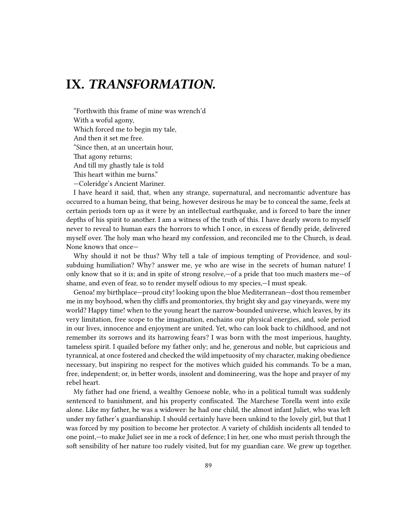## **IX.** *TRANSFORMATION.*

"Forthwith this frame of mine was wrench'd With a woful agony, Which forced me to begin my tale, And then it set me free. "Since then, at an uncertain hour, That agony returns; And till my ghastly tale is told This heart within me burns." —Coleridge's Ancient Mariner.

I have heard it said, that, when any strange, supernatural, and necromantic adventure has occurred to a human being, that being, however desirous he may be to conceal the same, feels at certain periods torn up as it were by an intellectual earthquake, and is forced to bare the inner depths of his spirit to another. I am a witness of the truth of this. I have dearly sworn to myself never to reveal to human ears the horrors to which I once, in excess of fiendly pride, delivered myself over. The holy man who heard my confession, and reconciled me to the Church, is dead. None knows that once—

Why should it not be thus? Why tell a tale of impious tempting of Providence, and soulsubduing humiliation? Why? answer me, ye who are wise in the secrets of human nature! I only know that so it is; and in spite of strong resolve,—of a pride that too much masters me—of shame, and even of fear, so to render myself odious to my species,—I must speak.

Genoa! my birthplace—proud city! looking upon the blue Mediterranean—dost thou remember me in my boyhood, when thy cliffs and promontories, thy bright sky and gay vineyards, were my world? Happy time! when to the young heart the narrow-bounded universe, which leaves, by its very limitation, free scope to the imagination, enchains our physical energies, and, sole period in our lives, innocence and enjoyment are united. Yet, who can look back to childhood, and not remember its sorrows and its harrowing fears? I was born with the most imperious, haughty, tameless spirit. I quailed before my father only; and he, generous and noble, but capricious and tyrannical, at once fostered and checked the wild impetuosity of my character, making obedience necessary, but inspiring no respect for the motives which guided his commands. To be a man, free, independent; or, in better words, insolent and domineering, was the hope and prayer of my rebel heart.

My father had one friend, a wealthy Genoese noble, who in a political tumult was suddenly sentenced to banishment, and his property confiscated. The Marchese Torella went into exile alone. Like my father, he was a widower: he had one child, the almost infant Juliet, who was left under my father's guardianship. I should certainly have been unkind to the lovely girl, but that I was forced by my position to become her protector. A variety of childish incidents all tended to one point,—to make Juliet see in me a rock of defence; I in her, one who must perish through the soft sensibility of her nature too rudely visited, but for my guardian care. We grew up together.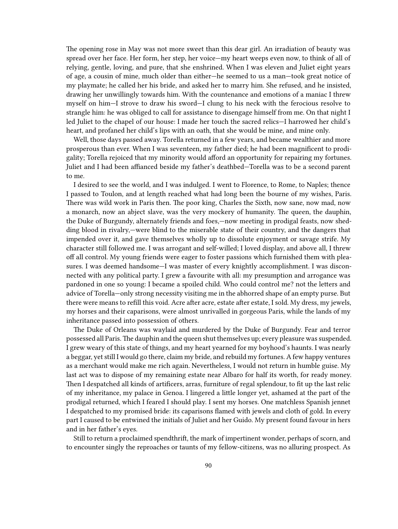The opening rose in May was not more sweet than this dear girl. An irradiation of beauty was spread over her face. Her form, her step, her voice—my heart weeps even now, to think of all of relying, gentle, loving, and pure, that she enshrined. When I was eleven and Juliet eight years of age, a cousin of mine, much older than either—he seemed to us a man—took great notice of my playmate; he called her his bride, and asked her to marry him. She refused, and he insisted, drawing her unwillingly towards him. With the countenance and emotions of a maniac I threw myself on him—I strove to draw his sword—I clung to his neck with the ferocious resolve to strangle him: he was obliged to call for assistance to disengage himself from me. On that night I led Juliet to the chapel of our house: I made her touch the sacred relics—I harrowed her child's heart, and profaned her child's lips with an oath, that she would be mine, and mine only.

Well, those days passed away. Torella returned in a few years, and became wealthier and more prosperous than ever. When I was seventeen, my father died; he had been magnificent to prodigality; Torella rejoiced that my minority would afford an opportunity for repairing my fortunes. Juliet and I had been affianced beside my father's deathbed—Torella was to be a second parent to me.

I desired to see the world, and I was indulged. I went to Florence, to Rome, to Naples; thence I passed to Toulon, and at length reached what had long been the bourne of my wishes, Paris. There was wild work in Paris then. The poor king, Charles the Sixth, now sane, now mad, now a monarch, now an abject slave, was the very mockery of humanity. The queen, the dauphin, the Duke of Burgundy, alternately friends and foes,—now meeting in prodigal feasts, now shedding blood in rivalry,—were blind to the miserable state of their country, and the dangers that impended over it, and gave themselves wholly up to dissolute enjoyment or savage strife. My character still followed me. I was arrogant and self-willed; I loved display, and above all, I threw off all control. My young friends were eager to foster passions which furnished them with pleasures. I was deemed handsome—I was master of every knightly accomplishment. I was disconnected with any political party. I grew a favourite with all: my presumption and arrogance was pardoned in one so young: I became a spoiled child. Who could control me? not the letters and advice of Torella—only strong necessity visiting me in the abhorred shape of an empty purse. But there were means to refill this void. Acre after acre, estate after estate, I sold. My dress, my jewels, my horses and their caparisons, were almost unrivalled in gorgeous Paris, while the lands of my inheritance passed into possession of others.

The Duke of Orleans was waylaid and murdered by the Duke of Burgundy. Fear and terror possessed all Paris.The dauphin and the queen shut themselves up; every pleasure was suspended. I grew weary of this state of things, and my heart yearned for my boyhood's haunts. I was nearly a beggar, yet still I would go there, claim my bride, and rebuild my fortunes. A few happy ventures as a merchant would make me rich again. Nevertheless, I would not return in humble guise. My last act was to dispose of my remaining estate near Albaro for half its worth, for ready money. Then I despatched all kinds of artificers, arras, furniture of regal splendour, to fit up the last relic of my inheritance, my palace in Genoa. I lingered a little longer yet, ashamed at the part of the prodigal returned, which I feared I should play. I sent my horses. One matchless Spanish jennet I despatched to my promised bride: its caparisons flamed with jewels and cloth of gold. In every part I caused to be entwined the initials of Juliet and her Guido. My present found favour in hers and in her father's eyes.

Still to return a proclaimed spendthrift, the mark of impertinent wonder, perhaps of scorn, and to encounter singly the reproaches or taunts of my fellow-citizens, was no alluring prospect. As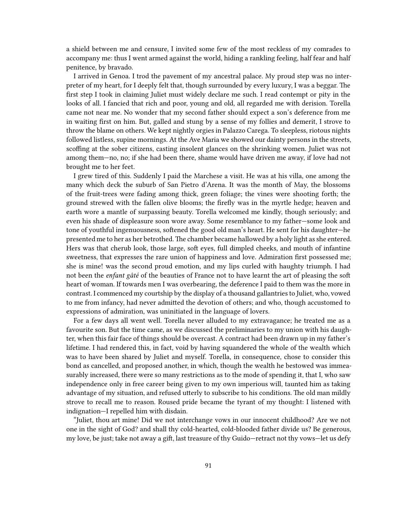a shield between me and censure, I invited some few of the most reckless of my comrades to accompany me: thus I went armed against the world, hiding a rankling feeling, half fear and half penitence, by bravado.

I arrived in Genoa. I trod the pavement of my ancestral palace. My proud step was no interpreter of my heart, for I deeply felt that, though surrounded by every luxury, I was a beggar. The first step I took in claiming Juliet must widely declare me such. I read contempt or pity in the looks of all. I fancied that rich and poor, young and old, all regarded me with derision. Torella came not near me. No wonder that my second father should expect a son's deference from me in waiting first on him. But, galled and stung by a sense of my follies and demerit, I strove to throw the blame on others. We kept nightly orgies in Palazzo Carega. To sleepless, riotous nights followed listless, supine mornings. At the Ave Maria we showed our dainty persons in the streets, scoffing at the sober citizens, casting insolent glances on the shrinking women. Juliet was not among them—no, no; if she had been there, shame would have driven me away, if love had not brought me to her feet.

I grew tired of this. Suddenly I paid the Marchese a visit. He was at his villa, one among the many which deck the suburb of San Pietro d'Arena. It was the month of May, the blossoms of the fruit-trees were fading among thick, green foliage; the vines were shooting forth; the ground strewed with the fallen olive blooms; the firefly was in the myrtle hedge; heaven and earth wore a mantle of surpassing beauty. Torella welcomed me kindly, though seriously; and even his shade of displeasure soon wore away. Some resemblance to my father—some look and tone of youthful ingenuousness, softened the good old man's heart. He sent for his daughter—he presented me to her as her betrothed.The chamber became hallowed by a holy light as she entered. Hers was that cherub look, those large, soft eyes, full dimpled cheeks, and mouth of infantine sweetness, that expresses the rare union of happiness and love. Admiration first possessed me; she is mine! was the second proud emotion, and my lips curled with haughty triumph. I had not been the *enfant gâté* of the beauties of France not to have learnt the art of pleasing the soft heart of woman. If towards men I was overbearing, the deference I paid to them was the more in contrast. I commenced my courtship by the display of a thousand gallantries to Juliet, who, vowed to me from infancy, had never admitted the devotion of others; and who, though accustomed to expressions of admiration, was uninitiated in the language of lovers.

For a few days all went well. Torella never alluded to my extravagance; he treated me as a favourite son. But the time came, as we discussed the preliminaries to my union with his daughter, when this fair face of things should be overcast. A contract had been drawn up in my father's lifetime. I had rendered this, in fact, void by having squandered the whole of the wealth which was to have been shared by Juliet and myself. Torella, in consequence, chose to consider this bond as cancelled, and proposed another, in which, though the wealth he bestowed was immeasurably increased, there were so many restrictions as to the mode of spending it, that I, who saw independence only in free career being given to my own imperious will, taunted him as taking advantage of my situation, and refused utterly to subscribe to his conditions. The old man mildly strove to recall me to reason. Roused pride became the tyrant of my thought: I listened with indignation—I repelled him with disdain.

"Juliet, thou art mine! Did we not interchange vows in our innocent childhood? Are we not one in the sight of God? and shall thy cold-hearted, cold-blooded father divide us? Be generous, my love, be just; take not away a gift, last treasure of thy Guido—retract not thy vows—let us defy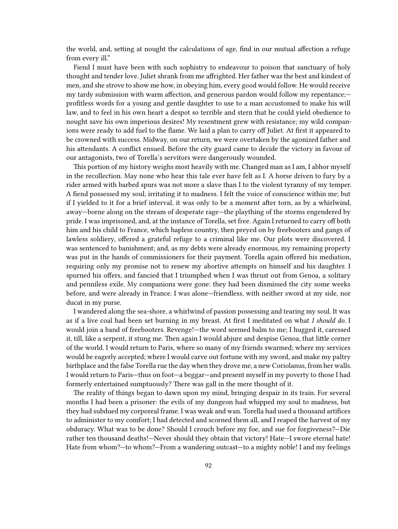the world, and, setting at nought the calculations of age, find in our mutual affection a refuge from every ill."

Fiend I must have been with such sophistry to endeavour to poison that sanctuary of holy thought and tender love. Juliet shrank from me affrighted. Her father was the best and kindest of men, and she strove to show me how, in obeying him, every good would follow. He would receive my tardy submission with warm affection, and generous pardon would follow my repentance;profitless words for a young and gentle daughter to use to a man accustomed to make his will law, and to feel in his own heart a despot so terrible and stern that he could yield obedience to nought save his own imperious desires! My resentment grew with resistance; my wild companions were ready to add fuel to the flame. We laid a plan to carry off Juliet. At first it appeared to be crowned with success. Midway, on our return, we were overtaken by the agonized father and his attendants. A conflict ensued. Before the city guard came to decide the victory in favour of our antagonists, two of Torella's servitors were dangerously wounded.

This portion of my history weighs most heavily with me. Changed man as I am, I abhor myself in the recollection. May none who hear this tale ever have felt as I. A horse driven to fury by a rider armed with barbed spurs was not more a slave than I to the violent tyranny of my temper. A fiend possessed my soul, irritating it to madness. I felt the voice of conscience within me; but if I yielded to it for a brief interval, it was only to be a moment after torn, as by a whirlwind, away—borne along on the stream of desperate rage—the plaything of the storms engendered by pride. I was imprisoned, and, at the instance of Torella, set free. Again I returned to carry off both him and his child to France, which hapless country, then preyed on by freebooters and gangs of lawless soldiery, offered a grateful refuge to a criminal like me. Our plots were discovered. I was sentenced to banishment; and, as my debts were already enormous, my remaining property was put in the hands of commissioners for their payment. Torella again offered his mediation, requiring only my promise not to renew my abortive attempts on himself and his daughter. I spurned his offers, and fancied that I triumphed when I was thrust out from Genoa, a solitary and penniless exile. My companions were gone: they had been dismissed the city some weeks before, and were already in France. I was alone—friendless, with neither sword at my side, nor ducat in my purse.

I wandered along the sea-shore, a whirlwind of passion possessing and tearing my soul. It was as if a live coal had been set burning in my breast. At first I meditated on what *I should do*. I would join a band of freebooters. Revenge!—the word seemed balm to me; I hugged it, caressed it, till, like a serpent, it stung me. Then again I would abjure and despise Genoa, that little corner of the world. I would return to Paris, where so many of my friends swarmed; where my services would be eagerly accepted; where I would carve out fortune with my sword, and make my paltry birthplace and the false Torella rue the day when they drove me, a new Coriolanus, from her walls. I would return to Paris—thus on foot—a beggar—and present myself in my poverty to those I had formerly entertained sumptuously? There was gall in the mere thought of it.

The reality of things began to dawn upon my mind, bringing despair in its train. For several months I had been a prisoner: the evils of my dungeon had whipped my soul to madness, but they had subdued my corporeal frame. I was weak and wan. Torella had used a thousand artifices to administer to my comfort; I had detected and scorned them all, and I reaped the harvest of my obduracy. What was to be done? Should I crouch before my foe, and sue for forgiveness?—Die rather ten thousand deaths!—Never should they obtain that victory! Hate—I swore eternal hate! Hate from whom?—to whom?—From a wandering outcast—to a mighty noble! I and my feelings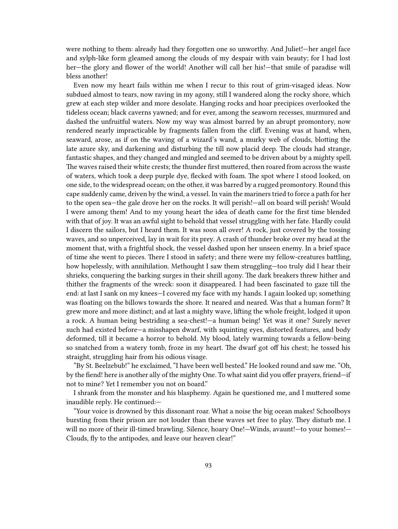were nothing to them: already had they forgotten one so unworthy. And Juliet!—her angel face and sylph-like form gleamed among the clouds of my despair with vain beauty; for I had lost her—the glory and flower of the world! Another will call her his!—that smile of paradise will bless another!

Even now my heart fails within me when I recur to this rout of grim-visaged ideas. Now subdued almost to tears, now raving in my agony, still I wandered along the rocky shore, which grew at each step wilder and more desolate. Hanging rocks and hoar precipices overlooked the tideless ocean; black caverns yawned; and for ever, among the seaworn recesses, murmured and dashed the unfruitful waters. Now my way was almost barred by an abrupt promontory, now rendered nearly impracticable by fragments fallen from the cliff. Evening was at hand, when, seaward, arose, as if on the waving of a wizard's wand, a murky web of clouds, blotting the late azure sky, and darkening and disturbing the till now placid deep. The clouds had strange, fantastic shapes, and they changed and mingled and seemed to be driven about by a mighty spell. The waves raised their white crests; the thunder first muttered, then roared from across the waste of waters, which took a deep purple dye, flecked with foam. The spot where I stood looked, on one side, to the widespread ocean; on the other, it was barred by a rugged promontory. Round this cape suddenly came, driven by the wind, a vessel. In vain the mariners tried to force a path for her to the open sea—the gale drove her on the rocks. It will perish!—all on board will perish! Would I were among them! And to my young heart the idea of death came for the first time blended with that of joy. It was an awful sight to behold that vessel struggling with her fate. Hardly could I discern the sailors, but I heard them. It was soon all over! A rock, just covered by the tossing waves, and so unperceived, lay in wait for its prey. A crash of thunder broke over my head at the moment that, with a frightful shock, the vessel dashed upon her unseen enemy. In a brief space of time she went to pieces. There I stood in safety; and there were my fellow-creatures battling, how hopelessly, with annihilation. Methought I saw them struggling—too truly did I hear their shrieks, conquering the barking surges in their shrill agony. The dark breakers threw hither and thither the fragments of the wreck: soon it disappeared. I had been fascinated to gaze till the end: at last I sank on my knees—I covered my face with my hands. I again looked up; something was floating on the billows towards the shore. It neared and neared. Was that a human form? It grew more and more distinct; and at last a mighty wave, lifting the whole freight, lodged it upon a rock. A human being bestriding a sea-chest!—a human being! Yet was it one? Surely never such had existed before—a misshapen dwarf, with squinting eyes, distorted features, and body deformed, till it became a horror to behold. My blood, lately warming towards a fellow-being so snatched from a watery tomb, froze in my heart. The dwarf got off his chest; he tossed his straight, struggling hair from his odious visage.

"By St. Beelzebub!" he exclaimed, "I have been well bested." He looked round and saw me. "Oh, by the fiend! here is another ally of the mighty One. To what saint did you offer prayers, friend—if not to mine? Yet I remember you not on board."

I shrank from the monster and his blasphemy. Again he questioned me, and I muttered some inaudible reply. He continued:—

"Your voice is drowned by this dissonant roar. What a noise the big ocean makes! Schoolboys bursting from their prison are not louder than these waves set free to play. They disturb me. I will no more of their ill-timed brawling. Silence, hoary One!—Winds, avaunt!—to your homes!— Clouds, fly to the antipodes, and leave our heaven clear!"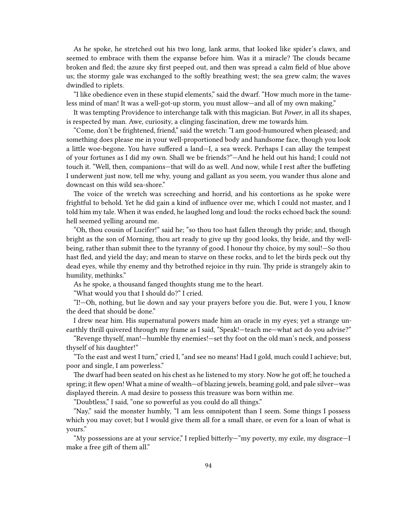As he spoke, he stretched out his two long, lank arms, that looked like spider's claws, and seemed to embrace with them the expanse before him. Was it a miracle? The clouds became broken and fled; the azure sky first peeped out, and then was spread a calm field of blue above us; the stormy gale was exchanged to the softly breathing west; the sea grew calm; the waves dwindled to riplets.

"I like obedience even in these stupid elements," said the dwarf. "How much more in the tameless mind of man! It was a well-got-up storm, you must allow—and all of my own making."

It was tempting Providence to interchange talk with this magician. But *Power*, in all its shapes, is respected by man. Awe, curiosity, a clinging fascination, drew me towards him.

"Come, don't be frightened, friend," said the wretch: "I am good-humoured when pleased; and something does please me in your well-proportioned body and handsome face, though you look a little woe-begone. You have suffered a land—I, a sea wreck. Perhaps I can allay the tempest of your fortunes as I did my own. Shall we be friends?"—And he held out his hand; I could not touch it. "Well, then, companions—that will do as well. And now, while I rest after the buffeting I underwent just now, tell me why, young and gallant as you seem, you wander thus alone and downcast on this wild sea-shore."

The voice of the wretch was screeching and horrid, and his contortions as he spoke were frightful to behold. Yet he did gain a kind of influence over me, which I could not master, and I told him my tale. When it was ended, he laughed long and loud: the rocks echoed back the sound: hell seemed yelling around me.

"Oh, thou cousin of Lucifer!" said he; "so thou too hast fallen through thy pride; and, though bright as the son of Morning, thou art ready to give up thy good looks, thy bride, and thy wellbeing, rather than submit thee to the tyranny of good. I honour thy choice, by my soul!—So thou hast fled, and yield the day; and mean to starve on these rocks, and to let the birds peck out thy dead eyes, while thy enemy and thy betrothed rejoice in thy ruin. Thy pride is strangely akin to humility, methinks."

As he spoke, a thousand fanged thoughts stung me to the heart.

"What would you that I should do?" I cried.

"I!—Oh, nothing, but lie down and say your prayers before you die. But, were I you, I know the deed that should be done."

I drew near him. His supernatural powers made him an oracle in my eyes; yet a strange unearthly thrill quivered through my frame as I said, "Speak!—teach me—what act do you advise?"

"Revenge thyself, man!—humble thy enemies!—set thy foot on the old man's neck, and possess thyself of his daughter!"

"To the east and west I turn," cried I, "and see no means! Had I gold, much could I achieve; but, poor and single, I am powerless."

The dwarf had been seated on his chest as he listened to my story. Now he got off; he touched a spring; it flew open! What a mine of wealth—of blazing jewels, beaming gold, and pale silver—was displayed therein. A mad desire to possess this treasure was born within me.

"Doubtless," I said, "one so powerful as you could do all things."

"Nay," said the monster humbly, "I am less omnipotent than I seem. Some things I possess which you may covet; but I would give them all for a small share, or even for a loan of what is yours."

"My possessions are at your service," I replied bitterly—"my poverty, my exile, my disgrace—I make a free gift of them all."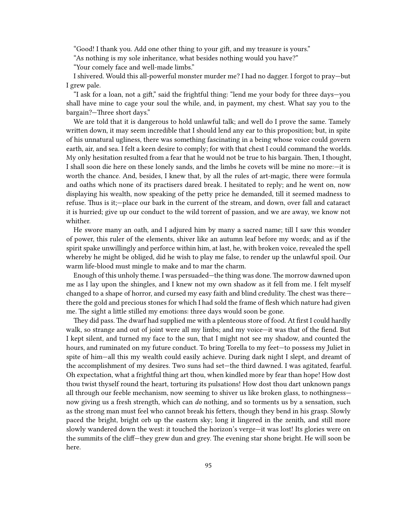"Good! I thank you. Add one other thing to your gift, and my treasure is yours."

"As nothing is my sole inheritance, what besides nothing would you have?"

"Your comely face and well-made limbs."

I shivered. Would this all-powerful monster murder me? I had no dagger. I forgot to pray—but I grew pale.

"I ask for a loan, not a gift," said the frightful thing: "lend me your body for three days—you shall have mine to cage your soul the while, and, in payment, my chest. What say you to the bargain?—Three short days."

We are told that it is dangerous to hold unlawful talk; and well do I prove the same. Tamely written down, it may seem incredible that I should lend any ear to this proposition; but, in spite of his unnatural ugliness, there was something fascinating in a being whose voice could govern earth, air, and sea. I felt a keen desire to comply; for with that chest I could command the worlds. My only hesitation resulted from a fear that he would not be true to his bargain. Then, I thought, I shall soon die here on these lonely sands, and the limbs he covets will be mine no more:—it is worth the chance. And, besides, I knew that, by all the rules of art-magic, there were formula and oaths which none of its practisers dared break. I hesitated to reply; and he went on, now displaying his wealth, now speaking of the petty price he demanded, till it seemed madness to refuse. Thus is it;—place our bark in the current of the stream, and down, over fall and cataract it is hurried; give up our conduct to the wild torrent of passion, and we are away, we know not whither.

He swore many an oath, and I adjured him by many a sacred name; till I saw this wonder of power, this ruler of the elements, shiver like an autumn leaf before my words; and as if the spirit spake unwillingly and perforce within him, at last, he, with broken voice, revealed the spell whereby he might be obliged, did he wish to play me false, to render up the unlawful spoil. Our warm life-blood must mingle to make and to mar the charm.

Enough of this unholy theme. I was persuaded—the thing was done. The morrow dawned upon me as I lay upon the shingles, and I knew not my own shadow as it fell from me. I felt myself changed to a shape of horror, and cursed my easy faith and blind credulity. The chest was there there the gold and precious stones for which I had sold the frame of flesh which nature had given me. The sight a little stilled my emotions: three days would soon be gone.

They did pass. The dwarf had supplied me with a plenteous store of food. At first I could hardly walk, so strange and out of joint were all my limbs; and my voice—it was that of the fiend. But I kept silent, and turned my face to the sun, that I might not see my shadow, and counted the hours, and ruminated on my future conduct. To bring Torella to my feet—to possess my Juliet in spite of him—all this my wealth could easily achieve. During dark night I slept, and dreamt of the accomplishment of my desires. Two suns had set—the third dawned. I was agitated, fearful. Oh expectation, what a frightful thing art thou, when kindled more by fear than hope! How dost thou twist thyself round the heart, torturing its pulsations! How dost thou dart unknown pangs all through our feeble mechanism, now seeming to shiver us like broken glass, to nothingness now giving us a fresh strength, which can *do* nothing, and so torments us by a sensation, such as the strong man must feel who cannot break his fetters, though they bend in his grasp. Slowly paced the bright, bright orb up the eastern sky; long it lingered in the zenith, and still more slowly wandered down the west: it touched the horizon's verge—it was lost! Its glories were on the summits of the cliff—they grew dun and grey. The evening star shone bright. He will soon be here.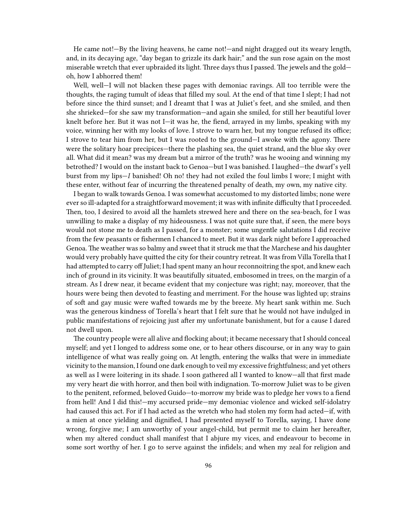He came not!—By the living heavens, he came not!—and night dragged out its weary length, and, in its decaying age, "day began to grizzle its dark hair;" and the sun rose again on the most miserable wretch that ever upbraided its light. Three days thus I passed. The jewels and the gold oh, how I abhorred them!

Well, well—I will not blacken these pages with demoniac ravings. All too terrible were the thoughts, the raging tumult of ideas that filled my soul. At the end of that time I slept; I had not before since the third sunset; and I dreamt that I was at Juliet's feet, and she smiled, and then she shrieked—for she saw my transformation—and again she smiled, for still her beautiful lover knelt before her. But it was not I—it was he, the fiend, arrayed in my limbs, speaking with my voice, winning her with my looks of love. I strove to warn her, but my tongue refused its office; I strove to tear him from her, but I was rooted to the ground—I awoke with the agony. There were the solitary hoar precipices—there the plashing sea, the quiet strand, and the blue sky over all. What did it mean? was my dream but a mirror of the truth? was he wooing and winning my betrothed? I would on the instant back to Genoa—but I was banished. I laughed—the dwarf's yell burst from my lips—*I* banished! Oh no! they had not exiled the foul limbs I wore; I might with these enter, without fear of incurring the threatened penalty of death, my own, my native city.

I began to walk towards Genoa. I was somewhat accustomed to my distorted limbs; none were ever so ill-adapted for a straightforward movement; it was with infinite difficulty that I proceeded. Then, too, I desired to avoid all the hamlets strewed here and there on the sea-beach, for I was unwilling to make a display of my hideousness. I was not quite sure that, if seen, the mere boys would not stone me to death as I passed, for a monster; some ungentle salutations I did receive from the few peasants or fishermen I chanced to meet. But it was dark night before I approached Genoa. The weather was so balmy and sweet that it struck me that the Marchese and his daughter would very probably have quitted the city for their country retreat. It was from Villa Torella that I had attempted to carry off Juliet; I had spent many an hour reconnoitring the spot, and knew each inch of ground in its vicinity. It was beautifully situated, embosomed in trees, on the margin of a stream. As I drew near, it became evident that my conjecture was right; nay, moreover, that the hours were being then devoted to feasting and merriment. For the house was lighted up; strains of soft and gay music were wafted towards me by the breeze. My heart sank within me. Such was the generous kindness of Torella's heart that I felt sure that he would not have indulged in public manifestations of rejoicing just after my unfortunate banishment, but for a cause I dared not dwell upon.

The country people were all alive and flocking about; it became necessary that I should conceal myself; and yet I longed to address some one, or to hear others discourse, or in any way to gain intelligence of what was really going on. At length, entering the walks that were in immediate vicinity to the mansion, I found one dark enough to veil my excessive frightfulness; and yet others as well as I were loitering in its shade. I soon gathered all I wanted to know—all that first made my very heart die with horror, and then boil with indignation. To-morrow Juliet was to be given to the penitent, reformed, beloved Guido—to-morrow my bride was to pledge her vows to a fiend from hell! And I did this!—my accursed pride—my demoniac violence and wicked self-idolatry had caused this act. For if I had acted as the wretch who had stolen my form had acted—if, with a mien at once yielding and dignified, I had presented myself to Torella, saying, I have done wrong, forgive me; I am unworthy of your angel-child, but permit me to claim her hereafter, when my altered conduct shall manifest that I abjure my vices, and endeavour to become in some sort worthy of her. I go to serve against the infidels; and when my zeal for religion and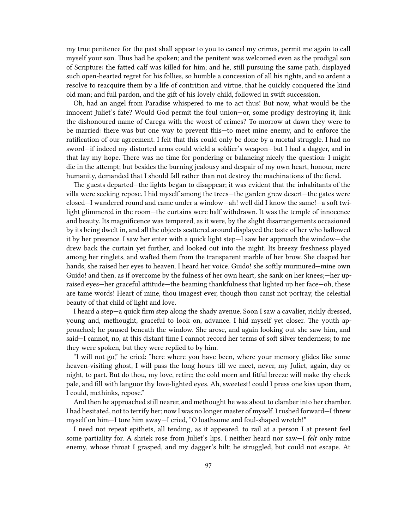my true penitence for the past shall appear to you to cancel my crimes, permit me again to call myself your son. Thus had he spoken; and the penitent was welcomed even as the prodigal son of Scripture: the fatted calf was killed for him; and he, still pursuing the same path, displayed such open-hearted regret for his follies, so humble a concession of all his rights, and so ardent a resolve to reacquire them by a life of contrition and virtue, that he quickly conquered the kind old man; and full pardon, and the gift of his lovely child, followed in swift succession.

Oh, had an angel from Paradise whispered to me to act thus! But now, what would be the innocent Juliet's fate? Would God permit the foul union—or, some prodigy destroying it, link the dishonoured name of Carega with the worst of crimes? To-morrow at dawn they were to be married: there was but one way to prevent this—to meet mine enemy, and to enforce the ratification of our agreement. I felt that this could only be done by a mortal struggle. I had no sword—if indeed my distorted arms could wield a soldier's weapon—but I had a dagger, and in that lay my hope. There was no time for pondering or balancing nicely the question: I might die in the attempt; but besides the burning jealousy and despair of my own heart, honour, mere humanity, demanded that I should fall rather than not destroy the machinations of the fiend.

The guests departed—the lights began to disappear; it was evident that the inhabitants of the villa were seeking repose. I hid myself among the trees—the garden grew desert—the gates were closed—I wandered round and came under a window—ah! well did I know the same!—a soft twilight glimmered in the room—the curtains were half withdrawn. It was the temple of innocence and beauty. Its magnificence was tempered, as it were, by the slight disarrangements occasioned by its being dwelt in, and all the objects scattered around displayed the taste of her who hallowed it by her presence. I saw her enter with a quick light step—I saw her approach the window—she drew back the curtain yet further, and looked out into the night. Its breezy freshness played among her ringlets, and wafted them from the transparent marble of her brow. She clasped her hands, she raised her eyes to heaven. I heard her voice. Guido! she softly murmured—mine own Guido! and then, as if overcome by the fulness of her own heart, she sank on her knees;—her upraised eyes—her graceful attitude—the beaming thankfulness that lighted up her face—oh, these are tame words! Heart of mine, thou imagest ever, though thou canst not portray, the celestial beauty of that child of light and love.

I heard a step—a quick firm step along the shady avenue. Soon I saw a cavalier, richly dressed, young and, methought, graceful to look on, advance. I hid myself yet closer. The youth approached; he paused beneath the window. She arose, and again looking out she saw him, and said—I cannot, no, at this distant time I cannot record her terms of soft silver tenderness; to me they were spoken, but they were replied to by him.

"I will not go," he cried: "here where you have been, where your memory glides like some heaven-visiting ghost, I will pass the long hours till we meet, never, my Juliet, again, day or night, to part. But do thou, my love, retire; the cold morn and fitful breeze will make thy cheek pale, and fill with languor thy love-lighted eyes. Ah, sweetest! could I press one kiss upon them, I could, methinks, repose."

And then he approached still nearer, and methought he was about to clamber into her chamber. I had hesitated, not to terrify her; now I was no longer master of myself. I rushed forward—I threw myself on him—I tore him away—I cried, "O loathsome and foul-shaped wretch!"

I need not repeat epithets, all tending, as it appeared, to rail at a person I at present feel some partiality for. A shriek rose from Juliet's lips. I neither heard nor saw—I *felt* only mine enemy, whose throat I grasped, and my dagger's hilt; he struggled, but could not escape. At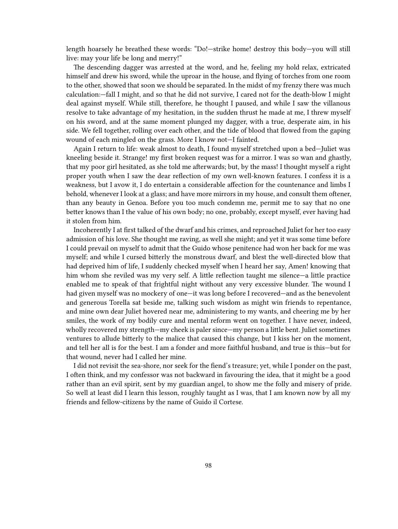length hoarsely he breathed these words: "Do!—strike home! destroy this body—you will still live: may your life be long and merry!"

The descending dagger was arrested at the word, and he, feeling my hold relax, extricated himself and drew his sword, while the uproar in the house, and flying of torches from one room to the other, showed that soon we should be separated. In the midst of my frenzy there was much calculation:—fall I might, and so that he did not survive, I cared not for the death-blow I might deal against myself. While still, therefore, he thought I paused, and while I saw the villanous resolve to take advantage of my hesitation, in the sudden thrust he made at me, I threw myself on his sword, and at the same moment plunged my dagger, with a true, desperate aim, in his side. We fell together, rolling over each other, and the tide of blood that flowed from the gaping wound of each mingled on the grass. More I know not—I fainted.

Again I return to life: weak almost to death, I found myself stretched upon a bed—Juliet was kneeling beside it. Strange! my first broken request was for a mirror. I was so wan and ghastly, that my poor girl hesitated, as she told me afterwards; but, by the mass! I thought myself a right proper youth when I saw the dear reflection of my own well-known features. I confess it is a weakness, but I avow it, I do entertain a considerable affection for the countenance and limbs I behold, whenever I look at a glass; and have more mirrors in my house, and consult them oftener, than any beauty in Genoa. Before you too much condemn me, permit me to say that no one better knows than I the value of his own body; no one, probably, except myself, ever having had it stolen from him.

Incoherently I at first talked of the dwarf and his crimes, and reproached Juliet for her too easy admission of his love. She thought me raving, as well she might; and yet it was some time before I could prevail on myself to admit that the Guido whose penitence had won her back for me was myself; and while I cursed bitterly the monstrous dwarf, and blest the well-directed blow that had deprived him of life, I suddenly checked myself when I heard her say, Amen! knowing that him whom she reviled was my very self. A little reflection taught me silence—a little practice enabled me to speak of that frightful night without any very excessive blunder. The wound I had given myself was no mockery of one—it was long before I recovered—and as the benevolent and generous Torella sat beside me, talking such wisdom as might win friends to repentance, and mine own dear Juliet hovered near me, administering to my wants, and cheering me by her smiles, the work of my bodily cure and mental reform went on together. I have never, indeed, wholly recovered my strength—my cheek is paler since—my person a little bent. Juliet sometimes ventures to allude bitterly to the malice that caused this change, but I kiss her on the moment, and tell her all is for the best. I am a fonder and more faithful husband, and true is this—but for that wound, never had I called her mine.

I did not revisit the sea-shore, nor seek for the fiend's treasure; yet, while I ponder on the past, I often think, and my confessor was not backward in favouring the idea, that it might be a good rather than an evil spirit, sent by my guardian angel, to show me the folly and misery of pride. So well at least did I learn this lesson, roughly taught as I was, that I am known now by all my friends and fellow-citizens by the name of Guido il Cortese.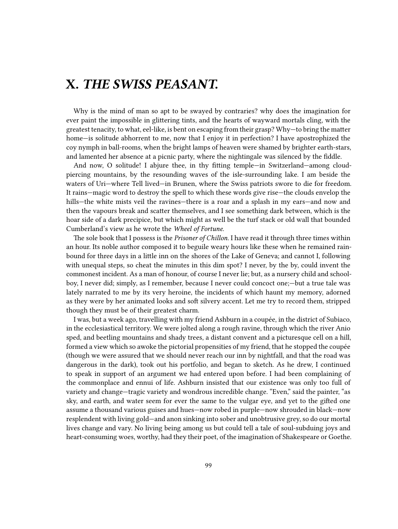## **X.** *THE SWISS PEASANT.*

Why is the mind of man so apt to be swayed by contraries? why does the imagination for ever paint the impossible in glittering tints, and the hearts of wayward mortals cling, with the greatest tenacity, to what, eel-like, is bent on escaping from their grasp? Why—to bring the matter home—is solitude abhorrent to me, now that I enjoy it in perfection? I have apostrophized the coy nymph in ball-rooms, when the bright lamps of heaven were shamed by brighter earth-stars, and lamented her absence at a picnic party, where the nightingale was silenced by the fiddle.

And now, O solitude! I abjure thee, in thy fitting temple—in Switzerland—among cloudpiercing mountains, by the resounding waves of the isle-surrounding lake. I am beside the waters of Uri—where Tell lived—in Brunen, where the Swiss patriots swore to die for freedom. It rains—magic word to destroy the spell to which these words give rise—the clouds envelop the hills—the white mists veil the ravines—there is a roar and a splash in my ears—and now and then the vapours break and scatter themselves, and I see something dark between, which is the hoar side of a dark precipice, but which might as well be the turf stack or old wall that bounded Cumberland's view as he wrote the *Wheel of Fortune*.

The sole book that I possess is the *Prisoner of Chillon*. I have read it through three times within an hour. Its noble author composed it to beguile weary hours like these when he remained rainbound for three days in a little inn on the shores of the Lake of Geneva; and cannot I, following with unequal steps, so cheat the minutes in this dim spot? I never, by the by, could invent the commonest incident. As a man of honour, of course I never lie; but, as a nursery child and schoolboy, I never did; simply, as I remember, because I never could concoct one;—but a true tale was lately narrated to me by its very heroine, the incidents of which haunt my memory, adorned as they were by her animated looks and soft silvery accent. Let me try to record them, stripped though they must be of their greatest charm.

I was, but a week ago, travelling with my friend Ashburn in a coupée, in the district of Subiaco, in the ecclesiastical territory. We were jolted along a rough ravine, through which the river Anio sped, and beetling mountains and shady trees, a distant convent and a picturesque cell on a hill, formed a view which so awoke the pictorial propensities of my friend, that he stopped the coupée (though we were assured that we should never reach our inn by nightfall, and that the road was dangerous in the dark), took out his portfolio, and began to sketch. As he drew, I continued to speak in support of an argument we had entered upon before. I had been complaining of the commonplace and ennui of life. Ashburn insisted that our existence was only too full of variety and change—tragic variety and wondrous incredible change. "Even," said the painter, "as sky, and earth, and water seem for ever the same to the vulgar eye, and yet to the gifted one assume a thousand various guises and hues—now robed in purple—now shrouded in black—now resplendent with living gold—and anon sinking into sober and unobtrusive grey, so do our mortal lives change and vary. No living being among us but could tell a tale of soul-subduing joys and heart-consuming woes, worthy, had they their poet, of the imagination of Shakespeare or Goethe.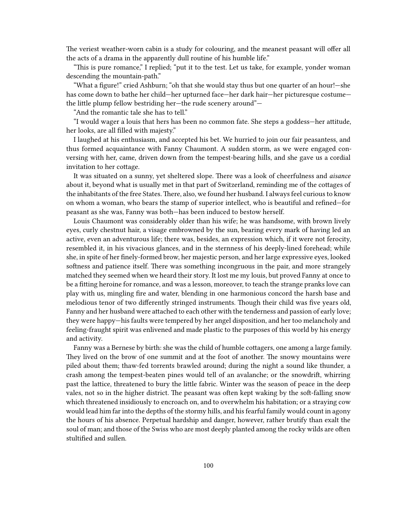The veriest weather-worn cabin is a study for colouring, and the meanest peasant will offer all the acts of a drama in the apparently dull routine of his humble life."

"This is pure romance," I replied; "put it to the test. Let us take, for example, yonder woman descending the mountain-path."

"What a figure!" cried Ashburn; "oh that she would stay thus but one quarter of an hour!—she has come down to bathe her child—her upturned face—her dark hair—her picturesque costume the little plump fellow bestriding her—the rude scenery around"—

"And the romantic tale she has to tell."

"I would wager a louis that hers has been no common fate. She steps a goddess—her attitude, her looks, are all filled with majesty."

I laughed at his enthusiasm, and accepted his bet. We hurried to join our fair peasantess, and thus formed acquaintance with Fanny Chaumont. A sudden storm, as we were engaged conversing with her, came, driven down from the tempest-bearing hills, and she gave us a cordial invitation to her cottage.

It was situated on a sunny, yet sheltered slope. There was a look of cheerfulness and *aisance* about it, beyond what is usually met in that part of Switzerland, reminding me of the cottages of the inhabitants of the free States. There, also, we found her husband. I always feel curious to know on whom a woman, who bears the stamp of superior intellect, who is beautiful and refined—for peasant as she was, Fanny was both—has been induced to bestow herself.

Louis Chaumont was considerably older than his wife; he was handsome, with brown lively eyes, curly chestnut hair, a visage embrowned by the sun, bearing every mark of having led an active, even an adventurous life; there was, besides, an expression which, if it were not ferocity, resembled it, in his vivacious glances, and in the sternness of his deeply-lined forehead; while she, in spite of her finely-formed brow, her majestic person, and her large expressive eyes, looked softness and patience itself. There was something incongruous in the pair, and more strangely matched they seemed when we heard their story. It lost me my louis, but proved Fanny at once to be a fitting heroine for romance, and was a lesson, moreover, to teach the strange pranks love can play with us, mingling fire and water, blending in one harmonious concord the harsh base and melodious tenor of two differently stringed instruments. Though their child was five years old, Fanny and her husband were attached to each other with the tenderness and passion of early love; they were happy—his faults were tempered by her angel disposition, and her too melancholy and feeling-fraught spirit was enlivened and made plastic to the purposes of this world by his energy and activity.

Fanny was a Bernese by birth: she was the child of humble cottagers, one among a large family. They lived on the brow of one summit and at the foot of another. The snowy mountains were piled about them; thaw-fed torrents brawled around; during the night a sound like thunder, a crash among the tempest-beaten pines would tell of an avalanche; or the snowdrift, whirring past the lattice, threatened to bury the little fabric. Winter was the season of peace in the deep vales, not so in the higher district. The peasant was often kept waking by the soft-falling snow which threatened insidiously to encroach on, and to overwhelm his habitation; or a straying cow would lead him far into the depths of the stormy hills, and his fearful family would count in agony the hours of his absence. Perpetual hardship and danger, however, rather brutify than exalt the soul of man; and those of the Swiss who are most deeply planted among the rocky wilds are often stultified and sullen.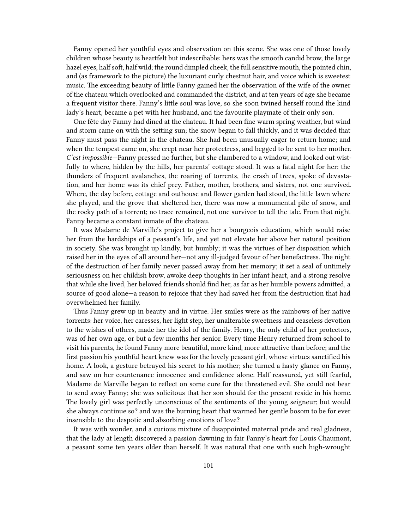Fanny opened her youthful eyes and observation on this scene. She was one of those lovely children whose beauty is heartfelt but indescribable: hers was the smooth candid brow, the large hazel eyes, half soft, half wild; the round dimpled cheek, the full sensitive mouth, the pointed chin, and (as framework to the picture) the luxuriant curly chestnut hair, and voice which is sweetest music. The exceeding beauty of little Fanny gained her the observation of the wife of the owner of the chateau which overlooked and commanded the district, and at ten years of age she became a frequent visitor there. Fanny's little soul was love, so she soon twined herself round the kind lady's heart, became a pet with her husband, and the favourite playmate of their only son.

One fête day Fanny had dined at the chateau. It had been fine warm spring weather, but wind and storm came on with the setting sun; the snow began to fall thickly, and it was decided that Fanny must pass the night in the chateau. She had been unusually eager to return home; and when the tempest came on, she crept near her protectress, and begged to be sent to her mother. *C'est impossible*—Fanny pressed no further, but she clambered to a window, and looked out wistfully to where, hidden by the hills, her parents' cottage stood. It was a fatal night for her: the thunders of frequent avalanches, the roaring of torrents, the crash of trees, spoke of devastation, and her home was its chief prey. Father, mother, brothers, and sisters, not one survived. Where, the day before, cottage and outhouse and flower garden had stood, the little lawn where she played, and the grove that sheltered her, there was now a monumental pile of snow, and the rocky path of a torrent; no trace remained, not one survivor to tell the tale. From that night Fanny became a constant inmate of the chateau.

It was Madame de Marville's project to give her a bourgeois education, which would raise her from the hardships of a peasant's life, and yet not elevate her above her natural position in society. She was brought up kindly, but humbly; it was the virtues of her disposition which raised her in the eyes of all around her—not any ill-judged favour of her benefactress. The night of the destruction of her family never passed away from her memory; it set a seal of untimely seriousness on her childish brow, awoke deep thoughts in her infant heart, and a strong resolve that while she lived, her beloved friends should find her, as far as her humble powers admitted, a source of good alone—a reason to rejoice that they had saved her from the destruction that had overwhelmed her family.

Thus Fanny grew up in beauty and in virtue. Her smiles were as the rainbows of her native torrents: her voice, her caresses, her light step, her unalterable sweetness and ceaseless devotion to the wishes of others, made her the idol of the family. Henry, the only child of her protectors, was of her own age, or but a few months her senior. Every time Henry returned from school to visit his parents, he found Fanny more beautiful, more kind, more attractive than before; and the first passion his youthful heart knew was for the lovely peasant girl, whose virtues sanctified his home. A look, a gesture betrayed his secret to his mother; she turned a hasty glance on Fanny, and saw on her countenance innocence and confidence alone. Half reassured, yet still fearful, Madame de Marville began to reflect on some cure for the threatened evil. She could not bear to send away Fanny; she was solicitous that her son should for the present reside in his home. The lovely girl was perfectly unconscious of the sentiments of the young seigneur; but would she always continue so? and was the burning heart that warmed her gentle bosom to be for ever insensible to the despotic and absorbing emotions of love?

It was with wonder, and a curious mixture of disappointed maternal pride and real gladness, that the lady at length discovered a passion dawning in fair Fanny's heart for Louis Chaumont, a peasant some ten years older than herself. It was natural that one with such high-wrought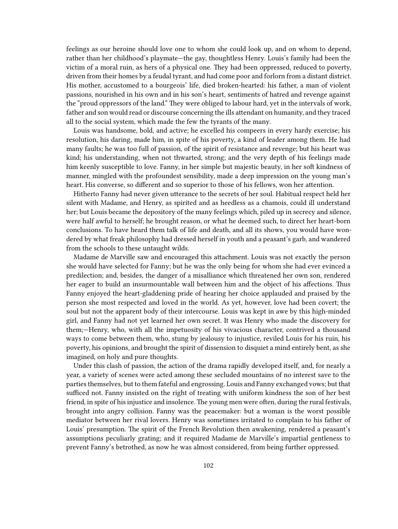feelings as our heroine should love one to whom she could look up, and on whom to depend, rather than her childhood's playmate—the gay, thoughtless Henry. Louis's family had been the victim of a moral ruin, as hers of a physical one. They had been oppressed, reduced to poverty, driven from their homes by a feudal tyrant, and had come poor and forlorn from a distant district. His mother, accustomed to a bourgeois' life, died broken-hearted: his father, a man of violent passions, nourished in his own and in his son's heart, sentiments of hatred and revenge against the "proud oppressors of the land." They were obliged to labour hard, yet in the intervals of work, father and son would read or discourse concerning the ills attendant on humanity, and they traced all to the social system, which made the few the tyrants of the many.

Louis was handsome, bold, and active; he excelled his compeers in every hardy exercise; his resolution, his daring, made him, in spite of his poverty, a kind of leader among them. He had many faults; he was too full of passion, of the spirit of resistance and revenge; but his heart was kind; his understanding, when not thwarted, strong; and the very depth of his feelings made him keenly susceptible to love. Fanny, in her simple but majestic beauty, in her soft kindness of manner, mingled with the profoundest sensibility, made a deep impression on the young man's heart. His converse, so different and so superior to those of his fellows, won her attention.

Hitherto Fanny had never given utterance to the secrets of her soul. Habitual respect held her silent with Madame, and Henry, as spirited and as heedless as a chamois, could ill understand her; but Louis became the depository of the many feelings which, piled up in secrecy and silence, were half awful to herself; he brought reason, or what he deemed such, to direct her heart-born conclusions. To have heard them talk of life and death, and all its shows, you would have wondered by what freak philosophy had dressed herself in youth and a peasant's garb, and wandered from the schools to these untaught wilds.

Madame de Marville saw and encouraged this attachment. Louis was not exactly the person she would have selected for Fanny; but he was the only being for whom she had ever evinced a predilection; and, besides, the danger of a misalliance which threatened her own son, rendered her eager to build an insurmountable wall between him and the object of his affections. Thus Fanny enjoyed the heart-gladdening pride of hearing her choice applauded and praised by the person she most respected and loved in the world. As yet, however, love had been covert; the soul but not the apparent body of their intercourse. Louis was kept in awe by this high-minded girl, and Fanny had not yet learned her own secret. It was Henry who made the discovery for them;—Henry, who, with all the impetuosity of his vivacious character, contrived a thousand ways to come between them, who, stung by jealousy to injustice, reviled Louis for his ruin, his poverty, his opinions, and brought the spirit of dissension to disquiet a mind entirely bent, as she imagined, on holy and pure thoughts.

Under this clash of passion, the action of the drama rapidly developed itself, and, for nearly a year, a variety of scenes were acted among these secluded mountains of no interest save to the parties themselves, but to them fateful and engrossing. Louis and Fanny exchanged vows; but that sufficed not. Fanny insisted on the right of treating with uniform kindness the son of her best friend, in spite of his injustice and insolence. The young men were often, during the rural festivals, brought into angry collision. Fanny was the peacemaker: but a woman is the worst possible mediator between her rival lovers. Henry was sometimes irritated to complain to his father of Louis' presumption. The spirit of the French Revolution then awakening, rendered a peasant's assumptions peculiarly grating; and it required Madame de Marville's impartial gentleness to prevent Fanny's betrothed, as now he was almost considered, from being further oppressed.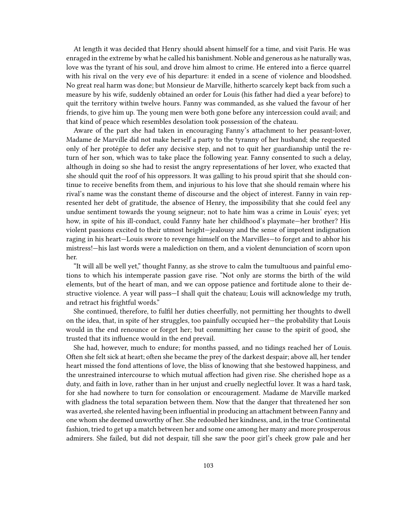At length it was decided that Henry should absent himself for a time, and visit Paris. He was enraged in the extreme by what he called his banishment. Noble and generous as he naturally was, love was the tyrant of his soul, and drove him almost to crime. He entered into a fierce quarrel with his rival on the very eve of his departure: it ended in a scene of violence and bloodshed. No great real harm was done; but Monsieur de Marville, hitherto scarcely kept back from such a measure by his wife, suddenly obtained an order for Louis (his father had died a year before) to quit the territory within twelve hours. Fanny was commanded, as she valued the favour of her friends, to give him up. The young men were both gone before any intercession could avail; and that kind of peace which resembles desolation took possession of the chateau.

Aware of the part she had taken in encouraging Fanny's attachment to her peasant-lover, Madame de Marville did not make herself a party to the tyranny of her husband; she requested only of her protégée to defer any decisive step, and not to quit her guardianship until the return of her son, which was to take place the following year. Fanny consented to such a delay, although in doing so she had to resist the angry representations of her lover, who exacted that she should quit the roof of his oppressors. It was galling to his proud spirit that she should continue to receive benefits from them, and injurious to his love that she should remain where his rival's name was the constant theme of discourse and the object of interest. Fanny in vain represented her debt of gratitude, the absence of Henry, the impossibility that she could feel any undue sentiment towards the young seigneur; not to hate him was a crime in Louis' eyes; yet how, in spite of his ill-conduct, could Fanny hate her childhood's playmate—her brother? His violent passions excited to their utmost height—jealousy and the sense of impotent indignation raging in his heart—Louis swore to revenge himself on the Marvilles—to forget and to abhor his mistress!—his last words were a malediction on them, and a violent denunciation of scorn upon her.

"It will all be well yet," thought Fanny, as she strove to calm the tumultuous and painful emotions to which his intemperate passion gave rise. "Not only are storms the birth of the wild elements, but of the heart of man, and we can oppose patience and fortitude alone to their destructive violence. A year will pass—I shall quit the chateau; Louis will acknowledge my truth, and retract his frightful words."

She continued, therefore, to fulfil her duties cheerfully, not permitting her thoughts to dwell on the idea, that, in spite of her struggles, too painfully occupied her—the probability that Louis would in the end renounce or forget her; but committing her cause to the spirit of good, she trusted that its influence would in the end prevail.

She had, however, much to endure; for months passed, and no tidings reached her of Louis. Often she felt sick at heart; often she became the prey of the darkest despair; above all, her tender heart missed the fond attentions of love, the bliss of knowing that she bestowed happiness, and the unrestrained intercourse to which mutual affection had given rise. She cherished hope as a duty, and faith in love, rather than in her unjust and cruelly neglectful lover. It was a hard task, for she had nowhere to turn for consolation or encouragement. Madame de Marville marked with gladness the total separation between them. Now that the danger that threatened her son was averted, she relented having been influential in producing an attachment between Fanny and one whom she deemed unworthy of her. She redoubled her kindness, and, in the true Continental fashion, tried to get up a match between her and some one among her many and more prosperous admirers. She failed, but did not despair, till she saw the poor girl's cheek grow pale and her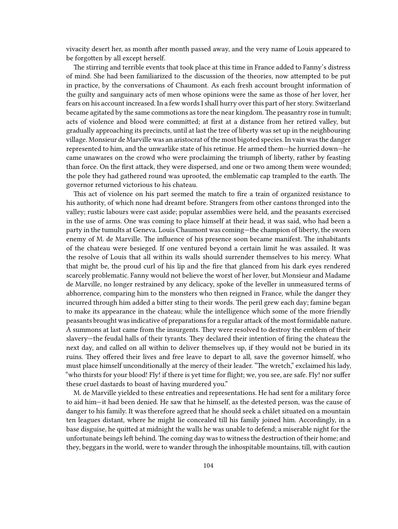vivacity desert her, as month after month passed away, and the very name of Louis appeared to be forgotten by all except herself.

The stirring and terrible events that took place at this time in France added to Fanny's distress of mind. She had been familiarized to the discussion of the theories, now attempted to be put in practice, by the conversations of Chaumont. As each fresh account brought information of the guilty and sanguinary acts of men whose opinions were the same as those of her lover, her fears on his account increased. In a few words I shall hurry over this part of her story. Switzerland became agitated by the same commotions as tore the near kingdom. The peasantry rose in tumult; acts of violence and blood were committed; at first at a distance from her retired valley, but gradually approaching its precincts, until at last the tree of liberty was set up in the neighbouring village. Monsieur de Marville was an aristocrat of the most bigoted species. In vain was the danger represented to him, and the unwarlike state of his retinue. He armed them—he hurried down—he came unawares on the crowd who were proclaiming the triumph of liberty, rather by feasting than force. On the first attack, they were dispersed, and one or two among them were wounded; the pole they had gathered round was uprooted, the emblematic cap trampled to the earth. The governor returned victorious to his chateau.

This act of violence on his part seemed the match to fire a train of organized resistance to his authority, of which none had dreamt before. Strangers from other cantons thronged into the valley; rustic labours were cast aside; popular assemblies were held, and the peasants exercised in the use of arms. One was coming to place himself at their head, it was said, who had been a party in the tumults at Geneva. Louis Chaumont was coming—the champion of liberty, the sworn enemy of M. de Marville. The influence of his presence soon became manifest. The inhabitants of the chateau were besieged. If one ventured beyond a certain limit he was assailed. It was the resolve of Louis that all within its walls should surrender themselves to his mercy. What that might be, the proud curl of his lip and the fire that glanced from his dark eyes rendered scarcely problematic. Fanny would not believe the worst of her lover, but Monsieur and Madame de Marville, no longer restrained by any delicacy, spoke of the leveller in unmeasured terms of abhorrence, comparing him to the monsters who then reigned in France, while the danger they incurred through him added a bitter sting to their words. The peril grew each day; famine began to make its appearance in the chateau; while the intelligence which some of the more friendly peasants brought was indicative of preparations for a regular attack of the most formidable nature. A summons at last came from the insurgents. They were resolved to destroy the emblem of their slavery—the feudal halls of their tyrants. They declared their intention of firing the chateau the next day, and called on all within to deliver themselves up, if they would not be buried in its ruins. They offered their lives and free leave to depart to all, save the governor himself, who must place himself unconditionally at the mercy of their leader. "The wretch," exclaimed his lady, "who thirsts for your blood! Fly! if there is yet time for flight; we, you see, are safe. Fly! nor suffer these cruel dastards to boast of having murdered you."

M. de Marville yielded to these entreaties and representations. He had sent for a military force to aid him—it had been denied. He saw that he himself, as the detested person, was the cause of danger to his family. It was therefore agreed that he should seek a châlet situated on a mountain ten leagues distant, where he might lie concealed till his family joined him. Accordingly, in a base disguise, he quitted at midnight the walls he was unable to defend; a miserable night for the unfortunate beings left behind. The coming day was to witness the destruction of their home; and they, beggars in the world, were to wander through the inhospitable mountains, till, with caution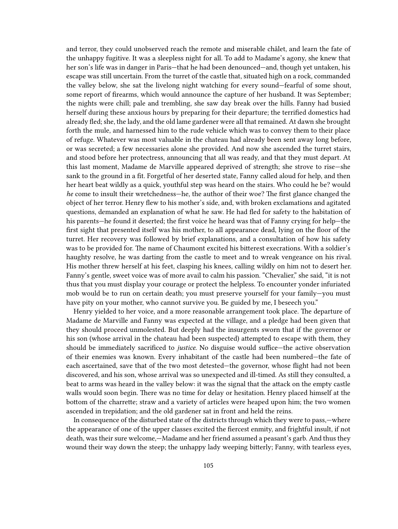and terror, they could unobserved reach the remote and miserable châlet, and learn the fate of the unhappy fugitive. It was a sleepless night for all. To add to Madame's agony, she knew that her son's life was in danger in Paris—that he had been denounced—and, though yet untaken, his escape was still uncertain. From the turret of the castle that, situated high on a rock, commanded the valley below, she sat the livelong night watching for every sound—fearful of some shout, some report of firearms, which would announce the capture of her husband. It was September; the nights were chill; pale and trembling, she saw day break over the hills. Fanny had busied herself during these anxious hours by preparing for their departure; the terrified domestics had already fled; she, the lady, and the old lame gardener were all that remained. At dawn she brought forth the mule, and harnessed him to the rude vehicle which was to convey them to their place of refuge. Whatever was most valuable in the chateau had already been sent away long before, or was secreted; a few necessaries alone she provided. And now she ascended the turret stairs, and stood before her protectress, announcing that all was ready, and that they must depart. At this last moment, Madame de Marville appeared deprived of strength; she strove to rise—she sank to the ground in a fit. Forgetful of her deserted state, Fanny called aloud for help, and then her heart beat wildly as a quick, youthful step was heard on the stairs. Who could he be? would *he* come to insult their wretchedness—he, the author of their woe? The first glance changed the object of her terror. Henry flew to his mother's side, and, with broken exclamations and agitated questions, demanded an explanation of what he saw. He had fled for safety to the habitation of his parents—he found it deserted; the first voice he heard was that of Fanny crying for help—the first sight that presented itself was his mother, to all appearance dead, lying on the floor of the turret. Her recovery was followed by brief explanations, and a consultation of how his safety was to be provided for. The name of Chaumont excited his bitterest execrations. With a soldier's haughty resolve, he was darting from the castle to meet and to wreak vengeance on his rival. His mother threw herself at his feet, clasping his knees, calling wildly on him not to desert her. Fanny's gentle, sweet voice was of more avail to calm his passion. "Chevalier," she said, "it is not thus that you must display your courage or protect the helpless. To encounter yonder infuriated mob would be to run on certain death; you must preserve yourself for your family—you must have pity on your mother, who cannot survive you. Be guided by me, I beseech you."

Henry yielded to her voice, and a more reasonable arrangement took place. The departure of Madame de Marville and Fanny was expected at the village, and a pledge had been given that they should proceed unmolested. But deeply had the insurgents sworn that if the governor or his son (whose arrival in the chateau had been suspected) attempted to escape with them, they should be immediately sacrificed to *justice*. No disguise would suffice—the active observation of their enemies was known. Every inhabitant of the castle had been numbered—the fate of each ascertained, save that of the two most detested—the governor, whose flight had not been discovered, and his son, whose arrival was so unexpected and ill-timed. As still they consulted, a beat to arms was heard in the valley below: it was the signal that the attack on the empty castle walls would soon begin. There was no time for delay or hesitation. Henry placed himself at the bottom of the charrette; straw and a variety of articles were heaped upon him; the two women ascended in trepidation; and the old gardener sat in front and held the reins.

In consequence of the disturbed state of the districts through which they were to pass,—where the appearance of one of the upper classes excited the fiercest enmity, and frightful insult, if not death, was their sure welcome,—Madame and her friend assumed a peasant's garb. And thus they wound their way down the steep; the unhappy lady weeping bitterly; Fanny, with tearless eyes,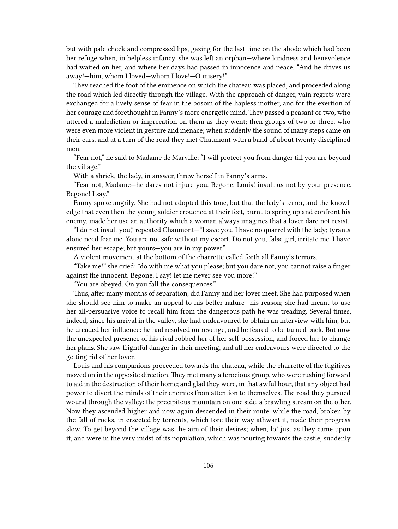but with pale cheek and compressed lips, gazing for the last time on the abode which had been her refuge when, in helpless infancy, she was left an orphan—where kindness and benevolence had waited on her, and where her days had passed in innocence and peace. "And he drives us away!—him, whom I loved—whom I love!—O misery!"

They reached the foot of the eminence on which the chateau was placed, and proceeded along the road which led directly through the village. With the approach of danger, vain regrets were exchanged for a lively sense of fear in the bosom of the hapless mother, and for the exertion of her courage and forethought in Fanny's more energetic mind. They passed a peasant or two, who uttered a malediction or imprecation on them as they went; then groups of two or three, who were even more violent in gesture and menace; when suddenly the sound of many steps came on their ears, and at a turn of the road they met Chaumont with a band of about twenty disciplined men.

"Fear not," he said to Madame de Marville; "I will protect you from danger till you are beyond the village."

With a shriek, the lady, in answer, threw herself in Fanny's arms.

"Fear not, Madame—he dares not injure you. Begone, Louis! insult us not by your presence. Begone! I say."

Fanny spoke angrily. She had not adopted this tone, but that the lady's terror, and the knowledge that even then the young soldier crouched at their feet, burnt to spring up and confront his enemy, made her use an authority which a woman always imagines that a lover dare not resist.

"I do not insult you," repeated Chaumont—"I save you. I have no quarrel with the lady; tyrants alone need fear me. You are not safe without my escort. Do not you, false girl, irritate me. I have ensured her escape; but yours—you are in my power."

A violent movement at the bottom of the charrette called forth all Fanny's terrors.

"Take me!" she cried; "do with me what you please; but you dare not, you cannot raise a finger against the innocent. Begone, I say! let me never see you more!"

"You are obeyed. On you fall the consequences."

Thus, after many months of separation, did Fanny and her lover meet. She had purposed when she should see him to make an appeal to his better nature—his reason; she had meant to use her all-persuasive voice to recall him from the dangerous path he was treading. Several times, indeed, since his arrival in the valley, she had endeavoured to obtain an interview with him, but he dreaded her influence: he had resolved on revenge, and he feared to be turned back. But now the unexpected presence of his rival robbed her of her self-possession, and forced her to change her plans. She saw frightful danger in their meeting, and all her endeavours were directed to the getting rid of her lover.

Louis and his companions proceeded towards the chateau, while the charrette of the fugitives moved on in the opposite direction. They met many a ferocious group, who were rushing forward to aid in the destruction of their home; and glad they were, in that awful hour, that any object had power to divert the minds of their enemies from attention to themselves. The road they pursued wound through the valley; the precipitous mountain on one side, a brawling stream on the other. Now they ascended higher and now again descended in their route, while the road, broken by the fall of rocks, intersected by torrents, which tore their way athwart it, made their progress slow. To get beyond the village was the aim of their desires; when, lo! just as they came upon it, and were in the very midst of its population, which was pouring towards the castle, suddenly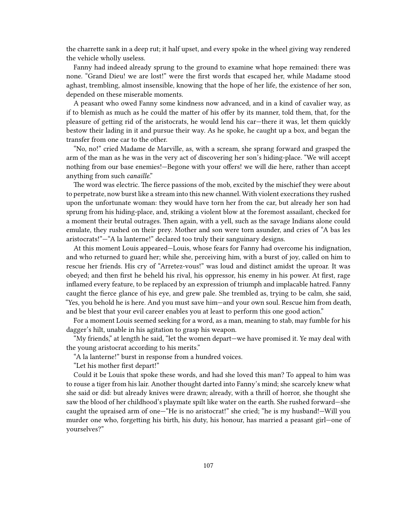the charrette sank in a deep rut; it half upset, and every spoke in the wheel giving way rendered the vehicle wholly useless.

Fanny had indeed already sprung to the ground to examine what hope remained: there was none. "Grand Dieu! we are lost!" were the first words that escaped her, while Madame stood aghast, trembling, almost insensible, knowing that the hope of her life, the existence of her son, depended on these miserable moments.

A peasant who owed Fanny some kindness now advanced, and in a kind of cavalier way, as if to blemish as much as he could the matter of his offer by its manner, told them, that, for the pleasure of getting rid of the aristocrats, he would lend his car—there it was, let them quickly bestow their lading in it and pursue their way. As he spoke, he caught up a box, and began the transfer from one car to the other.

"No, no!" cried Madame de Marville, as, with a scream, she sprang forward and grasped the arm of the man as he was in the very act of discovering her son's hiding-place. "We will accept nothing from our base enemies!—Begone with your offers! we will die here, rather than accept anything from such *canaille*."

The word was electric. The fierce passions of the mob, excited by the mischief they were about to perpetrate, now burst like a stream into this new channel. With violent execrations they rushed upon the unfortunate woman: they would have torn her from the car, but already her son had sprung from his hiding-place, and, striking a violent blow at the foremost assailant, checked for a moment their brutal outrages. Then again, with a yell, such as the savage Indians alone could emulate, they rushed on their prey. Mother and son were torn asunder, and cries of "A bas les aristocrats!"—"A la lanterne!" declared too truly their sanguinary designs.

At this moment Louis appeared—Louis, whose fears for Fanny had overcome his indignation, and who returned to guard her; while she, perceiving him, with a burst of joy, called on him to rescue her friends. His cry of "Arretez-vous!" was loud and distinct amidst the uproar. It was obeyed; and then first he beheld his rival, his oppressor, his enemy in his power. At first, rage inflamed every feature, to be replaced by an expression of triumph and implacable hatred. Fanny caught the fierce glance of his eye, and grew pale. She trembled as, trying to be calm, she said, "Yes, you behold he is here. And you must save him—and your own soul. Rescue him from death, and be blest that your evil career enables you at least to perform this one good action."

For a moment Louis seemed seeking for a word, as a man, meaning to stab, may fumble for his dagger's hilt, unable in his agitation to grasp his weapon.

"My friends," at length he said, "let the women depart—we have promised it. Ye may deal with the young aristocrat according to his merits."

"A la lanterne!" burst in response from a hundred voices.

"Let his mother first depart!"

Could it be Louis that spoke these words, and had she loved this man? To appeal to him was to rouse a tiger from his lair. Another thought darted into Fanny's mind; she scarcely knew what she said or did: but already knives were drawn; already, with a thrill of horror, she thought she saw the blood of her childhood's playmate spilt like water on the earth. She rushed forward—she caught the upraised arm of one—"He is no aristocrat!" she cried; "he is my husband!—Will you murder one who, forgetting his birth, his duty, his honour, has married a peasant girl—one of yourselves?"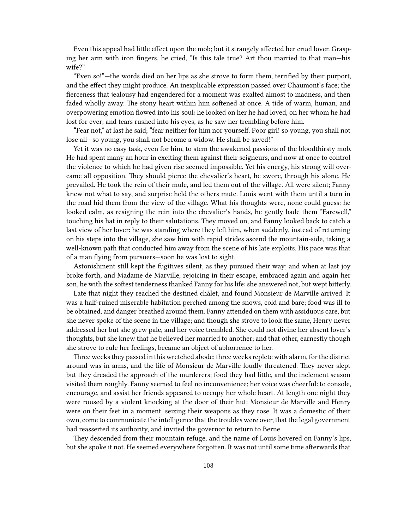Even this appeal had little effect upon the mob; but it strangely affected her cruel lover. Grasping her arm with iron fingers, he cried, "Is this tale true? Art thou married to that man—his wife?"

"Even so!"—the words died on her lips as she strove to form them, terrified by their purport, and the effect they might produce. An inexplicable expression passed over Chaumont's face; the fierceness that jealousy had engendered for a moment was exalted almost to madness, and then faded wholly away. The stony heart within him softened at once. A tide of warm, human, and overpowering emotion flowed into his soul: he looked on her he had loved, on her whom he had lost for ever; and tears rushed into his eyes, as he saw her trembling before him.

"Fear not," at last he said; "fear neither for him nor yourself. Poor girl! so young, you shall not lose all—so young, you shall not become a widow. He shall be saved!"

Yet it was no easy task, even for him, to stem the awakened passions of the bloodthirsty mob. He had spent many an hour in exciting them against their seigneurs, and now at once to control the violence to which he had given rise seemed impossible. Yet his energy, his strong will overcame all opposition. They should pierce the chevalier's heart, he swore, through his alone. He prevailed. He took the rein of their mule, and led them out of the village. All were silent; Fanny knew not what to say, and surprise held the others mute. Louis went with them until a turn in the road hid them from the view of the village. What his thoughts were, none could guess: he looked calm, as resigning the rein into the chevalier's hands, he gently bade them "Farewell," touching his hat in reply to their salutations. They moved on, and Fanny looked back to catch a last view of her lover: he was standing where they left him, when suddenly, instead of returning on his steps into the village, she saw him with rapid strides ascend the mountain-side, taking a well-known path that conducted him away from the scene of his late exploits. His pace was that of a man flying from pursuers—soon he was lost to sight.

Astonishment still kept the fugitives silent, as they pursued their way; and when at last joy broke forth, and Madame de Marville, rejoicing in their escape, embraced again and again her son, he with the softest tenderness thanked Fanny for his life: she answered not, but wept bitterly.

Late that night they reached the destined châlet, and found Monsieur de Marville arrived. It was a half-ruined miserable habitation perched among the snows, cold and bare; food was ill to be obtained, and danger breathed around them. Fanny attended on them with assiduous care, but she never spoke of the scene in the village; and though she strove to look the same, Henry never addressed her but she grew pale, and her voice trembled. She could not divine her absent lover's thoughts, but she knew that he believed her married to another; and that other, earnestly though she strove to rule her feelings, became an object of abhorrence to her.

Three weeks they passed in this wretched abode; three weeks replete with alarm, for the district around was in arms, and the life of Monsieur de Marville loudly threatened. They never slept but they dreaded the approach of the murderers; food they had little, and the inclement season visited them roughly. Fanny seemed to feel no inconvenience; her voice was cheerful: to console, encourage, and assist her friends appeared to occupy her whole heart. At length one night they were roused by a violent knocking at the door of their hut: Monsieur de Marville and Henry were on their feet in a moment, seizing their weapons as they rose. It was a domestic of their own, come to communicate the intelligence that the troubles were over, that the legal government had reasserted its authority, and invited the governor to return to Berne.

They descended from their mountain refuge, and the name of Louis hovered on Fanny's lips, but she spoke it not. He seemed everywhere forgotten. It was not until some time afterwards that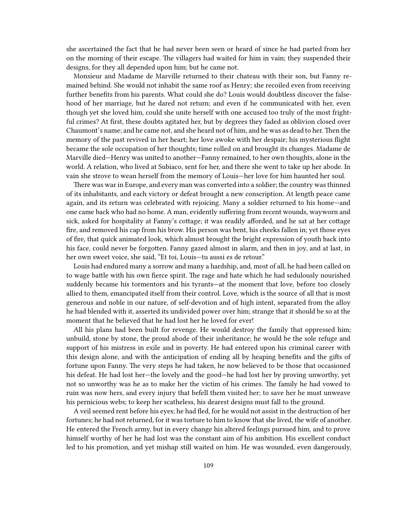she ascertained the fact that he had never been seen or heard of since he had parted from her on the morning of their escape. The villagers had waited for him in vain; they suspended their designs, for they all depended upon him; but he came not.

Monsieur and Madame de Marville returned to their chateau with their son, but Fanny remained behind. She would not inhabit the same roof as Henry; she recoiled even from receiving further benefits from his parents. What could she do? Louis would doubtless discover the falsehood of her marriage, but he dared not return; and even if he communicated with her, even though yet she loved him, could she unite herself with one accused too truly of the most frightful crimes? At first, these doubts agitated her, but by degrees they faded as oblivion closed over Chaumont's name; and he came not, and she heard not of him, and he was as dead to her. Then the memory of the past revived in her heart; her love awoke with her despair; his mysterious flight became the sole occupation of her thoughts; time rolled on and brought its changes. Madame de Marville died—Henry was united to another—Fanny remained, to her own thoughts, alone in the world. A relation, who lived at Subiaco, sent for her, and there she went to take up her abode. In vain she strove to wean herself from the memory of Louis—her love for him haunted her soul.

There was war in Europe, and every man was converted into a soldier; the country was thinned of its inhabitants, and each victory or defeat brought a new conscription. At length peace came again, and its return was celebrated with rejoicing. Many a soldier returned to his home—and one came back who had no home. A man, evidently suffering from recent wounds, wayworn and sick, asked for hospitality at Fanny's cottage; it was readily afforded, and he sat at her cottage fire, and removed his cap from his brow. His person was bent, his cheeks fallen in; yet those eyes of fire, that quick animated look, which almost brought the bright expression of youth back into his face, could never be forgotten. Fanny gazed almost in alarm, and then in joy, and at last, in her own sweet voice, she said, "Et toi, Louis—tu aussi es de retour."

Louis had endured many a sorrow and many a hardship, and, most of all, he had been called on to wage battle with his own fierce spirit. The rage and hate which he had sedulously nourished suddenly became his tormentors and his tyrants—at the moment that love, before too closely allied to them, emancipated itself from their control. Love, which is the source of all that is most generous and noble in our nature, of self-devotion and of high intent, separated from the alloy he had blended with it, asserted its undivided power over him; strange that it should be so at the moment that he believed that he had lost her he loved for ever!

All his plans had been built for revenge. He would destroy the family that oppressed him; unbuild, stone by stone, the proud abode of their inheritance; he would be the sole refuge and support of his mistress in exile and in poverty. He had entered upon his criminal career with this design alone, and with the anticipation of ending all by heaping benefits and the gifts of fortune upon Fanny. The very steps he had taken, he now believed to be those that occasioned his defeat. He had lost her—the lovely and the good—he had lost her by proving unworthy, yet not so unworthy was he as to make her the victim of his crimes. The family he had vowed to ruin was now hers, and every injury that befell them visited her; to save her he must unweave his pernicious webs; to keep her scatheless, his dearest designs must fall to the ground.

A veil seemed rent before his eyes; he had fled, for he would not assist in the destruction of her fortunes; he had not returned, for it was torture to him to know that she lived, the wife of another. He entered the French army, but in every change his altered feelings pursued him, and to prove himself worthy of her he had lost was the constant aim of his ambition. His excellent conduct led to his promotion, and yet mishap still waited on him. He was wounded, even dangerously,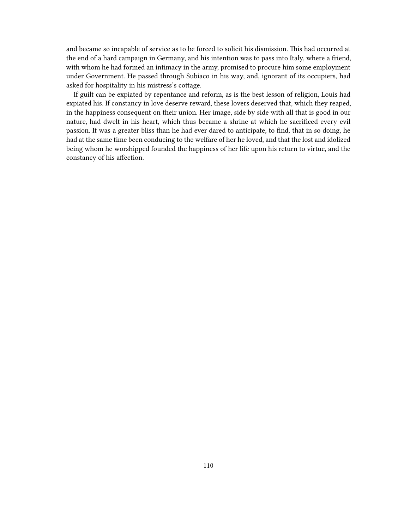and became so incapable of service as to be forced to solicit his dismission. This had occurred at the end of a hard campaign in Germany, and his intention was to pass into Italy, where a friend, with whom he had formed an intimacy in the army, promised to procure him some employment under Government. He passed through Subiaco in his way, and, ignorant of its occupiers, had asked for hospitality in his mistress's cottage.

If guilt can be expiated by repentance and reform, as is the best lesson of religion, Louis had expiated his. If constancy in love deserve reward, these lovers deserved that, which they reaped, in the happiness consequent on their union. Her image, side by side with all that is good in our nature, had dwelt in his heart, which thus became a shrine at which he sacrificed every evil passion. It was a greater bliss than he had ever dared to anticipate, to find, that in so doing, he had at the same time been conducing to the welfare of her he loved, and that the lost and idolized being whom he worshipped founded the happiness of her life upon his return to virtue, and the constancy of his affection.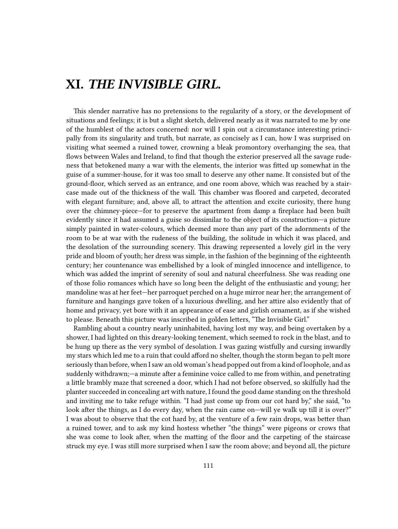## **XI.** *THE INVISIBLE GIRL.*

This slender narrative has no pretensions to the regularity of a story, or the development of situations and feelings; it is but a slight sketch, delivered nearly as it was narrated to me by one of the humblest of the actors concerned: nor will I spin out a circumstance interesting principally from its singularity and truth, but narrate, as concisely as I can, how I was surprised on visiting what seemed a ruined tower, crowning a bleak promontory overhanging the sea, that flows between Wales and Ireland, to find that though the exterior preserved all the savage rudeness that betokened many a war with the elements, the interior was fitted up somewhat in the guise of a summer-house, for it was too small to deserve any other name. It consisted but of the ground-floor, which served as an entrance, and one room above, which was reached by a staircase made out of the thickness of the wall. This chamber was floored and carpeted, decorated with elegant furniture; and, above all, to attract the attention and excite curiosity, there hung over the chimney-piece—for to preserve the apartment from damp a fireplace had been built evidently since it had assumed a guise so dissimilar to the object of its construction—a picture simply painted in water-colours, which deemed more than any part of the adornments of the room to be at war with the rudeness of the building, the solitude in which it was placed, and the desolation of the surrounding scenery. This drawing represented a lovely girl in the very pride and bloom of youth; her dress was simple, in the fashion of the beginning of the eighteenth century; her countenance was embellished by a look of mingled innocence and intelligence, to which was added the imprint of serenity of soul and natural cheerfulness. She was reading one of those folio romances which have so long been the delight of the enthusiastic and young; her mandoline was at her feet—her parroquet perched on a huge mirror near her; the arrangement of furniture and hangings gave token of a luxurious dwelling, and her attire also evidently that of home and privacy, yet bore with it an appearance of ease and girlish ornament, as if she wished to please. Beneath this picture was inscribed in golden letters, "The Invisible Girl."

Rambling about a country nearly uninhabited, having lost my way, and being overtaken by a shower, I had lighted on this dreary-looking tenement, which seemed to rock in the blast, and to be hung up there as the very symbol of desolation. I was gazing wistfully and cursing inwardly my stars which led me to a ruin that could afford no shelter, though the storm began to pelt more seriously than before, when I saw an old woman's head popped out from a kind of loophole, and as suddenly withdrawn;—a minute after a feminine voice called to me from within, and penetrating a little brambly maze that screened a door, which I had not before observed, so skilfully had the planter succeeded in concealing art with nature, I found the good dame standing on the threshold and inviting me to take refuge within. "I had just come up from our cot hard by," she said, "to look after the things, as I do every day, when the rain came on—will ye walk up till it is over?" I was about to observe that the cot hard by, at the venture of a few rain drops, was better than a ruined tower, and to ask my kind hostess whether "the things" were pigeons or crows that she was come to look after, when the matting of the floor and the carpeting of the staircase struck my eye. I was still more surprised when I saw the room above; and beyond all, the picture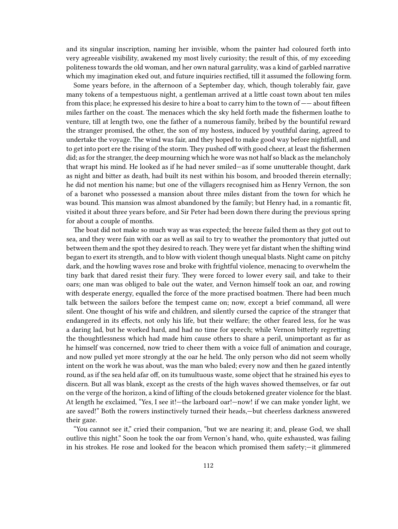and its singular inscription, naming her invisible, whom the painter had coloured forth into very agreeable visibility, awakened my most lively curiosity; the result of this, of my exceeding politeness towards the old woman, and her own natural garrulity, was a kind of garbled narrative which my imagination eked out, and future inquiries rectified, till it assumed the following form.

Some years before, in the afternoon of a September day, which, though tolerably fair, gave many tokens of a tempestuous night, a gentleman arrived at a little coast town about ten miles from this place; he expressed his desire to hire a boat to carry him to the town of —— about fifteen miles farther on the coast. The menaces which the sky held forth made the fishermen loathe to venture, till at length two, one the father of a numerous family, bribed by the bountiful reward the stranger promised, the other, the son of my hostess, induced by youthful daring, agreed to undertake the voyage. The wind was fair, and they hoped to make good way before nightfall, and to get into port ere the rising of the storm. They pushed off with good cheer, at least the fishermen did; as for the stranger, the deep mourning which he wore was not half so black as the melancholy that wrapt his mind. He looked as if he had never smiled—as if some unutterable thought, dark as night and bitter as death, had built its nest within his bosom, and brooded therein eternally; he did not mention his name; but one of the villagers recognised him as Henry Vernon, the son of a baronet who possessed a mansion about three miles distant from the town for which he was bound. This mansion was almost abandoned by the family; but Henry had, in a romantic fit, visited it about three years before, and Sir Peter had been down there during the previous spring for about a couple of months.

The boat did not make so much way as was expected; the breeze failed them as they got out to sea, and they were fain with oar as well as sail to try to weather the promontory that jutted out between them and the spot they desired to reach.They were yet far distant when the shifting wind began to exert its strength, and to blow with violent though unequal blasts. Night came on pitchy dark, and the howling waves rose and broke with frightful violence, menacing to overwhelm the tiny bark that dared resist their fury. They were forced to lower every sail, and take to their oars; one man was obliged to bale out the water, and Vernon himself took an oar, and rowing with desperate energy, equalled the force of the more practised boatmen. There had been much talk between the sailors before the tempest came on; now, except a brief command, all were silent. One thought of his wife and children, and silently cursed the caprice of the stranger that endangered in its effects, not only his life, but their welfare; the other feared less, for he was a daring lad, but he worked hard, and had no time for speech; while Vernon bitterly regretting the thoughtlessness which had made him cause others to share a peril, unimportant as far as he himself was concerned, now tried to cheer them with a voice full of animation and courage, and now pulled yet more strongly at the oar he held. The only person who did not seem wholly intent on the work he was about, was the man who baled; every now and then he gazed intently round, as if the sea held afar off, on its tumultuous waste, some object that he strained his eyes to discern. But all was blank, except as the crests of the high waves showed themselves, or far out on the verge of the horizon, a kind of lifting of the clouds betokened greater violence for the blast. At length he exclaimed, "Yes, I see it!—the larboard oar!—now! if we can make yonder light, we are saved!" Both the rowers instinctively turned their heads,—but cheerless darkness answered their gaze.

"You cannot see it," cried their companion, "but we are nearing it; and, please God, we shall outlive this night." Soon he took the oar from Vernon's hand, who, quite exhausted, was failing in his strokes. He rose and looked for the beacon which promised them safety;—it glimmered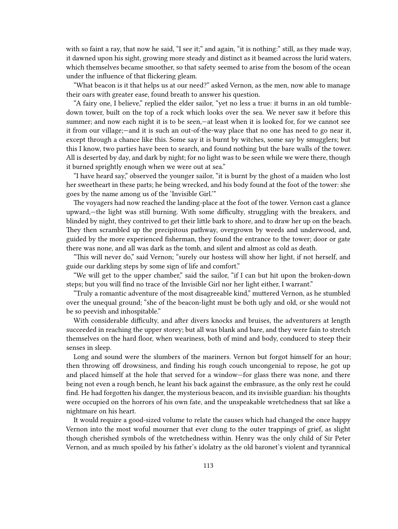with so faint a ray, that now he said, "I see it;" and again, "it is nothing:" still, as they made way, it dawned upon his sight, growing more steady and distinct as it beamed across the lurid waters, which themselves became smoother, so that safety seemed to arise from the bosom of the ocean under the influence of that flickering gleam.

"What beacon is it that helps us at our need?" asked Vernon, as the men, now able to manage their oars with greater ease, found breath to answer his question.

"A fairy one, I believe," replied the elder sailor, "yet no less a true: it burns in an old tumbledown tower, built on the top of a rock which looks over the sea. We never saw it before this summer; and now each night it is to be seen,—at least when it is looked for, for we cannot see it from our village;—and it is such an out-of-the-way place that no one has need to go near it, except through a chance like this. Some say it is burnt by witches, some say by smugglers; but this I know, two parties have been to search, and found nothing but the bare walls of the tower. All is deserted by day, and dark by night; for no light was to be seen while we were there, though it burned sprightly enough when we were out at sea."

"I have heard say," observed the younger sailor, "it is burnt by the ghost of a maiden who lost her sweetheart in these parts; he being wrecked, and his body found at the foot of the tower: she goes by the name among us of the 'Invisible Girl.'"

The voyagers had now reached the landing-place at the foot of the tower. Vernon cast a glance upward,—the light was still burning. With some difficulty, struggling with the breakers, and blinded by night, they contrived to get their little bark to shore, and to draw her up on the beach. They then scrambled up the precipitous pathway, overgrown by weeds and underwood, and, guided by the more experienced fisherman, they found the entrance to the tower; door or gate there was none, and all was dark as the tomb, and silent and almost as cold as death.

"This will never do," said Vernon; "surely our hostess will show her light, if not herself, and guide our darkling steps by some sign of life and comfort."

"We will get to the upper chamber," said the sailor, "if I can but hit upon the broken-down steps; but you will find no trace of the Invisible Girl nor her light either, I warrant."

"Truly a romantic adventure of the most disagreeable kind," muttered Vernon, as he stumbled over the unequal ground; "she of the beacon-light must be both ugly and old, or she would not be so peevish and inhospitable."

With considerable difficulty, and after divers knocks and bruises, the adventurers at length succeeded in reaching the upper storey; but all was blank and bare, and they were fain to stretch themselves on the hard floor, when weariness, both of mind and body, conduced to steep their senses in sleep.

Long and sound were the slumbers of the mariners. Vernon but forgot himself for an hour; then throwing off drowsiness, and finding his rough couch uncongenial to repose, he got up and placed himself at the hole that served for a window—for glass there was none, and there being not even a rough bench, he leant his back against the embrasure, as the only rest he could find. He had forgotten his danger, the mysterious beacon, and its invisible guardian: his thoughts were occupied on the horrors of his own fate, and the unspeakable wretchedness that sat like a nightmare on his heart.

It would require a good-sized volume to relate the causes which had changed the once happy Vernon into the most woful mourner that ever clung to the outer trappings of grief, as slight though cherished symbols of the wretchedness within. Henry was the only child of Sir Peter Vernon, and as much spoiled by his father's idolatry as the old baronet's violent and tyrannical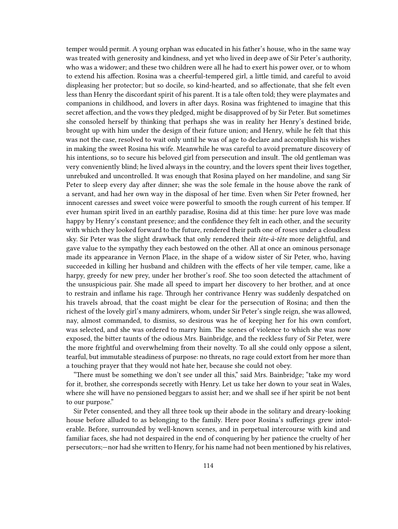temper would permit. A young orphan was educated in his father's house, who in the same way was treated with generosity and kindness, and yet who lived in deep awe of Sir Peter's authority, who was a widower; and these two children were all he had to exert his power over, or to whom to extend his affection. Rosina was a cheerful-tempered girl, a little timid, and careful to avoid displeasing her protector; but so docile, so kind-hearted, and so affectionate, that she felt even less than Henry the discordant spirit of his parent. It is a tale often told; they were playmates and companions in childhood, and lovers in after days. Rosina was frightened to imagine that this secret affection, and the vows they pledged, might be disapproved of by Sir Peter. But sometimes she consoled herself by thinking that perhaps she was in reality her Henry's destined bride, brought up with him under the design of their future union; and Henry, while he felt that this was not the case, resolved to wait only until he was of age to declare and accomplish his wishes in making the sweet Rosina his wife. Meanwhile he was careful to avoid premature discovery of his intentions, so to secure his beloved girl from persecution and insult. The old gentleman was very conveniently blind; he lived always in the country, and the lovers spent their lives together, unrebuked and uncontrolled. It was enough that Rosina played on her mandoline, and sang Sir Peter to sleep every day after dinner; she was the sole female in the house above the rank of a servant, and had her own way in the disposal of her time. Even when Sir Peter frowned, her innocent caresses and sweet voice were powerful to smooth the rough current of his temper. If ever human spirit lived in an earthly paradise, Rosina did at this time: her pure love was made happy by Henry's constant presence; and the confidence they felt in each other, and the security with which they looked forward to the future, rendered their path one of roses under a cloudless sky. Sir Peter was the slight drawback that only rendered their *tête-à-tête* more delightful, and gave value to the sympathy they each bestowed on the other. All at once an ominous personage made its appearance in Vernon Place, in the shape of a widow sister of Sir Peter, who, having succeeded in killing her husband and children with the effects of her vile temper, came, like a harpy, greedy for new prey, under her brother's roof. She too soon detected the attachment of the unsuspicious pair. She made all speed to impart her discovery to her brother, and at once to restrain and inflame his rage. Through her contrivance Henry was suddenly despatched on his travels abroad, that the coast might be clear for the persecution of Rosina; and then the richest of the lovely girl's many admirers, whom, under Sir Peter's single reign, she was allowed, nay, almost commanded, to dismiss, so desirous was he of keeping her for his own comfort, was selected, and she was ordered to marry him. The scenes of violence to which she was now exposed, the bitter taunts of the odious Mrs. Bainbridge, and the reckless fury of Sir Peter, were the more frightful and overwhelming from their novelty. To all she could only oppose a silent, tearful, but immutable steadiness of purpose: no threats, no rage could extort from her more than a touching prayer that they would not hate her, because she could not obey.

"There must be something we don't see under all this," said Mrs. Bainbridge; "take my word for it, brother, she corresponds secretly with Henry. Let us take her down to your seat in Wales, where she will have no pensioned beggars to assist her; and we shall see if her spirit be not bent to our purpose."

Sir Peter consented, and they all three took up their abode in the solitary and dreary-looking house before alluded to as belonging to the family. Here poor Rosina's sufferings grew intolerable. Before, surrounded by well-known scenes, and in perpetual intercourse with kind and familiar faces, she had not despaired in the end of conquering by her patience the cruelty of her persecutors;—nor had she written to Henry, for his name had not been mentioned by his relatives,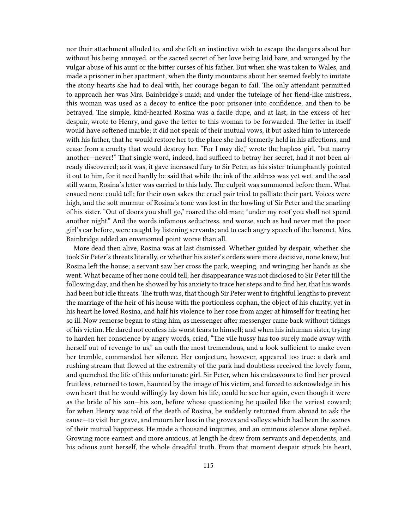nor their attachment alluded to, and she felt an instinctive wish to escape the dangers about her without his being annoyed, or the sacred secret of her love being laid bare, and wronged by the vulgar abuse of his aunt or the bitter curses of his father. But when she was taken to Wales, and made a prisoner in her apartment, when the flinty mountains about her seemed feebly to imitate the stony hearts she had to deal with, her courage began to fail. The only attendant permitted to approach her was Mrs. Bainbridge's maid; and under the tutelage of her fiend-like mistress, this woman was used as a decoy to entice the poor prisoner into confidence, and then to be betrayed. The simple, kind-hearted Rosina was a facile dupe, and at last, in the excess of her despair, wrote to Henry, and gave the letter to this woman to be forwarded. The letter in itself would have softened marble; it did not speak of their mutual vows, it but asked him to intercede with his father, that he would restore her to the place she had formerly held in his affections, and cease from a cruelty that would destroy her. "For I may die," wrote the hapless girl, "but marry another—never!" That single word, indeed, had sufficed to betray her secret, had it not been already discovered; as it was, it gave increased fury to Sir Peter, as his sister triumphantly pointed it out to him, for it need hardly be said that while the ink of the address was yet wet, and the seal still warm, Rosina's letter was carried to this lady. The culprit was summoned before them. What ensued none could tell; for their own sakes the cruel pair tried to palliate their part. Voices were high, and the soft murmur of Rosina's tone was lost in the howling of Sir Peter and the snarling of his sister. "Out of doors you shall go," roared the old man; "under my roof you shall not spend another night." And the words infamous seductress, and worse, such as had never met the poor girl's ear before, were caught by listening servants; and to each angry speech of the baronet, Mrs. Bainbridge added an envenomed point worse than all.

More dead then alive, Rosina was at last dismissed. Whether guided by despair, whether she took Sir Peter's threats literally, or whether his sister's orders were more decisive, none knew, but Rosina left the house; a servant saw her cross the park, weeping, and wringing her hands as she went. What became of her none could tell; her disappearance was not disclosed to Sir Peter till the following day, and then he showed by his anxiety to trace her steps and to find her, that his words had been but idle threats. The truth was, that though Sir Peter went to frightful lengths to prevent the marriage of the heir of his house with the portionless orphan, the object of his charity, yet in his heart he loved Rosina, and half his violence to her rose from anger at himself for treating her so ill. Now remorse began to sting him, as messenger after messenger came back without tidings of his victim. He dared not confess his worst fears to himself; and when his inhuman sister, trying to harden her conscience by angry words, cried, "The vile hussy has too surely made away with herself out of revenge to us," an oath the most tremendous, and a look sufficient to make even her tremble, commanded her silence. Her conjecture, however, appeared too true: a dark and rushing stream that flowed at the extremity of the park had doubtless received the lovely form, and quenched the life of this unfortunate girl. Sir Peter, when his endeavours to find her proved fruitless, returned to town, haunted by the image of his victim, and forced to acknowledge in his own heart that he would willingly lay down his life, could he see her again, even though it were as the bride of his son—his son, before whose questioning he quailed like the veriest coward; for when Henry was told of the death of Rosina, he suddenly returned from abroad to ask the cause—to visit her grave, and mourn her loss in the groves and valleys which had been the scenes of their mutual happiness. He made a thousand inquiries, and an ominous silence alone replied. Growing more earnest and more anxious, at length he drew from servants and dependents, and his odious aunt herself, the whole dreadful truth. From that moment despair struck his heart,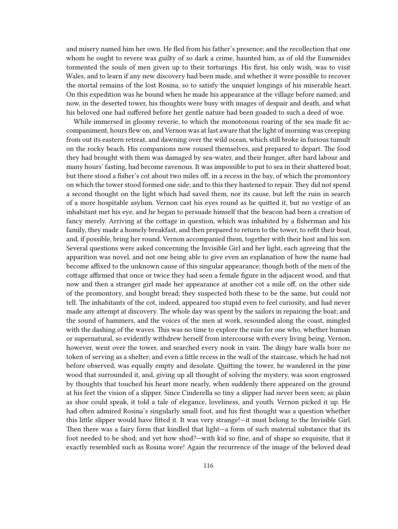and misery named him her own. He fled from his father's presence; and the recollection that one whom he ought to revere was guilty of so dark a crime, haunted him, as of old the Eumenides tormented the souls of men given up to their torturings. His first, his only wish, was to visit Wales, and to learn if any new discovery had been made, and whether it were possible to recover the mortal remains of the lost Rosina, so to satisfy the unquiet longings of his miserable heart. On this expedition was he bound when he made his appearance at the village before named; and now, in the deserted tower, his thoughts were busy with images of despair and death, and what his beloved one had suffered before her gentle nature had been goaded to such a deed of woe.

While immersed in gloomy reverie, to which the monotonous roaring of the sea made fit accompaniment, hours flew on, and Vernon was at last aware that the light of morning was creeping from out its eastern retreat, and dawning over the wild ocean, which still broke in furious tumult on the rocky beach. His companions now roused themselves, and prepared to depart. The food they had brought with them was damaged by sea-water, and their hunger, after hard labour and many hours' fasting, had become ravenous. It was impossible to put to sea in their shattered boat; but there stood a fisher's cot about two miles off, in a recess in the bay, of which the promontory on which the tower stood formed one side; and to this they hastened to repair. They did not spend a second thought on the light which had saved them, nor its cause, but left the ruin in search of a more hospitable asylum. Vernon cast his eyes round as he quitted it, but no vestige of an inhabitant met his eye, and he began to persuade himself that the beacon had been a creation of fancy merely. Arriving at the cottage in question, which was inhabited by a fisherman and his family, they made a homely breakfast, and then prepared to return to the tower, to refit their boat, and, if possible, bring her round. Vernon accompanied them, together with their host and his son. Several questions were asked concerning the Invisible Girl and her light, each agreeing that the apparition was novel, and not one being able to give even an explanation of how the name had become affixed to the unknown cause of this singular appearance; though both of the men of the cottage affirmed that once or twice they had seen a female figure in the adjacent wood, and that now and then a stranger girl made her appearance at another cot a mile off, on the other side of the promontory, and bought bread; they suspected both these to be the same, but could not tell. The inhabitants of the cot, indeed, appeared too stupid even to feel curiosity, and had never made any attempt at discovery. The whole day was spent by the sailors in repairing the boat; and the sound of hammers, and the voices of the men at work, resounded along the coast, mingled with the dashing of the waves. This was no time to explore the ruin for one who, whether human or supernatural, so evidently withdrew herself from intercourse with every living being. Vernon, however, went over the tower, and searched every nook in vain. The dingy bare walls bore no token of serving as a shelter; and even a little recess in the wall of the staircase, which he had not before observed, was equally empty and desolate. Quitting the tower, he wandered in the pine wood that surrounded it, and, giving up all thought of solving the mystery, was soon engrossed by thoughts that touched his heart more nearly, when suddenly there appeared on the ground at his feet the vision of a slipper. Since Cinderella so tiny a slipper had never been seen; as plain as shoe could speak, it told a tale of elegance, loveliness, and youth. Vernon picked it up. He had often admired Rosina's singularly small foot, and his first thought was a question whether this little slipper would have fitted it. It was very strange!—it must belong to the Invisible Girl. Then there was a fairy form that kindled that light—a form of such material substance that its foot needed to be shod; and yet how shod?—with kid so fine, and of shape so exquisite, that it exactly resembled such as Rosina wore! Again the recurrence of the image of the beloved dead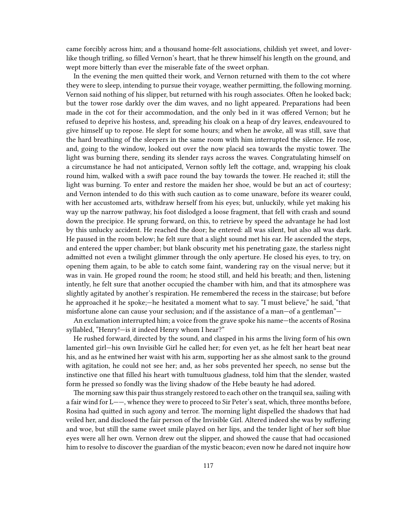came forcibly across him; and a thousand home-felt associations, childish yet sweet, and loverlike though trifling, so filled Vernon's heart, that he threw himself his length on the ground, and wept more bitterly than ever the miserable fate of the sweet orphan.

In the evening the men quitted their work, and Vernon returned with them to the cot where they were to sleep, intending to pursue their voyage, weather permitting, the following morning. Vernon said nothing of his slipper, but returned with his rough associates. Often he looked back; but the tower rose darkly over the dim waves, and no light appeared. Preparations had been made in the cot for their accommodation, and the only bed in it was offered Vernon; but he refused to deprive his hostess, and, spreading his cloak on a heap of dry leaves, endeavoured to give himself up to repose. He slept for some hours; and when he awoke, all was still, save that the hard breathing of the sleepers in the same room with him interrupted the silence. He rose, and, going to the window, looked out over the now placid sea towards the mystic tower. The light was burning there, sending its slender rays across the waves. Congratulating himself on a circumstance he had not anticipated, Vernon softly left the cottage, and, wrapping his cloak round him, walked with a swift pace round the bay towards the tower. He reached it; still the light was burning. To enter and restore the maiden her shoe, would be but an act of courtesy; and Vernon intended to do this with such caution as to come unaware, before its wearer could, with her accustomed arts, withdraw herself from his eyes; but, unluckily, while yet making his way up the narrow pathway, his foot dislodged a loose fragment, that fell with crash and sound down the precipice. He sprung forward, on this, to retrieve by speed the advantage he had lost by this unlucky accident. He reached the door; he entered: all was silent, but also all was dark. He paused in the room below; he felt sure that a slight sound met his ear. He ascended the steps, and entered the upper chamber; but blank obscurity met his penetrating gaze, the starless night admitted not even a twilight glimmer through the only aperture. He closed his eyes, to try, on opening them again, to be able to catch some faint, wandering ray on the visual nerve; but it was in vain. He groped round the room; he stood still, and held his breath; and then, listening intently, he felt sure that another occupied the chamber with him, and that its atmosphere was slightly agitated by another's respiration. He remembered the recess in the staircase; but before he approached it he spoke;—he hesitated a moment what to say. "I must believe," he said, "that misfortune alone can cause your seclusion; and if the assistance of a man—of a gentleman"—

An exclamation interrupted him; a voice from the grave spoke his name—the accents of Rosina syllabled, "Henry!—is it indeed Henry whom I hear?"

He rushed forward, directed by the sound, and clasped in his arms the living form of his own lamented girl—his own Invisible Girl he called her; for even yet, as he felt her heart beat near his, and as he entwined her waist with his arm, supporting her as she almost sank to the ground with agitation, he could not see her; and, as her sobs prevented her speech, no sense but the instinctive one that filled his heart with tumultuous gladness, told him that the slender, wasted form he pressed so fondly was the living shadow of the Hebe beauty he had adored.

The morning saw this pair thus strangely restored to each other on the tranquil sea, sailing with a fair wind for L——, whence they were to proceed to Sir Peter's seat, which, three months before, Rosina had quitted in such agony and terror. The morning light dispelled the shadows that had veiled her, and disclosed the fair person of the Invisible Girl. Altered indeed she was by suffering and woe, but still the same sweet smile played on her lips, and the tender light of her soft blue eyes were all her own. Vernon drew out the slipper, and showed the cause that had occasioned him to resolve to discover the guardian of the mystic beacon; even now he dared not inquire how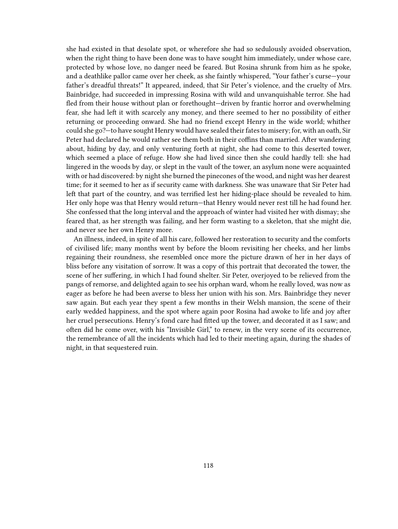she had existed in that desolate spot, or wherefore she had so sedulously avoided observation, when the right thing to have been done was to have sought him immediately, under whose care, protected by whose love, no danger need be feared. But Rosina shrunk from him as he spoke, and a deathlike pallor came over her cheek, as she faintly whispered, "Your father's curse—your father's dreadful threats!" It appeared, indeed, that Sir Peter's violence, and the cruelty of Mrs. Bainbridge, had succeeded in impressing Rosina with wild and unvanquishable terror. She had fled from their house without plan or forethought—driven by frantic horror and overwhelming fear, she had left it with scarcely any money, and there seemed to her no possibility of either returning or proceeding onward. She had no friend except Henry in the wide world; whither could she go?—to have sought Henry would have sealed their fates to misery; for, with an oath, Sir Peter had declared he would rather see them both in their coffins than married. After wandering about, hiding by day, and only venturing forth at night, she had come to this deserted tower, which seemed a place of refuge. How she had lived since then she could hardly tell: she had lingered in the woods by day, or slept in the vault of the tower, an asylum none were acquainted with or had discovered: by night she burned the pinecones of the wood, and night was her dearest time; for it seemed to her as if security came with darkness. She was unaware that Sir Peter had left that part of the country, and was terrified lest her hiding-place should be revealed to him. Her only hope was that Henry would return—that Henry would never rest till he had found her. She confessed that the long interval and the approach of winter had visited her with dismay; she feared that, as her strength was failing, and her form wasting to a skeleton, that she might die, and never see her own Henry more.

An illness, indeed, in spite of all his care, followed her restoration to security and the comforts of civilised life; many months went by before the bloom revisiting her cheeks, and her limbs regaining their roundness, she resembled once more the picture drawn of her in her days of bliss before any visitation of sorrow. It was a copy of this portrait that decorated the tower, the scene of her suffering, in which I had found shelter. Sir Peter, overjoyed to be relieved from the pangs of remorse, and delighted again to see his orphan ward, whom he really loved, was now as eager as before he had been averse to bless her union with his son. Mrs. Bainbridge they never saw again. But each year they spent a few months in their Welsh mansion, the scene of their early wedded happiness, and the spot where again poor Rosina had awoke to life and joy after her cruel persecutions. Henry's fond care had fitted up the tower, and decorated it as I saw; and often did he come over, with his "Invisible Girl," to renew, in the very scene of its occurrence, the remembrance of all the incidents which had led to their meeting again, during the shades of night, in that sequestered ruin.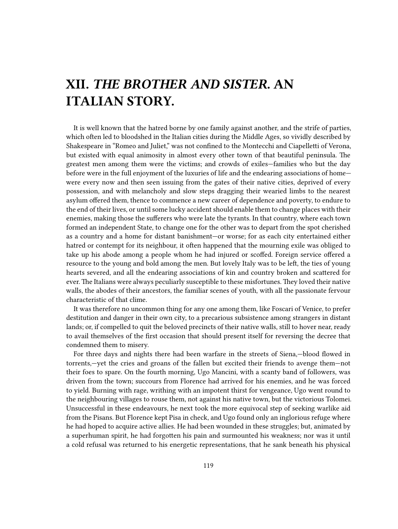## **XII.** *THE BROTHER AND SISTER.* **AN ITALIAN STORY.**

It is well known that the hatred borne by one family against another, and the strife of parties, which often led to bloodshed in the Italian cities during the Middle Ages, so vividly described by Shakespeare in "Romeo and Juliet," was not confined to the Montecchi and Ciapelletti of Verona, but existed with equal animosity in almost every other town of that beautiful peninsula. The greatest men among them were the victims; and crowds of exiles—families who but the day before were in the full enjoyment of the luxuries of life and the endearing associations of home were every now and then seen issuing from the gates of their native cities, deprived of every possession, and with melancholy and slow steps dragging their wearied limbs to the nearest asylum offered them, thence to commence a new career of dependence and poverty, to endure to the end of their lives, or until some lucky accident should enable them to change places with their enemies, making those the sufferers who were late the tyrants. In that country, where each town formed an independent State, to change one for the other was to depart from the spot cherished as a country and a home for distant banishment—or worse; for as each city entertained either hatred or contempt for its neighbour, it often happened that the mourning exile was obliged to take up his abode among a people whom he had injured or scoffed. Foreign service offered a resource to the young and bold among the men. But lovely Italy was to be left, the ties of young hearts severed, and all the endearing associations of kin and country broken and scattered for ever. The Italians were always peculiarly susceptible to these misfortunes. They loved their native walls, the abodes of their ancestors, the familiar scenes of youth, with all the passionate fervour characteristic of that clime.

It was therefore no uncommon thing for any one among them, like Foscari of Venice, to prefer destitution and danger in their own city, to a precarious subsistence among strangers in distant lands; or, if compelled to quit the beloved precincts of their native walls, still to hover near, ready to avail themselves of the first occasion that should present itself for reversing the decree that condemned them to misery.

For three days and nights there had been warfare in the streets of Siena,—blood flowed in torrents,—yet the cries and groans of the fallen but excited their friends to avenge them—not their foes to spare. On the fourth morning, Ugo Mancini, with a scanty band of followers, was driven from the town; succours from Florence had arrived for his enemies, and he was forced to yield. Burning with rage, writhing with an impotent thirst for vengeance, Ugo went round to the neighbouring villages to rouse them, not against his native town, but the victorious Tolomei. Unsuccessful in these endeavours, he next took the more equivocal step of seeking warlike aid from the Pisans. But Florence kept Pisa in check, and Ugo found only an inglorious refuge where he had hoped to acquire active allies. He had been wounded in these struggles; but, animated by a superhuman spirit, he had forgotten his pain and surmounted his weakness; nor was it until a cold refusal was returned to his energetic representations, that he sank beneath his physical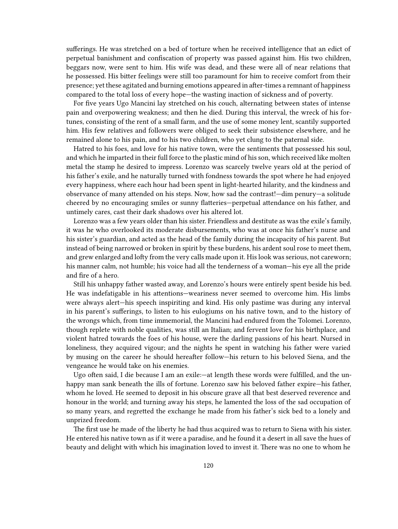sufferings. He was stretched on a bed of torture when he received intelligence that an edict of perpetual banishment and confiscation of property was passed against him. His two children, beggars now, were sent to him. His wife was dead, and these were all of near relations that he possessed. His bitter feelings were still too paramount for him to receive comfort from their presence; yet these agitated and burning emotions appeared in after-times a remnant of happiness compared to the total loss of every hope—the wasting inaction of sickness and of poverty.

For five years Ugo Mancini lay stretched on his couch, alternating between states of intense pain and overpowering weakness; and then he died. During this interval, the wreck of his fortunes, consisting of the rent of a small farm, and the use of some money lent, scantily supported him. His few relatives and followers were obliged to seek their subsistence elsewhere, and he remained alone to his pain, and to his two children, who yet clung to the paternal side.

Hatred to his foes, and love for his native town, were the sentiments that possessed his soul, and which he imparted in their full force to the plastic mind of his son, which received like molten metal the stamp he desired to impress. Lorenzo was scarcely twelve years old at the period of his father's exile, and he naturally turned with fondness towards the spot where he had enjoyed every happiness, where each hour had been spent in light-hearted hilarity, and the kindness and observance of many attended on his steps. Now, how sad the contrast!—dim penury—a solitude cheered by no encouraging smiles or sunny flatteries—perpetual attendance on his father, and untimely cares, cast their dark shadows over his altered lot.

Lorenzo was a few years older than his sister. Friendless and destitute as was the exile's family, it was he who overlooked its moderate disbursements, who was at once his father's nurse and his sister's guardian, and acted as the head of the family during the incapacity of his parent. But instead of being narrowed or broken in spirit by these burdens, his ardent soul rose to meet them, and grew enlarged and lofty from the very calls made upon it. His look was serious, not careworn; his manner calm, not humble; his voice had all the tenderness of a woman—his eye all the pride and fire of a hero.

Still his unhappy father wasted away, and Lorenzo's hours were entirely spent beside his bed. He was indefatigable in his attentions—weariness never seemed to overcome him. His limbs were always alert—his speech inspiriting and kind. His only pastime was during any interval in his parent's sufferings, to listen to his eulogiums on his native town, and to the history of the wrongs which, from time immemorial, the Mancini had endured from the Tolomei. Lorenzo, though replete with noble qualities, was still an Italian; and fervent love for his birthplace, and violent hatred towards the foes of his house, were the darling passions of his heart. Nursed in loneliness, they acquired vigour; and the nights he spent in watching his father were varied by musing on the career he should hereafter follow—his return to his beloved Siena, and the vengeance he would take on his enemies.

Ugo often said, I die because I am an exile:—at length these words were fulfilled, and the unhappy man sank beneath the ills of fortune. Lorenzo saw his beloved father expire—his father, whom he loved. He seemed to deposit in his obscure grave all that best deserved reverence and honour in the world; and turning away his steps, he lamented the loss of the sad occupation of so many years, and regretted the exchange he made from his father's sick bed to a lonely and unprized freedom.

The first use he made of the liberty he had thus acquired was to return to Siena with his sister. He entered his native town as if it were a paradise, and he found it a desert in all save the hues of beauty and delight with which his imagination loved to invest it. There was no one to whom he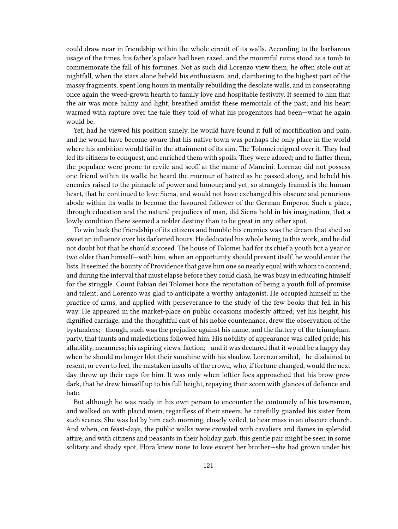could draw near in friendship within the whole circuit of its walls. According to the barbarous usage of the times, his father's palace had been razed, and the mournful ruins stood as a tomb to commemorate the fall of his fortunes. Not as such did Lorenzo view them; he often stole out at nightfall, when the stars alone beheld his enthusiasm, and, clambering to the highest part of the massy fragments, spent long hours in mentally rebuilding the desolate walls, and in consecrating once again the weed-grown hearth to family love and hospitable festivity. It seemed to him that the air was more balmy and light, breathed amidst these memorials of the past; and his heart warmed with rapture over the tale they told of what his progenitors had been—what he again would be.

Yet, had he viewed his position sanely, he would have found it full of mortification and pain; and he would have become aware that his native town was perhaps the only place in the world where his ambition would fail in the attainment of its aim. The Tolomei reigned over it. They had led its citizens to conquest, and enriched them with spoils. They were adored; and to flatter them, the populace were prone to revile and scoff at the name of Mancini. Lorenzo did not possess one friend within its walls: he heard the murmur of hatred as he passed along, and beheld his enemies raised to the pinnacle of power and honour; and yet, so strangely framed is the human heart, that he continued to love Siena, and would not have exchanged his obscure and penurious abode within its walls to become the favoured follower of the German Emperor. Such a place, through education and the natural prejudices of man, did Siena hold in his imagination, that a lowly condition there seemed a nobler destiny than to be great in any other spot.

To win back the friendship of its citizens and humble his enemies was the dream that shed so sweet an influence over his darkened hours. He dedicated his whole being to this work, and he did not doubt but that he should succeed. The house of Tolomei had for its chief a youth but a year or two older than himself—with him, when an opportunity should present itself, he would enter the lists. It seemed the bounty of Providence that gave him one so nearly equal with whom to contend; and during the interval that must elapse before they could clash, he was busy in educating himself for the struggle. Count Fabian dei Tolomei bore the reputation of being a youth full of promise and talent; and Lorenzo was glad to anticipate a worthy antagonist. He occupied himself in the practice of arms, and applied with perseverance to the study of the few books that fell in his way. He appeared in the market-place on public occasions modestly attired; yet his height, his dignified carriage, and the thoughtful cast of his noble countenance, drew the observation of the bystanders;—though, such was the prejudice against his name, and the flattery of the triumphant party, that taunts and maledictions followed him. His nobility of appearance was called pride; his affability, meanness; his aspiring views, faction;—and it was declared that it would be a happy day when he should no longer blot their sunshine with his shadow. Lorenzo smiled,—he disdained to resent, or even to feel, the mistaken insults of the crowd, who, if fortune changed, would the next day throw up their caps for him. It was only when loftier foes approached that his brow grew dark, that he drew himself up to his full height, repaying their scorn with glances of defiance and hate.

But although he was ready in his own person to encounter the contumely of his townsmen, and walked on with placid mien, regardless of their sneers, he carefully guarded his sister from such scenes. She was led by him each morning, closely veiled, to hear mass in an obscure church. And when, on feast-days, the public walks were crowded with cavaliers and dames in splendid attire, and with citizens and peasants in their holiday garb, this gentle pair might be seen in some solitary and shady spot, Flora knew none to love except her brother—she had grown under his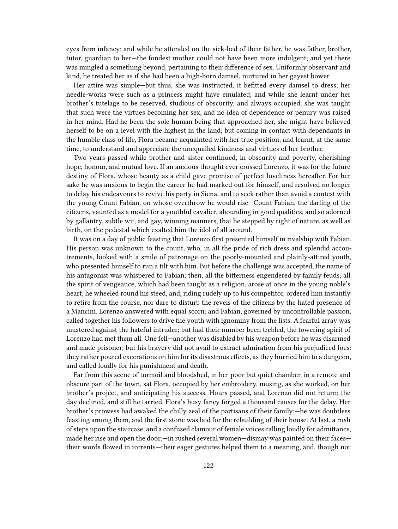eyes from infancy; and while he attended on the sick-bed of their father, he was father, brother, tutor, guardian to her—the fondest mother could not have been more indulgent; and yet there was mingled a something beyond, pertaining to their difference of sex. Uniformly observant and kind, he treated her as if she had been a high-born damsel, nurtured in her gayest bower.

Her attire was simple—but thus, she was instructed, it befitted every damsel to dress; her needle-works were such as a princess might have emulated; and while she learnt under her brother's tutelage to be reserved, studious of obscurity, and always occupied, she was taught that such were the virtues becoming her sex, and no idea of dependence or penury was raised in her mind. Had he been the sole human being that approached her, she might have believed herself to be on a level with the highest in the land; but coming in contact with dependants in the humble class of life, Flora became acquainted with her true position; and learnt, at the same time, to understand and appreciate the unequalled kindness and virtues of her brother.

Two years passed while brother and sister continued, in obscurity and poverty, cherishing hope, honour, and mutual love. If an anxious thought ever crossed Lorenzo, it was for the future destiny of Flora, whose beauty as a child gave promise of perfect loveliness hereafter. For her sake he was anxious to begin the career he had marked out for himself, and resolved no longer to delay his endeavours to revive his party in Siena, and to seek rather than avoid a contest with the young Count Fabian, on whose overthrow he would rise—Count Fabian, the darling of the citizens, vaunted as a model for a youthful cavalier, abounding in good qualities, and so adorned by gallantry, subtle wit, and gay, winning manners, that he stepped by right of nature, as well as birth, on the pedestal which exalted him the idol of all around.

It was on a day of public feasting that Lorenzo first presented himself in rivalship with Fabian. His person was unknown to the count, who, in all the pride of rich dress and splendid accoutrements, looked with a smile of patronage on the poorly-mounted and plainly-attired youth, who presented himself to run a tilt with him. But before the challenge was accepted, the name of his antagonist was whispered to Fabian; then, all the bitterness engendered by family feuds; all the spirit of vengeance, which had been taught as a religion, arose at once in the young noble's heart; he wheeled round his steed, and, riding rudely up to his competitor, ordered him instantly to retire from the course, nor dare to disturb the revels of the citizens by the hated presence of a Mancini. Lorenzo answered with equal scorn; and Fabian, governed by uncontrollable passion, called together his followers to drive the youth with ignominy from the lists. A fearful array was mustered against the hateful intruder; but had their number been trebled, the towering spirit of Lorenzo had met them all. One fell—another was disabled by his weapon before he was disarmed and made prisoner; but his bravery did not avail to extract admiration from his prejudiced foes: they rather poured execrations on him for its disastrous effects, as they hurried him to a dungeon, and called loudly for his punishment and death.

Far from this scene of turmoil and bloodshed, in her poor but quiet chamber, in a remote and obscure part of the town, sat Flora, occupied by her embroidery, musing, as she worked, on her brother's project, and anticipating his success. Hours passed, and Lorenzo did not return; the day declined, and still he tarried. Flora's busy fancy forged a thousand causes for the delay. Her brother's prowess had awaked the chilly zeal of the partisans of their family;—he was doubtless feasting among them, and the first stone was laid for the rebuilding of their house. At last, a rush of steps upon the staircase, and a confused clamour of female voices calling loudly for admittance, made her rise and open the door;—in rushed several women—dismay was painted on their faces their words flowed in torrents—their eager gestures helped them to a meaning, and, though not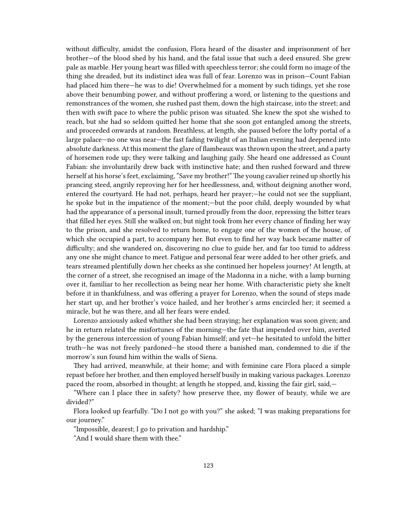without difficulty, amidst the confusion, Flora heard of the disaster and imprisonment of her brother—of the blood shed by his hand, and the fatal issue that such a deed ensured. She grew pale as marble. Her young heart was filled with speechless terror; she could form no image of the thing she dreaded, but its indistinct idea was full of fear. Lorenzo was in prison—Count Fabian had placed him there—he was to die! Overwhelmed for a moment by such tidings, yet she rose above their benumbing power, and without proffering a word, or listening to the questions and remonstrances of the women, she rushed past them, down the high staircase, into the street; and then with swift pace to where the public prison was situated. She knew the spot she wished to reach, but she had so seldom quitted her home that she soon got entangled among the streets, and proceeded onwards at random. Breathless, at length, she paused before the lofty portal of a large palace—no one was near—the fast fading twilight of an Italian evening had deepened into absolute darkness. At this moment the glare of flambeaux was thrown upon the street, and a party of horsemen rode up; they were talking and laughing gaily. She heard one addressed as Count Fabian: she involuntarily drew back with instinctive hate; and then rushed forward and threw herself at his horse's feet, exclaiming, "Save my brother!" The young cavalier reined up shortly his prancing steed, angrily reproving her for her heedlessness, and, without deigning another word, entered the courtyard. He had not, perhaps, heard her prayer;—he could not see the suppliant, he spoke but in the impatience of the moment;—but the poor child, deeply wounded by what had the appearance of a personal insult, turned proudly from the door, repressing the bitter tears that filled her eyes. Still she walked on; but night took from her every chance of finding her way to the prison, and she resolved to return home, to engage one of the women of the house, of which she occupied a part, to accompany her. But even to find her way back became matter of difficulty; and she wandered on, discovering no clue to guide her, and far too timid to address any one she might chance to meet. Fatigue and personal fear were added to her other griefs, and tears streamed plentifully down her cheeks as she continued her hopeless journey! At length, at the corner of a street, she recognised an image of the Madonna in a niche, with a lamp burning over it, familiar to her recollection as being near her home. With characteristic piety she knelt before it in thankfulness, and was offering a prayer for Lorenzo, when the sound of steps made her start up, and her brother's voice hailed, and her brother's arms encircled her; it seemed a miracle, but he was there, and all her fears were ended.

Lorenzo anxiously asked whither she had been straying; her explanation was soon given; and he in return related the misfortunes of the morning—the fate that impended over him, averted by the generous intercession of young Fabian himself; and yet—he hesitated to unfold the bitter truth—he was not freely pardoned—he stood there a banished man, condemned to die if the morrow's sun found him within the walls of Siena.

They had arrived, meanwhile, at their home; and with feminine care Flora placed a simple repast before her brother, and then employed herself busily in making various packages. Lorenzo paced the room, absorbed in thought; at length he stopped, and, kissing the fair girl, said,—

"Where can I place thee in safety? how preserve thee, my flower of beauty, while we are divided?"

Flora looked up fearfully. "Do I not go with you?" she asked; "I was making preparations for our journey."

"Impossible, dearest; I go to privation and hardship."

"And I would share them with thee."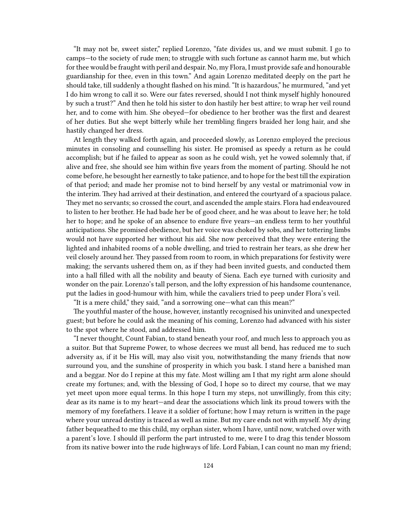"It may not be, sweet sister," replied Lorenzo, "fate divides us, and we must submit. I go to camps—to the society of rude men; to struggle with such fortune as cannot harm me, but which for thee would be fraught with peril and despair. No, my Flora, I must provide safe and honourable guardianship for thee, even in this town." And again Lorenzo meditated deeply on the part he should take, till suddenly a thought flashed on his mind. "It is hazardous," he murmured, "and yet I do him wrong to call it so. Were our fates reversed, should I not think myself highly honoured by such a trust?" And then he told his sister to don hastily her best attire; to wrap her veil round her, and to come with him. She obeyed—for obedience to her brother was the first and dearest of her duties. But she wept bitterly while her trembling fingers braided her long hair, and she hastily changed her dress.

At length they walked forth again, and proceeded slowly, as Lorenzo employed the precious minutes in consoling and counselling his sister. He promised as speedy a return as he could accomplish; but if he failed to appear as soon as he could wish, yet he vowed solemnly that, if alive and free, she should see him within five years from the moment of parting. Should he not come before, he besought her earnestly to take patience, and to hope for the best till the expiration of that period; and made her promise not to bind herself by any vestal or matrimonial vow in the interim. They had arrived at their destination, and entered the courtyard of a spacious palace. They met no servants; so crossed the court, and ascended the ample stairs. Flora had endeavoured to listen to her brother. He had bade her be of good cheer, and he was about to leave her; he told her to hope; and he spoke of an absence to endure five years—an endless term to her youthful anticipations. She promised obedience, but her voice was choked by sobs, and her tottering limbs would not have supported her without his aid. She now perceived that they were entering the lighted and inhabited rooms of a noble dwelling, and tried to restrain her tears, as she drew her veil closely around her. They passed from room to room, in which preparations for festivity were making; the servants ushered them on, as if they had been invited guests, and conducted them into a hall filled with all the nobility and beauty of Siena. Each eye turned with curiosity and wonder on the pair. Lorenzo's tall person, and the lofty expression of his handsome countenance, put the ladies in good-humour with him, while the cavaliers tried to peep under Flora's veil.

"It is a mere child," they said, "and a sorrowing one—what can this mean?"

The youthful master of the house, however, instantly recognised his uninvited and unexpected guest; but before he could ask the meaning of his coming, Lorenzo had advanced with his sister to the spot where he stood, and addressed him.

"I never thought, Count Fabian, to stand beneath your roof, and much less to approach you as a suitor. But that Supreme Power, to whose decrees we must all bend, has reduced me to such adversity as, if it be His will, may also visit you, notwithstanding the many friends that now surround you, and the sunshine of prosperity in which you bask. I stand here a banished man and a beggar. Nor do I repine at this my fate. Most willing am I that my right arm alone should create my fortunes; and, with the blessing of God, I hope so to direct my course, that we may yet meet upon more equal terms. In this hope I turn my steps, not unwillingly, from this city; dear as its name is to my heart—and dear the associations which link its proud towers with the memory of my forefathers. I leave it a soldier of fortune; how I may return is written in the page where your unread destiny is traced as well as mine. But my care ends not with myself. My dying father bequeathed to me this child, my orphan sister, whom I have, until now, watched over with a parent's love. I should ill perform the part intrusted to me, were I to drag this tender blossom from its native bower into the rude highways of life. Lord Fabian, I can count no man my friend;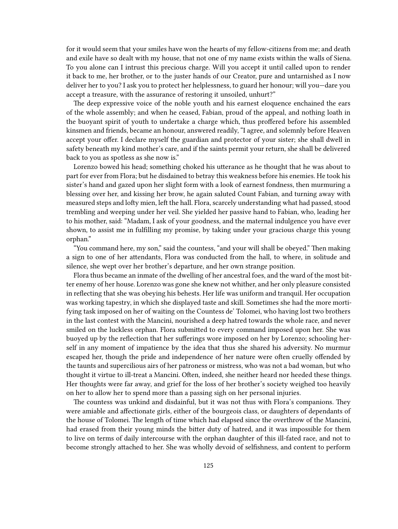for it would seem that your smiles have won the hearts of my fellow-citizens from me; and death and exile have so dealt with my house, that not one of my name exists within the walls of Siena. To you alone can I intrust this precious charge. Will you accept it until called upon to render it back to me, her brother, or to the juster hands of our Creator, pure and untarnished as I now deliver her to you? I ask you to protect her helplessness, to guard her honour; will you—dare you accept a treasure, with the assurance of restoring it unsoiled, unhurt?"

The deep expressive voice of the noble youth and his earnest eloquence enchained the ears of the whole assembly; and when he ceased, Fabian, proud of the appeal, and nothing loath in the buoyant spirit of youth to undertake a charge which, thus proffered before his assembled kinsmen and friends, became an honour, answered readily, "I agree, and solemnly before Heaven accept your offer. I declare myself the guardian and protector of your sister; she shall dwell in safety beneath my kind mother's care, and if the saints permit your return, she shall be delivered back to you as spotless as she now is."

Lorenzo bowed his head; something choked his utterance as he thought that he was about to part for ever from Flora; but he disdained to betray this weakness before his enemies. He took his sister's hand and gazed upon her slight form with a look of earnest fondness, then murmuring a blessing over her, and kissing her brow, he again saluted Count Fabian, and turning away with measured steps and lofty mien, left the hall. Flora, scarcely understanding what had passed, stood trembling and weeping under her veil. She yielded her passive hand to Fabian, who, leading her to his mother, said: "Madam, I ask of your goodness, and the maternal indulgence you have ever shown, to assist me in fulfilling my promise, by taking under your gracious charge this young orphan."

"You command here, my son," said the countess, "and your will shall be obeyed." Then making a sign to one of her attendants, Flora was conducted from the hall, to where, in solitude and silence, she wept over her brother's departure, and her own strange position.

Flora thus became an inmate of the dwelling of her ancestral foes, and the ward of the most bitter enemy of her house. Lorenzo was gone she knew not whither, and her only pleasure consisted in reflecting that she was obeying his behests. Her life was uniform and tranquil. Her occupation was working tapestry, in which she displayed taste and skill. Sometimes she had the more mortifying task imposed on her of waiting on the Countess de' Tolomei, who having lost two brothers in the last contest with the Mancini, nourished a deep hatred towards the whole race, and never smiled on the luckless orphan. Flora submitted to every command imposed upon her. She was buoyed up by the reflection that her sufferings wore imposed on her by Lorenzo; schooling herself in any moment of impatience by the idea that thus she shared his adversity. No murmur escaped her, though the pride and independence of her nature were often cruelly offended by the taunts and supercilious airs of her patroness or mistress, who was not a bad woman, but who thought it virtue to ill-treat a Mancini. Often, indeed, she neither heard nor heeded these things. Her thoughts were far away, and grief for the loss of her brother's society weighed too heavily on her to allow her to spend more than a passing sigh on her personal injuries.

The countess was unkind and disdainful, but it was not thus with Flora's companions. They were amiable and affectionate girls, either of the bourgeois class, or daughters of dependants of the house of Tolomei. The length of time which had elapsed since the overthrow of the Mancini, had erased from their young minds the bitter duty of hatred, and it was impossible for them to live on terms of daily intercourse with the orphan daughter of this ill-fated race, and not to become strongly attached to her. She was wholly devoid of selfishness, and content to perform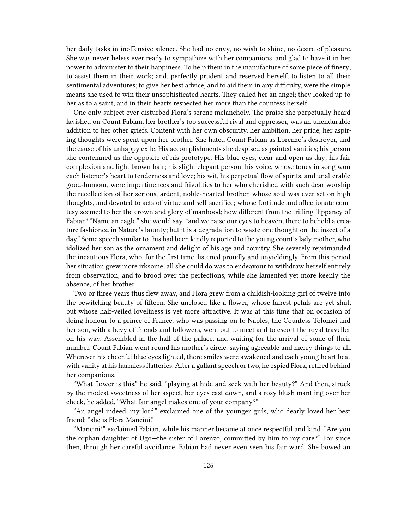her daily tasks in inoffensive silence. She had no envy, no wish to shine, no desire of pleasure. She was nevertheless ever ready to sympathize with her companions, and glad to have it in her power to administer to their happiness. To help them in the manufacture of some piece of finery; to assist them in their work; and, perfectly prudent and reserved herself, to listen to all their sentimental adventures; to give her best advice, and to aid them in any difficulty, were the simple means she used to win their unsophisticated hearts. They called her an angel; they looked up to her as to a saint, and in their hearts respected her more than the countess herself.

One only subject ever disturbed Flora's serene melancholy. The praise she perpetually heard lavished on Count Fabian, her brother's too successful rival and oppressor, was an unendurable addition to her other griefs. Content with her own obscurity, her ambition, her pride, her aspiring thoughts were spent upon her brother. She hated Count Fabian as Lorenzo's destroyer, and the cause of his unhappy exile. His accomplishments she despised as painted vanities; his person she contemned as the opposite of his prototype. His blue eyes, clear and open as day; his fair complexion and light brown hair; his slight elegant person; his voice, whose tones in song won each listener's heart to tenderness and love; his wit, his perpetual flow of spirits, and unalterable good-humour, were impertinences and frivolities to her who cherished with such dear worship the recollection of her serious, ardent, noble-hearted brother, whose soul was ever set on high thoughts, and devoted to acts of virtue and self-sacrifice; whose fortitude and affectionate courtesy seemed to her the crown and glory of manhood; how different from the trifling flippancy of Fabian! "Name an eagle," she would say, "and we raise our eyes to heaven, there to behold a creature fashioned in Nature's bounty; but it is a degradation to waste one thought on the insect of a day." Some speech similar to this had been kindly reported to the young count's lady mother, who idolized her son as the ornament and delight of his age and country. She severely reprimanded the incautious Flora, who, for the first time, listened proudly and unyieldingly. From this period her situation grew more irksome; all she could do was to endeavour to withdraw herself entirely from observation, and to brood over the perfections, while she lamented yet more keenly the absence, of her brother.

Two or three years thus flew away, and Flora grew from a childish-looking girl of twelve into the bewitching beauty of fifteen. She unclosed like a flower, whose fairest petals are yet shut, but whose half-veiled loveliness is yet more attractive. It was at this time that on occasion of doing honour to a prince of France, who was passing on to Naples, the Countess Tolomei and her son, with a bevy of friends and followers, went out to meet and to escort the royal traveller on his way. Assembled in the hall of the palace, and waiting for the arrival of some of their number, Count Fabian went round his mother's circle, saying agreeable and merry things to all. Wherever his cheerful blue eyes lighted, there smiles were awakened and each young heart beat with vanity at his harmless flatteries. After a gallant speech or two, he espied Flora, retired behind her companions.

"What flower is this," he said, "playing at hide and seek with her beauty?" And then, struck by the modest sweetness of her aspect, her eyes cast down, and a rosy blush mantling over her cheek, he added, "What fair angel makes one of your company?"

"An angel indeed, my lord," exclaimed one of the younger girls, who dearly loved her best friend; "she is Flora Mancini."

"Mancini!" exclaimed Fabian, while his manner became at once respectful and kind. "Are you the orphan daughter of Ugo—the sister of Lorenzo, committed by him to my care?" For since then, through her careful avoidance, Fabian had never even seen his fair ward. She bowed an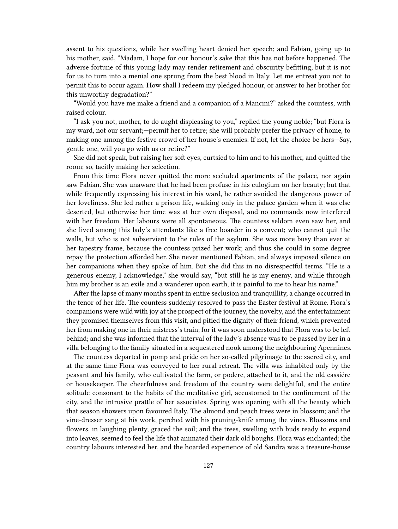assent to his questions, while her swelling heart denied her speech; and Fabian, going up to his mother, said, "Madam, I hope for our honour's sake that this has not before happened. The adverse fortune of this young lady may render retirement and obscurity befitting; but it is not for us to turn into a menial one sprung from the best blood in Italy. Let me entreat you not to permit this to occur again. How shall I redeem my pledged honour, or answer to her brother for this unworthy degradation?"

"Would you have me make a friend and a companion of a Mancini?" asked the countess, with raised colour.

"I ask you not, mother, to do aught displeasing to you," replied the young noble; "but Flora is my ward, not our servant;—permit her to retire; she will probably prefer the privacy of home, to making one among the festive crowd of her house's enemies. If not, let the choice be hers—Say, gentle one, will you go with us or retire?"

She did not speak, but raising her soft eyes, curtsied to him and to his mother, and quitted the room; so, tacitly making her selection.

From this time Flora never quitted the more secluded apartments of the palace, nor again saw Fabian. She was unaware that he had been profuse in his eulogium on her beauty; but that while frequently expressing his interest in his ward, he rather avoided the dangerous power of her loveliness. She led rather a prison life, walking only in the palace garden when it was else deserted, but otherwise her time was at her own disposal, and no commands now interfered with her freedom. Her labours were all spontaneous. The countess seldom even saw her, and she lived among this lady's attendants like a free boarder in a convent; who cannot quit the walls, but who is not subservient to the rules of the asylum. She was more busy than ever at her tapestry frame, because the countess prized her work; and thus she could in some degree repay the protection afforded her. She never mentioned Fabian, and always imposed silence on her companions when they spoke of him. But she did this in no disrespectful terms. "He is a generous enemy, I acknowledge," she would say, "but still he is my enemy, and while through him my brother is an exile and a wanderer upon earth, it is painful to me to hear his name."

After the lapse of many months spent in entire seclusion and tranquillity, a change occurred in the tenor of her life. The countess suddenly resolved to pass the Easter festival at Rome. Flora's companions were wild with joy at the prospect of the journey, the novelty, and the entertainment they promised themselves from this visit, and pitied the dignity of their friend, which prevented her from making one in their mistress's train; for it was soon understood that Flora was to be left behind; and she was informed that the interval of the lady's absence was to be passed by her in a villa belonging to the family situated in a sequestered nook among the neighbouring Apennines.

The countess departed in pomp and pride on her so-called pilgrimage to the sacred city, and at the same time Flora was conveyed to her rural retreat. The villa was inhabited only by the peasant and his family, who cultivated the farm, or podere, attached to it, and the old cassiére or housekeeper. The cheerfulness and freedom of the country were delightful, and the entire solitude consonant to the habits of the meditative girl, accustomed to the confinement of the city, and the intrusive prattle of her associates. Spring was opening with all the beauty which that season showers upon favoured Italy. The almond and peach trees were in blossom; and the vine-dresser sang at his work, perched with his pruning-knife among the vines. Blossoms and flowers, in laughing plenty, graced the soil; and the trees, swelling with buds ready to expand into leaves, seemed to feel the life that animated their dark old boughs. Flora was enchanted; the country labours interested her, and the hoarded experience of old Sandra was a treasure-house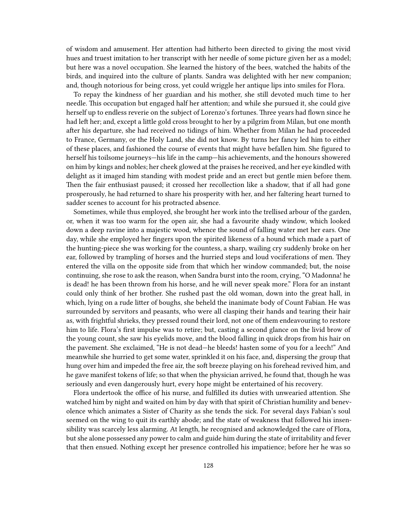of wisdom and amusement. Her attention had hitherto been directed to giving the most vivid hues and truest imitation to her transcript with her needle of some picture given her as a model; but here was a novel occupation. She learned the history of the bees, watched the habits of the birds, and inquired into the culture of plants. Sandra was delighted with her new companion; and, though notorious for being cross, yet could wriggle her antique lips into smiles for Flora.

To repay the kindness of her guardian and his mother, she still devoted much time to her needle. This occupation but engaged half her attention; and while she pursued it, she could give herself up to endless reverie on the subject of Lorenzo's fortunes. Three years had flown since he had left her; and, except a little gold cross brought to her by a pilgrim from Milan, but one month after his departure, she had received no tidings of him. Whether from Milan he had proceeded to France, Germany, or the Holy Land, she did not know. By turns her fancy led him to either of these places, and fashioned the course of events that might have befallen him. She figured to herself his toilsome journeys—his life in the camp—his achievements, and the honours showered on him by kings and nobles; her cheek glowed at the praises he received, and her eye kindled with delight as it imaged him standing with modest pride and an erect but gentle mien before them. Then the fair enthusiast paused; it crossed her recollection like a shadow, that if all had gone prosperously, he had returned to share his prosperity with her, and her faltering heart turned to sadder scenes to account for his protracted absence.

Sometimes, while thus employed, she brought her work into the trellised arbour of the garden, or, when it was too warm for the open air, she had a favourite shady window, which looked down a deep ravine into a majestic wood, whence the sound of falling water met her ears. One day, while she employed her fingers upon the spirited likeness of a hound which made a part of the hunting-piece she was working for the countess, a sharp, wailing cry suddenly broke on her ear, followed by trampling of horses and the hurried steps and loud vociferations of men. They entered the villa on the opposite side from that which her window commanded; but, the noise continuing, she rose to ask the reason, when Sandra burst into the room, crying, "O Madonna! he is dead! he has been thrown from his horse, and he will never speak more." Flora for an instant could only think of her brother. She rushed past the old woman, down into the great hall, in which, lying on a rude litter of boughs, she beheld the inanimate body of Count Fabian. He was surrounded by servitors and peasants, who were all clasping their hands and tearing their hair as, with frightful shrieks, they pressed round their lord, not one of them endeavouring to restore him to life. Flora's first impulse was to retire; but, casting a second glance on the livid brow of the young count, she saw his eyelids move, and the blood falling in quick drops from his hair on the pavement. She exclaimed, "He is not dead—he bleeds! hasten some of you for a leech!" And meanwhile she hurried to get some water, sprinkled it on his face, and, dispersing the group that hung over him and impeded the free air, the soft breeze playing on his forehead revived him, and he gave manifest tokens of life; so that when the physician arrived, he found that, though he was seriously and even dangerously hurt, every hope might be entertained of his recovery.

Flora undertook the office of his nurse, and fulfilled its duties with unwearied attention. She watched him by night and waited on him by day with that spirit of Christian humility and benevolence which animates a Sister of Charity as she tends the sick. For several days Fabian's soul seemed on the wing to quit its earthly abode; and the state of weakness that followed his insensibility was scarcely less alarming. At length, he recognised and acknowledged the care of Flora, but she alone possessed any power to calm and guide him during the state of irritability and fever that then ensued. Nothing except her presence controlled his impatience; before her he was so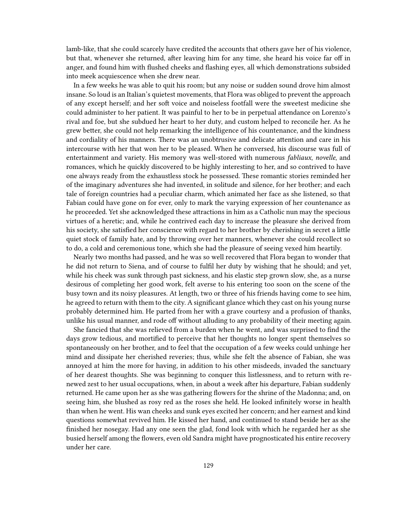lamb-like, that she could scarcely have credited the accounts that others gave her of his violence, but that, whenever she returned, after leaving him for any time, she heard his voice far off in anger, and found him with flushed cheeks and flashing eyes, all which demonstrations subsided into meek acquiescence when she drew near.

In a few weeks he was able to quit his room; but any noise or sudden sound drove him almost insane. So loud is an Italian's quietest movements, that Flora was obliged to prevent the approach of any except herself; and her soft voice and noiseless footfall were the sweetest medicine she could administer to her patient. It was painful to her to be in perpetual attendance on Lorenzo's rival and foe, but she subdued her heart to her duty, and custom helped to reconcile her. As he grew better, she could not help remarking the intelligence of his countenance, and the kindness and cordiality of his manners. There was an unobtrusive and delicate attention and care in his intercourse with her that won her to be pleased. When he conversed, his discourse was full of entertainment and variety. His memory was well-stored with numerous *fabliaux*, *novelle*, and romances, which he quickly discovered to be highly interesting to her, and so contrived to have one always ready from the exhaustless stock he possessed. These romantic stories reminded her of the imaginary adventures she had invented, in solitude and silence, for her brother; and each tale of foreign countries had a peculiar charm, which animated her face as she listened, so that Fabian could have gone on for ever, only to mark the varying expression of her countenance as he proceeded. Yet she acknowledged these attractions in him as a Catholic nun may the specious virtues of a heretic; and, while he contrived each day to increase the pleasure she derived from his society, she satisfied her conscience with regard to her brother by cherishing in secret a little quiet stock of family hate, and by throwing over her manners, whenever she could recollect so to do, a cold and ceremonious tone, which she had the pleasure of seeing vexed him heartily.

Nearly two months had passed, and he was so well recovered that Flora began to wonder that he did not return to Siena, and of course to fulfil her duty by wishing that he should; and yet, while his cheek was sunk through past sickness, and his elastic step grown slow, she, as a nurse desirous of completing her good work, felt averse to his entering too soon on the scene of the busy town and its noisy pleasures. At length, two or three of his friends having come to see him, he agreed to return with them to the city. A significant glance which they cast on his young nurse probably determined him. He parted from her with a grave courtesy and a profusion of thanks, unlike his usual manner, and rode off without alluding to any probability of their meeting again.

She fancied that she was relieved from a burden when he went, and was surprised to find the days grow tedious, and mortified to perceive that her thoughts no longer spent themselves so spontaneously on her brother, and to feel that the occupation of a few weeks could unhinge her mind and dissipate her cherished reveries; thus, while she felt the absence of Fabian, she was annoyed at him the more for having, in addition to his other misdeeds, invaded the sanctuary of her dearest thoughts. She was beginning to conquer this listlessness, and to return with renewed zest to her usual occupations, when, in about a week after his departure, Fabian suddenly returned. He came upon her as she was gathering flowers for the shrine of the Madonna; and, on seeing him, she blushed as rosy red as the roses she held. He looked infinitely worse in health than when he went. His wan cheeks and sunk eyes excited her concern; and her earnest and kind questions somewhat revived him. He kissed her hand, and continued to stand beside her as she finished her nosegay. Had any one seen the glad, fond look with which he regarded her as she busied herself among the flowers, even old Sandra might have prognosticated his entire recovery under her care.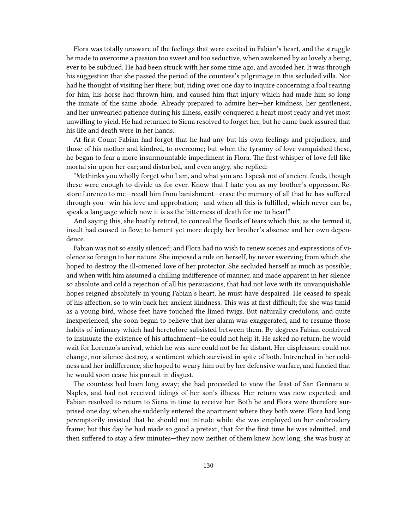Flora was totally unaware of the feelings that were excited in Fabian's heart, and the struggle he made to overcome a passion too sweet and too seductive, when awakened by so lovely a being, ever to be subdued. He had been struck with her some time ago, and avoided her. It was through his suggestion that she passed the period of the countess's pilgrimage in this secluded villa. Nor had he thought of visiting her there; but, riding over one day to inquire concerning a foal rearing for him, his horse had thrown him, and caused him that injury which had made him so long the inmate of the same abode. Already prepared to admire her—her kindness, her gentleness, and her unwearied patience during his illness, easily conquered a heart most ready and yet most unwilling to yield. He had returned to Siena resolved to forget her, but he came back assured that his life and death were in her hands.

At first Count Fabian had forgot that he had any but his own feelings and prejudices, and those of his mother and kindred, to overcome; but when the tyranny of love vanquished these, he began to fear a more insurmountable impediment in Flora. The first whisper of love fell like mortal sin upon her ear; and disturbed, and even angry, she replied:—

"Methinks you wholly forget who I am, and what you are. I speak not of ancient feuds, though these were enough to divide us for ever. Know that I hate you as my brother's oppressor. Restore Lorenzo to me—recall him from banishment—erase the memory of all that he has suffered through you—win his love and approbation;—and when all this is fulfilled, which never can be, speak a language which now it is as the bitterness of death for me to hear!"

And saying this, she hastily retired, to conceal the floods of tears which this, as she termed it, insult had caused to flow; to lament yet more deeply her brother's absence and her own dependence.

Fabian was not so easily silenced; and Flora had no wish to renew scenes and expressions of violence so foreign to her nature. She imposed a rule on herself, by never swerving from which she hoped to destroy the ill-omened love of her protector. She secluded herself as much as possible; and when with him assumed a chilling indifference of manner, and made apparent in her silence so absolute and cold a rejection of all his persuasions, that had not love with its unvanquishable hopes reigned absolutely in young Fabian's heart, he must have despaired. He ceased to speak of his affection, so to win back her ancient kindness. This was at first difficult; for she was timid as a young bird, whose feet have touched the limed twigs. But naturally credulous, and quite inexperienced, she soon began to believe that her alarm was exaggerated, and to resume those habits of intimacy which had heretofore subsisted between them. By degrees Fabian contrived to insinuate the existence of his attachment—he could not help it. He asked no return; he would wait for Lorenzo's arrival, which he was sure could not be far distant. Her displeasure could not change, nor silence destroy, a sentiment which survived in spite of both. Intrenched in her coldness and her indifference, she hoped to weary him out by her defensive warfare, and fancied that he would soon cease his pursuit in disgust.

The countess had been long away; she had proceeded to view the feast of San Gennaro at Naples, and had not received tidings of her son's illness. Her return was now expected; and Fabian resolved to return to Siena in time to receive her. Both he and Flora were therefore surprised one day, when she suddenly entered the apartment where they both were. Flora had long peremptorily insisted that he should not intrude while she was employed on her embroidery frame; but this day he had made so good a pretext, that for the first time he was admitted, and then suffered to stay a few minutes—they now neither of them knew how long; she was busy at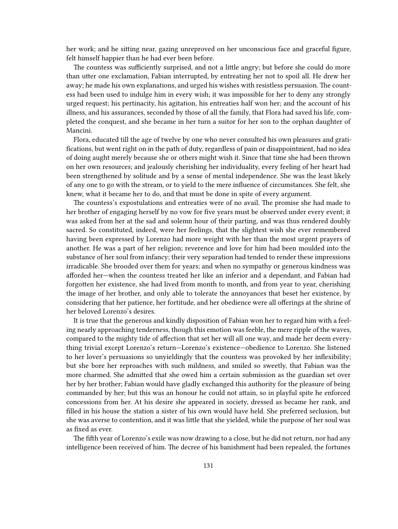her work; and he sitting near, gazing unreproved on her unconscious face and graceful figure, felt himself happier than he had ever been before.

The countess was sufficiently surprised, and not a little angry; but before she could do more than utter one exclamation, Fabian interrupted, by entreating her not to spoil all. He drew her away; he made his own explanations, and urged his wishes with resistless persuasion. The countess had been used to indulge him in every wish; it was impossible for her to deny any strongly urged request; his pertinacity, his agitation, his entreaties half won her; and the account of his illness, and his assurances, seconded by those of all the family, that Flora had saved his life, completed the conquest, and she became in her turn a suitor for her son to the orphan daughter of Mancini.

Flora, educated till the age of twelve by one who never consulted his own pleasures and gratifications, but went right on in the path of duty, regardless of pain or disappointment, had no idea of doing aught merely because she or others might wish it. Since that time she had been thrown on her own resources; and jealously cherishing her individuality, every feeling of her heart had been strengthened by solitude and by a sense of mental independence. She was the least likely of any one to go with the stream, or to yield to the mere influence of circumstances. She felt, she knew, what it became her to do, and that must be done in spite of every argument.

The countess's expostulations and entreaties were of no avail. The promise she had made to her brother of engaging herself by no vow for five years must be observed under every event; it was asked from her at the sad and solemn hour of their parting, and was thus rendered doubly sacred. So constituted, indeed, were her feelings, that the slightest wish she ever remembered having been expressed by Lorenzo had more weight with her than the most urgent prayers of another. He was a part of her religion; reverence and love for him had been moulded into the substance of her soul from infancy; their very separation had tended to render these impressions irradicable. She brooded over them for years; and when no sympathy or generous kindness was afforded her—when the countess treated her like an inferior and a dependant, and Fabian had forgotten her existence, she had lived from month to month, and from year to year, cherishing the image of her brother, and only able to tolerate the annoyances that beset her existence, by considering that her patience, her fortitude, and her obedience were all offerings at the shrine of her beloved Lorenzo's desires.

It is true that the generous and kindly disposition of Fabian won her to regard him with a feeling nearly approaching tenderness, though this emotion was feeble, the mere ripple of the waves, compared to the mighty tide of affection that set her will all one way, and made her deem everything trivial except Lorenzo's return—Lorenzo's existence—obedience to Lorenzo. She listened to her lover's persuasions so unyieldingly that the countess was provoked by her inflexibility; but she bore her reproaches with such mildness, and smiled so sweetly, that Fabian was the more charmed. She admitted that she owed him a certain submission as the guardian set over her by her brother; Fabian would have gladly exchanged this authority for the pleasure of being commanded by her; but this was an honour he could not attain, so in playful spite he enforced concessions from her. At his desire she appeared in society, dressed as became her rank, and filled in his house the station a sister of his own would have held. She preferred seclusion, but she was averse to contention, and it was little that she yielded, while the purpose of her soul was as fixed as ever.

The fifth year of Lorenzo's exile was now drawing to a close, but he did not return, nor had any intelligence been received of him. The decree of his banishment had been repealed, the fortunes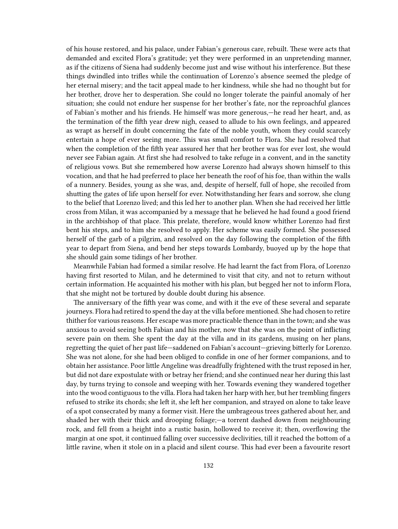of his house restored, and his palace, under Fabian's generous care, rebuilt. These were acts that demanded and excited Flora's gratitude; yet they were performed in an unpretending manner, as if the citizens of Siena had suddenly become just and wise without his interference. But these things dwindled into trifles while the continuation of Lorenzo's absence seemed the pledge of her eternal misery; and the tacit appeal made to her kindness, while she had no thought but for her brother, drove her to desperation. She could no longer tolerate the painful anomaly of her situation; she could not endure her suspense for her brother's fate, nor the reproachful glances of Fabian's mother and his friends. He himself was more generous,—he read her heart, and, as the termination of the fifth year drew nigh, ceased to allude to his own feelings, and appeared as wrapt as herself in doubt concerning the fate of the noble youth, whom they could scarcely entertain a hope of ever seeing more. This was small comfort to Flora. She had resolved that when the completion of the fifth year assured her that her brother was for ever lost, she would never see Fabian again. At first she had resolved to take refuge in a convent, and in the sanctity of religious vows. But she remembered how averse Lorenzo had always shown himself to this vocation, and that he had preferred to place her beneath the roof of his foe, than within the walls of a nunnery. Besides, young as she was, and, despite of herself, full of hope, she recoiled from shutting the gates of life upon herself for ever. Notwithstanding her fears and sorrow, she clung to the belief that Lorenzo lived; and this led her to another plan. When she had received her little cross from Milan, it was accompanied by a message that he believed he had found a good friend in the archbishop of that place. This prelate, therefore, would know whither Lorenzo had first bent his steps, and to him she resolved to apply. Her scheme was easily formed. She possessed herself of the garb of a pilgrim, and resolved on the day following the completion of the fifth year to depart from Siena, and bend her steps towards Lombardy, buoyed up by the hope that she should gain some tidings of her brother.

Meanwhile Fabian had formed a similar resolve. He had learnt the fact from Flora, of Lorenzo having first resorted to Milan, and he determined to visit that city, and not to return without certain information. He acquainted his mother with his plan, but begged her not to inform Flora, that she might not be tortured by double doubt during his absence.

The anniversary of the fifth year was come, and with it the eve of these several and separate journeys. Flora had retired to spend the day at the villa before mentioned. She had chosen to retire thither for various reasons. Her escape was more practicable thence than in the town; and she was anxious to avoid seeing both Fabian and his mother, now that she was on the point of inflicting severe pain on them. She spent the day at the villa and in its gardens, musing on her plans, regretting the quiet of her past life—saddened on Fabian's account—grieving bitterly for Lorenzo. She was not alone, for she had been obliged to confide in one of her former companions, and to obtain her assistance. Poor little Angeline was dreadfully frightened with the trust reposed in her, but did not dare expostulate with or betray her friend; and she continued near her during this last day, by turns trying to console and weeping with her. Towards evening they wandered together into the wood contiguous to the villa. Flora had taken her harp with her, but her trembling fingers refused to strike its chords; she left it, she left her companion, and strayed on alone to take leave of a spot consecrated by many a former visit. Here the umbrageous trees gathered about her, and shaded her with their thick and drooping foliage;—a torrent dashed down from neighbouring rock, and fell from a height into a rustic basin, hollowed to receive it; then, overflowing the margin at one spot, it continued falling over successive declivities, till it reached the bottom of a little ravine, when it stole on in a placid and silent course. This had ever been a favourite resort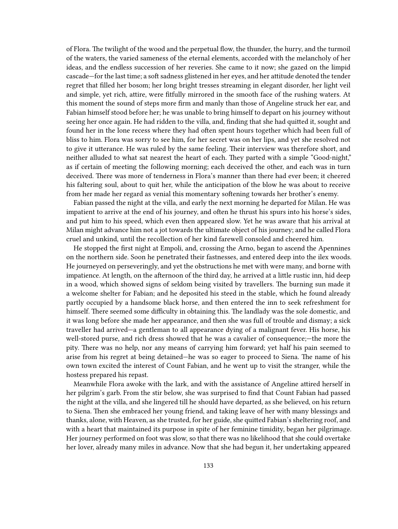of Flora. The twilight of the wood and the perpetual flow, the thunder, the hurry, and the turmoil of the waters, the varied sameness of the eternal elements, accorded with the melancholy of her ideas, and the endless succession of her reveries. She came to it now; she gazed on the limpid cascade—for the last time; a soft sadness glistened in her eyes, and her attitude denoted the tender regret that filled her bosom; her long bright tresses streaming in elegant disorder, her light veil and simple, yet rich, attire, were fitfully mirrored in the smooth face of the rushing waters. At this moment the sound of steps more firm and manly than those of Angeline struck her ear, and Fabian himself stood before her; he was unable to bring himself to depart on his journey without seeing her once again. He had ridden to the villa, and, finding that she had quitted it, sought and found her in the lone recess where they had often spent hours together which had been full of bliss to him. Flora was sorry to see him, for her secret was on her lips, and yet she resolved not to give it utterance. He was ruled by the same feeling. Their interview was therefore short, and neither alluded to what sat nearest the heart of each. They parted with a simple "Good-night," as if certain of meeting the following morning; each deceived the other, and each was in turn deceived. There was more of tenderness in Flora's manner than there had ever been; it cheered his faltering soul, about to quit her, while the anticipation of the blow he was about to receive from her made her regard as venial this momentary softening towards her brother's enemy.

Fabian passed the night at the villa, and early the next morning he departed for Milan. He was impatient to arrive at the end of his journey, and often he thrust his spurs into his horse's sides, and put him to his speed, which even then appeared slow. Yet he was aware that his arrival at Milan might advance him not a jot towards the ultimate object of his journey; and he called Flora cruel and unkind, until the recollection of her kind farewell consoled and cheered him.

He stopped the first night at Empoli, and, crossing the Arno, began to ascend the Apennines on the northern side. Soon he penetrated their fastnesses, and entered deep into the ilex woods. He journeyed on perseveringly, and yet the obstructions he met with were many, and borne with impatience. At length, on the afternoon of the third day, he arrived at a little rustic inn, hid deep in a wood, which showed signs of seldom being visited by travellers. The burning sun made it a welcome shelter for Fabian; and he deposited his steed in the stable, which he found already partly occupied by a handsome black horse, and then entered the inn to seek refreshment for himself. There seemed some difficulty in obtaining this. The landlady was the sole domestic, and it was long before she made her appearance, and then she was full of trouble and dismay; a sick traveller had arrived—a gentleman to all appearance dying of a malignant fever. His horse, his well-stored purse, and rich dress showed that he was a cavalier of consequence;—the more the pity. There was no help, nor any means of carrying him forward; yet half his pain seemed to arise from his regret at being detained—he was so eager to proceed to Siena. The name of his own town excited the interest of Count Fabian, and he went up to visit the stranger, while the hostess prepared his repast.

Meanwhile Flora awoke with the lark, and with the assistance of Angeline attired herself in her pilgrim's garb. From the stir below, she was surprised to find that Count Fabian had passed the night at the villa, and she lingered till he should have departed, as she believed, on his return to Siena. Then she embraced her young friend, and taking leave of her with many blessings and thanks, alone, with Heaven, as she trusted, for her guide, she quitted Fabian's sheltering roof, and with a heart that maintained its purpose in spite of her feminine timidity, began her pilgrimage. Her journey performed on foot was slow, so that there was no likelihood that she could overtake her lover, already many miles in advance. Now that she had begun it, her undertaking appeared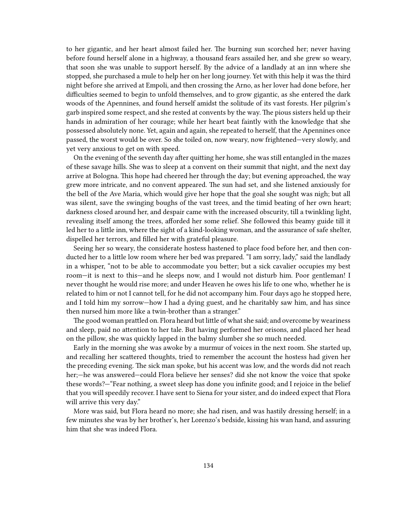to her gigantic, and her heart almost failed her. The burning sun scorched her; never having before found herself alone in a highway, a thousand fears assailed her, and she grew so weary, that soon she was unable to support herself. By the advice of a landlady at an inn where she stopped, she purchased a mule to help her on her long journey. Yet with this help it was the third night before she arrived at Empoli, and then crossing the Arno, as her lover had done before, her difficulties seemed to begin to unfold themselves, and to grow gigantic, as she entered the dark woods of the Apennines, and found herself amidst the solitude of its vast forests. Her pilgrim's garb inspired some respect, and she rested at convents by the way. The pious sisters held up their hands in admiration of her courage; while her heart beat faintly with the knowledge that she possessed absolutely none. Yet, again and again, she repeated to herself, that the Apennines once passed, the worst would be over. So she toiled on, now weary, now frightened—very slowly, and yet very anxious to get on with speed.

On the evening of the seventh day after quitting her home, she was still entangled in the mazes of these savage hills. She was to sleep at a convent on their summit that night, and the next day arrive at Bologna. This hope had cheered her through the day; but evening approached, the way grew more intricate, and no convent appeared. The sun had set, and she listened anxiously for the bell of the Ave Maria, which would give her hope that the goal she sought was nigh; but all was silent, save the swinging boughs of the vast trees, and the timid beating of her own heart; darkness closed around her, and despair came with the increased obscurity, till a twinkling light, revealing itself among the trees, afforded her some relief. She followed this beamy guide till it led her to a little inn, where the sight of a kind-looking woman, and the assurance of safe shelter, dispelled her terrors, and filled her with grateful pleasure.

Seeing her so weary, the considerate hostess hastened to place food before her, and then conducted her to a little low room where her bed was prepared. "I am sorry, lady," said the landlady in a whisper, "not to be able to accommodate you better; but a sick cavalier occupies my best room—it is next to this—and he sleeps now, and I would not disturb him. Poor gentleman! I never thought he would rise more; and under Heaven he owes his life to one who, whether he is related to him or not I cannot tell, for he did not accompany him. Four days ago he stopped here, and I told him my sorrow—how I had a dying guest, and he charitably saw him, and has since then nursed him more like a twin-brother than a stranger."

The good woman prattled on. Flora heard but little of what she said; and overcome by weariness and sleep, paid no attention to her tale. But having performed her orisons, and placed her head on the pillow, she was quickly lapped in the balmy slumber she so much needed.

Early in the morning she was awoke by a murmur of voices in the next room. She started up, and recalling her scattered thoughts, tried to remember the account the hostess had given her the preceding evening. The sick man spoke, but his accent was low, and the words did not reach her;—he was answered—could Flora believe her senses? did she not know the voice that spoke these words?—"Fear nothing, a sweet sleep has done you infinite good; and I rejoice in the belief that you will speedily recover. I have sent to Siena for your sister, and do indeed expect that Flora will arrive this very day."

More was said, but Flora heard no more; she had risen, and was hastily dressing herself; in a few minutes she was by her brother's, her Lorenzo's bedside, kissing his wan hand, and assuring him that she was indeed Flora.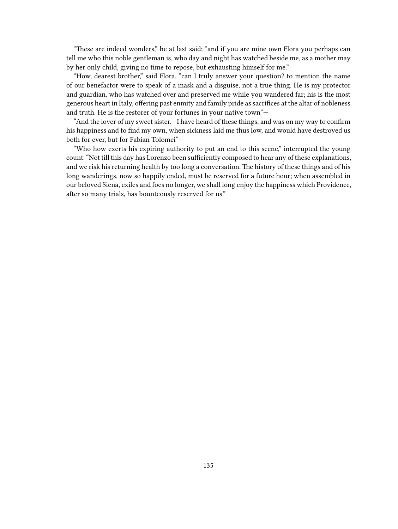"These are indeed wonders," he at last said; "and if you are mine own Flora you perhaps can tell me who this noble gentleman is, who day and night has watched beside me, as a mother may by her only child, giving no time to repose, but exhausting himself for me."

"How, dearest brother," said Flora, "can I truly answer your question? to mention the name of our benefactor were to speak of a mask and a disguise, not a true thing. He is my protector and guardian, who has watched over and preserved me while you wandered far; his is the most generous heart in Italy, offering past enmity and family pride as sacrifices at the altar of nobleness and truth. He is the restorer of your fortunes in your native town"—

"And the lover of my sweet sister.—I have heard of these things, and was on my way to confirm his happiness and to find my own, when sickness laid me thus low, and would have destroyed us both for ever, but for Fabian Tolomei"—

"Who how exerts his expiring authority to put an end to this scene," interrupted the young count. "Not till this day has Lorenzo been sufficiently composed to hear any of these explanations, and we risk his returning health by too long a conversation. The history of these things and of his long wanderings, now so happily ended, must be reserved for a future hour; when assembled in our beloved Siena, exiles and foes no longer, we shall long enjoy the happiness which Providence, after so many trials, has bounteously reserved for us."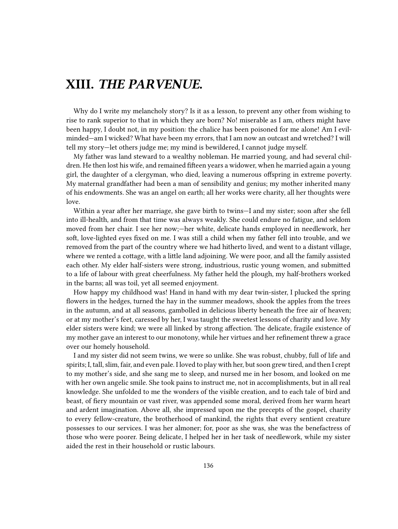## **XIII.** *THE PARVENUE.*

Why do I write my melancholy story? Is it as a lesson, to prevent any other from wishing to rise to rank superior to that in which they are born? No! miserable as I am, others might have been happy, I doubt not, in my position: the chalice has been poisoned for me alone! Am I evilminded—am I wicked? What have been my errors, that I am now an outcast and wretched? I will tell my story—let others judge me; my mind is bewildered, I cannot judge myself.

My father was land steward to a wealthy nobleman. He married young, and had several children. He then lost his wife, and remained fifteen years a widower, when he married again a young girl, the daughter of a clergyman, who died, leaving a numerous offspring in extreme poverty. My maternal grandfather had been a man of sensibility and genius; my mother inherited many of his endowments. She was an angel on earth; all her works were charity, all her thoughts were love.

Within a year after her marriage, she gave birth to twins—I and my sister; soon after she fell into ill-health, and from that time was always weakly. She could endure no fatigue, and seldom moved from her chair. I see her now;—her white, delicate hands employed in needlework, her soft, love-lighted eyes fixed on me. I was still a child when my father fell into trouble, and we removed from the part of the country where we had hitherto lived, and went to a distant village, where we rented a cottage, with a little land adjoining. We were poor, and all the family assisted each other. My elder half-sisters were strong, industrious, rustic young women, and submitted to a life of labour with great cheerfulness. My father held the plough, my half-brothers worked in the barns; all was toil, yet all seemed enjoyment.

How happy my childhood was! Hand in hand with my dear twin-sister, I plucked the spring flowers in the hedges, turned the hay in the summer meadows, shook the apples from the trees in the autumn, and at all seasons, gambolled in delicious liberty beneath the free air of heaven; or at my mother's feet, caressed by her, I was taught the sweetest lessons of charity and love. My elder sisters were kind; we were all linked by strong affection. The delicate, fragile existence of my mother gave an interest to our monotony, while her virtues and her refinement threw a grace over our homely household.

I and my sister did not seem twins, we were so unlike. She was robust, chubby, full of life and spirits; I, tall, slim, fair, and even pale. I loved to play with her, but soon grew tired, and then I crept to my mother's side, and she sang me to sleep, and nursed me in her bosom, and looked on me with her own angelic smile. She took pains to instruct me, not in accomplishments, but in all real knowledge. She unfolded to me the wonders of the visible creation, and to each tale of bird and beast, of fiery mountain or vast river, was appended some moral, derived from her warm heart and ardent imagination. Above all, she impressed upon me the precepts of the gospel, charity to every fellow-creature, the brotherhood of mankind, the rights that every sentient creature possesses to our services. I was her almoner; for, poor as she was, she was the benefactress of those who were poorer. Being delicate, I helped her in her task of needlework, while my sister aided the rest in their household or rustic labours.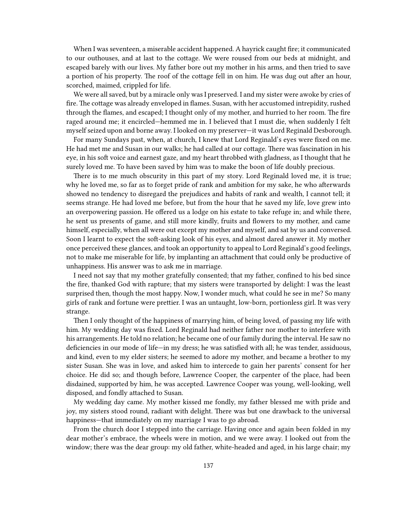When I was seventeen, a miserable accident happened. A hayrick caught fire; it communicated to our outhouses, and at last to the cottage. We were roused from our beds at midnight, and escaped barely with our lives. My father bore out my mother in his arms, and then tried to save a portion of his property. The roof of the cottage fell in on him. He was dug out after an hour, scorched, maimed, crippled for life.

We were all saved, but by a miracle only was I preserved. I and my sister were awoke by cries of fire. The cottage was already enveloped in flames. Susan, with her accustomed intrepidity, rushed through the flames, and escaped; I thought only of my mother, and hurried to her room. The fire raged around me; it encircled—hemmed me in. I believed that I must die, when suddenly I felt myself seized upon and borne away. I looked on my preserver—it was Lord Reginald Desborough.

For many Sundays past, when, at church, I knew that Lord Reginald's eyes were fixed on me. He had met me and Susan in our walks; he had called at our cottage. There was fascination in his eye, in his soft voice and earnest gaze, and my heart throbbed with gladness, as I thought that he surely loved me. To have been saved by him was to make the boon of life doubly precious.

There is to me much obscurity in this part of my story. Lord Reginald loved me, it is true; why he loved me, so far as to forget pride of rank and ambition for my sake, he who afterwards showed no tendency to disregard the prejudices and habits of rank and wealth, I cannot tell; it seems strange. He had loved me before, but from the hour that he saved my life, love grew into an overpowering passion. He offered us a lodge on his estate to take refuge in; and while there, he sent us presents of game, and still more kindly, fruits and flowers to my mother, and came himself, especially, when all were out except my mother and myself, and sat by us and conversed. Soon I learnt to expect the soft-asking look of his eyes, and almost dared answer it. My mother once perceived these glances, and took an opportunity to appeal to Lord Reginald's good feelings, not to make me miserable for life, by implanting an attachment that could only be productive of unhappiness. His answer was to ask me in marriage.

I need not say that my mother gratefully consented; that my father, confined to his bed since the fire, thanked God with rapture; that my sisters were transported by delight: I was the least surprised then, though the most happy. Now, I wonder much, what could he see in me? So many girls of rank and fortune were prettier. I was an untaught, low-born, portionless girl. It was very strange.

Then I only thought of the happiness of marrying him, of being loved, of passing my life with him. My wedding day was fixed. Lord Reginald had neither father nor mother to interfere with his arrangements. He told no relation; he became one of our family during the interval. He saw no deficiencies in our mode of life—in my dress; he was satisfied with all; he was tender, assiduous, and kind, even to my elder sisters; he seemed to adore my mother, and became a brother to my sister Susan. She was in love, and asked him to intercede to gain her parents' consent for her choice. He did so; and though before, Lawrence Cooper, the carpenter of the place, had been disdained, supported by him, he was accepted. Lawrence Cooper was young, well-looking, well disposed, and fondly attached to Susan.

My wedding day came. My mother kissed me fondly, my father blessed me with pride and joy, my sisters stood round, radiant with delight. There was but one drawback to the universal happiness—that immediately on my marriage I was to go abroad.

From the church door I stepped into the carriage. Having once and again been folded in my dear mother's embrace, the wheels were in motion, and we were away. I looked out from the window; there was the dear group: my old father, white-headed and aged, in his large chair; my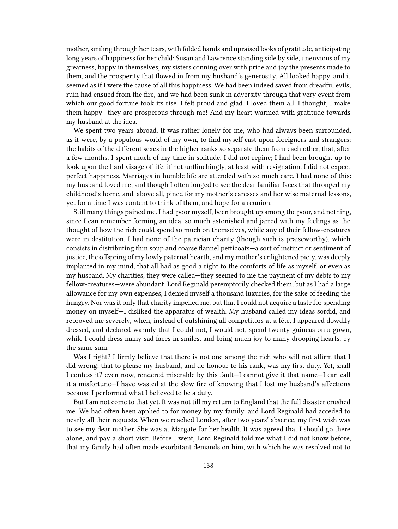mother, smiling through her tears, with folded hands and upraised looks of gratitude, anticipating long years of happiness for her child; Susan and Lawrence standing side by side, unenvious of my greatness, happy in themselves; my sisters conning over with pride and joy the presents made to them, and the prosperity that flowed in from my husband's generosity. All looked happy, and it seemed as if I were the cause of all this happiness. We had been indeed saved from dreadful evils; ruin had ensued from the fire, and we had been sunk in adversity through that very event from which our good fortune took its rise. I felt proud and glad. I loved them all. I thought, I make them happy—they are prosperous through me! And my heart warmed with gratitude towards my husband at the idea.

We spent two years abroad. It was rather lonely for me, who had always been surrounded, as it were, by a populous world of my own, to find myself cast upon foreigners and strangers; the habits of the different sexes in the higher ranks so separate them from each other, that, after a few months, I spent much of my time in solitude. I did not repine; I had been brought up to look upon the hard visage of life, if not unflinchingly, at least with resignation. I did not expect perfect happiness. Marriages in humble life are attended with so much care. I had none of this: my husband loved me; and though I often longed to see the dear familiar faces that thronged my childhood's home, and, above all, pined for my mother's caresses and her wise maternal lessons, yet for a time I was content to think of them, and hope for a reunion.

Still many things pained me. I had, poor myself, been brought up among the poor, and nothing, since I can remember forming an idea, so much astonished and jarred with my feelings as the thought of how the rich could spend so much on themselves, while any of their fellow-creatures were in destitution. I had none of the patrician charity (though such is praiseworthy), which consists in distributing thin soup and coarse flannel petticoats—a sort of instinct or sentiment of justice, the offspring of my lowly paternal hearth, and my mother's enlightened piety, was deeply implanted in my mind, that all had as good a right to the comforts of life as myself, or even as my husband. My charities, they were called—they seemed to me the payment of my debts to my fellow-creatures—were abundant. Lord Reginald peremptorily checked them; but as I had a large allowance for my own expenses, I denied myself a thousand luxuries, for the sake of feeding the hungry. Nor was it only that charity impelled me, but that I could not acquire a taste for spending money on myself—I disliked the apparatus of wealth. My husband called my ideas sordid, and reproved me severely, when, instead of outshining all competitors at a fête, I appeared dowdily dressed, and declared warmly that I could not, I would not, spend twenty guineas on a gown, while I could dress many sad faces in smiles, and bring much joy to many drooping hearts, by the same sum.

Was I right? I firmly believe that there is not one among the rich who will not affirm that I did wrong; that to please my husband, and do honour to his rank, was my first duty. Yet, shall I confess it? even now, rendered miserable by this fault—I cannot give it that name—I can call it a misfortune—I have wasted at the slow fire of knowing that I lost my husband's affections because I performed what I believed to be a duty.

But I am not come to that yet. It was not till my return to England that the full disaster crushed me. We had often been applied to for money by my family, and Lord Reginald had acceded to nearly all their requests. When we reached London, after two years' absence, my first wish was to see my dear mother. She was at Margate for her health. It was agreed that I should go there alone, and pay a short visit. Before I went, Lord Reginald told me what I did not know before, that my family had often made exorbitant demands on him, with which he was resolved not to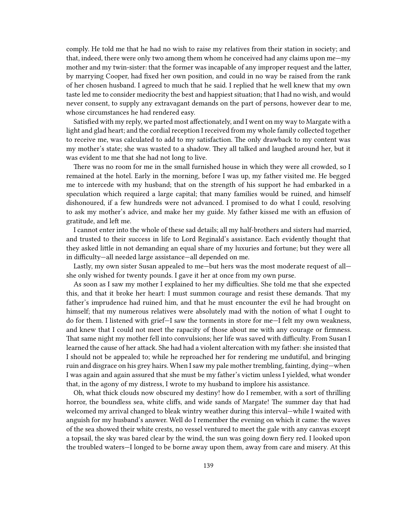comply. He told me that he had no wish to raise my relatives from their station in society; and that, indeed, there were only two among them whom he conceived had any claims upon me—my mother and my twin-sister: that the former was incapable of any improper request and the latter, by marrying Cooper, had fixed her own position, and could in no way be raised from the rank of her chosen husband. I agreed to much that he said. I replied that he well knew that my own taste led me to consider mediocrity the best and happiest situation; that I had no wish, and would never consent, to supply any extravagant demands on the part of persons, however dear to me, whose circumstances he had rendered easy.

Satisfied with my reply, we parted most affectionately, and I went on my way to Margate with a light and glad heart; and the cordial reception I received from my whole family collected together to receive me, was calculated to add to my satisfaction. The only drawback to my content was my mother's state; she was wasted to a shadow. They all talked and laughed around her, but it was evident to me that she had not long to live.

There was no room for me in the small furnished house in which they were all crowded, so I remained at the hotel. Early in the morning, before I was up, my father visited me. He begged me to intercede with my husband; that on the strength of his support he had embarked in a speculation which required a large capital; that many families would be ruined, and himself dishonoured, if a few hundreds were not advanced. I promised to do what I could, resolving to ask my mother's advice, and make her my guide. My father kissed me with an effusion of gratitude, and left me.

I cannot enter into the whole of these sad details; all my half-brothers and sisters had married, and trusted to their success in life to Lord Reginald's assistance. Each evidently thought that they asked little in not demanding an equal share of my luxuries and fortune; but they were all in difficulty—all needed large assistance—all depended on me.

Lastly, my own sister Susan appealed to me—but hers was the most moderate request of all she only wished for twenty pounds. I gave it her at once from my own purse.

As soon as I saw my mother I explained to her my difficulties. She told me that she expected this, and that it broke her heart: I must summon courage and resist these demands. That my father's imprudence had ruined him, and that he must encounter the evil he had brought on himself; that my numerous relatives were absolutely mad with the notion of what I ought to do for them. I listened with grief—I saw the torments in store for me—I felt my own weakness, and knew that I could not meet the rapacity of those about me with any courage or firmness. That same night my mother fell into convulsions; her life was saved with difficulty. From Susan I learned the cause of her attack. She had had a violent altercation with my father: she insisted that I should not be appealed to; while he reproached her for rendering me undutiful, and bringing ruin and disgrace on his grey hairs. When I saw my pale mother trembling, fainting, dying—when I was again and again assured that she must be my father's victim unless I yielded, what wonder that, in the agony of my distress, I wrote to my husband to implore his assistance.

Oh, what thick clouds now obscured my destiny! how do I remember, with a sort of thrilling horror, the boundless sea, white cliffs, and wide sands of Margate! The summer day that had welcomed my arrival changed to bleak wintry weather during this interval—while I waited with anguish for my husband's answer. Well do I remember the evening on which it came: the waves of the sea showed their white crests, no vessel ventured to meet the gale with any canvas except a topsail, the sky was bared clear by the wind, the sun was going down fiery red. I looked upon the troubled waters—I longed to be borne away upon them, away from care and misery. At this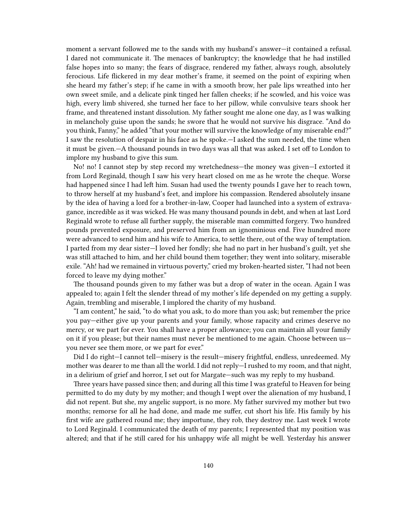moment a servant followed me to the sands with my husband's answer—it contained a refusal. I dared not communicate it. The menaces of bankruptcy; the knowledge that he had instilled false hopes into so many; the fears of disgrace, rendered my father, always rough, absolutely ferocious. Life flickered in my dear mother's frame, it seemed on the point of expiring when she heard my father's step; if he came in with a smooth brow, her pale lips wreathed into her own sweet smile, and a delicate pink tinged her fallen cheeks; if he scowled, and his voice was high, every limb shivered, she turned her face to her pillow, while convulsive tears shook her frame, and threatened instant dissolution. My father sought me alone one day, as I was walking in melancholy guise upon the sands; he swore that he would not survive his disgrace. "And do you think, Fanny," he added "that your mother will survive the knowledge of my miserable end?" I saw the resolution of despair in his face as he spoke.—I asked the sum needed, the time when it must be given.—A thousand pounds in two days was all that was asked. I set off to London to implore my husband to give this sum.

No! no! I cannot step by step record my wretchedness—the money was given—I extorted it from Lord Reginald, though I saw his very heart closed on me as he wrote the cheque. Worse had happened since I had left him. Susan had used the twenty pounds I gave her to reach town, to throw herself at my husband's feet, and implore his compassion. Rendered absolutely insane by the idea of having a lord for a brother-in-law, Cooper had launched into a system of extravagance, incredible as it was wicked. He was many thousand pounds in debt, and when at last Lord Reginald wrote to refuse all further supply, the miserable man committed forgery. Two hundred pounds prevented exposure, and preserved him from an ignominious end. Five hundred more were advanced to send him and his wife to America, to settle there, out of the way of temptation. I parted from my dear sister—I loved her fondly; she had no part in her husband's guilt, yet she was still attached to him, and her child bound them together; they went into solitary, miserable exile. "Ah! had we remained in virtuous poverty," cried my broken-hearted sister, "I had not been forced to leave my dying mother."

The thousand pounds given to my father was but a drop of water in the ocean. Again I was appealed to; again I felt the slender thread of my mother's life depended on my getting a supply. Again, trembling and miserable, I implored the charity of my husband.

"I am content," he said, "to do what you ask, to do more than you ask; but remember the price you pay—either give up your parents and your family, whose rapacity and crimes deserve no mercy, or we part for ever. You shall have a proper allowance; you can maintain all your family on it if you please; but their names must never be mentioned to me again. Choose between us you never see them more, or we part for ever."

Did I do right—I cannot tell—misery is the result—misery frightful, endless, unredeemed. My mother was dearer to me than all the world. I did not reply—I rushed to my room, and that night, in a delirium of grief and horror, I set out for Margate—such was my reply to my husband.

Three years have passed since then; and during all this time I was grateful to Heaven for being permitted to do my duty by my mother; and though I wept over the alienation of my husband, I did not repent. But she, my angelic support, is no more. My father survived my mother but two months; remorse for all he had done, and made me suffer, cut short his life. His family by his first wife are gathered round me; they importune, they rob, they destroy me. Last week I wrote to Lord Reginald. I communicated the death of my parents; I represented that my position was altered; and that if he still cared for his unhappy wife all might be well. Yesterday his answer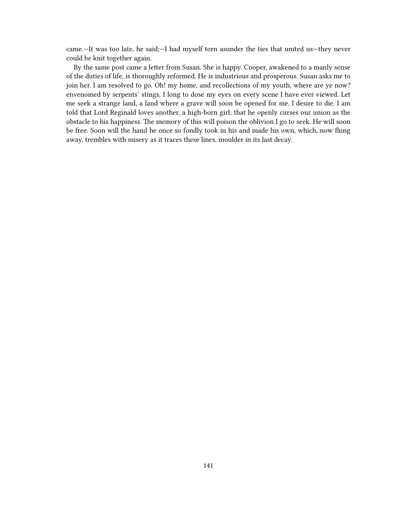came.—It was too late, he said;—I had myself torn asunder the ties that united us—they never could be knit together again.

By the same post came a letter from Susan. She is happy. Cooper, awakened to a manly sense of the duties of life, is thoroughly reformed. He is industrious and prosperous. Susan asks me to join her. I am resolved to go. Oh! my home, and recollections of my youth, where are ye now? envenomed by serpents' stings, I long to dose my eyes on every scene I have ever viewed. Let me seek a strange land, a land where a grave will soon be opened for me. I desire to die. I am told that Lord Reginald loves another, a high-born girl; that he openly curses our union as the obstacle to his happiness. The memory of this will poison the oblivion I go to seek. He will soon be free. Soon will the hand he once so fondly took in his and made his own, which, now flung away, trembles with misery as it traces these lines, moulder in its last decay.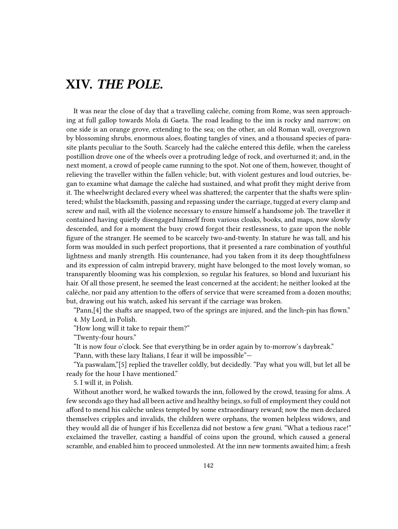## **XIV.** *THE POLE.*

It was near the close of day that a travelling calèche, coming from Rome, was seen approaching at full gallop towards Mola di Gaeta. The road leading to the inn is rocky and narrow; on one side is an orange grove, extending to the sea; on the other, an old Roman wall, overgrown by blossoming shrubs, enormous aloes, floating tangles of vines, and a thousand species of parasite plants peculiar to the South. Scarcely had the calèche entered this defile, when the careless postillion drove one of the wheels over a protruding ledge of rock, and overturned it; and, in the next moment, a crowd of people came running to the spot. Not one of them, however, thought of relieving the traveller within the fallen vehicle; but, with violent gestures and loud outcries, began to examine what damage the calèche had sustained, and what profit they might derive from it. The wheelwright declared every wheel was shattered; the carpenter that the shafts were splintered; whilst the blacksmith, passing and repassing under the carriage, tugged at every clamp and screw and nail, with all the violence necessary to ensure himself a handsome job. The traveller it contained having quietly disengaged himself from various cloaks, books, and maps, now slowly descended, and for a moment the busy crowd forgot their restlessness, to gaze upon the noble figure of the stranger. He seemed to be scarcely two-and-twenty. In stature he was tall, and his form was moulded in such perfect proportions, that it presented a rare combination of youthful lightness and manly strength. His countenance, had you taken from it its deep thoughtfulness and its expression of calm intrepid bravery, might have belonged to the most lovely woman, so transparently blooming was his complexion, so regular his features, so blond and luxuriant his hair. Of all those present, he seemed the least concerned at the accident; he neither looked at the calèche, nor paid any attention to the offers of service that were screamed from a dozen mouths; but, drawing out his watch, asked his servant if the carriage was broken.

"Pann,[4] the shafts are snapped, two of the springs are injured, and the linch-pin has flown." 4. My Lord, in Polish.

"How long will it take to repair them?"

"Twenty-four hours."

"It is now four o'clock. See that everything be in order again by to-morrow's daybreak."

"Pann, with these lazy Italians, I fear it will be impossible"—

"Ya paswalam,"[5] replied the traveller coldly, but decidedly. "Pay what you will, but let all be ready for the hour I have mentioned."

5. I will it, in Polish.

Without another word, he walked towards the inn, followed by the crowd, teasing for alms. A few seconds ago they had all been active and healthy beings, so full of employment they could not afford to mend his calèche unless tempted by some extraordinary reward; now the men declared themselves cripples and invalids, the children were orphans, the women helpless widows, and they would all die of hunger if his Eccellenza did not bestow a few *grani*. "What a tedious race!" exclaimed the traveller, casting a handful of coins upon the ground, which caused a general scramble, and enabled him to proceed unmolested. At the inn new torments awaited him; a fresh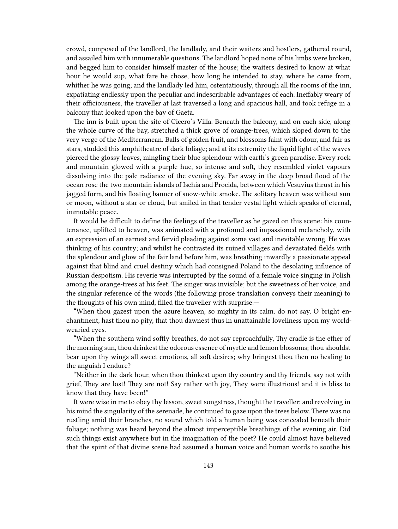crowd, composed of the landlord, the landlady, and their waiters and hostlers, gathered round, and assailed him with innumerable questions. The landlord hoped none of his limbs were broken, and begged him to consider himself master of the house; the waiters desired to know at what hour he would sup, what fare he chose, how long he intended to stay, where he came from, whither he was going; and the landlady led him, ostentatiously, through all the rooms of the inn, expatiating endlessly upon the peculiar and indescribable advantages of each. Ineffably weary of their officiousness, the traveller at last traversed a long and spacious hall, and took refuge in a balcony that looked upon the bay of Gaeta.

The inn is built upon the site of Cicero's Villa. Beneath the balcony, and on each side, along the whole curve of the bay, stretched a thick grove of orange-trees, which sloped down to the very verge of the Mediterranean. Balls of golden fruit, and blossoms faint with odour, and fair as stars, studded this amphitheatre of dark foliage; and at its extremity the liquid light of the waves pierced the glossy leaves, mingling their blue splendour with earth's green paradise. Every rock and mountain glowed with a purple hue, so intense and soft, they resembled violet vapours dissolving into the pale radiance of the evening sky. Far away in the deep broad flood of the ocean rose the two mountain islands of Ischia and Procida, between which Vesuvius thrust in his jagged form, and his floating banner of snow-white smoke. The solitary heaven was without sun or moon, without a star or cloud, but smiled in that tender vestal light which speaks of eternal, immutable peace.

It would be difficult to define the feelings of the traveller as he gazed on this scene: his countenance, uplifted to heaven, was animated with a profound and impassioned melancholy, with an expression of an earnest and fervid pleading against some vast and inevitable wrong. He was thinking of his country; and whilst he contrasted its ruined villages and devastated fields with the splendour and glow of the fair land before him, was breathing inwardly a passionate appeal against that blind and cruel destiny which had consigned Poland to the desolating influence of Russian despotism. His reverie was interrupted by the sound of a female voice singing in Polish among the orange-trees at his feet. The singer was invisible; but the sweetness of her voice, and the singular reference of the words (the following prose translation conveys their meaning) to the thoughts of his own mind, filled the traveller with surprise:—

"When thou gazest upon the azure heaven, so mighty in its calm, do not say, O bright enchantment, hast thou no pity, that thou dawnest thus in unattainable loveliness upon my worldwearied eyes.

"When the southern wind softly breathes, do not say reproachfully, Thy cradle is the ether of the morning sun, thou drinkest the odorous essence of myrtle and lemon blossoms; thou shouldst bear upon thy wings all sweet emotions, all soft desires; why bringest thou then no healing to the anguish I endure?

"Neither in the dark hour, when thou thinkest upon thy country and thy friends, say not with grief, They are lost! They are not! Say rather with joy, They were illustrious! and it is bliss to know that they have been!"

It were wise in me to obey thy lesson, sweet songstress, thought the traveller; and revolving in his mind the singularity of the serenade, he continued to gaze upon the trees below. There was no rustling amid their branches, no sound which told a human being was concealed beneath their foliage; nothing was heard beyond the almost imperceptible breathings of the evening air. Did such things exist anywhere but in the imagination of the poet? He could almost have believed that the spirit of that divine scene had assumed a human voice and human words to soothe his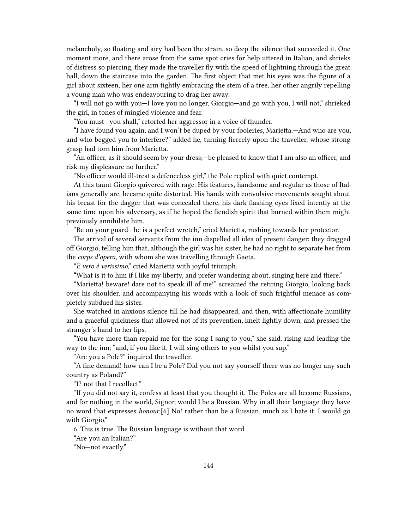melancholy, so floating and airy had been the strain, so deep the silence that succeeded it. One moment more, and there arose from the same spot cries for help uttered in Italian, and shrieks of distress so piercing, they made the traveller fly with the speed of lightning through the great hall, down the staircase into the garden. The first object that met his eyes was the figure of a girl about sixteen, her one arm tightly embracing the stem of a tree, her other angrily repelling a young man who was endeavouring to drag her away.

"I will not go with you—I love you no longer, Giorgio—and go with you, I will not," shrieked the girl, in tones of mingled violence and fear.

"You must—you shall," retorted her aggressor in a voice of thunder.

"I have found you again, and I won't be duped by your fooleries, Marietta.—And who are you, and who begged you to interfere?" added he, turning fiercely upon the traveller, whose strong grasp had torn him from Marietta.

"An officer, as it should seem by your dress;—be pleased to know that I am also an officer, and risk my displeasure no further."

"No officer would ill-treat a defenceless girl," the Pole replied with quiet contempt.

At this taunt Giorgio quivered with rage. His features, handsome and regular as those of Italians generally are, became quite distorted. His hands with convulsive movements sought about his breast for the dagger that was concealed there, his dark flashing eyes fixed intently at the same time upon his adversary, as if he hoped the fiendish spirit that burned within them might previously annihilate him.

"Be on your guard—he is a perfect wretch," cried Marietta, rushing towards her protector.

The arrival of several servants from the inn dispelled all idea of present danger: they dragged off Giorgio, telling him that, although the girl was his sister, he had no right to separate her from the *corps d'opera*, with whom she was travelling through Gaeta.

"*E vero è verissimo*," cried Marietta with joyful triumph.

"What is it to him if I like my liberty, and prefer wandering about, singing here and there."

"Marietta! beware! dare not to speak ill of me!" screamed the retiring Giorgio, looking back over his shoulder, and accompanying his words with a look of such frightful menace as completely subdued his sister.

She watched in anxious silence till he had disappeared, and then, with affectionate humility and a graceful quickness that allowed not of its prevention, knelt lightly down, and pressed the stranger's hand to her lips.

"You have more than repaid me for the song I sang to you," she said, rising and leading the way to the inn; "and, if you like it, I will sing others to you whilst you sup."

"Are you a Pole?" inquired the traveller.

"A fine demand! how can I be a Pole? Did you not say yourself there was no longer any such country as Poland?"

"I? not that I recollect."

"If you did not say it, confess at least that you thought it. The Poles are all become Russians, and for nothing in the world, Signor, would I be a Russian. Why in all their language they have no word that expresses *honour*.[6] No! rather than be a Russian, much as I hate it, I would go with Giorgio."

6. This is true. The Russian language is without that word.

"Are you an Italian?"

"No—not exactly."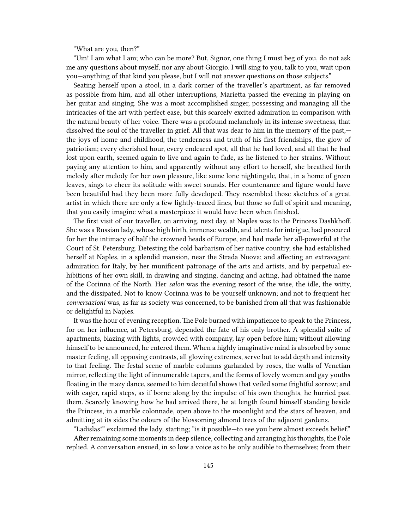"What are you, then?"

"Um! I am what I am; who can be more? But, Signor, one thing I must beg of you, do not ask me any questions about myself, nor any about Giorgio. I will sing to you, talk to you, wait upon you—anything of that kind you please, but I will not answer questions on those subjects."

Seating herself upon a stool, in a dark corner of the traveller's apartment, as far removed as possible from him, and all other interruptions, Marietta passed the evening in playing on her guitar and singing. She was a most accomplished singer, possessing and managing all the intricacies of the art with perfect ease, but this scarcely excited admiration in comparison with the natural beauty of her voice. There was a profound melancholy in its intense sweetness, that dissolved the soul of the traveller in grief. All that was dear to him in the memory of the past, the joys of home and childhood, the tenderness and truth of his first friendships, the glow of patriotism; every cherished hour, every endeared spot, all that he had loved, and all that he had lost upon earth, seemed again to live and again to fade, as he listened to her strains. Without paying any attention to him, and apparently without any effort to herself, she breathed forth melody after melody for her own pleasure, like some lone nightingale, that, in a home of green leaves, sings to cheer its solitude with sweet sounds. Her countenance and figure would have been beautiful had they been more fully developed. They resembled those sketches of a great artist in which there are only a few lightly-traced lines, but those so full of spirit and meaning, that you easily imagine what a masterpiece it would have been when finished.

The first visit of our traveller, on arriving, next day, at Naples was to the Princess Dashkhoff. She was a Russian lady, whose high birth, immense wealth, and talents for intrigue, had procured for her the intimacy of half the crowned heads of Europe, and had made her all-powerful at the Court of St. Petersburg. Detesting the cold barbarism of her native country, she had established herself at Naples, in a splendid mansion, near the Strada Nuova; and affecting an extravagant admiration for Italy, by her munificent patronage of the arts and artists, and by perpetual exhibitions of her own skill, in drawing and singing, dancing and acting, had obtained the name of the Corinna of the North. Her *salon* was the evening resort of the wise, the idle, the witty, and the dissipated. Not to know Corinna was to be yourself unknown; and not to frequent her *conversazioni* was, as far as society was concerned, to be banished from all that was fashionable or delightful in Naples.

It was the hour of evening reception. The Pole burned with impatience to speak to the Princess, for on her influence, at Petersburg, depended the fate of his only brother. A splendid suite of apartments, blazing with lights, crowded with company, lay open before him; without allowing himself to be announced, he entered them. When a highly imaginative mind is absorbed by some master feeling, all opposing contrasts, all glowing extremes, serve but to add depth and intensity to that feeling. The festal scene of marble columns garlanded by roses, the walls of Venetian mirror, reflecting the light of innumerable tapers, and the forms of lovely women and gay youths floating in the mazy dance, seemed to him deceitful shows that veiled some frightful sorrow; and with eager, rapid steps, as if borne along by the impulse of his own thoughts, he hurried past them. Scarcely knowing how he had arrived there, he at length found himself standing beside the Princess, in a marble colonnade, open above to the moonlight and the stars of heaven, and admitting at its sides the odours of the blossoming almond trees of the adjacent gardens.

"Ladislas!" exclaimed the lady, starting; "is it possible—to see you here almost exceeds belief." After remaining some moments in deep silence, collecting and arranging his thoughts, the Pole replied. A conversation ensued, in so low a voice as to be only audible to themselves; from their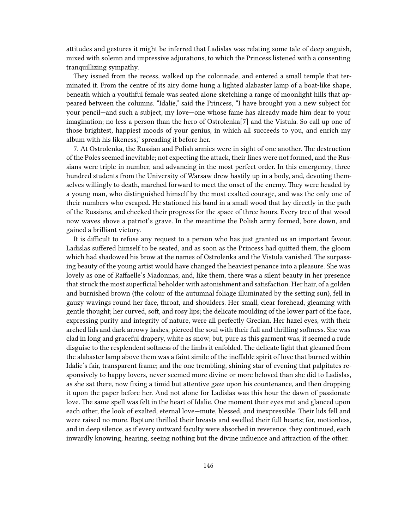attitudes and gestures it might be inferred that Ladislas was relating some tale of deep anguish, mixed with solemn and impressive adjurations, to which the Princess listened with a consenting tranquillizing sympathy.

They issued from the recess, walked up the colonnade, and entered a small temple that terminated it. From the centre of its airy dome hung a lighted alabaster lamp of a boat-like shape, beneath which a youthful female was seated alone sketching a range of moonlight hills that appeared between the columns. "Idalie," said the Princess, "I have brought you a new subject for your pencil—and such a subject, my love—one whose fame has already made him dear to your imagination; no less a person than the hero of Ostrolenka[7] and the Vistula. So call up one of those brightest, happiest moods of your genius, in which all succeeds to you, and enrich my album with his likeness," spreading it before her.

7. At Ostrolenka, the Russian and Polish armies were in sight of one another. The destruction of the Poles seemed inevitable; not expecting the attack, their lines were not formed, and the Russians were triple in number, and advancing in the most perfect order. In this emergency, three hundred students from the University of Warsaw drew hastily up in a body, and, devoting themselves willingly to death, marched forward to meet the onset of the enemy. They were headed by a young man, who distinguished himself by the most exalted courage, and was the only one of their numbers who escaped. He stationed his band in a small wood that lay directly in the path of the Russians, and checked their progress for the space of three hours. Every tree of that wood now waves above a patriot's grave. In the meantime the Polish army formed, bore down, and gained a brilliant victory.

It is difficult to refuse any request to a person who has just granted us an important favour. Ladislas suffered himself to be seated, and as soon as the Princess had quitted them, the gloom which had shadowed his brow at the names of Ostrolenka and the Vistula vanished. The surpassing beauty of the young artist would have changed the heaviest penance into a pleasure. She was lovely as one of Raffaelle's Madonnas; and, like them, there was a silent beauty in her presence that struck the most superficial beholder with astonishment and satisfaction. Her hair, of a golden and burnished brown (the colour of the autumnal foliage illuminated by the setting sun), fell in gauzy wavings round her face, throat, and shoulders. Her small, clear forehead, gleaming with gentle thought; her curved, soft, and rosy lips; the delicate moulding of the lower part of the face, expressing purity and integrity of nature, were all perfectly Grecian. Her hazel eyes, with their arched lids and dark arrowy lashes, pierced the soul with their full and thrilling softness. She was clad in long and graceful drapery, white as snow; but, pure as this garment was, it seemed a rude disguise to the resplendent softness of the limbs it enfolded. The delicate light that gleamed from the alabaster lamp above them was a faint simile of the ineffable spirit of love that burned within Idalie's fair, transparent frame; and the one trembling, shining star of evening that palpitates responsively to happy lovers, never seemed more divine or more beloved than she did to Ladislas, as she sat there, now fixing a timid but attentive gaze upon his countenance, and then dropping it upon the paper before her. And not alone for Ladislas was this hour the dawn of passionate love. The same spell was felt in the heart of Idalie. One moment their eyes met and glanced upon each other, the look of exalted, eternal love—mute, blessed, and inexpressible. Their lids fell and were raised no more. Rapture thrilled their breasts and swelled their full hearts; for, motionless, and in deep silence, as if every outward faculty were absorbed in reverence, they continued, each inwardly knowing, hearing, seeing nothing but the divine influence and attraction of the other.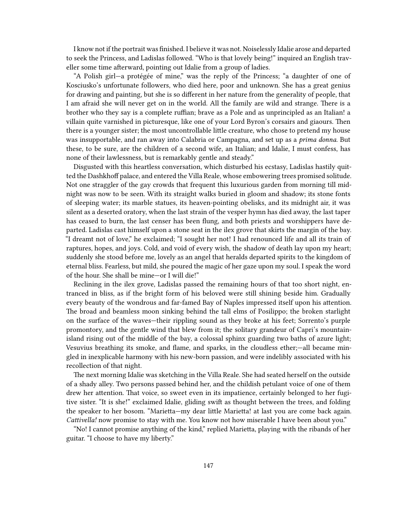I know not if the portrait was finished. I believe it was not. Noiselessly Idalie arose and departed to seek the Princess, and Ladislas followed. "Who is that lovely being!" inquired an English traveller some time afterward, pointing out Idalie from a group of ladies.

"A Polish girl—a protégée of mine," was the reply of the Princess; "a daughter of one of Kosciusko's unfortunate followers, who died here, poor and unknown. She has a great genius for drawing and painting, but she is so different in her nature from the generality of people, that I am afraid she will never get on in the world. All the family are wild and strange. There is a brother who they say is a complete ruffian; brave as a Pole and as unprincipled as an Italian! a villain quite varnished in picturesque, like one of your Lord Byron's corsairs and giaours. Then there is a younger sister; the most uncontrollable little creature, who chose to pretend my house was insupportable, and ran away into Calabria or Campagna, and set up as a *prima donna*. But these, to be sure, are the children of a second wife, an Italian; and Idalie, I must confess, has none of their lawlessness, but is remarkably gentle and steady."

Disgusted with this heartless conversation, which disturbed his ecstasy, Ladislas hastily quitted the Dashkhoff palace, and entered the Villa Reale, whose embowering trees promised solitude. Not one straggler of the gay crowds that frequent this luxurious garden from morning till midnight was now to be seen. With its straight walks buried in gloom and shadow; its stone fonts of sleeping water; its marble statues, its heaven-pointing obelisks, and its midnight air, it was silent as a deserted oratory, when the last strain of the vesper hymn has died away, the last taper has ceased to burn, the last censer has been flung, and both priests and worshippers have departed. Ladislas cast himself upon a stone seat in the ilex grove that skirts the margin of the bay. "I dreamt not of love," he exclaimed; "I sought her not! I had renounced life and all its train of raptures, hopes, and joys. Cold, and void of every wish, the shadow of death lay upon my heart; suddenly she stood before me, lovely as an angel that heralds departed spirits to the kingdom of eternal bliss. Fearless, but mild, she poured the magic of her gaze upon my soul. I speak the word of the hour. She shall be mine—or I will die!"

Reclining in the ilex grove, Ladislas passed the remaining hours of that too short night, entranced in bliss, as if the bright form of his beloved were still shining beside him. Gradually every beauty of the wondrous and far-famed Bay of Naples impressed itself upon his attention. The broad and beamless moon sinking behind the tall elms of Posilippo; the broken starlight on the surface of the waves—their rippling sound as they broke at his feet; Sorrento's purple promontory, and the gentle wind that blew from it; the solitary grandeur of Capri's mountainisland rising out of the middle of the bay, a colossal sphinx guarding two baths of azure light; Vesuvius breathing its smoke, and flame, and sparks, in the cloudless ether;—all became mingled in inexplicable harmony with his new-born passion, and were indelibly associated with his recollection of that night.

The next morning Idalie was sketching in the Villa Reale. She had seated herself on the outside of a shady alley. Two persons passed behind her, and the childish petulant voice of one of them drew her attention. That voice, so sweet even in its impatience, certainly belonged to her fugitive sister. "It is she!" exclaimed Idalie, gliding swift as thought between the trees, and folding the speaker to her bosom. "Marietta—my dear little Marietta! at last you are come back again. *Cattivella!* now promise to stay with me. You know not how miserable I have been about you."

"No! I cannot promise anything of the kind," replied Marietta, playing with the ribands of her guitar. "I choose to have my liberty."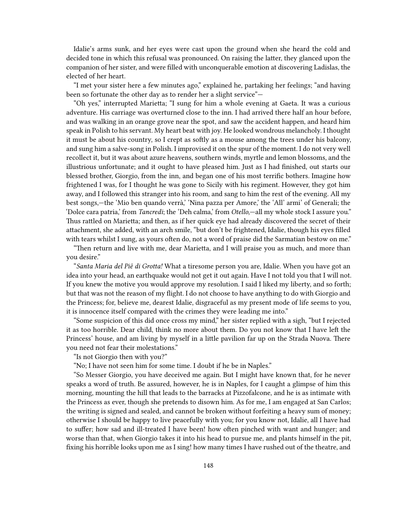Idalie's arms sunk, and her eyes were cast upon the ground when she heard the cold and decided tone in which this refusal was pronounced. On raising the latter, they glanced upon the companion of her sister, and were filled with unconquerable emotion at discovering Ladislas, the elected of her heart.

"I met your sister here a few minutes ago," explained he, partaking her feelings; "and having been so fortunate the other day as to render her a slight service"—

"Oh yes," interrupted Marietta; "I sung for him a whole evening at Gaeta. It was a curious adventure. His carriage was overturned close to the inn. I had arrived there half an hour before, and was walking in an orange grove near the spot, and saw the accident happen, and heard him speak in Polish to his servant. My heart beat with joy. He looked wondrous melancholy. I thought it must be about his country, so I crept as softly as a mouse among the trees under his balcony, and sung him a salve-song in Polish. I improvised it on the spur of the moment. I do not very well recollect it, but it was about azure heavens, southern winds, myrtle and lemon blossoms, and the illustrious unfortunate; and it ought to have pleased him. Just as I had finished, out starts our blessed brother, Giorgio, from the inn, and began one of his most terrific bothers. Imagine how frightened I was, for I thought he was gone to Sicily with his regiment. However, they got him away, and I followed this stranger into his room, and sang to him the rest of the evening. All my best songs,—the 'Mio ben quando verrà,' 'Nina pazza per Amore,' the 'All' armi' of Generali; the 'Dolce cara patria,' from *Tancredi*; the 'Deh calma,' from *Otello*,—all my whole stock I assure you." Thus rattled on Marietta; and then, as if her quick eye had already discovered the secret of their attachment, she added, with an arch smile, "but don't be frightened, Idalie, though his eyes filled with tears whilst I sung, as yours often do, not a word of praise did the Sarmatian bestow on me."

"Then return and live with me, dear Marietta, and I will praise you as much, and more than you desire."

"*Santa Maria del Piê di Grotta!* What a tiresome person you are, Idalie. When you have got an idea into your head, an earthquake would not get it out again. Have I not told you that I will not. If you knew the motive you would approve my resolution. I said I liked my liberty, and so forth; but that was not the reason of my flight. I do not choose to have anything to do with Giorgio and the Princess; for, believe me, dearest Idalie, disgraceful as my present mode of life seems to you, it is innocence itself compared with the crimes they were leading me into."

"Some suspicion of this did once cross my mind," her sister replied with a sigh, "but I rejected it as too horrible. Dear child, think no more about them. Do you not know that I have left the Princess' house, and am living by myself in a little pavilion far up on the Strada Nuova. There you need not fear their molestations."

"Is not Giorgio then with you?"

"No; I have not seen him for some time. I doubt if he be in Naples."

"So Messer Giorgio, you have deceived me again. But I might have known that, for he never speaks a word of truth. Be assured, however, he is in Naples, for I caught a glimpse of him this morning, mounting the hill that leads to the barracks at Pizzofalcone, and he is as intimate with the Princess as ever, though she pretends to disown him. As for me, I am engaged at San Carlos; the writing is signed and sealed, and cannot be broken without forfeiting a heavy sum of money; otherwise I should be happy to live peacefully with you; for you know not, Idalie, all I have had to suffer; how sad and ill-treated I have been! how often pinched with want and hunger; and worse than that, when Giorgio takes it into his head to pursue me, and plants himself in the pit, fixing his horrible looks upon me as I sing! how many times I have rushed out of the theatre, and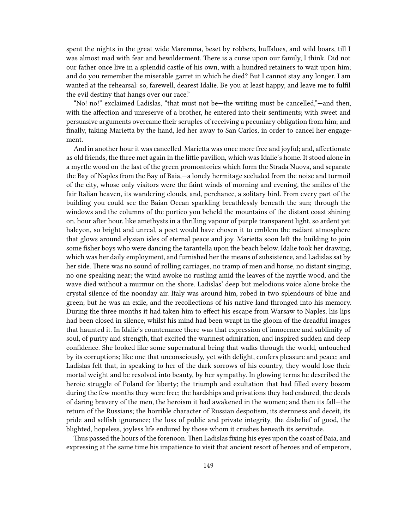spent the nights in the great wide Maremma, beset by robbers, buffaloes, and wild boars, till I was almost mad with fear and bewilderment. There is a curse upon our family, I think. Did not our father once live in a splendid castle of his own, with a hundred retainers to wait upon him; and do you remember the miserable garret in which he died? But I cannot stay any longer. I am wanted at the rehearsal: so, farewell, dearest Idalie. Be you at least happy, and leave me to fulfil the evil destiny that hangs over our race."

"No! no!" exclaimed Ladislas, "that must not be—the writing must be cancelled,"—and then, with the affection and unreserve of a brother, he entered into their sentiments; with sweet and persuasive arguments overcame their scruples of receiving a pecuniary obligation from him; and finally, taking Marietta by the hand, led her away to San Carlos, in order to cancel her engagement.

And in another hour it was cancelled. Marietta was once more free and joyful; and, affectionate as old friends, the three met again in the little pavilion, which was Idalie's home. It stood alone in a myrtle wood on the last of the green promontories which form the Strada Nuova, and separate the Bay of Naples from the Bay of Baia,—a lonely hermitage secluded from the noise and turmoil of the city, whose only visitors were the faint winds of morning and evening, the smiles of the fair Italian heaven, its wandering clouds, and, perchance, a solitary bird. From every part of the building you could see the Baian Ocean sparkling breathlessly beneath the sun; through the windows and the columns of the portico you beheld the mountains of the distant coast shining on, hour after hour, like amethysts in a thrilling vapour of purple transparent light, so ardent yet halcyon, so bright and unreal, a poet would have chosen it to emblem the radiant atmosphere that glows around elysian isles of eternal peace and joy. Marietta soon left the building to join some fisher boys who were dancing the tarantella upon the beach below. Idalie took her drawing, which was her daily employment, and furnished her the means of subsistence, and Ladislas sat by her side. There was no sound of rolling carriages, no tramp of men and horse, no distant singing, no one speaking near; the wind awoke no rustling amid the leaves of the myrtle wood, and the wave died without a murmur on the shore. Ladislas' deep but melodious voice alone broke the crystal silence of the noonday air. Italy was around him, robed in two splendours of blue and green; but he was an exile, and the recollections of his native land thronged into his memory. During the three months it had taken him to effect his escape from Warsaw to Naples, his lips had been closed in silence, whilst his mind had been wrapt in the gloom of the dreadful images that haunted it. In Idalie's countenance there was that expression of innocence and sublimity of soul, of purity and strength, that excited the warmest admiration, and inspired sudden and deep confidence. She looked like some supernatural being that walks through the world, untouched by its corruptions; like one that unconsciously, yet with delight, confers pleasure and peace; and Ladislas felt that, in speaking to her of the dark sorrows of his country, they would lose their mortal weight and be resolved into beauty, by her sympathy. In glowing terms he described the heroic struggle of Poland for liberty; the triumph and exultation that had filled every bosom during the few months they were free; the hardships and privations they had endured, the deeds of daring bravery of the men, the heroism it had awakened in the women; and then its fall—the return of the Russians; the horrible character of Russian despotism, its sternness and deceit, its pride and selfish ignorance; the loss of public and private integrity, the disbelief of good, the blighted, hopeless, joyless life endured by those whom it crushes beneath its servitude.

Thus passed the hours of the forenoon. Then Ladislas fixing his eyes upon the coast of Baia, and expressing at the same time his impatience to visit that ancient resort of heroes and of emperors,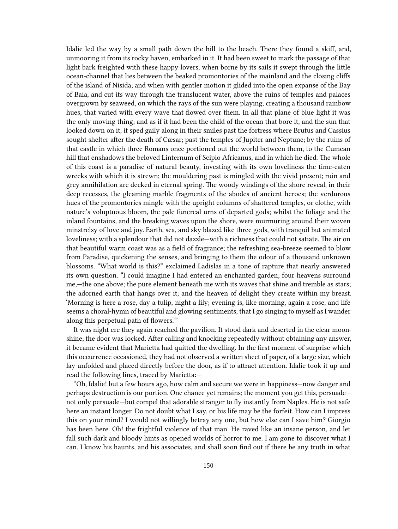Idalie led the way by a small path down the hill to the beach. There they found a skiff, and, unmooring it from its rocky haven, embarked in it. It had been sweet to mark the passage of that light bark freighted with these happy lovers, when borne by its sails it swept through the little ocean-channel that lies between the beaked promontories of the mainland and the closing cliffs of the island of Nisida; and when with gentler motion it glided into the open expanse of the Bay of Baia, and cut its way through the translucent water, above the ruins of temples and palaces overgrown by seaweed, on which the rays of the sun were playing, creating a thousand rainbow hues, that varied with every wave that flowed over them. In all that plane of blue light it was the only moving thing; and as if it had been the child of the ocean that bore it, and the sun that looked down on it, it sped gaily along in their smiles past the fortress where Brutus and Cassius sought shelter after the death of Cæsar; past the temples of Jupiter and Neptune; by the ruins of that castle in which three Romans once portioned out the world between them, to the Cumean hill that enshadows the beloved Linternum of Scipio Africanus, and in which he died. The whole of this coast is a paradise of natural beauty, investing with its own loveliness the time-eaten wrecks with which it is strewn; the mouldering past is mingled with the vivid present; ruin and grey annihilation are decked in eternal spring. The woody windings of the shore reveal, in their deep recesses, the gleaming marble fragments of the abodes of ancient heroes; the verdurous hues of the promontories mingle with the upright columns of shattered temples, or clothe, with nature's voluptuous bloom, the pale funereal urns of departed gods; whilst the foliage and the inland fountains, and the breaking waves upon the shore, were murmuring around their woven minstrelsy of love and joy. Earth, sea, and sky blazed like three gods, with tranquil but animated loveliness; with a splendour that did not dazzle—with a richness that could not satiate. The air on that beautiful warm coast was as a field of fragrance; the refreshing sea-breeze seemed to blow from Paradise, quickening the senses, and bringing to them the odour of a thousand unknown blossoms. "What world is this?" exclaimed Ladislas in a tone of rapture that nearly answered its own question. "I could imagine I had entered an enchanted garden; four heavens surround me,—the one above; the pure element beneath me with its waves that shine and tremble as stars; the adorned earth that hangs over it; and the heaven of delight they create within my breast. 'Morning is here a rose, day a tulip, night a lily; evening is, like morning, again a rose, and life seems a choral-hymn of beautiful and glowing sentiments, that I go singing to myself as I wander along this perpetual path of flowers.'"

It was night ere they again reached the pavilion. It stood dark and deserted in the clear moonshine; the door was locked. After calling and knocking repeatedly without obtaining any answer, it became evident that Marietta had quitted the dwelling. In the first moment of surprise which this occurrence occasioned, they had not observed a written sheet of paper, of a large size, which lay unfolded and placed directly before the door, as if to attract attention. Idalie took it up and read the following lines, traced by Marietta:—

"Oh, Idalie! but a few hours ago, how calm and secure we were in happiness—now danger and perhaps destruction is our portion. One chance yet remains; the moment you get this, persuade not only persuade—but compel that adorable stranger to fly instantly from Naples. He is not safe here an instant longer. Do not doubt what I say, or his life may be the forfeit. How can I impress this on your mind? I would not willingly betray any one, but how else can I save him? Giorgio has been here. Oh! the frightful violence of that man. He raved like an insane person, and let fall such dark and bloody hints as opened worlds of horror to me. I am gone to discover what I can. I know his haunts, and his associates, and shall soon find out if there be any truth in what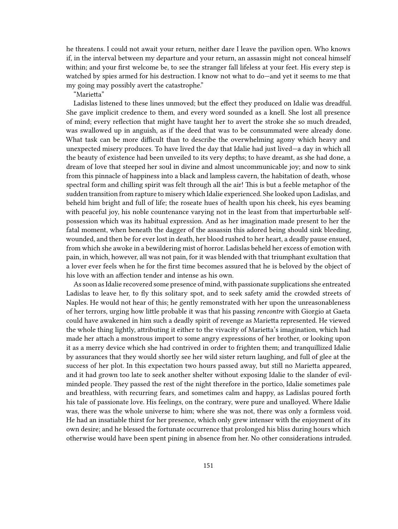he threatens. I could not await your return, neither dare I leave the pavilion open. Who knows if, in the interval between my departure and your return, an assassin might not conceal himself within; and your first welcome be, to see the stranger fall lifeless at your feet. His every step is watched by spies armed for his destruction. I know not what to do—and yet it seems to me that my going may possibly avert the catastrophe."

"Marietta"

Ladislas listened to these lines unmoved; but the effect they produced on Idalie was dreadful. She gave implicit credence to them, and every word sounded as a knell. She lost all presence of mind; every reflection that might have taught her to avert the stroke she so much dreaded, was swallowed up in anguish, as if the deed that was to be consummated were already done. What task can be more difficult than to describe the overwhelming agony which heavy and unexpected misery produces. To have lived the day that Idalie had just lived—a day in which all the beauty of existence had been unveiled to its very depths; to have dreamt, as she had done, a dream of love that steeped her soul in divine and almost uncommunicable joy; and now to sink from this pinnacle of happiness into a black and lampless cavern, the habitation of death, whose spectral form and chilling spirit was felt through all the air! This is but a feeble metaphor of the sudden transition from rapture to misery which Idalie experienced. She looked upon Ladislas, and beheld him bright and full of life; the roseate hues of health upon his cheek, his eyes beaming with peaceful joy, his noble countenance varying not in the least from that imperturbable selfpossession which was its habitual expression. And as her imagination made present to her the fatal moment, when beneath the dagger of the assassin this adored being should sink bleeding, wounded, and then be for ever lost in death, her blood rushed to her heart, a deadly pause ensued, from which she awoke in a bewildering mist of horror. Ladislas beheld her excess of emotion with pain, in which, however, all was not pain, for it was blended with that triumphant exultation that a lover ever feels when he for the first time becomes assured that he is beloved by the object of his love with an affection tender and intense as his own.

As soon as Idalie recovered some presence of mind, with passionate supplications she entreated Ladislas to leave her, to fly this solitary spot, and to seek safety amid the crowded streets of Naples. He would not hear of this; he gently remonstrated with her upon the unreasonableness of her terrors, urging how little probable it was that his passing *rencontre* with Giorgio at Gaeta could have awakened in him such a deadly spirit of revenge as Marietta represented. He viewed the whole thing lightly, attributing it either to the vivacity of Marietta's imagination, which had made her attach a monstrous import to some angry expressions of her brother, or looking upon it as a merry device which she had contrived in order to frighten them; and tranquillized Idalie by assurances that they would shortly see her wild sister return laughing, and full of glee at the success of her plot. In this expectation two hours passed away, but still no Marietta appeared, and it had grown too late to seek another shelter without exposing Idalie to the slander of evilminded people. They passed the rest of the night therefore in the portico, Idalie sometimes pale and breathless, with recurring fears, and sometimes calm and happy, as Ladislas poured forth his tale of passionate love. His feelings, on the contrary, were pure and unalloyed. Where Idalie was, there was the whole universe to him; where she was not, there was only a formless void. He had an insatiable thirst for her presence, which only grew intenser with the enjoyment of its own desire; and he blessed the fortunate occurrence that prolonged his bliss during hours which otherwise would have been spent pining in absence from her. No other considerations intruded.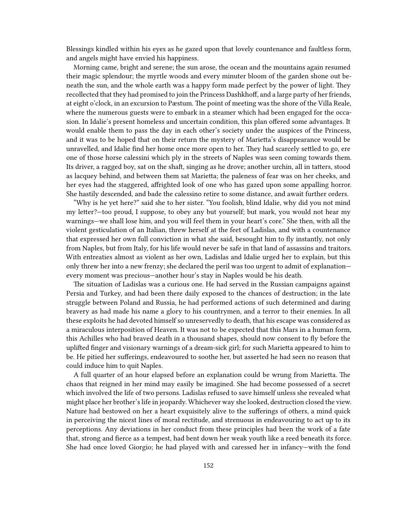Blessings kindled within his eyes as he gazed upon that lovely countenance and faultless form, and angels might have envied his happiness.

Morning came, bright and serene; the sun arose, the ocean and the mountains again resumed their magic splendour; the myrtle woods and every minuter bloom of the garden shone out beneath the sun, and the whole earth was a happy form made perfect by the power of light. They recollected that they had promised to join the Princess Dashkhoff, and a large party of her friends, at eight o'clock, in an excursion to Pæstum. The point of meeting was the shore of the Villa Reale, where the numerous guests were to embark in a steamer which had been engaged for the occasion. In Idalie's present homeless and uncertain condition, this plan offered some advantages. It would enable them to pass the day in each other's society under the auspices of the Princess, and it was to be hoped that on their return the mystery of Marietta's disappearance would be unravelled, and Idalie find her home once more open to her. They had scarcely settled to go, ere one of those horse calessini which ply in the streets of Naples was seen coming towards them. Its driver, a ragged boy, sat on the shaft, singing as he drove; another urchin, all in tatters, stood as lacquey behind, and between them sat Marietta; the paleness of fear was on her cheeks, and her eyes had the staggered, affrighted look of one who has gazed upon some appalling horror. She hastily descended, and bade the calessino retire to some distance, and await further orders.

"Why is he yet here?" said she to her sister. "You foolish, blind Idalie, why did you not mind my letter?—too proud, I suppose, to obey any but yourself; but mark, you would not hear my warnings—we shall lose him, and you will feel them in your heart's core." She then, with all the violent gesticulation of an Italian, threw herself at the feet of Ladislas, and with a countenance that expressed her own full conviction in what she said, besought him to fly instantly, not only from Naples, but from Italy, for his life would never be safe in that land of assassins and traitors. With entreaties almost as violent as her own, Ladislas and Idalie urged her to explain, but this only threw her into a new frenzy; she declared the peril was too urgent to admit of explanation every moment was precious—another hour's stay in Naples would be his death.

The situation of Ladislas was a curious one. He had served in the Russian campaigns against Persia and Turkey, and had been there daily exposed to the chances of destruction; in the late struggle between Poland and Russia, he had performed actions of such determined and daring bravery as had made his name a glory to his countrymen, and a terror to their enemies. In all these exploits he had devoted himself so unreservedly to death, that his escape was considered as a miraculous interposition of Heaven. It was not to be expected that this Mars in a human form, this Achilles who had braved death in a thousand shapes, should now consent to fly before the uplifted finger and visionary warnings of a dream-sick girl; for such Marietta appeared to him to be. He pitied her sufferings, endeavoured to soothe her, but asserted he had seen no reason that could induce him to quit Naples.

A full quarter of an hour elapsed before an explanation could be wrung from Marietta. The chaos that reigned in her mind may easily be imagined. She had become possessed of a secret which involved the life of two persons. Ladislas refused to save himself unless she revealed what might place her brother's life in jeopardy. Whichever way she looked, destruction closed the view. Nature had bestowed on her a heart exquisitely alive to the sufferings of others, a mind quick in perceiving the nicest lines of moral rectitude, and strenuous in endeavouring to act up to its perceptions. Any deviations in her conduct from these principles had been the work of a fate that, strong and fierce as a tempest, had bent down her weak youth like a reed beneath its force. She had once loved Giorgio; he had played with and caressed her in infancy—with the fond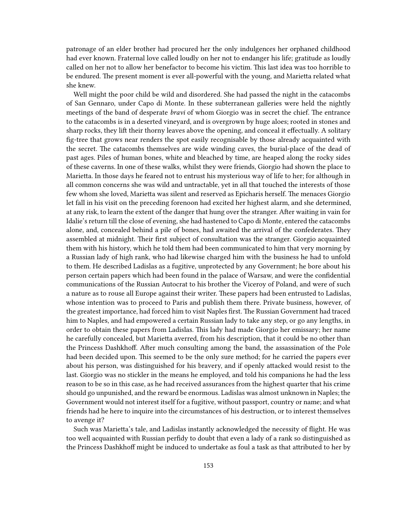patronage of an elder brother had procured her the only indulgences her orphaned childhood had ever known. Fraternal love called loudly on her not to endanger his life; gratitude as loudly called on her not to allow her benefactor to become his victim. This last idea was too horrible to be endured. The present moment is ever all-powerful with the young, and Marietta related what she knew.

Well might the poor child be wild and disordered. She had passed the night in the catacombs of San Gennaro, under Capo di Monte. In these subterranean galleries were held the nightly meetings of the band of desperate *bravi* of whom Giorgio was in secret the chief. The entrance to the catacombs is in a deserted vineyard, and is overgrown by huge aloes; rooted in stones and sharp rocks, they lift their thorny leaves above the opening, and conceal it effectually. A solitary fig-tree that grows near renders the spot easily recognisable by those already acquainted with the secret. The catacombs themselves are wide winding caves, the burial-place of the dead of past ages. Piles of human bones, white and bleached by time, are heaped along the rocky sides of these caverns. In one of these walks, whilst they were friends, Giorgio had shown the place to Marietta. In those days he feared not to entrust his mysterious way of life to her; for although in all common concerns she was wild and untractable, yet in all that touched the interests of those few whom she loved, Marietta was silent and reserved as Epicharis herself. The menaces Giorgio let fall in his visit on the preceding forenoon had excited her highest alarm, and she determined, at any risk, to learn the extent of the danger that hung over the stranger. After waiting in vain for Idalie's return till the close of evening, she had hastened to Capo di Monte, entered the catacombs alone, and, concealed behind a pile of bones, had awaited the arrival of the confederates. They assembled at midnight. Their first subject of consultation was the stranger. Giorgio acquainted them with his history, which he told them had been communicated to him that very morning by a Russian lady of high rank, who had likewise charged him with the business he had to unfold to them. He described Ladislas as a fugitive, unprotected by any Government; he bore about his person certain papers which had been found in the palace of Warsaw, and were the confidential communications of the Russian Autocrat to his brother the Viceroy of Poland, and were of such a nature as to rouse all Europe against their writer. These papers had been entrusted to Ladislas, whose intention was to proceed to Paris and publish them there. Private business, however, of the greatest importance, had forced him to visit Naples first. The Russian Government had traced him to Naples, and had empowered a certain Russian lady to take any step, or go any lengths, in order to obtain these papers from Ladislas. This lady had made Giorgio her emissary; her name he carefully concealed, but Marietta averred, from his description, that it could be no other than the Princess Dashkhoff. After much consulting among the band, the assassination of the Pole had been decided upon. This seemed to be the only sure method; for he carried the papers ever about his person, was distinguished for his bravery, and if openly attacked would resist to the last. Giorgio was no stickler in the means he employed, and told his companions he had the less reason to be so in this case, as he had received assurances from the highest quarter that his crime should go unpunished, and the reward be enormous. Ladislas was almost unknown in Naples; the Government would not interest itself for a fugitive, without passport, country or name; and what friends had he here to inquire into the circumstances of his destruction, or to interest themselves to avenge it?

Such was Marietta's tale, and Ladislas instantly acknowledged the necessity of flight. He was too well acquainted with Russian perfidy to doubt that even a lady of a rank so distinguished as the Princess Dashkhoff might be induced to undertake as foul a task as that attributed to her by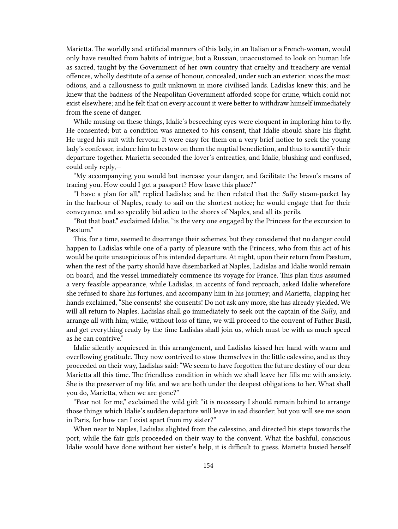Marietta. The worldly and artificial manners of this lady, in an Italian or a French-woman, would only have resulted from habits of intrigue; but a Russian, unaccustomed to look on human life as sacred, taught by the Government of her own country that cruelty and treachery are venial offences, wholly destitute of a sense of honour, concealed, under such an exterior, vices the most odious, and a callousness to guilt unknown in more civilised lands. Ladislas knew this; and he knew that the badness of the Neapolitan Government afforded scope for crime, which could not exist elsewhere; and he felt that on every account it were better to withdraw himself immediately from the scene of danger.

While musing on these things, Idalie's beseeching eyes were eloquent in imploring him to fly. He consented; but a condition was annexed to his consent, that Idalie should share his flight. He urged his suit with fervour. It were easy for them on a very brief notice to seek the young lady's confessor, induce him to bestow on them the nuptial benediction, and thus to sanctify their departure together. Marietta seconded the lover's entreaties, and Idalie, blushing and confused, could only reply,—

"My accompanying you would but increase your danger, and facilitate the bravo's means of tracing you. How could I get a passport? How leave this place?"

"I have a plan for all," replied Ladislas; and he then related that the *Sully* steam-packet lay in the harbour of Naples, ready to sail on the shortest notice; he would engage that for their conveyance, and so speedily bid adieu to the shores of Naples, and all its perils.

"But that boat," exclaimed Idalie, "is the very one engaged by the Princess for the excursion to Pæstum."

This, for a time, seemed to disarrange their schemes, but they considered that no danger could happen to Ladislas while one of a party of pleasure with the Princess, who from this act of his would be quite unsuspicious of his intended departure. At night, upon their return from Pæstum, when the rest of the party should have disembarked at Naples, Ladislas and Idalie would remain on board, and the vessel immediately commence its voyage for France. This plan thus assumed a very feasible appearance, while Ladislas, in accents of fond reproach, asked Idalie wherefore she refused to share his fortunes, and accompany him in his journey; and Marietta, clapping her hands exclaimed, "She consents! she consents! Do not ask any more, she has already yielded. We will all return to Naples. Ladislas shall go immediately to seek out the captain of the *Sully*, and arrange all with him; while, without loss of time, we will proceed to the convent of Father Basil, and get everything ready by the time Ladislas shall join us, which must be with as much speed as he can contrive."

Idalie silently acquiesced in this arrangement, and Ladislas kissed her hand with warm and overflowing gratitude. They now contrived to stow themselves in the little calessino, and as they proceeded on their way, Ladislas said: "We seem to have forgotten the future destiny of our dear Marietta all this time. The friendless condition in which we shall leave her fills me with anxiety. She is the preserver of my life, and we are both under the deepest obligations to her. What shall you do, Marietta, when we are gone?"

"Fear not for me," exclaimed the wild girl; "it is necessary I should remain behind to arrange those things which Idalie's sudden departure will leave in sad disorder; but you will see me soon in Paris, for how can I exist apart from my sister?"

When near to Naples, Ladislas alighted from the calessino, and directed his steps towards the port, while the fair girls proceeded on their way to the convent. What the bashful, conscious Idalie would have done without her sister's help, it is difficult to guess. Marietta busied herself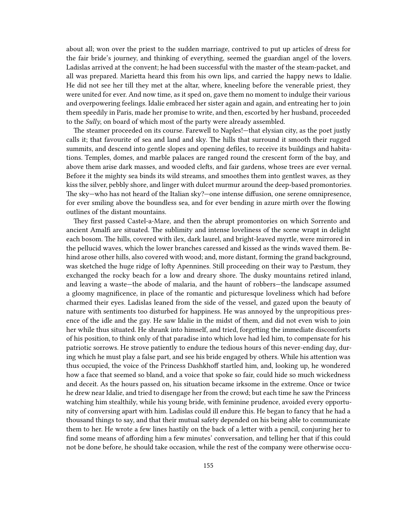about all; won over the priest to the sudden marriage, contrived to put up articles of dress for the fair bride's journey, and thinking of everything, seemed the guardian angel of the lovers. Ladislas arrived at the convent; he had been successful with the master of the steam-packet, and all was prepared. Marietta heard this from his own lips, and carried the happy news to Idalie. He did not see her till they met at the altar, where, kneeling before the venerable priest, they were united for ever. And now time, as it sped on, gave them no moment to indulge their various and overpowering feelings. Idalie embraced her sister again and again, and entreating her to join them speedily in Paris, made her promise to write, and then, escorted by her husband, proceeded to the *Sully*, on board of which most of the party were already assembled.

The steamer proceeded on its course. Farewell to Naples!—that elysian city, as the poet justly calls it; that favourite of sea and land and sky. The hills that surround it smooth their rugged summits, and descend into gentle slopes and opening defiles, to receive its buildings and habitations. Temples, domes, and marble palaces are ranged round the crescent form of the bay, and above them arise dark masses, and wooded clefts, and fair gardens, whose trees are ever vernal. Before it the mighty sea binds its wild streams, and smoothes them into gentlest waves, as they kiss the silver, pebbly shore, and linger with dulcet murmur around the deep-based promontories. The sky—who has not heard of the Italian sky?—one intense diffusion, one serene omnipresence, for ever smiling above the boundless sea, and for ever bending in azure mirth over the flowing outlines of the distant mountains.

They first passed Castel-a-Mare, and then the abrupt promontories on which Sorrento and ancient Amalfi are situated. The sublimity and intense loveliness of the scene wrapt in delight each bosom. The hills, covered with ilex, dark laurel, and bright-leaved myrtle, were mirrored in the pellucid waves, which the lower branches caressed and kissed as the winds waved them. Behind arose other hills, also covered with wood; and, more distant, forming the grand background, was sketched the huge ridge of lofty Apennines. Still proceeding on their way to Pæstum, they exchanged the rocky beach for a low and dreary shore. The dusky mountains retired inland, and leaving a waste—the abode of malaria, and the haunt of robbers—the landscape assumed a gloomy magnificence, in place of the romantic and picturesque loveliness which had before charmed their eyes. Ladislas leaned from the side of the vessel, and gazed upon the beauty of nature with sentiments too disturbed for happiness. He was annoyed by the unpropitious presence of the idle and the gay. He saw Idalie in the midst of them, and did not even wish to join her while thus situated. He shrank into himself, and tried, forgetting the immediate discomforts of his position, to think only of that paradise into which love had led him, to compensate for his patriotic sorrows. He strove patiently to endure the tedious hours of this never-ending day, during which he must play a false part, and see his bride engaged by others. While his attention was thus occupied, the voice of the Princess Dashkhoff startled him, and, looking up, he wondered how a face that seemed so bland, and a voice that spoke so fair, could hide so much wickedness and deceit. As the hours passed on, his situation became irksome in the extreme. Once or twice he drew near Idalie, and tried to disengage her from the crowd; but each time he saw the Princess watching him stealthily, while his young bride, with feminine prudence, avoided every opportunity of conversing apart with him. Ladislas could ill endure this. He began to fancy that he had a thousand things to say, and that their mutual safety depended on his being able to communicate them to her. He wrote a few lines hastily on the back of a letter with a pencil, conjuring her to find some means of affording him a few minutes' conversation, and telling her that if this could not be done before, he should take occasion, while the rest of the company were otherwise occu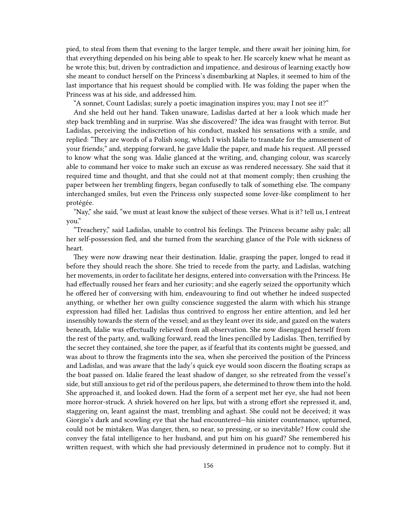pied, to steal from them that evening to the larger temple, and there await her joining him, for that everything depended on his being able to speak to her. He scarcely knew what he meant as he wrote this; but, driven by contradiction and impatience, and desirous of learning exactly how she meant to conduct herself on the Princess's disembarking at Naples, it seemed to him of the last importance that his request should be complied with. He was folding the paper when the Princess was at his side, and addressed him.

"A sonnet, Count Ladislas; surely a poetic imagination inspires you; may I not see it?"

And she held out her hand. Taken unaware, Ladislas darted at her a look which made her step back trembling and in surprise. Was she discovered? The idea was fraught with terror. But Ladislas, perceiving the indiscretion of his conduct, masked his sensations with a smile, and replied: "They are words of a Polish song, which I wish Idalie to translate for the amusement of your friends;" and, stepping forward, he gave Idalie the paper, and made his request. All pressed to know what the song was. Idalie glanced at the writing, and, changing colour, was scarcely able to command her voice to make such an excuse as was rendered necessary. She said that it required time and thought, and that she could not at that moment comply; then crushing the paper between her trembling fingers, began confusedly to talk of something else. The company interchanged smiles, but even the Princess only suspected some lover-like compliment to her protégée.

"Nay," she said, "we must at least know the subject of these verses. What is it? tell us, I entreat you."

"Treachery," said Ladislas, unable to control his feelings. The Princess became ashy pale; all her self-possession fled, and she turned from the searching glance of the Pole with sickness of heart.

They were now drawing near their destination. Idalie, grasping the paper, longed to read it before they should reach the shore. She tried to recede from the party, and Ladislas, watching her movements, in order to facilitate her designs, entered into conversation with the Princess. He had effectually roused her fears and her curiosity; and she eagerly seized the opportunity which he offered her of conversing with him, endeavouring to find out whether he indeed suspected anything, or whether her own guilty conscience suggested the alarm with which his strange expression had filled her. Ladislas thus contrived to engross her entire attention, and led her insensibly towards the stern of the vessel; and as they leant over its side, and gazed on the waters beneath, Idalie was effectually relieved from all observation. She now disengaged herself from the rest of the party, and, walking forward, read the lines pencilled by Ladislas. Then, terrified by the secret they contained, she tore the paper, as if fearful that its contents might be guessed, and was about to throw the fragments into the sea, when she perceived the position of the Princess and Ladislas, and was aware that the lady's quick eye would soon discern the floating scraps as the boat passed on. Idalie feared the least shadow of danger, so she retreated from the vessel's side, but still anxious to get rid of the perilous papers, she determined to throw them into the hold. She approached it, and looked down. Had the form of a serpent met her eye, she had not been more horror-struck. A shriek hovered on her lips, but with a strong effort she repressed it, and, staggering on, leant against the mast, trembling and aghast. She could not be deceived; it was Giorgio's dark and scowling eye that she had encountered—his sinister countenance, upturned, could not be mistaken. Was danger, then, so near, so pressing, or so inevitable? How could she convey the fatal intelligence to her husband, and put him on his guard? She remembered his written request, with which she had previously determined in prudence not to comply. But it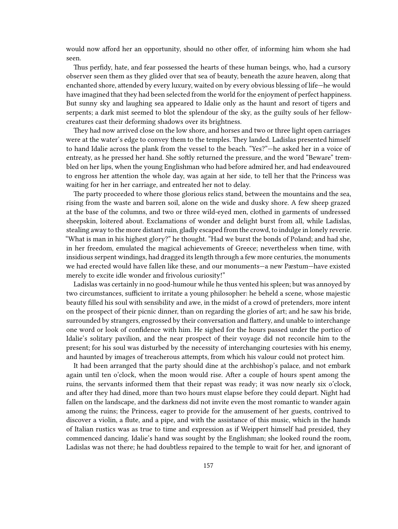would now afford her an opportunity, should no other offer, of informing him whom she had seen.

Thus perfidy, hate, and fear possessed the hearts of these human beings, who, had a cursory observer seen them as they glided over that sea of beauty, beneath the azure heaven, along that enchanted shore, attended by every luxury, waited on by every obvious blessing of life—he would have imagined that they had been selected from the world for the enjoyment of perfect happiness. But sunny sky and laughing sea appeared to Idalie only as the haunt and resort of tigers and serpents; a dark mist seemed to blot the splendour of the sky, as the guilty souls of her fellowcreatures cast their deforming shadows over its brightness.

They had now arrived close on the low shore, and horses and two or three light open carriages were at the water's edge to convey them to the temples. They landed. Ladislas presented himself to hand Idalie across the plank from the vessel to the beach. "Yes?"—he asked her in a voice of entreaty, as he pressed her hand. She softly returned the pressure, and the word "Beware" trembled on her lips, when the young Englishman who had before admired her, and had endeavoured to engross her attention the whole day, was again at her side, to tell her that the Princess was waiting for her in her carriage, and entreated her not to delay.

The party proceeded to where those glorious relics stand, between the mountains and the sea, rising from the waste and barren soil, alone on the wide and dusky shore. A few sheep grazed at the base of the columns, and two or three wild-eyed men, clothed in garments of undressed sheepskin, loitered about. Exclamations of wonder and delight burst from all, while Ladislas, stealing away to the more distant ruin, gladly escaped from the crowd, to indulge in lonely reverie. "What is man in his highest glory?" he thought. "Had we burst the bonds of Poland; and had she, in her freedom, emulated the magical achievements of Greece; nevertheless when time, with insidious serpent windings, had dragged its length through a few more centuries, the monuments we had erected would have fallen like these, and our monuments—a new Pæstum—have existed merely to excite idle wonder and frivolous curiosity!"

Ladislas was certainly in no good-humour while he thus vented his spleen; but was annoyed by two circumstances, sufficient to irritate a young philosopher: he beheld a scene, whose majestic beauty filled his soul with sensibility and awe, in the midst of a crowd of pretenders, more intent on the prospect of their picnic dinner, than on regarding the glories of art; and he saw his bride, surrounded by strangers, engrossed by their conversation and flattery, and unable to interchange one word or look of confidence with him. He sighed for the hours passed under the portico of Idalie's solitary pavilion, and the near prospect of their voyage did not reconcile him to the present; for his soul was disturbed by the necessity of interchanging courtesies with his enemy, and haunted by images of treacherous attempts, from which his valour could not protect him.

It had been arranged that the party should dine at the archbishop's palace, and not embark again until ten o'clock, when the moon would rise. After a couple of hours spent among the ruins, the servants informed them that their repast was ready; it was now nearly six o'clock, and after they had dined, more than two hours must elapse before they could depart. Night had fallen on the landscape, and the darkness did not invite even the most romantic to wander again among the ruins; the Princess, eager to provide for the amusement of her guests, contrived to discover a violin, a flute, and a pipe, and with the assistance of this music, which in the hands of Italian rustics was as true to time and expression as if Weippert himself had presided, they commenced dancing. Idalie's hand was sought by the Englishman; she looked round the room, Ladislas was not there; he had doubtless repaired to the temple to wait for her, and ignorant of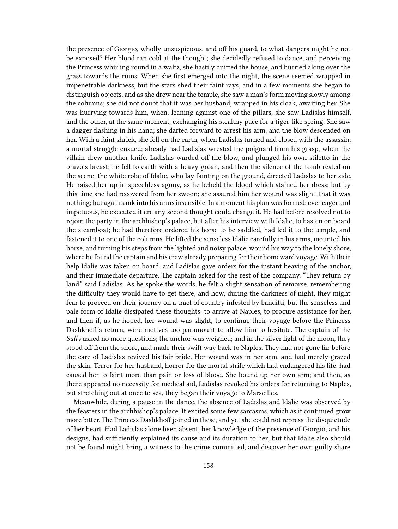the presence of Giorgio, wholly unsuspicious, and off his guard, to what dangers might he not be exposed? Her blood ran cold at the thought; she decidedly refused to dance, and perceiving the Princess whirling round in a waltz, she hastily quitted the house, and hurried along over the grass towards the ruins. When she first emerged into the night, the scene seemed wrapped in impenetrable darkness, but the stars shed their faint rays, and in a few moments she began to distinguish objects, and as she drew near the temple, she saw a man's form moving slowly among the columns; she did not doubt that it was her husband, wrapped in his cloak, awaiting her. She was hurrying towards him, when, leaning against one of the pillars, she saw Ladislas himself, and the other, at the same moment, exchanging his stealthy pace for a tiger-like spring. She saw a dagger flashing in his hand; she darted forward to arrest his arm, and the blow descended on her. With a faint shriek, she fell on the earth, when Ladislas turned and closed with the assassin; a mortal struggle ensued; already had Ladislas wrested the poignard from his grasp, when the villain drew another knife. Ladislas warded off the blow, and plunged his own stiletto in the bravo's breast; he fell to earth with a heavy groan, and then the silence of the tomb rested on the scene; the white robe of Idalie, who lay fainting on the ground, directed Ladislas to her side. He raised her up in speechless agony, as he beheld the blood which stained her dress; but by this time she had recovered from her swoon; she assured him her wound was slight, that it was nothing; but again sank into his arms insensible. In a moment his plan was formed; ever eager and impetuous, he executed it ere any second thought could change it. He had before resolved not to rejoin the party in the archbishop's palace, but after his interview with Idalie, to hasten on board the steamboat; he had therefore ordered his horse to be saddled, had led it to the temple, and fastened it to one of the columns. He lifted the senseless Idalie carefully in his arms, mounted his horse, and turning his steps from the lighted and noisy palace, wound his way to the lonely shore, where he found the captain and his crew already preparing for their homeward voyage. With their help Idalie was taken on board, and Ladislas gave orders for the instant heaving of the anchor, and their immediate departure. The captain asked for the rest of the company. "They return by land," said Ladislas. As he spoke the words, he felt a slight sensation of remorse, remembering the difficulty they would have to get there; and how, during the darkness of night, they might fear to proceed on their journey on a tract of country infested by banditti; but the senseless and pale form of Idalie dissipated these thoughts: to arrive at Naples, to procure assistance for her, and then if, as he hoped, her wound was slight, to continue their voyage before the Princess Dashkhoff's return, were motives too paramount to allow him to hesitate. The captain of the *Sully* asked no more questions; the anchor was weighed; and in the silver light of the moon, they stood off from the shore, and made their swift way back to Naples. They had not gone far before the care of Ladislas revived his fair bride. Her wound was in her arm, and had merely grazed the skin. Terror for her husband, horror for the mortal strife which had endangered his life, had caused her to faint more than pain or loss of blood. She bound up her own arm; and then, as there appeared no necessity for medical aid, Ladislas revoked his orders for returning to Naples, but stretching out at once to sea, they began their voyage to Marseilles.

Meanwhile, during a pause in the dance, the absence of Ladislas and Idalie was observed by the feasters in the archbishop's palace. It excited some few sarcasms, which as it continued grow more bitter. The Princess Dashkhoff joined in these, and yet she could not repress the disquietude of her heart. Had Ladislas alone been absent, her knowledge of the presence of Giorgio, and his designs, had sufficiently explained its cause and its duration to her; but that Idalie also should not be found might bring a witness to the crime committed, and discover her own guilty share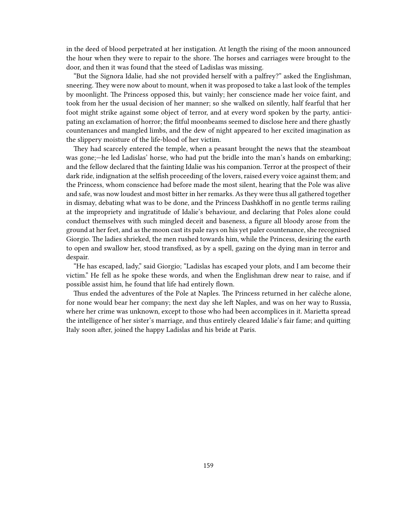in the deed of blood perpetrated at her instigation. At length the rising of the moon announced the hour when they were to repair to the shore. The horses and carriages were brought to the door, and then it was found that the steed of Ladislas was missing.

"But the Signora Idalie, had she not provided herself with a palfrey?" asked the Englishman, sneering. They were now about to mount, when it was proposed to take a last look of the temples by moonlight. The Princess opposed this, but vainly; her conscience made her voice faint, and took from her the usual decision of her manner; so she walked on silently, half fearful that her foot might strike against some object of terror, and at every word spoken by the party, anticipating an exclamation of horror; the fitful moonbeams seemed to disclose here and there ghastly countenances and mangled limbs, and the dew of night appeared to her excited imagination as the slippery moisture of the life-blood of her victim.

They had scarcely entered the temple, when a peasant brought the news that the steamboat was gone;—he led Ladislas' horse, who had put the bridle into the man's hands on embarking; and the fellow declared that the fainting Idalie was his companion. Terror at the prospect of their dark ride, indignation at the selfish proceeding of the lovers, raised every voice against them; and the Princess, whom conscience had before made the most silent, hearing that the Pole was alive and safe, was now loudest and most bitter in her remarks. As they were thus all gathered together in dismay, debating what was to be done, and the Princess Dashkhoff in no gentle terms railing at the impropriety and ingratitude of Idalie's behaviour, and declaring that Poles alone could conduct themselves with such mingled deceit and baseness, a figure all bloody arose from the ground at her feet, and as the moon cast its pale rays on his yet paler countenance, she recognised Giorgio. The ladies shrieked, the men rushed towards him, while the Princess, desiring the earth to open and swallow her, stood transfixed, as by a spell, gazing on the dying man in terror and despair.

"He has escaped, lady," said Giorgio; "Ladislas has escaped your plots, and I am become their victim." He fell as he spoke these words, and when the Englishman drew near to raise, and if possible assist him, he found that life had entirely flown.

Thus ended the adventures of the Pole at Naples. The Princess returned in her calèche alone, for none would bear her company; the next day she left Naples, and was on her way to Russia, where her crime was unknown, except to those who had been accomplices in it. Marietta spread the intelligence of her sister's marriage, and thus entirely cleared Idalie's fair fame; and quitting Italy soon after, joined the happy Ladislas and his bride at Paris.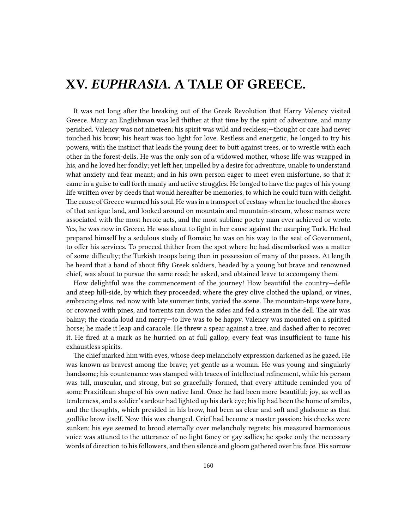## **XV.** *EUPHRASIA.* **A TALE OF GREECE.**

It was not long after the breaking out of the Greek Revolution that Harry Valency visited Greece. Many an Englishman was led thither at that time by the spirit of adventure, and many perished. Valency was not nineteen; his spirit was wild and reckless;—thought or care had never touched his brow; his heart was too light for love. Restless and energetic, he longed to try his powers, with the instinct that leads the young deer to butt against trees, or to wrestle with each other in the forest-dells. He was the only son of a widowed mother, whose life was wrapped in his, and he loved her fondly; yet left her, impelled by a desire for adventure, unable to understand what anxiety and fear meant; and in his own person eager to meet even misfortune, so that it came in a guise to call forth manly and active struggles. He longed to have the pages of his young life written over by deeds that would hereafter be memories, to which he could turn with delight. The cause of Greece warmed his soul. He was in a transport of ecstasy when he touched the shores of that antique land, and looked around on mountain and mountain-stream, whose names were associated with the most heroic acts, and the most sublime poetry man ever achieved or wrote. Yes, he was now in Greece. He was about to fight in her cause against the usurping Turk. He had prepared himself by a sedulous study of Romaic; he was on his way to the seat of Government, to offer his services. To proceed thither from the spot where he had disembarked was a matter of some difficulty; the Turkish troops being then in possession of many of the passes. At length he heard that a band of about fifty Greek soldiers, headed by a young but brave and renowned chief, was about to pursue the same road; he asked, and obtained leave to accompany them.

How delightful was the commencement of the journey! How beautiful the country—defile and steep hill-side, by which they proceeded; where the grey olive clothed the upland, or vines, embracing elms, red now with late summer tints, varied the scene. The mountain-tops were bare, or crowned with pines, and torrents ran down the sides and fed a stream in the dell. The air was balmy; the cicada loud and merry—to live was to be happy. Valency was mounted on a spirited horse; he made it leap and caracole. He threw a spear against a tree, and dashed after to recover it. He fired at a mark as he hurried on at full gallop; every feat was insufficient to tame his exhaustless spirits.

The chief marked him with eyes, whose deep melancholy expression darkened as he gazed. He was known as bravest among the brave; yet gentle as a woman. He was young and singularly handsome; his countenance was stamped with traces of intellectual refinement, while his person was tall, muscular, and strong, but so gracefully formed, that every attitude reminded you of some Praxitilean shape of his own native land. Once he had been more beautiful; joy, as well as tenderness, and a soldier's ardour had lighted up his dark eye; his lip had been the home of smiles, and the thoughts, which presided in his brow, had been as clear and soft and gladsome as that godlike brow itself. Now this was changed. Grief had become a master passion: his cheeks were sunken; his eye seemed to brood eternally over melancholy regrets; his measured harmonious voice was attuned to the utterance of no light fancy or gay sallies; he spoke only the necessary words of direction to his followers, and then silence and gloom gathered over his face. His sorrow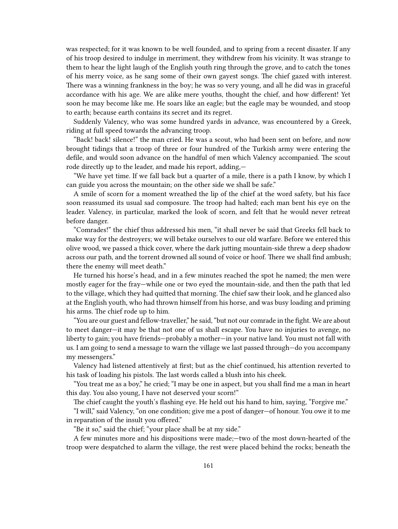was respected; for it was known to be well founded, and to spring from a recent disaster. If any of his troop desired to indulge in merriment, they withdrew from his vicinity. It was strange to them to hear the light laugh of the English youth ring through the grove, and to catch the tones of his merry voice, as he sang some of their own gayest songs. The chief gazed with interest. There was a winning frankness in the boy; he was so very young, and all he did was in graceful accordance with his age. We are alike mere youths, thought the chief, and how different! Yet soon he may become like me. He soars like an eagle; but the eagle may be wounded, and stoop to earth; because earth contains its secret and its regret.

Suddenly Valency, who was some hundred yards in advance, was encountered by a Greek, riding at full speed towards the advancing troop.

"Back! back! silence!" the man cried. He was a scout, who had been sent on before, and now brought tidings that a troop of three or four hundred of the Turkish army were entering the defile, and would soon advance on the handful of men which Valency accompanied. The scout rode directly up to the leader, and made his report, adding,—

"We have yet time. If we fall back but a quarter of a mile, there is a path I know, by which I can guide you across the mountain; on the other side we shall be safe."

A smile of scorn for a moment wreathed the lip of the chief at the word safety, but his face soon reassumed its usual sad composure. The troop had halted; each man bent his eye on the leader. Valency, in particular, marked the look of scorn, and felt that he would never retreat before danger.

"Comrades!" the chief thus addressed his men, "it shall never be said that Greeks fell back to make way for the destroyers; we will betake ourselves to our old warfare. Before we entered this olive wood, we passed a thick cover, where the dark jutting mountain-side threw a deep shadow across our path, and the torrent drowned all sound of voice or hoof. There we shall find ambush; there the enemy will meet death."

He turned his horse's head, and in a few minutes reached the spot he named; the men were mostly eager for the fray—while one or two eyed the mountain-side, and then the path that led to the village, which they had quitted that morning. The chief saw their look, and he glanced also at the English youth, who had thrown himself from his horse, and was busy loading and priming his arms. The chief rode up to him.

"You are our guest and fellow-traveller," he said, "but not our comrade in the fight. We are about to meet danger—it may be that not one of us shall escape. You have no injuries to avenge, no liberty to gain; you have friends—probably a mother—in your native land. You must not fall with us. I am going to send a message to warn the village we last passed through—do you accompany my messengers."

Valency had listened attentively at first; but as the chief continued, his attention reverted to his task of loading his pistols. The last words called a blush into his cheek.

"You treat me as a boy," he cried; "I may be one in aspect, but you shall find me a man in heart this day. You also young, I have not deserved your scorn!"

The chief caught the youth's flashing eye. He held out his hand to him, saying, "Forgive me."

"I will," said Valency, "on one condition; give me a post of danger—of honour. You owe it to me in reparation of the insult you offered."

"Be it so," said the chief; "your place shall be at my side."

A few minutes more and his dispositions were made;—two of the most down-hearted of the troop were despatched to alarm the village, the rest were placed behind the rocks; beneath the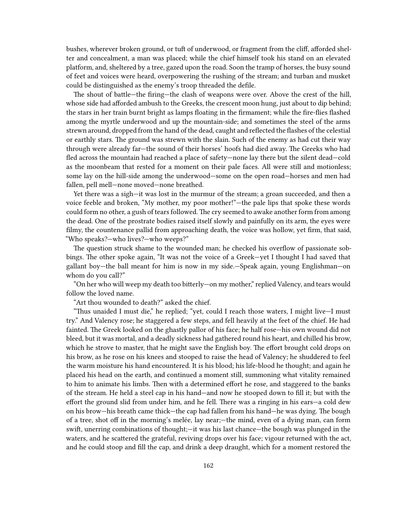bushes, wherever broken ground, or tuft of underwood, or fragment from the cliff, afforded shelter and concealment, a man was placed; while the chief himself took his stand on an elevated platform, and, sheltered by a tree, gazed upon the road. Soon the tramp of horses, the busy sound of feet and voices were heard, overpowering the rushing of the stream; and turban and musket could be distinguished as the enemy's troop threaded the defile.

The shout of battle—the firing—the clash of weapons were over. Above the crest of the hill, whose side had afforded ambush to the Greeks, the crescent moon hung, just about to dip behind; the stars in her train burnt bright as lamps floating in the firmament; while the fire-flies flashed among the myrtle underwood and up the mountain-side; and sometimes the steel of the arms strewn around, dropped from the hand of the dead, caught and reflected the flashes of the celestial or earthly stars. The ground was strewn with the slain. Such of the enemy as had cut their way through were already far—the sound of their horses' hoofs had died away. The Greeks who had fled across the mountain had reached a place of safety—none lay there but the silent dead—cold as the moonbeam that rested for a moment on their pale faces. All were still and motionless; some lay on the hill-side among the underwood—some on the open road—horses and men had fallen, pell mell—none moved—none breathed.

Yet there was a sigh—it was lost in the murmur of the stream; a groan succeeded, and then a voice feeble and broken, "My mother, my poor mother!"—the pale lips that spoke these words could form no other, a gush of tears followed. The cry seemed to awake another form from among the dead. One of the prostrate bodies raised itself slowly and painfully on its arm, the eyes were filmy, the countenance pallid from approaching death, the voice was hollow, yet firm, that said, "Who speaks?—who lives?—who weeps?"

The question struck shame to the wounded man; he checked his overflow of passionate sobbings. The other spoke again, "It was not the voice of a Greek—yet I thought I had saved that gallant boy—the ball meant for him is now in my side.—Speak again, young Englishman—on whom do you call?"

"On her who will weep my death too bitterly—on my mother," replied Valency, and tears would follow the loved name.

"Art thou wounded to death?" asked the chief.

"Thus unaided I must die," he replied; "yet, could I reach those waters, I might live—I must try." And Valency rose; he staggered a few steps, and fell heavily at the feet of the chief. He had fainted. The Greek looked on the ghastly pallor of his face; he half rose—his own wound did not bleed, but it was mortal, and a deadly sickness had gathered round his heart, and chilled his brow, which he strove to master, that he might save the English boy. The effort brought cold drops on his brow, as he rose on his knees and stooped to raise the head of Valency; he shuddered to feel the warm moisture his hand encountered. It is his blood; his life-blood he thought; and again he placed his head on the earth, and continued a moment still, summoning what vitality remained to him to animate his limbs. Then with a determined effort he rose, and staggered to the banks of the stream. He held a steel cap in his hand—and now he stooped down to fill it; but with the effort the ground slid from under him, and he fell. There was a ringing in his ears—a cold dew on his brow—his breath came thick—the cap had fallen from his hand—he was dying. The bough of a tree, shot off in the morning's melée, lay near;—the mind, even of a dying man, can form swift, unerring combinations of thought;—it was his last chance—the bough was plunged in the waters, and he scattered the grateful, reviving drops over his face; vigour returned with the act, and he could stoop and fill the cap, and drink a deep draught, which for a moment restored the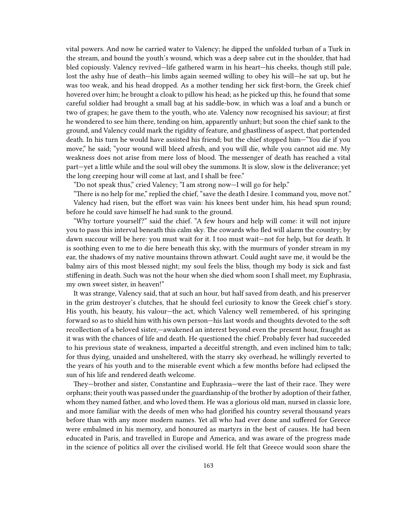vital powers. And now he carried water to Valency; he dipped the unfolded turban of a Turk in the stream, and bound the youth's wound, which was a deep sabre cut in the shoulder, that had bled copiously. Valency revived—life gathered warm in his heart—his cheeks, though still pale, lost the ashy hue of death—his limbs again seemed willing to obey his will—he sat up, but he was too weak, and his head dropped. As a mother tending her sick first-born, the Greek chief hovered over him; he brought a cloak to pillow his head; as he picked up this, he found that some careful soldier had brought a small bag at his saddle-bow, in which was a loaf and a bunch or two of grapes; he gave them to the youth, who ate. Valency now recognised his saviour; at first he wondered to see him there, tending on him, apparently unhurt; but soon the chief sank to the ground, and Valency could mark the rigidity of feature, and ghastliness of aspect, that portended death. In his turn he would have assisted his friend; but the chief stopped him—"You die if you move," he said; "your wound will bleed afresh, and you will die, while you cannot aid me. My weakness does not arise from mere loss of blood. The messenger of death has reached a vital part—yet a little while and the soul will obey the summons. It is slow, slow is the deliverance; yet the long creeping hour will come at last, and I shall be free."

"Do not speak thus," cried Valency; "I am strong now—I will go for help."

"There is no help for me," replied the chief, "save the death I desire. I command you, move not." Valency had risen, but the effort was vain: his knees bent under him, his head spun round; before he could save himself he had sunk to the ground.

"Why torture yourself?" said the chief. "A few hours and help will come: it will not injure you to pass this interval beneath this calm sky. The cowards who fled will alarm the country; by dawn succour will be here: you must wait for it. I too must wait—not for help, but for death. It is soothing even to me to die here beneath this sky, with the murmurs of yonder stream in my ear, the shadows of my native mountains thrown athwart. Could aught save me, it would be the balmy airs of this most blessed night; my soul feels the bliss, though my body is sick and fast stiffening in death. Such was not the hour when she died whom soon I shall meet, my Euphrasia, my own sweet sister, in heaven!"

It was strange, Valency said, that at such an hour, but half saved from death, and his preserver in the grim destroyer's clutches, that he should feel curiosity to know the Greek chief's story. His youth, his beauty, his valour—the act, which Valency well remembered, of his springing forward so as to shield him with his own person—his last words and thoughts devoted to the soft recollection of a beloved sister,—awakened an interest beyond even the present hour, fraught as it was with the chances of life and death. He questioned the chief. Probably fever had succeeded to his previous state of weakness, imparted a deceitful strength, and even inclined him to talk; for thus dying, unaided and unsheltered, with the starry sky overhead, he willingly reverted to the years of his youth and to the miserable event which a few months before had eclipsed the sun of his life and rendered death welcome.

They—brother and sister, Constantine and Euphrasia—were the last of their race. They were orphans; their youth was passed under the guardianship of the brother by adoption of their father, whom they named father, and who loved them. He was a glorious old man, nursed in classic lore, and more familiar with the deeds of men who had glorified his country several thousand years before than with any more modern names. Yet all who had ever done and suffered for Greece were embalmed in his memory, and honoured as martyrs in the best of causes. He had been educated in Paris, and travelled in Europe and America, and was aware of the progress made in the science of politics all over the civilised world. He felt that Greece would soon share the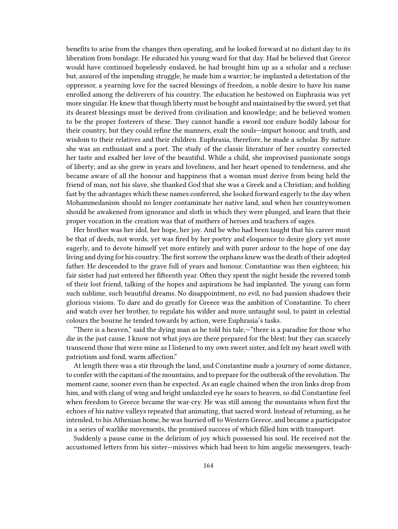benefits to arise from the changes then operating, and he looked forward at no distant day to its liberation from bondage. He educated his young ward for that day. Had he believed that Greece would have continued hopelessly enslaved, he had brought him up as a scholar and a recluse: but, assured of the impending struggle, he made him a warrior; he implanted a detestation of the oppressor, a yearning love for the sacred blessings of freedom, a noble desire to have his name enrolled among the deliverers of his country. The education he bestowed on Euphrasia was yet more singular. He knew that though liberty must be bought and maintained by the sword, yet that its dearest blessings must be derived from civilisation and knowledge; and he believed women to be the proper fosterers of these. They cannot handle a sword nor endure bodily labour for their country, but they could refine the manners, exalt the souls—impart honour, and truth, and wisdom to their relatives and their children. Euphrasia, therefore, he made a scholar. By nature she was an enthusiast and a poet. The study of the classic literature of her country corrected her taste and exalted her love of the beautiful. While a child, she improvised passionate songs of liberty; and as she grew in years and loveliness, and her heart opened to tenderness, and she became aware of all the honour and happiness that a woman must derive from being held the friend of man, not his slave, she thanked God that she was a Greek and a Christian; and holding fast by the advantages which these names conferred, she looked forward eagerly to the day when Mohammedanism should no longer contaminate her native land, and when her countrywomen should be awakened from ignorance and sloth in which they were plunged, and learn that their proper vocation in the creation was that of mothers of heroes and teachers of sages.

Her brother was her idol, her hope, her joy. And he who had been taught that his career must be that of deeds, not words, yet was fired by her poetry and eloquence to desire glory yet more eagerly, and to devote himself yet more entirely and with purer ardour to the hope of one day living and dying for his country.The first sorrow the orphans knew was the death of their adopted father. He descended to the grave full of years and honour. Constantine was then eighteen; his fair sister had just entered her fifteenth year. Often they spent the night beside the revered tomb of their lost friend, talking of the hopes and aspirations he had implanted. The young can form such sublime, such beautiful dreams. No disappointment, no evil, no bad passion shadows their glorious visions. To dare and do greatly for Greece was the ambition of Constantine. To cheer and watch over her brother, to regulate his wilder and more untaught soul, to paint in celestial colours the bourne he tended towards by action, were Euphrasia's tasks.

"There is a heaven," said the dying man as he told his tale,—"there is a paradise for those who die in the just cause. I know not what joys are there prepared for the blest; but they can scarcely transcend those that were mine as I listened to my own sweet sister, and felt my heart swell with patriotism and fond, warm affection."

At length there was a stir through the land, and Constantine made a journey of some distance, to confer with the capitani of the mountains, and to prepare for the outbreak of the revolution.The moment came, sooner even than he expected. As an eagle chained when the iron links drop from him, and with clang of wing and bright undazzled eye he soars to heaven, so did Constantine feel when freedom to Greece became the war-cry. He was still among the mountains when first the echoes of his native valleys repeated that animating, that sacred word. Instead of returning, as he intended, to his Athenian home, he was hurried off to Western Greece, and became a participator in a series of warlike movements, the promised success of which filled him with transport.

Suddenly a pause came in the delirium of joy which possessed his soul. He received not the accustomed letters from his sister—missives which had been to him angelic messengers, teach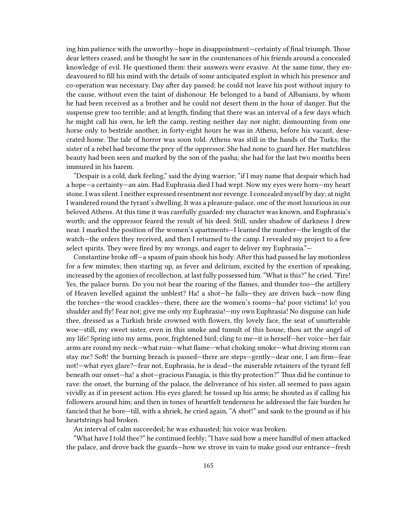ing him patience with the unworthy—hope in disappointment—certainty of final triumph. Those dear letters ceased; and he thought he saw in the countenances of his friends around a concealed knowledge of evil. He questioned them: their answers were evasive. At the same time, they endeavoured to fill his mind with the details of some anticipated exploit in which his presence and co-operation was necessary. Day after day passed; he could not leave his post without injury to the cause, without even the taint of dishonour. He belonged to a band of Albanians, by whom he had been received as a brother and he could not desert them in the hour of danger. But the suspense grew too terrible; and at length, finding that there was an interval of a few days which he might call his own, he left the camp, resting neither day nor night; dismounting from one horse only to bestride another, in forty-eight hours he was in Athens, before his vacant, desecrated home. The tale of horror was soon told. Athens was still in the hands of the Turks; the sister of a rebel had become the prey of the oppressor. She had none to guard her. Her matchless beauty had been seen and marked by the son of the pasha; she had for the last two months been immured in his harem.

"Despair is a cold, dark feeling," said the dying warrior; "if I may name that despair which had a hope—a certainty—an aim. Had Euphrasia died I had wept. Now my eyes were horn—my heart stone. I was silent. I neither expressed resentment nor revenge. I concealed myself by day; at night I wandered round the tyrant's dwelling. It was a pleasure-palace, one of the most luxurious in our beloved Athens. At this time it was carefully guarded: my character was known, and Euphrasia's worth; and the oppressor feared the result of his deed. Still, under shadow of darkness I drew near. I marked the position of the women's apartments—I learned the number—the length of the watch—the orders they received, and then I returned to the camp. I revealed my project to a few select spirits. They were fired by my wrongs, and eager to deliver my Euphrasia."—

Constantine broke off—a spasm of pain shook his body. After this had passed he lay motionless for a few minutes; then starting up, as fever and delirium, excited by the exertion of speaking, increased by the agonies of recollection, at last fully possessed him. "What is this?" he cried. "Fire! Yes, the palace burns. Do you not hear the roaring of the flames, and thunder too—the artillery of Heaven levelled against the unblest? Ha! a shot—he falls—they are driven back—now fling the torches—the wood crackles—there, there are the women's rooms—ha! poor victims! lo! you shudder and fly! Fear not; give me only my Euphrasia!—my own Euphrasia! No disguise can hide thee, dressed as a Turkish bride crowned with flowers, thy lovely face, the seat of unutterable woe—still, my sweet sister, even in this smoke and tumult of this house, thou art the angel of my life! Spring into my arms, poor, frightened bird; cling to me—it is herself—her voice—her fair arms are round my neck—what ruin—what flame—what choking smoke—what driving storm can stay me? Soft! the burning breach is passed—there are steps—gently—dear one, I am firm—fear not!—what eyes glare?—fear not, Euphrasia, he is dead—the miserable retainers of the tyrant fell beneath our onset—ha! a shot—gracious Panagia, is this thy protection?" Thus did he continue to rave: the onset, the burning of the palace, the deliverance of his sister, all seemed to pass again vividly as if in present action. His eyes glared; he tossed up his arms; he shouted as if calling his followers around him; and then in tones of heartfelt tenderness he addressed the fair burden he fancied that he bore—till, with a shriek, he cried again, "A shot!" and sank to the ground as if his heartstrings had broken.

An interval of calm succeeded; he was exhausted; his voice was broken.

"What have I told thee?" he continued feebly; "I have said how a mere handful of men attacked the palace, and drove back the guards—how we strove in vain to make good our entrance—fresh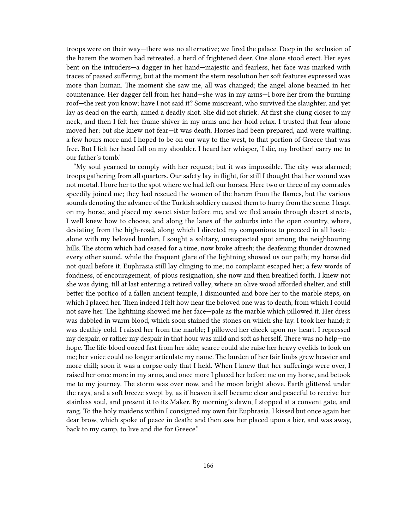troops were on their way—there was no alternative; we fired the palace. Deep in the seclusion of the harem the women had retreated, a herd of frightened deer. One alone stood erect. Her eyes bent on the intruders—a dagger in her hand—majestic and fearless, her face was marked with traces of passed suffering, but at the moment the stern resolution her soft features expressed was more than human. The moment she saw me, all was changed; the angel alone beamed in her countenance. Her dagger fell from her hand—she was in my arms—I bore her from the burning roof—the rest you know; have I not said it? Some miscreant, who survived the slaughter, and yet lay as dead on the earth, aimed a deadly shot. She did not shriek. At first she clung closer to my neck, and then I felt her frame shiver in my arms and her hold relax. I trusted that fear alone moved her; but she knew not fear—it was death. Horses had been prepared, and were waiting; a few hours more and I hoped to be on our way to the west, to that portion of Greece that was free. But I felt her head fall on my shoulder. I heard her whisper, 'I die, my brother! carry me to our father's tomb.'

"My soul yearned to comply with her request; but it was impossible. The city was alarmed; troops gathering from all quarters. Our safety lay in flight, for still I thought that her wound was not mortal. I bore her to the spot where we had left our horses. Here two or three of my comrades speedily joined me; they had rescued the women of the harem from the flames, but the various sounds denoting the advance of the Turkish soldiery caused them to hurry from the scene. I leapt on my horse, and placed my sweet sister before me, and we fled amain through desert streets, I well knew how to choose, and along the lanes of the suburbs into the open country, where, deviating from the high-road, along which I directed my companions to proceed in all haste alone with my beloved burden, I sought a solitary, unsuspected spot among the neighbouring hills. The storm which had ceased for a time, now broke afresh; the deafening thunder drowned every other sound, while the frequent glare of the lightning showed us our path; my horse did not quail before it. Euphrasia still lay clinging to me; no complaint escaped her; a few words of fondness, of encouragement, of pious resignation, she now and then breathed forth. I knew not she was dying, till at last entering a retired valley, where an olive wood afforded shelter, and still better the portico of a fallen ancient temple, I dismounted and bore her to the marble steps, on which I placed her. Then indeed I felt how near the beloved one was to death, from which I could not save her. The lightning showed me her face—pale as the marble which pillowed it. Her dress was dabbled in warm blood, which soon stained the stones on which she lay. I took her hand; it was deathly cold. I raised her from the marble; I pillowed her cheek upon my heart. I repressed my despair, or rather my despair in that hour was mild and soft as herself. There was no help—no hope. The life-blood oozed fast from her side; scarce could she raise her heavy eyelids to look on me; her voice could no longer articulate my name. The burden of her fair limbs grew heavier and more chill; soon it was a corpse only that I held. When I knew that her sufferings were over, I raised her once more in my arms, and once more I placed her before me on my horse, and betook me to my journey. The storm was over now, and the moon bright above. Earth glittered under the rays, and a soft breeze swept by, as if heaven itself became clear and peaceful to receive her stainless soul, and present it to its Maker. By morning's dawn, I stopped at a convent gate, and rang. To the holy maidens within I consigned my own fair Euphrasia. I kissed but once again her dear brow, which spoke of peace in death; and then saw her placed upon a bier, and was away, back to my camp, to live and die for Greece."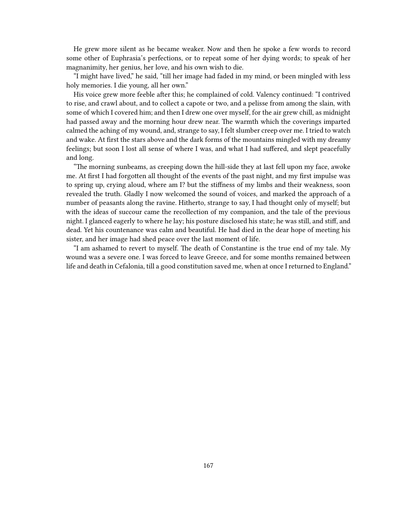He grew more silent as he became weaker. Now and then he spoke a few words to record some other of Euphrasia's perfections, or to repeat some of her dying words; to speak of her magnanimity, her genius, her love, and his own wish to die.

"I might have lived," he said, "till her image had faded in my mind, or been mingled with less holy memories. I die young, all her own."

His voice grew more feeble after this; he complained of cold. Valency continued: "I contrived to rise, and crawl about, and to collect a capote or two, and a pelisse from among the slain, with some of which I covered him; and then I drew one over myself, for the air grew chill, as midnight had passed away and the morning hour drew near. The warmth which the coverings imparted calmed the aching of my wound, and, strange to say, I felt slumber creep over me. I tried to watch and wake. At first the stars above and the dark forms of the mountains mingled with my dreamy feelings; but soon I lost all sense of where I was, and what I had suffered, and slept peacefully and long.

"The morning sunbeams, as creeping down the hill-side they at last fell upon my face, awoke me. At first I had forgotten all thought of the events of the past night, and my first impulse was to spring up, crying aloud, where am I? but the stiffness of my limbs and their weakness, soon revealed the truth. Gladly I now welcomed the sound of voices, and marked the approach of a number of peasants along the ravine. Hitherto, strange to say, I had thought only of myself; but with the ideas of succour came the recollection of my companion, and the tale of the previous night. I glanced eagerly to where he lay; his posture disclosed his state; he was still, and stiff, and dead. Yet his countenance was calm and beautiful. He had died in the dear hope of meeting his sister, and her image had shed peace over the last moment of life.

"I am ashamed to revert to myself. The death of Constantine is the true end of my tale. My wound was a severe one. I was forced to leave Greece, and for some months remained between life and death in Cefalonia, till a good constitution saved me, when at once I returned to England."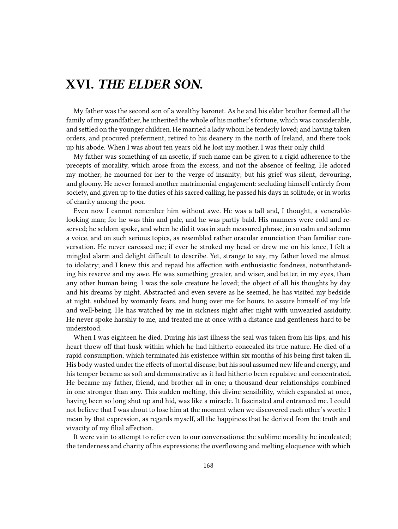## **XVI.** *THE ELDER SON.*

My father was the second son of a wealthy baronet. As he and his elder brother formed all the family of my grandfather, he inherited the whole of his mother's fortune, which was considerable, and settled on the younger children. He married a lady whom he tenderly loved; and having taken orders, and procured preferment, retired to his deanery in the north of Ireland, and there took up his abode. When I was about ten years old he lost my mother. I was their only child.

My father was something of an ascetic, if such name can be given to a rigid adherence to the precepts of morality, which arose from the excess, and not the absence of feeling. He adored my mother; he mourned for her to the verge of insanity; but his grief was silent, devouring, and gloomy. He never formed another matrimonial engagement: secluding himself entirely from society, and given up to the duties of his sacred calling, he passed his days in solitude, or in works of charity among the poor.

Even now I cannot remember him without awe. He was a tall and, I thought, a venerablelooking man; for he was thin and pale, and he was partly bald. His manners were cold and reserved; he seldom spoke, and when he did it was in such measured phrase, in so calm and solemn a voice, and on such serious topics, as resembled rather oracular enunciation than familiar conversation. He never caressed me; if ever he stroked my head or drew me on his knee, I felt a mingled alarm and delight difficult to describe. Yet, strange to say, my father loved me almost to idolatry; and I knew this and repaid his affection with enthusiastic fondness, notwithstanding his reserve and my awe. He was something greater, and wiser, and better, in my eyes, than any other human being. I was the sole creature he loved; the object of all his thoughts by day and his dreams by night. Abstracted and even severe as he seemed, he has visited my bedside at night, subdued by womanly fears, and hung over me for hours, to assure himself of my life and well-being. He has watched by me in sickness night after night with unwearied assiduity. He never spoke harshly to me, and treated me at once with a distance and gentleness hard to be understood.

When I was eighteen he died. During his last illness the seal was taken from his lips, and his heart threw off that husk within which he had hitherto concealed its true nature. He died of a rapid consumption, which terminated his existence within six months of his being first taken ill. His body wasted under the effects of mortal disease; but his soul assumed new life and energy, and his temper became as soft and demonstrative as it had hitherto been repulsive and concentrated. He became my father, friend, and brother all in one; a thousand dear relationships combined in one stronger than any. This sudden melting, this divine sensibility, which expanded at once, having been so long shut up and hid, was like a miracle. It fascinated and entranced me. I could not believe that I was about to lose him at the moment when we discovered each other's worth: I mean by that expression, as regards myself, all the happiness that he derived from the truth and vivacity of my filial affection.

It were vain to attempt to refer even to our conversations: the sublime morality he inculcated; the tenderness and charity of his expressions; the overflowing and melting eloquence with which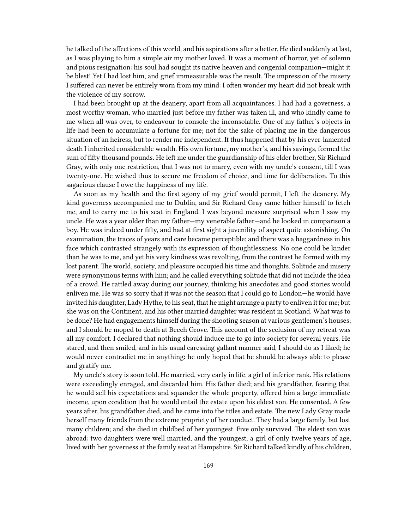he talked of the affections of this world, and his aspirations after a better. He died suddenly at last, as I was playing to him a simple air my mother loved. It was a moment of horror, yet of solemn and pious resignation: his soul had sought its native heaven and congenial companion—might it be blest! Yet I had lost him, and grief immeasurable was the result. The impression of the misery I suffered can never be entirely worn from my mind: I often wonder my heart did not break with the violence of my sorrow.

I had been brought up at the deanery, apart from all acquaintances. I had had a governess, a most worthy woman, who married just before my father was taken ill, and who kindly came to me when all was over, to endeavour to console the inconsolable. One of my father's objects in life had been to accumulate a fortune for me; not for the sake of placing me in the dangerous situation of an heiress, but to render me independent. It thus happened that by his ever-lamented death I inherited considerable wealth. His own fortune, my mother's, and his savings, formed the sum of fifty thousand pounds. He left me under the guardianship of his elder brother, Sir Richard Gray, with only one restriction, that I was not to marry, even with my uncle's consent, till I was twenty-one. He wished thus to secure me freedom of choice, and time for deliberation. To this sagacious clause I owe the happiness of my life.

As soon as my health and the first agony of my grief would permit, I left the deanery. My kind governess accompanied me to Dublin, and Sir Richard Gray came hither himself to fetch me, and to carry me to his seat in England. I was beyond measure surprised when I saw my uncle. He was a year older than my father—my venerable father—and he looked in comparison a boy. He was indeed under fifty, and had at first sight a juvenility of aspect quite astonishing. On examination, the traces of years and care became perceptible; and there was a haggardness in his face which contrasted strangely with its expression of thoughtlessness. No one could be kinder than he was to me, and yet his very kindness was revolting, from the contrast he formed with my lost parent. The world, society, and pleasure occupied his time and thoughts. Solitude and misery were synonymous terms with him; and he called everything solitude that did not include the idea of a crowd. He rattled away during our journey, thinking his anecdotes and good stories would enliven me. He was so sorry that it was not the season that I could go to London—he would have invited his daughter, Lady Hythe, to his seat, that he might arrange a party to enliven it for me; but she was on the Continent, and his other married daughter was resident in Scotland. What was to be done? He had engagements himself during the shooting season at various gentlemen's houses; and I should be moped to death at Beech Grove. This account of the seclusion of my retreat was all my comfort. I declared that nothing should induce me to go into society for several years. He stared, and then smiled, and in his usual caressing gallant manner said, I should do as I liked; he would never contradict me in anything: he only hoped that he should be always able to please and gratify me.

My uncle's story is soon told. He married, very early in life, a girl of inferior rank. His relations were exceedingly enraged, and discarded him. His father died; and his grandfather, fearing that he would sell his expectations and squander the whole property, offered him a large immediate income, upon condition that he would entail the estate upon his eldest son. He consented. A few years after, his grandfather died, and he came into the titles and estate. The new Lady Gray made herself many friends from the extreme propriety of her conduct. They had a large family, but lost many children; and she died in childbed of her youngest. Five only survived. The eldest son was abroad: two daughters were well married, and the youngest, a girl of only twelve years of age, lived with her governess at the family seat at Hampshire. Sir Richard talked kindly of his children,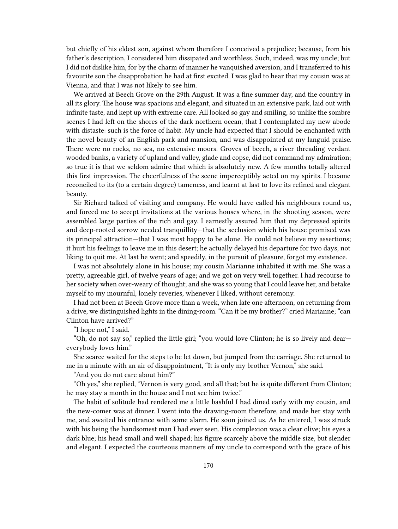but chiefly of his eldest son, against whom therefore I conceived a prejudice; because, from his father's description, I considered him dissipated and worthless. Such, indeed, was my uncle; but I did not dislike him, for by the charm of manner he vanquished aversion, and I transferred to his favourite son the disapprobation he had at first excited. I was glad to hear that my cousin was at Vienna, and that I was not likely to see him.

We arrived at Beech Grove on the 29th August. It was a fine summer day, and the country in all its glory. The house was spacious and elegant, and situated in an extensive park, laid out with infinite taste, and kept up with extreme care. All looked so gay and smiling, so unlike the sombre scenes I had left on the shores of the dark northern ocean, that I contemplated my new abode with distaste: such is the force of habit. My uncle had expected that I should be enchanted with the novel beauty of an English park and mansion, and was disappointed at my languid praise. There were no rocks, no sea, no extensive moors. Groves of beech, a river threading verdant wooded banks, a variety of upland and valley, glade and copse, did not command my admiration; so true it is that we seldom admire that which is absolutely new. A few months totally altered this first impression. The cheerfulness of the scene imperceptibly acted on my spirits. I became reconciled to its (to a certain degree) tameness, and learnt at last to love its refined and elegant beauty.

Sir Richard talked of visiting and company. He would have called his neighbours round us, and forced me to accept invitations at the various houses where, in the shooting season, were assembled large parties of the rich and gay. I earnestly assured him that my depressed spirits and deep-rooted sorrow needed tranquillity—that the seclusion which his house promised was its principal attraction—that I was most happy to be alone. He could not believe my assertions; it hurt his feelings to leave me in this desert; he actually delayed his departure for two days, not liking to quit me. At last he went; and speedily, in the pursuit of pleasure, forgot my existence.

I was not absolutely alone in his house; my cousin Marianne inhabited it with me. She was a pretty, agreeable girl, of twelve years of age; and we got on very well together. I had recourse to her society when over-weary of thought; and she was so young that I could leave her, and betake myself to my mournful, lonely reveries, whenever I liked, without ceremony.

I had not been at Beech Grove more than a week, when late one afternoon, on returning from a drive, we distinguished lights in the dining-room. "Can it be my brother?" cried Marianne; "can Clinton have arrived?"

"I hope not," I said.

"Oh, do not say so," replied the little girl; "you would love Clinton; he is so lively and dear everybody loves him."

She scarce waited for the steps to be let down, but jumped from the carriage. She returned to me in a minute with an air of disappointment, "It is only my brother Vernon," she said.

"And you do not care about him?"

"Oh yes," she replied, "Vernon is very good, and all that; but he is quite different from Clinton; he may stay a month in the house and I not see him twice."

The habit of solitude had rendered me a little bashful I had dined early with my cousin, and the new-comer was at dinner. I went into the drawing-room therefore, and made her stay with me, and awaited his entrance with some alarm. He soon joined us. As he entered, I was struck with his being the handsomest man I had ever seen. His complexion was a clear olive; his eyes a dark blue; his head small and well shaped; his figure scarcely above the middle size, but slender and elegant. I expected the courteous manners of my uncle to correspond with the grace of his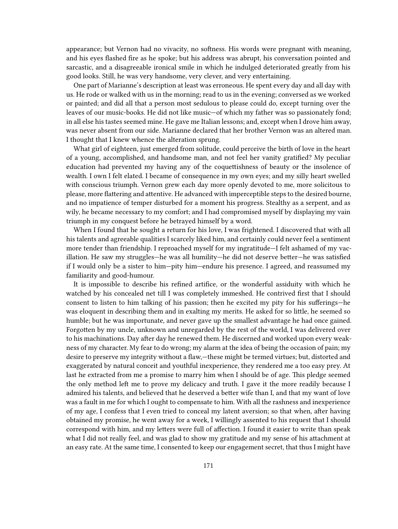appearance; but Vernon had no vivacity, no softness. His words were pregnant with meaning, and his eyes flashed fire as he spoke; but his address was abrupt, his conversation pointed and sarcastic, and a disagreeable ironical smile in which he indulged deteriorated greatly from his good looks. Still, he was very handsome, very clever, and very entertaining.

One part of Marianne's description at least was erroneous. He spent every day and all day with us. He rode or walked with us in the morning; read to us in the evening; conversed as we worked or painted; and did all that a person most sedulous to please could do, except turning over the leaves of our music-books. He did not like music—of which my father was so passionately fond; in all else his tastes seemed mine. He gave me Italian lessons; and, except when I drove him away, was never absent from our side. Marianne declared that her brother Vernon was an altered man. I thought that I knew whence the alteration sprung.

What girl of eighteen, just emerged from solitude, could perceive the birth of love in the heart of a young, accomplished, and handsome man, and not feel her vanity gratified? My peculiar education had prevented my having any of the coquettishness of beauty or the insolence of wealth. I own I felt elated. I became of consequence in my own eyes; and my silly heart swelled with conscious triumph. Vernon grew each day more openly devoted to me, more solicitous to please, more flattering and attentive. He advanced with imperceptible steps to the desired bourne, and no impatience of temper disturbed for a moment his progress. Stealthy as a serpent, and as wily, he became necessary to my comfort; and I had compromised myself by displaying my vain triumph in my conquest before he betrayed himself by a word.

When I found that he sought a return for his love, I was frightened. I discovered that with all his talents and agreeable qualities I scarcely liked him, and certainly could never feel a sentiment more tender than friendship. I reproached myself for my ingratitude—I felt ashamed of my vacillation. He saw my struggles—he was all humility—he did not deserve better—he was satisfied if I would only be a sister to him—pity him—endure his presence. I agreed, and reassumed my familiarity and good-humour.

It is impossible to describe his refined artifice, or the wonderful assiduity with which he watched by his concealed net till I was completely immeshed. He contrived first that I should consent to listen to him talking of his passion; then he excited my pity for his sufferings—he was eloquent in describing them and in exalting my merits. He asked for so little, he seemed so humble; but he was importunate, and never gave up the smallest advantage he had once gained. Forgotten by my uncle, unknown and unregarded by the rest of the world, I was delivered over to his machinations. Day after day he renewed them. He discerned and worked upon every weakness of my character. My fear to do wrong; my alarm at the idea of being the occasion of pain; my desire to preserve my integrity without a flaw,—these might be termed virtues; but, distorted and exaggerated by natural conceit and youthful inexperience, they rendered me a too easy prey. At last he extracted from me a promise to marry him when I should be of age. This pledge seemed the only method left me to prove my delicacy and truth. I gave it the more readily because I admired his talents, and believed that he deserved a better wife than I, and that my want of love was a fault in me for which I ought to compensate to him. With all the rashness and inexperience of my age, I confess that I even tried to conceal my latent aversion; so that when, after having obtained my promise, he went away for a week, I willingly assented to his request that I should correspond with him, and my letters were full of affection. I found it easier to write than speak what I did not really feel, and was glad to show my gratitude and my sense of his attachment at an easy rate. At the same time, I consented to keep our engagement secret, that thus I might have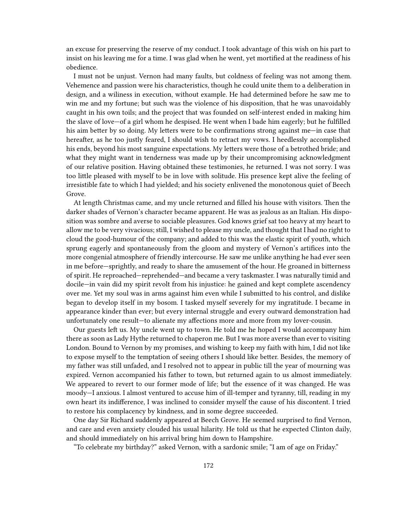an excuse for preserving the reserve of my conduct. I took advantage of this wish on his part to insist on his leaving me for a time. I was glad when he went, yet mortified at the readiness of his obedience.

I must not be unjust. Vernon had many faults, but coldness of feeling was not among them. Vehemence and passion were his characteristics, though he could unite them to a deliberation in design, and a wiliness in execution, without example. He had determined before he saw me to win me and my fortune; but such was the violence of his disposition, that he was unavoidably caught in his own toils; and the project that was founded on self-interest ended in making him the slave of love—of a girl whom he despised. He went when I bade him eagerly; but he fulfilled his aim better by so doing. My letters were to be confirmations strong against me—in case that hereafter, as he too justly feared, I should wish to retract my vows. I heedlessly accomplished his ends, beyond his most sanguine expectations. My letters were those of a betrothed bride; and what they might want in tenderness was made up by their uncompromising acknowledgment of our relative position. Having obtained these testimonies, he returned. I was not sorry. I was too little pleased with myself to be in love with solitude. His presence kept alive the feeling of irresistible fate to which I had yielded; and his society enlivened the monotonous quiet of Beech Grove.

At length Christmas came, and my uncle returned and filled his house with visitors. Then the darker shades of Vernon's character became apparent. He was as jealous as an Italian. His disposition was sombre and averse to sociable pleasures. God knows grief sat too heavy at my heart to allow me to be very vivacious; still, I wished to please my uncle, and thought that I had no right to cloud the good-humour of the company; and added to this was the elastic spirit of youth, which sprung eagerly and spontaneously from the gloom and mystery of Vernon's artifices into the more congenial atmosphere of friendly intercourse. He saw me unlike anything he had ever seen in me before—sprightly, and ready to share the amusement of the hour. He groaned in bitterness of spirit. He reproached—reprehended—and became a very taskmaster. I was naturally timid and docile—in vain did my spirit revolt from his injustice: he gained and kept complete ascendency over me. Yet my soul was in arms against him even while I submitted to his control, and dislike began to develop itself in my bosom. I tasked myself severely for my ingratitude. I became in appearance kinder than ever; but every internal struggle and every outward demonstration had unfortunately one result—to alienate my affections more and more from my lover-cousin.

Our guests left us. My uncle went up to town. He told me he hoped I would accompany him there as soon as Lady Hythe returned to chaperon me. But I was more averse than ever to visiting London. Bound to Vernon by my promises, and wishing to keep my faith with him, I did not like to expose myself to the temptation of seeing others I should like better. Besides, the memory of my father was still unfaded, and I resolved not to appear in public till the year of mourning was expired. Vernon accompanied his father to town, but returned again to us almost immediately. We appeared to revert to our former mode of life; but the essence of it was changed. He was moody—I anxious. I almost ventured to accuse him of ill-temper and tyranny, till, reading in my own heart its indifference, I was inclined to consider myself the cause of his discontent. I tried to restore his complacency by kindness, and in some degree succeeded.

One day Sir Richard suddenly appeared at Beech Grove. He seemed surprised to find Vernon, and care and even anxiety clouded his usual hilarity. He told us that he expected Clinton daily, and should immediately on his arrival bring him down to Hampshire.

"To celebrate my birthday?" asked Vernon, with a sardonic smile; "I am of age on Friday."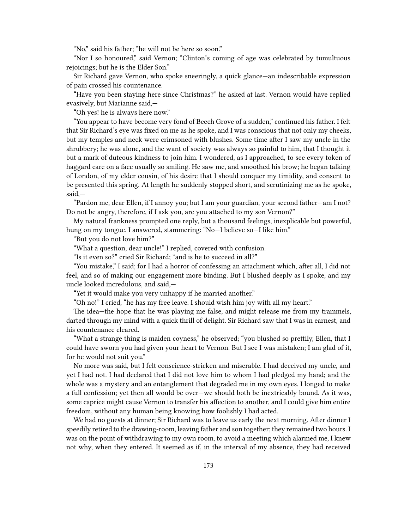"No," said his father; "he will not be here so soon."

"Nor I so honoured," said Vernon; "Clinton's coming of age was celebrated by tumultuous rejoicings; but he is the Elder Son."

Sir Richard gave Vernon, who spoke sneeringly, a quick glance—an indescribable expression of pain crossed his countenance.

"Have you been staying here since Christmas?" he asked at last. Vernon would have replied evasively, but Marianne said,—

"Oh yes! he is always here now."

"You appear to have become very fond of Beech Grove of a sudden," continued his father. I felt that Sir Richard's eye was fixed on me as he spoke, and I was conscious that not only my cheeks, but my temples and neck were crimsoned with blushes. Some time after I saw my uncle in the shrubbery; he was alone, and the want of society was always so painful to him, that I thought it but a mark of duteous kindness to join him. I wondered, as I approached, to see every token of haggard care on a face usually so smiling. He saw me, and smoothed his brow; he began talking of London, of my elder cousin, of his desire that I should conquer my timidity, and consent to be presented this spring. At length he suddenly stopped short, and scrutinizing me as he spoke, said,—

"Pardon me, dear Ellen, if I annoy you; but I am your guardian, your second father—am I not? Do not be angry, therefore, if I ask you, are you attached to my son Vernon?"

My natural frankness prompted one reply, but a thousand feelings, inexplicable but powerful, hung on my tongue. I answered, stammering: "No—I believe so—I like him."

"But you do not love him?"

"What a question, dear uncle!" I replied, covered with confusion.

"Is it even so?" cried Sir Richard; "and is he to succeed in all?"

"You mistake," I said; for I had a horror of confessing an attachment which, after all, I did not feel, and so of making our engagement more binding. But I blushed deeply as I spoke, and my uncle looked incredulous, and said,—

"Yet it would make you very unhappy if he married another."

"Oh no!" I cried, "he has my free leave. I should wish him joy with all my heart."

The idea—the hope that he was playing me false, and might release me from my trammels, darted through my mind with a quick thrill of delight. Sir Richard saw that I was in earnest, and his countenance cleared.

"What a strange thing is maiden coyness," he observed; "you blushed so prettily, Ellen, that I could have sworn you had given your heart to Vernon. But I see I was mistaken; I am glad of it, for he would not suit you."

No more was said, but I felt conscience-stricken and miserable. I had deceived my uncle, and yet I had not. I had declared that I did not love him to whom I had pledged my hand; and the whole was a mystery and an entanglement that degraded me in my own eyes. I longed to make a full confession; yet then all would be over—we should both be inextricably bound. As it was, some caprice might cause Vernon to transfer his affection to another, and I could give him entire freedom, without any human being knowing how foolishly I had acted.

We had no guests at dinner; Sir Richard was to leave us early the next morning. After dinner I speedily retired to the drawing-room, leaving father and son together; they remained two hours. I was on the point of withdrawing to my own room, to avoid a meeting which alarmed me, I knew not why, when they entered. It seemed as if, in the interval of my absence, they had received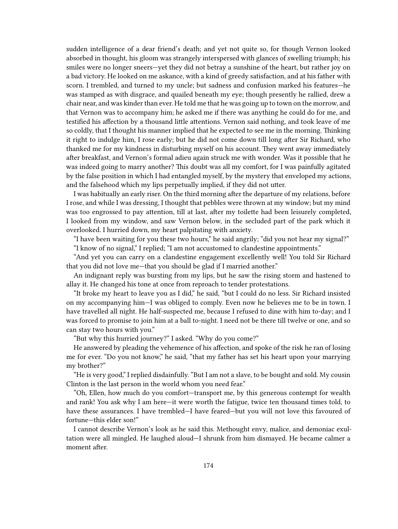sudden intelligence of a dear friend's death; and yet not quite so, for though Vernon looked absorbed in thought, his gloom was strangely interspersed with glances of swelling triumph; his smiles were no longer sneers—yet they did not betray a sunshine of the heart, but rather joy on a bad victory. He looked on me askance, with a kind of greedy satisfaction, and at his father with scorn. I trembled, and turned to my uncle; but sadness and confusion marked his features—he was stamped as with disgrace, and quailed beneath my eye; though presently he rallied, drew a chair near, and was kinder than ever. He told me that he was going up to town on the morrow, and that Vernon was to accompany him; he asked me if there was anything he could do for me, and testified his affection by a thousand little attentions. Vernon said nothing, and took leave of me so coldly, that I thought his manner implied that he expected to see me in the morning. Thinking it right to indulge him, I rose early; but he did not come down till long after Sir Richard, who thanked me for my kindness in disturbing myself on his account. They went away immediately after breakfast, and Vernon's formal adieu again struck me with wonder. Was it possible that he was indeed going to marry another? This doubt was all my comfort, for I was painfully agitated by the false position in which I had entangled myself, by the mystery that enveloped my actions, and the falsehood which my lips perpetually implied, if they did not utter.

I was habitually an early riser. On the third morning after the departure of my relations, before I rose, and while I was dressing, I thought that pebbles were thrown at my window; but my mind was too engrossed to pay attention, till at last, after my toilette had been leisurely completed, I looked from my window, and saw Vernon below, in the secluded part of the park which it overlooked. I hurried down, my heart palpitating with anxiety.

"I have been waiting for you these two hours," he said angrily; "did you not hear my signal?"

"I know of no signal," I replied; "I am not accustomed to clandestine appointments."

"And yet you can carry on a clandestine engagement excellently well! You told Sir Richard that you did not love me—that you should be glad if I married another."

An indignant reply was bursting from my lips, but he saw the rising storm and hastened to allay it. He changed his tone at once from reproach to tender protestations.

"It broke my heart to leave you as I did," he said, "but I could do no less. Sir Richard insisted on my accompanying him—I was obliged to comply. Even now he believes me to be in town. I have travelled all night. He half-suspected me, because I refused to dine with him to-day; and I was forced to promise to join him at a ball to-night. I need not be there till twelve or one, and so can stay two hours with you."

"But why this hurried journey?" I asked. "Why do you come?"

He answered by pleading the vehemence of his affection, and spoke of the risk he ran of losing me for ever. "Do you not know," he said, "that my father has set his heart upon your marrying my brother?"

"He is very good," I replied disdainfully. "But I am not a slave, to be bought and sold. My cousin Clinton is the last person in the world whom you need fear."

"Oh, Ellen, how much do you comfort—transport me, by this generous contempt for wealth and rank! You ask why I am here—it were worth the fatigue, twice ten thousand times told, to have these assurances. I have trembled—I have feared—but you will not love this favoured of fortune—this elder son!"

I cannot describe Vernon's look as he said this. Methought envy, malice, and demoniac exultation were all mingled. He laughed aloud—I shrunk from him dismayed. He became calmer a moment after.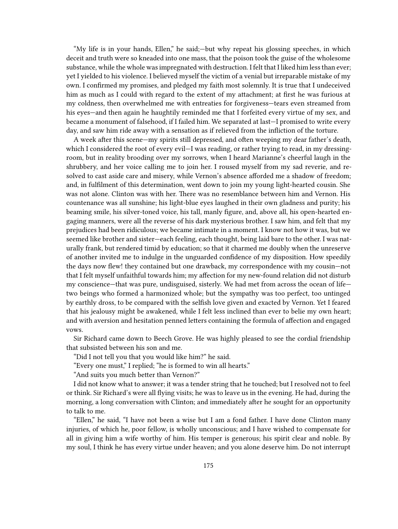"My life is in your hands, Ellen," he said;—but why repeat his glossing speeches, in which deceit and truth were so kneaded into one mass, that the poison took the guise of the wholesome substance, while the whole was impregnated with destruction. I felt that I liked him less than ever; yet I yielded to his violence. I believed myself the victim of a venial but irreparable mistake of my own. I confirmed my promises, and pledged my faith most solemnly. It is true that I undeceived him as much as I could with regard to the extent of my attachment; at first he was furious at my coldness, then overwhelmed me with entreaties for forgiveness—tears even streamed from his eyes—and then again he haughtily reminded me that I forfeited every virtue of my sex, and became a monument of falsehood, if I failed him. We separated at last—I promised to write every day, and saw him ride away with a sensation as if relieved from the infliction of the torture.

A week after this scene—my spirits still depressed, and often weeping my dear father's death, which I considered the root of every evil—I was reading, or rather trying to read, in my dressingroom, but in reality brooding over my sorrows, when I heard Marianne's cheerful laugh in the shrubbery, and her voice calling me to join her. I roused myself from my sad reverie, and resolved to cast aside care and misery, while Vernon's absence afforded me a shadow of freedom; and, in fulfilment of this determination, went down to join my young light-hearted cousin. She was not alone. Clinton was with her. There was no resemblance between him and Vernon. His countenance was all sunshine; his light-blue eyes laughed in their own gladness and purity; his beaming smile, his silver-toned voice, his tall, manly figure, and, above all, his open-hearted engaging manners, were all the reverse of his dark mysterious brother. I saw him, and felt that my prejudices had been ridiculous; we became intimate in a moment. I know not how it was, but we seemed like brother and sister—each feeling, each thought, being laid bare to the other. I was naturally frank, but rendered timid by education; so that it charmed me doubly when the unreserve of another invited me to indulge in the unguarded confidence of my disposition. How speedily the days now flew! they contained but one drawback, my correspondence with my cousin—not that I felt myself unfaithful towards him; my affection for my new-found relation did not disturb my conscience—that was pure, undisguised, sisterly. We had met from across the ocean of life two beings who formed a harmonized whole; but the sympathy was too perfect, too untinged by earthly dross, to be compared with the selfish love given and exacted by Vernon. Yet I feared that his jealousy might be awakened, while I felt less inclined than ever to belie my own heart; and with aversion and hesitation penned letters containing the formula of affection and engaged vows.

Sir Richard came down to Beech Grove. He was highly pleased to see the cordial friendship that subsisted between his son and me.

"Did I not tell you that you would like him?" he said.

"Every one must," I replied; "he is formed to win all hearts."

"And suits you much better than Vernon?"

I did not know what to answer; it was a tender string that he touched; but I resolved not to feel or think. Sir Richard's were all flying visits; he was to leave us in the evening. He had, during the morning, a long conversation with Clinton; and immediately after he sought for an opportunity to talk to me.

"Ellen," he said, "I have not been a wise but I am a fond father. I have done Clinton many injuries, of which he, poor fellow, is wholly unconscious; and I have wished to compensate for all in giving him a wife worthy of him. His temper is generous; his spirit clear and noble. By my soul, I think he has every virtue under heaven; and you alone deserve him. Do not interrupt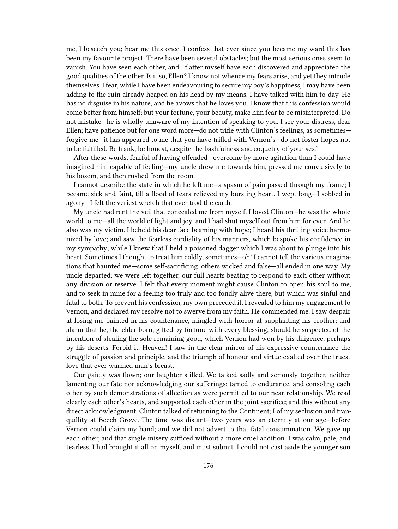me, I beseech you; hear me this once. I confess that ever since you became my ward this has been my favourite project. There have been several obstacles; but the most serious ones seem to vanish. You have seen each other, and I flatter myself have each discovered and appreciated the good qualities of the other. Is it so, Ellen? I know not whence my fears arise, and yet they intrude themselves. I fear, while I have been endeavouring to secure my boy's happiness, I may have been adding to the ruin already heaped on his head by my means. I have talked with him to-day. He has no disguise in his nature, and he avows that he loves you. I know that this confession would come better from himself; but your fortune, your beauty, make him fear to be misinterpreted. Do not mistake—he is wholly unaware of my intention of speaking to you. I see your distress, dear Ellen; have patience but for one word more—do not trifle with Clinton's feelings, as sometimes forgive me—it has appeared to me that you have trifled with Vernon's—do not foster hopes not to be fulfilled. Be frank, be honest, despite the bashfulness and coquetry of your sex."

After these words, fearful of having offended—overcome by more agitation than I could have imagined him capable of feeling—my uncle drew me towards him, pressed me convulsively to his bosom, and then rushed from the room.

I cannot describe the state in which he left me—a spasm of pain passed through my frame; I became sick and faint, till a flood of tears relieved my bursting heart. I wept long—I sobbed in agony—I felt the veriest wretch that ever trod the earth.

My uncle had rent the veil that concealed me from myself. I loved Clinton—he was the whole world to me—all the world of light and joy, and I had shut myself out from him for ever. And he also was my victim. I beheld his dear face beaming with hope; I heard his thrilling voice harmonized by love; and saw the fearless cordiality of his manners, which bespoke his confidence in my sympathy; while I knew that I held a poisoned dagger which I was about to plunge into his heart. Sometimes I thought to treat him coldly, sometimes—oh! I cannot tell the various imaginations that haunted me—some self-sacrificing, others wicked and false—all ended in one way. My uncle departed; we were left together, our full hearts beating to respond to each other without any division or reserve. I felt that every moment might cause Clinton to open his soul to me, and to seek in mine for a feeling too truly and too fondly alive there, but which was sinful and fatal to both. To prevent his confession, my own preceded it. I revealed to him my engagement to Vernon, and declared my resolve not to swerve from my faith. He commended me. I saw despair at losing me painted in his countenance, mingled with horror at supplanting his brother; and alarm that he, the elder born, gifted by fortune with every blessing, should be suspected of the intention of stealing the sole remaining good, which Vernon had won by his diligence, perhaps by his deserts. Forbid it, Heaven! I saw in the clear mirror of his expressive countenance the struggle of passion and principle, and the triumph of honour and virtue exalted over the truest love that ever warmed man's breast.

Our gaiety was flown; our laughter stilled. We talked sadly and seriously together, neither lamenting our fate nor acknowledging our sufferings; tamed to endurance, and consoling each other by such demonstrations of affection as were permitted to our near relationship. We read clearly each other's hearts, and supported each other in the joint sacrifice; and this without any direct acknowledgment. Clinton talked of returning to the Continent; I of my seclusion and tranquillity at Beech Grove. The time was distant—two years was an eternity at our age—before Vernon could claim my hand; and we did not advert to that fatal consummation. We gave up each other; and that single misery sufficed without a more cruel addition. I was calm, pale, and tearless. I had brought it all on myself, and must submit. I could not cast aside the younger son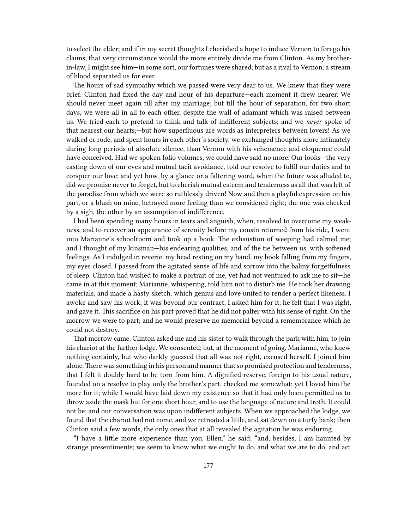to select the elder; and if in my secret thoughts I cherished a hope to induce Vernon to forego his claims, that very circumstance would the more entirely divide me from Clinton. As my brotherin-law, I might see him—in some sort, our fortunes were shared; but as a rival to Vernon, a stream of blood separated us for ever.

The hours of sad sympathy which we passed were very dear to us. We knew that they were brief. Clinton had fixed the day and hour of his departure—each moment it drew nearer. We should never meet again till after my marriage; but till the hour of separation, for two short days, we were all in all to each other, despite the wall of adamant which was raised between us. We tried each to pretend to think and talk of indifferent subjects; and we *never* spoke of that nearest our hearts;—but how superfluous are words as interpreters between lovers! As we walked or rode, and spent hours in each other's society, we exchanged thoughts more intimately during long periods of absolute silence, than Vernon with his vehemence and eloquence could have conceived. Had we spoken folio volumes, we could have said no more. Our looks—the very casting down of our eyes and mutual tacit avoidance, told our resolve to fulfil our duties and to conquer our love; and yet how, by a glance or a faltering word, when the future was alluded to, did we promise never to forget, but to cherish mutual esteem and tenderness as all that was left of the paradise from which we were so ruthlessly driven! Now and then a playful expression on his part, or a blush on mine, betrayed more feeling than we considered right; the one was checked by a sigh, the other by an assumption of indifference.

I had been spending many hours in tears and anguish, when, resolved to overcome my weakness, and to recover an appearance of serenity before my cousin returned from his ride, I went into Marianne's schoolroom and took up a book. The exhaustion of weeping had calmed me; and I thought of my kinsman—his endearing qualities, and of the tie between us, with softened feelings. As I indulged in reverie, my head resting on my hand, my book falling from my fingers, my eyes closed, I passed from the agitated sense of life and sorrow into the balmy forgetfulness of sleep. Clinton had wished to make a portrait of me, yet had not ventured to ask me to sit—he came in at this moment; Marianne, whispering, told him not to disturb me. He took her drawing materials, and made a hasty sketch, which genius and love united to render a perfect likeness. I awoke and saw his work; it was beyond our contract; I asked him for it; he felt that I was right, and gave it. This sacrifice on his part proved that he did not palter with his sense of right. On the morrow we were to part; and he would preserve no memorial beyond a remembrance which he could not destroy.

That morrow came. Clinton asked me and his sister to walk through the park with him, to join his chariot at the farther lodge. We consented; but, at the moment of going, Marianne, who knew nothing certainly, but who darkly guessed that all was not right, excused herself. I joined him alone.There was something in his person and manner that so promised protection and tenderness, that I felt it doubly hard to be torn from him. A dignified reserve, foreign to his usual nature, founded on a resolve to play only the brother's part, checked me somewhat; yet I loved him the more for it; while I would have laid down my existence so that it had only been permitted us to throw aside the mask but for one short hour, and to use the language of nature and troth. It could not be; and our conversation was upon indifferent subjects. When we approached the lodge, we found that the chariot had not come, and we retreated a little, and sat down on a turfy bank; then Clinton said a few words, the only ones that at all revealed the agitation he was enduring.

"I have a little more experience than you, Ellen," he said; "and, besides, I am haunted by strange presentiments; we seem to know what we ought to do, and what we are to do, and act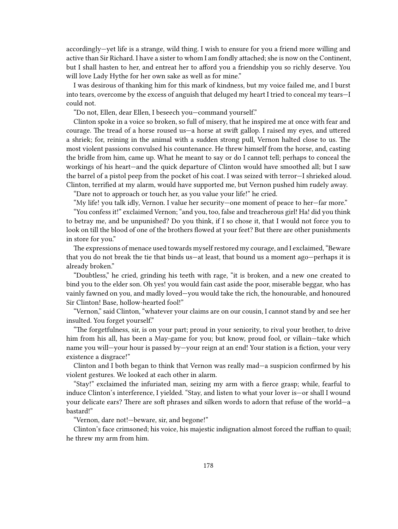accordingly—yet life is a strange, wild thing. I wish to ensure for you a friend more willing and active than Sir Richard. I have a sister to whom I am fondly attached; she is now on the Continent, but I shall hasten to her, and entreat her to afford you a friendship you so richly deserve. You will love Lady Hythe for her own sake as well as for mine."

I was desirous of thanking him for this mark of kindness, but my voice failed me, and I burst into tears, overcome by the excess of anguish that deluged my heart I tried to conceal my tears—I could not.

"Do not, Ellen, dear Ellen, I beseech you—command yourself."

Clinton spoke in a voice so broken, so full of misery, that he inspired me at once with fear and courage. The tread of a horse roused us—a horse at swift gallop. I raised my eyes, and uttered a shriek; for, reining in the animal with a sudden strong pull, Vernon halted close to us. The most violent passions convulsed his countenance. He threw himself from the horse, and, casting the bridle from him, came up. What he meant to say or do I cannot tell; perhaps to conceal the workings of his heart—and the quick departure of Clinton would have smoothed all; but I saw the barrel of a pistol peep from the pocket of his coat. I was seized with terror—I shrieked aloud. Clinton, terrified at my alarm, would have supported me, but Vernon pushed him rudely away.

"Dare not to approach or touch her, as you value your life!" he cried.

"My life! you talk idly, Vernon. I value her security—one moment of peace to her—far more."

"You confess it!" exclaimed Vernon; "and you, too, false and treacherous girl! Ha! did you think to betray me, and be unpunished? Do you think, if I so chose it, that I would not force you to look on till the blood of one of the brothers flowed at your feet? But there are other punishments in store for you."

The expressions of menace used towards myself restored my courage, and I exclaimed, "Beware that you do not break the tie that binds us—at least, that bound us a moment ago—perhaps it is already broken."

"Doubtless," he cried, grinding his teeth with rage, "it is broken, and a new one created to bind you to the elder son. Oh yes! you would fain cast aside the poor, miserable beggar, who has vainly fawned on you, and madly loved—you would take the rich, the honourable, and honoured Sir Clinton! Base, hollow-hearted fool!"

"Vernon," said Clinton, "whatever your claims are on our cousin, I cannot stand by and see her insulted. You forget yourself."

"The forgetfulness, sir, is on your part; proud in your seniority, to rival your brother, to drive him from his all, has been a May-game for you; but know, proud fool, or villain—take which name you will—your hour is passed by—your reign at an end! Your station is a fiction, your very existence a disgrace!"

Clinton and I both began to think that Vernon was really mad—a suspicion confirmed by his violent gestures. We looked at each other in alarm.

"Stay!" exclaimed the infuriated man, seizing my arm with a fierce grasp; while, fearful to induce Clinton's interference, I yielded. "Stay, and listen to what your lover is—or shall I wound your delicate ears? There are soft phrases and silken words to adorn that refuse of the world—a bastard!"

"Vernon, dare not!—beware, sir, and begone!"

Clinton's face crimsoned; his voice, his majestic indignation almost forced the ruffian to quail; he threw my arm from him.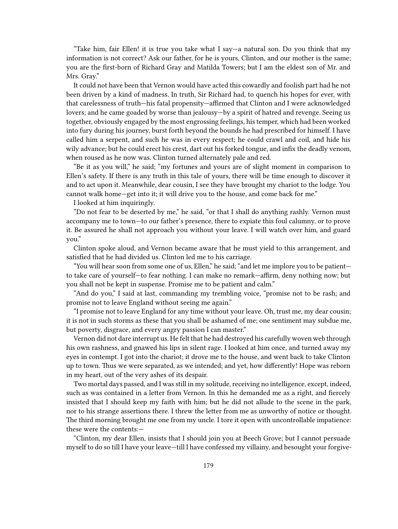"Take him, fair Ellen! it is true you take what I say—a natural son. Do you think that my information is not correct? Ask our father, for he is yours, Clinton, and our mother is the same; you are the first-born of Richard Gray and Matilda Towers; but I am the eldest son of Mr. and Mrs. Gray."

It could not have been that Vernon would have acted this cowardly and foolish part had he not been driven by a kind of madness. In truth, Sir Richard had, to quench his hopes for ever, with that carelessness of truth—his fatal propensity—affirmed that Clinton and I were acknowledged lovers; and he came goaded by worse than jealousy—by a spirit of hatred and revenge. Seeing us together, obviously engaged by the most engrossing feelings, his temper, which had been worked into fury during his journey, burst forth beyond the bounds he had prescribed for himself. I have called him a serpent, and such he was in every respect; he could crawl and coil, and hide his wily advance; but he could erect his crest, dart out his forked tongue, and infix the deadly venom, when roused as he now was. Clinton turned alternately pale and red.

"Be it as you will," he said; "my fortunes and yours are of slight moment in comparison to Ellen's safety. If there is any truth in this tale of yours, there will be time enough to discover it and to act upon it. Meanwhile, dear cousin, I see they have brought my chariot to the lodge. You cannot walk home—get into it; it will drive you to the house, and come back for me."

I looked at him inquiringly.

"Do not fear to be deserted by me," he said, "or that I shall do anything rashly. Vernon must accompany me to town—to our father's presence, there to expiate this foul calumny, or to prove it. Be assured he shall not approach you without your leave. I will watch over him, and guard you."

Clinton spoke aloud, and Vernon became aware that he must yield to this arrangement, and satisfied that he had divided us. Clinton led me to his carriage.

"You will hear soon from some one of us, Ellen," he said; "and let me implore you to be patient to take care of yourself—to fear nothing. I can make no remark—affirm, deny nothing now; but you shall not be kept in suspense. Promise me to be patient and calm."

"And do you," I said at last, commanding my trembling voice, "promise not to be rash; and promise not to leave England without seeing me again."

"I promise not to leave England for any time without your leave. Oh, trust me, my dear cousin; it is not in such storms as these that you shall be ashamed of me; one sentiment may subdue me, but poverty, disgrace, and every angry passion I can master."

Vernon did not dare interrupt us. He felt that he had destroyed his carefully woven web through his own rashness, and gnawed his lips in silent rage. I looked at him once, and turned away my eyes in contempt. I got into the chariot; it drove me to the house, and went back to take Clinton up to town. Thus we were separated, as we intended; and yet, how differently! Hope was reborn in my heart, out of the very ashes of its despair.

Two mortal days passed, and I was still in my solitude, receiving no intelligence, except, indeed, such as was contained in a letter from Vernon. In this he demanded me as a right, and fiercely insisted that I should keep my faith with him; but he did not allude to the scene in the park, nor to his strange assertions there. I threw the letter from me as unworthy of notice or thought. The third morning brought me one from my uncle. I tore it open with uncontrollable impatience: these were the contents:—

"Clinton, my dear Ellen, insists that I should join you at Beech Grove; but I cannot persuade myself to do so till I have your leave—till I have confessed my villainy, and besought your forgive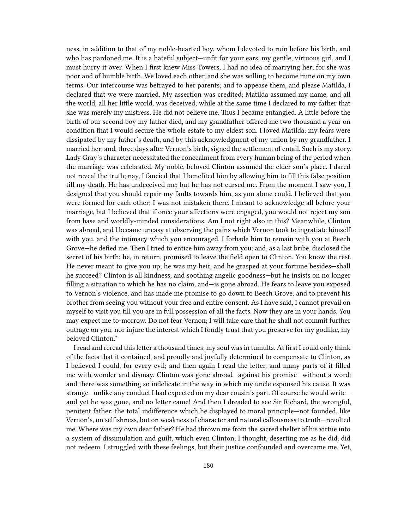ness, in addition to that of my noble-hearted boy, whom I devoted to ruin before his birth, and who has pardoned me. It is a hateful subject—unfit for your ears, my gentle, virtuous girl, and I must hurry it over. When I first knew Miss Towers, I had no idea of marrying her; for she was poor and of humble birth. We loved each other, and she was willing to become mine on my own terms. Our intercourse was betrayed to her parents; and to appease them, and please Matilda, I declared that we were married. My assertion was credited; Matilda assumed my name, and all the world, all her little world, was deceived; while at the same time I declared to my father that she was merely my mistress. He did not believe me. Thus I became entangled. A little before the birth of our second boy my father died, and my grandfather offered me two thousand a year on condition that I would secure the whole estate to my eldest son. I loved Matilda; my fears were dissipated by my father's death, and by this acknowledgment of my union by my grandfather. I married her; and, three days after Vernon's birth, signed the settlement of entail. Such is my story. Lady Gray's character necessitated the concealment from every human being of the period when the marriage was celebrated. My noble, beloved Clinton assumed the elder son's place. I dared not reveal the truth; nay, I fancied that I benefited him by allowing him to fill this false position till my death. He has undeceived me; but he has not cursed me. From the moment I saw you, I designed that you should repair my faults towards him, as you alone could. I believed that you were formed for each other; I was not mistaken there. I meant to acknowledge all before your marriage, but I believed that if once your affections were engaged, you would not reject my son from base and worldly-minded considerations. Am I not right also in this? Meanwhile, Clinton was abroad, and I became uneasy at observing the pains which Vernon took to ingratiate himself with you, and the intimacy which you encouraged. I forbade him to remain with you at Beech Grove—he defied me. Then I tried to entice him away from you; and, as a last bribe, disclosed the secret of his birth: he, in return, promised to leave the field open to Clinton. You know the rest. He never meant to give you up; he was my heir, and he grasped at your fortune besides—shall he succeed? Clinton is all kindness, and soothing angelic goodness—but he insists on no longer filling a situation to which he has no claim, and—is gone abroad. He fears to leave you exposed to Vernon's violence, and has made me promise to go down to Beech Grove, and to prevent his brother from seeing you without your free and entire consent. As I have said, I cannot prevail on myself to visit you till you are in full possession of all the facts. Now they are in your hands. You may expect me to-morrow. Do not fear Vernon; I will take care that he shall not commit further outrage on you, nor injure the interest which I fondly trust that you preserve for my godlike, my beloved Clinton."

I read and reread this letter a thousand times; my soul was in tumults. At first I could only think of the facts that it contained, and proudly and joyfully determined to compensate to Clinton, as I believed I could, for every evil; and then again I read the letter, and many parts of it filled me with wonder and dismay. Clinton was gone abroad—against his promise—without a word; and there was something so indelicate in the way in which my uncle espoused his cause. It was strange—unlike any conduct I had expected on my dear cousin's part. Of course he would write and yet he was gone, and no letter came! And then I dreaded to see Sir Richard, the wrongful, penitent father: the total indifference which he displayed to moral principle—not founded, like Vernon's, on selfishness, but on weakness of character and natural callousness to truth—revolted me. Where was my own dear father? He had thrown me from the sacred shelter of his virtue into a system of dissimulation and guilt, which even Clinton, I thought, deserting me as he did, did not redeem. I struggled with these feelings, but their justice confounded and overcame me. Yet,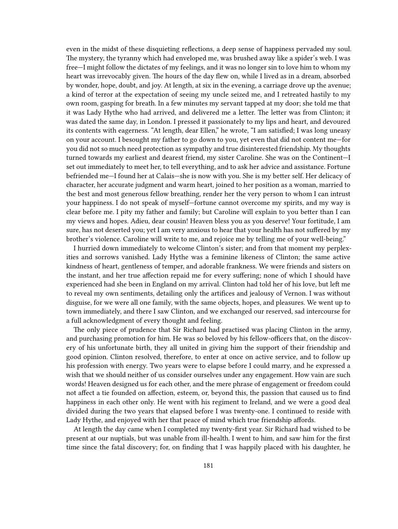even in the midst of these disquieting reflections, a deep sense of happiness pervaded my soul. The mystery, the tyranny which had enveloped me, was brushed away like a spider's web. I was free—I might follow the dictates of my feelings, and it was no longer sin to love him to whom my heart was irrevocably given. The hours of the day flew on, while I lived as in a dream, absorbed by wonder, hope, doubt, and joy. At length, at six in the evening, a carriage drove up the avenue; a kind of terror at the expectation of seeing my uncle seized me, and I retreated hastily to my own room, gasping for breath. In a few minutes my servant tapped at my door; she told me that it was Lady Hythe who had arrived, and delivered me a letter. The letter was from Clinton; it was dated the same day, in London. I pressed it passionately to my lips and heart, and devoured its contents with eagerness. "At length, dear Ellen," he wrote, "I am satisfied; I was long uneasy on your account. I besought my father to go down to you, yet even that did not content me—for you did not so much need protection as sympathy and true disinterested friendship. My thoughts turned towards my earliest and dearest friend, my sister Caroline. She was on the Continent—I set out immediately to meet her, to tell everything, and to ask her advice and assistance. Fortune befriended me—I found her at Calais—she is now with you. She is my better self. Her delicacy of character, her accurate judgment and warm heart, joined to her position as a woman, married to the best and most generous fellow breathing, render her the very person to whom I can intrust your happiness. I do not speak of myself—fortune cannot overcome my spirits, and my way is clear before me. I pity my father and family; but Caroline will explain to you better than I can my views and hopes. Adieu, dear cousin! Heaven bless you as you deserve! Your fortitude, I am sure, has not deserted you; yet I am very anxious to hear that your health has not suffered by my brother's violence. Caroline will write to me, and rejoice me by telling me of your well-being."

I hurried down immediately to welcome Clinton's sister; and from that moment my perplexities and sorrows vanished. Lady Hythe was a feminine likeness of Clinton; the same active kindness of heart, gentleness of temper, and adorable frankness. We were friends and sisters on the instant, and her true affection repaid me for every suffering; none of which I should have experienced had she been in England on my arrival. Clinton had told her of his love, but left me to reveal my own sentiments, detailing only the artifices and jealousy of Vernon. I was without disguise, for we were all one family, with the same objects, hopes, and pleasures. We went up to town immediately, and there I saw Clinton, and we exchanged our reserved, sad intercourse for a full acknowledgment of every thought and feeling.

The only piece of prudence that Sir Richard had practised was placing Clinton in the army, and purchasing promotion for him. He was so beloved by his fellow-officers that, on the discovery of his unfortunate birth, they all united in giving him the support of their friendship and good opinion. Clinton resolved, therefore, to enter at once on active service, and to follow up his profession with energy. Two years were to elapse before I could marry, and he expressed a wish that we should neither of us consider ourselves under any engagement. How vain are such words! Heaven designed us for each other, and the mere phrase of engagement or freedom could not affect a tie founded on affection, esteem, or, beyond this, the passion that caused us to find happiness in each other only. He went with his regiment to Ireland, and we were a good deal divided during the two years that elapsed before I was twenty-one. I continued to reside with Lady Hythe, and enjoyed with her that peace of mind which true friendship affords.

At length the day came when I completed my twenty-first year. Sir Richard had wished to be present at our nuptials, but was unable from ill-health. I went to him, and saw him for the first time since the fatal discovery; for, on finding that I was happily placed with his daughter, he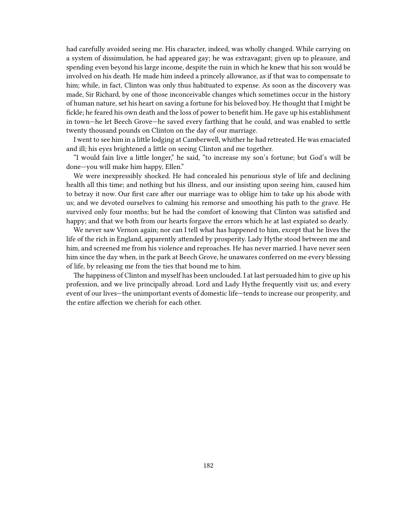had carefully avoided seeing me. His character, indeed, was wholly changed. While carrying on a system of dissimulation, he had appeared gay; he was extravagant; given up to pleasure, and spending even beyond his large income, despite the ruin in which he knew that his son would be involved on his death. He made him indeed a princely allowance, as if that was to compensate to him; while, in fact, Clinton was only thus habituated to expense. As soon as the discovery was made, Sir Richard, by one of those inconceivable changes which sometimes occur in the history of human nature, set his heart on saving a fortune for his beloved boy. He thought that I might be fickle; he feared his own death and the loss of power to benefit him. He gave up his establishment in town—he let Beech Grove—he saved every farthing that he could, and was enabled to settle twenty thousand pounds on Clinton on the day of our marriage.

I went to see him in a little lodging at Camberwell, whither he had retreated. He was emaciated and ill; his eyes brightened a little on seeing Clinton and me together.

"I would fain live a little longer," he said, "to increase my son's fortune; but God's will be done—you will make him happy, Ellen."

We were inexpressibly shocked. He had concealed his penurious style of life and declining health all this time; and nothing but his illness, and our insisting upon seeing him, caused him to betray it now. Our first care after our marriage was to oblige him to take up his abode with us; and we devoted ourselves to calming his remorse and smoothing his path to the grave. He survived only four months; but he had the comfort of knowing that Clinton was satisfied and happy; and that we both from our hearts forgave the errors which he at last expiated so dearly.

We never saw Vernon again; nor can I tell what has happened to him, except that he lives the life of the rich in England, apparently attended by prosperity. Lady Hythe stood between me and him, and screened me from his violence and reproaches. He has never married. I have never seen him since the day when, in the park at Beech Grove, he unawares conferred on me every blessing of life, by releasing me from the ties that bound me to him.

The happiness of Clinton and myself has been unclouded. I at last persuaded him to give up his profession, and we live principally abroad. Lord and Lady Hythe frequently visit us; and every event of our lives—the unimportant events of domestic life—tends to increase our prosperity, and the entire affection we cherish for each other.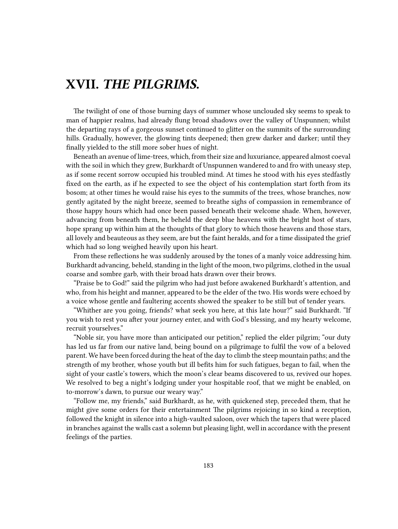## **XVII.** *THE PILGRIMS.*

The twilight of one of those burning days of summer whose unclouded sky seems to speak to man of happier realms, had already flung broad shadows over the valley of Unspunnen; whilst the departing rays of a gorgeous sunset continued to glitter on the summits of the surrounding hills. Gradually, however, the glowing tints deepened; then grew darker and darker; until they finally yielded to the still more sober hues of night.

Beneath an avenue of lime-trees, which, from their size and luxuriance, appeared almost coeval with the soil in which they grew, Burkhardt of Unspunnen wandered to and fro with uneasy step, as if some recent sorrow occupied his troubled mind. At times he stood with his eyes stedfastly fixed on the earth, as if he expected to see the object of his contemplation start forth from its bosom; at other times he would raise his eyes to the summits of the trees, whose branches, now gently agitated by the night breeze, seemed to breathe sighs of compassion in remembrance of those happy hours which had once been passed beneath their welcome shade. When, however, advancing from beneath them, he beheld the deep blue heavens with the bright host of stars, hope sprang up within him at the thoughts of that glory to which those heavens and those stars, all lovely and beauteous as they seem, are but the faint heralds, and for a time dissipated the grief which had so long weighed heavily upon his heart.

From these reflections he was suddenly aroused by the tones of a manly voice addressing him. Burkhardt advancing, beheld, standing in the light of the moon, two pilgrims, clothed in the usual coarse and sombre garb, with their broad hats drawn over their brows.

"Praise be to God!" said the pilgrim who had just before awakened Burkhardt's attention, and who, from his height and manner, appeared to be the elder of the two. His words were echoed by a voice whose gentle and faultering accents showed the speaker to be still but of tender years.

"Whither are you going, friends? what seek you here, at this late hour?" said Burkhardt. "If you wish to rest you after your journey enter, and with God's blessing, and my hearty welcome, recruit yourselves."

"Noble sir, you have more than anticipated our petition," replied the elder pilgrim; "our duty has led us far from our native land, being bound on a pilgrimage to fulfil the vow of a beloved parent. We have been forced during the heat of the day to climb the steep mountain paths; and the strength of my brother, whose youth but ill befits him for such fatigues, began to fail, when the sight of your castle's towers, which the moon's clear beams discovered to us, revived our hopes. We resolved to beg a night's lodging under your hospitable roof, that we might be enabled, on to-morrow's dawn, to pursue our weary way."

"Follow me, my friends," said Burkhardt, as he, with quickened step, preceded them, that he might give some orders for their entertainment The pilgrims rejoicing in so kind a reception, followed the knight in silence into a high-vaulted saloon, over which the tapers that were placed in branches against the walls cast a solemn but pleasing light, well in accordance with the present feelings of the parties.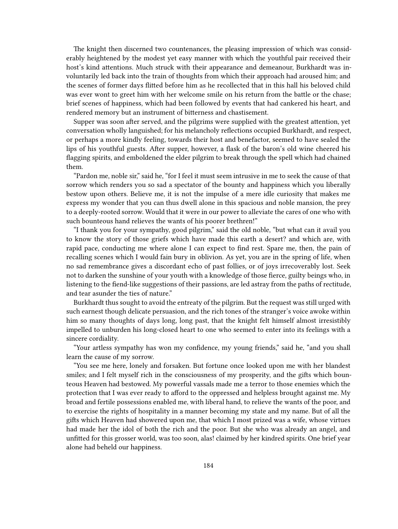The knight then discerned two countenances, the pleasing impression of which was considerably heightened by the modest yet easy manner with which the youthful pair received their host's kind attentions. Much struck with their appearance and demeanour, Burkhardt was involuntarily led back into the train of thoughts from which their approach had aroused him; and the scenes of former days flitted before him as he recollected that in this hall his beloved child was ever wont to greet him with her welcome smile on his return from the battle or the chase; brief scenes of happiness, which had been followed by events that had cankered his heart, and rendered memory but an instrument of bitterness and chastisement.

Supper was soon after served, and the pilgrims were supplied with the greatest attention, yet conversation wholly languished; for his melancholy reflections occupied Burkhardt, and respect, or perhaps a more kindly feeling, towards their host and benefactor, seemed to have sealed the lips of his youthful guests. After supper, however, a flask of the baron's old wine cheered his flagging spirits, and emboldened the elder pilgrim to break through the spell which had chained them.

"Pardon me, noble sir," said he, "for I feel it must seem intrusive in me to seek the cause of that sorrow which renders you so sad a spectator of the bounty and happiness which you liberally bestow upon others. Believe me, it is not the impulse of a mere idle curiosity that makes me express my wonder that you can thus dwell alone in this spacious and noble mansion, the prey to a deeply-rooted sorrow. Would that it were in our power to alleviate the cares of one who with such bounteous hand relieves the wants of his poorer brethren!"

"I thank you for your sympathy, good pilgrim," said the old noble, "but what can it avail you to know the story of those griefs which have made this earth a desert? and which are, with rapid pace, conducting me where alone I can expect to find rest. Spare me, then, the pain of recalling scenes which I would fain bury in oblivion. As yet, you are in the spring of life, when no sad remembrance gives a discordant echo of past follies, or of joys irrecoverably lost. Seek not to darken the sunshine of your youth with a knowledge of those fierce, guilty beings who, in listening to the fiend-like suggestions of their passions, are led astray from the paths of rectitude, and tear asunder the ties of nature."

Burkhardt thus sought to avoid the entreaty of the pilgrim. But the request was still urged with such earnest though delicate persuasion, and the rich tones of the stranger's voice awoke within him so many thoughts of days long, long past, that the knight felt himself almost irresistibly impelled to unburden his long-closed heart to one who seemed to enter into its feelings with a sincere cordiality.

"Your artless sympathy has won my confidence, my young friends," said he, "and you shall learn the cause of my sorrow.

"You see me here, lonely and forsaken. But fortune once looked upon me with her blandest smiles; and I felt myself rich in the consciousness of my prosperity, and the gifts which bounteous Heaven had bestowed. My powerful vassals made me a terror to those enemies which the protection that I was ever ready to afford to the oppressed and helpless brought against me. My broad and fertile possessions enabled me, with liberal hand, to relieve the wants of the poor, and to exercise the rights of hospitality in a manner becoming my state and my name. But of all the gifts which Heaven had showered upon me, that which I most prized was a wife, whose virtues had made her the idol of both the rich and the poor. But she who was already an angel, and unfitted for this grosser world, was too soon, alas! claimed by her kindred spirits. One brief year alone had beheld our happiness.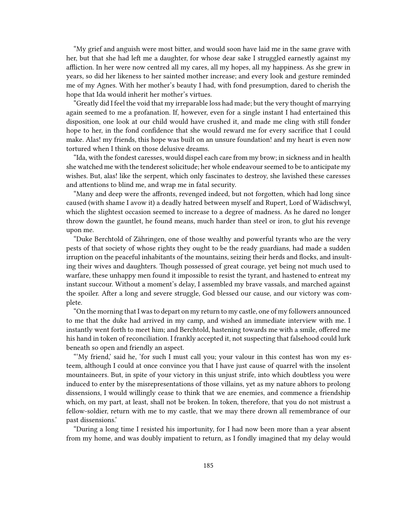"My grief and anguish were most bitter, and would soon have laid me in the same grave with her, but that she had left me a daughter, for whose dear sake I struggled earnestly against my affliction. In her were now centred all my cares, all my hopes, all my happiness. As she grew in years, so did her likeness to her sainted mother increase; and every look and gesture reminded me of my Agnes. With her mother's beauty I had, with fond presumption, dared to cherish the hope that Ida would inherit her mother's virtues.

"Greatly did I feel the void that my irreparable loss had made; but the very thought of marrying again seemed to me a profanation. If, however, even for a single instant I had entertained this disposition, one look at our child would have crushed it, and made me cling with still fonder hope to her, in the fond confidence that she would reward me for every sacrifice that I could make. Alas! my friends, this hope was built on an unsure foundation! and my heart is even now tortured when I think on those delusive dreams.

"Ida, with the fondest caresses, would dispel each care from my brow; in sickness and in health she watched me with the tenderest solicitude; her whole endeavour seemed to be to anticipate my wishes. But, alas! like the serpent, which only fascinates to destroy, she lavished these caresses and attentions to blind me, and wrap me in fatal security.

"Many and deep were the affronts, revenged indeed, but not forgotten, which had long since caused (with shame I avow it) a deadly hatred between myself and Rupert, Lord of Wädischwyl, which the slightest occasion seemed to increase to a degree of madness. As he dared no longer throw down the gauntlet, he found means, much harder than steel or iron, to glut his revenge upon me.

"Duke Berchtold of Zähringen, one of those wealthy and powerful tyrants who are the very pests of that society of whose rights they ought to be the ready guardians, had made a sudden irruption on the peaceful inhabitants of the mountains, seizing their herds and flocks, and insulting their wives and daughters. Though possessed of great courage, yet being not much used to warfare, these unhappy men found it impossible to resist the tyrant, and hastened to entreat my instant succour. Without a moment's delay, I assembled my brave vassals, and marched against the spoiler. After a long and severe struggle, God blessed our cause, and our victory was complete.

"On the morning that I was to depart on my return to my castle, one of my followers announced to me that the duke had arrived in my camp, and wished an immediate interview with me. I instantly went forth to meet him; and Berchtold, hastening towards me with a smile, offered me his hand in token of reconciliation. I frankly accepted it, not suspecting that falsehood could lurk beneath so open and friendly an aspect.

"'My friend,' said he, 'for such I must call you; your valour in this contest has won my esteem, although I could at once convince you that I have just cause of quarrel with the insolent mountaineers. But, in spite of your victory in this unjust strife, into which doubtless you were induced to enter by the misrepresentations of those villains, yet as my nature abhors to prolong dissensions, I would willingly cease to think that we are enemies, and commence a friendship which, on my part, at least, shall not be broken. In token, therefore, that you do not mistrust a fellow-soldier, return with me to my castle, that we may there drown all remembrance of our past dissensions.'

"During a long time I resisted his importunity, for I had now been more than a year absent from my home, and was doubly impatient to return, as I fondly imagined that my delay would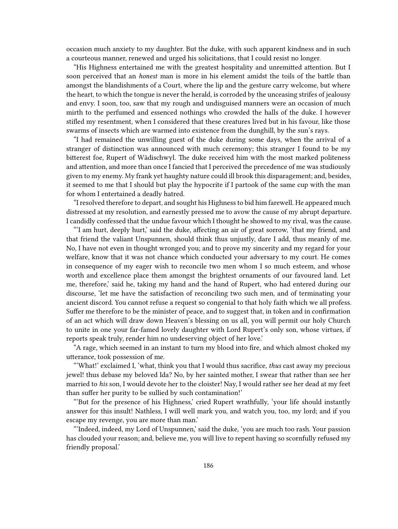occasion much anxiety to my daughter. But the duke, with such apparent kindness and in such a courteous manner, renewed and urged his solicitations, that I could resist no longer.

"His Highness entertained me with the greatest hospitality and unremitted attention. But I soon perceived that an *honest* man is more in his element amidst the toils of the battle than amongst the blandishments of a Court, where the lip and the gesture carry welcome, but where the heart, to which the tongue is never the herald, is corroded by the unceasing strifes of jealousy and envy. I soon, too, saw that my rough and undisguised manners were an occasion of much mirth to the perfumed and essenced nothings who crowded the halls of the duke. I however stifled my resentment, when I considered that these creatures lived but in his favour, like those swarms of insects which are warmed into existence from the dunghill, by the sun's rays.

"I had remained the unwilling guest of the duke during some days, when the arrival of a stranger of distinction was announced with much ceremony; this stranger I found to be my bitterest foe, Rupert of Wädischwyl. The duke received him with the most marked politeness and attention, and more than once I fancied that I perceived the precedence of me was studiously given to my enemy. My frank yet haughty nature could ill brook this disparagement; and, besides, it seemed to me that I should but play the hypocrite if I partook of the same cup with the man for whom I entertained a deadly hatred.

"I resolved therefore to depart, and sought his Highness to bid him farewell. He appeared much distressed at my resolution, and earnestly pressed me to avow the cause of my abrupt departure. I candidly confessed that the undue favour which I thought he showed to my rival, was the cause.

"'I am hurt, deeply hurt,' said the duke, affecting an air of great sorrow, 'that my friend, and that friend the valiant Unspunnen, should think thus unjustly, dare I add, thus meanly of me. No, I have not even in thought wronged you; and to prove my sincerity and my regard for your welfare, know that it was not chance which conducted your adversary to my court. He comes in consequence of my eager wish to reconcile two men whom I so much esteem, and whose worth and excellence place them amongst the brightest ornaments of our favoured land. Let me, therefore,' said he, taking my hand and the hand of Rupert, who had entered during our discourse, 'let me have the satisfaction of reconciling two such men, and of terminating your ancient discord. You cannot refuse a request so congenial to that holy faith which we all profess. Suffer me therefore to be the minister of peace, and to suggest that, in token and in confirmation of an act which will draw down Heaven's blessing on us all, you will permit our holy Church to unite in one your far-famed lovely daughter with Lord Rupert's only son, whose virtues, if reports speak truly, render him no undeserving object of her love.'

"A rage, which seemed in an instant to turn my blood into fire, and which almost choked my utterance, took possession of me.

"'What!' exclaimed I, 'what, think you that I would thus sacrifice, *thus* cast away my precious jewel! thus debase my beloved Ida? No, by her sainted mother, I swear that rather than see her married to *his* son, I would devote her to the cloister! Nay, I would rather see her dead at my feet than suffer her purity to be sullied by such contamination!'

"'But for the presence of his Highness,' cried Rupert wrathfully, 'your life should instantly answer for this insult! Nathless, I will well mark you, and watch you, too, my lord; and if you escape my revenge, you are more than man.'

"'Indeed, indeed, my Lord of Unspunnen,' said the duke, 'you are much too rash. Your passion has clouded your reason; and, believe me, you will live to repent having so scornfully refused my friendly proposal.'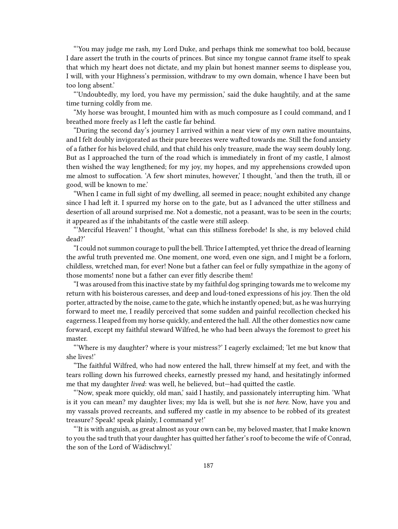"'You may judge me rash, my Lord Duke, and perhaps think me somewhat too bold, because I dare assert the truth in the courts of princes. But since my tongue cannot frame itself to speak that which my heart does not dictate, and my plain but honest manner seems to displease you, I will, with your Highness's permission, withdraw to my own domain, whence I have been but too long absent.'

"'Undoubtedly, my lord, you have my permission,' said the duke haughtily, and at the same time turning coldly from me.

"My horse was brought, I mounted him with as much composure as I could command, and I breathed more freely as I left the castle far behind.

"During the second day's journey I arrived within a near view of my own native mountains, and I felt doubly invigorated as their pure breezes were wafted towards me. Still the fond anxiety of a father for his beloved child, and that child his only treasure, made the way seem doubly long. But as I approached the turn of the road which is immediately in front of my castle, I almost then wished the way lengthened; for my joy, my hopes, and my apprehensions crowded upon me almost to suffocation. 'A few short minutes, however,' I thought, 'and then the truth, ill or good, will be known to me.'

"When I came in full sight of my dwelling, all seemed in peace; nought exhibited any change since I had left it. I spurred my horse on to the gate, but as I advanced the utter stillness and desertion of all around surprised me. Not a domestic, not a peasant, was to be seen in the courts; it appeared as if the inhabitants of the castle were still asleep.

"'Merciful Heaven!' I thought, 'what can this stillness forebode! Is she, is my beloved child dead?'

"I could not summon courage to pull the bell.Thrice I attempted, yet thrice the dread of learning the awful truth prevented me. One moment, one word, even one sign, and I might be a forlorn, childless, wretched man, for ever! None but a father can feel or fully sympathize in the agony of those moments! none but a father can ever fitly describe them!

"I was aroused from this inactive state by my faithful dog springing towards me to welcome my return with his boisterous caresses, and deep and loud-toned expressions of his joy. Then the old porter, attracted by the noise, came to the gate, which he instantly opened; but, as he was hurrying forward to meet me, I readily perceived that some sudden and painful recollection checked his eagerness. I leaped from my horse quickly, and entered the hall. All the other domestics now came forward, except my faithful steward Wilfred, he who had been always the foremost to greet his master.

"'Where is my daughter? where is your mistress?' I eagerly exclaimed; 'let me but know that she lives!'

"The faithful Wilfred, who had now entered the hall, threw himself at my feet, and with the tears rolling down his furrowed cheeks, earnestly pressed my hand, and hesitatingly informed me that my daughter *lived*: was well, he believed, but—had quitted the castle.

"'Now, speak more quickly, old man,' said I hastily, and passionately interrupting him. 'What is it you can mean? my daughter lives; my Ida is well, but she is *not here*. Now, have you and my vassals proved recreants, and suffered my castle in my absence to be robbed of its greatest treasure? Speak! speak plainly, I command ye!'

"'It is with anguish, as great almost as your own can be, my beloved master, that I make known to you the sad truth that your daughter has quitted her father's roof to become the wife of Conrad, the son of the Lord of Wädischwyl.'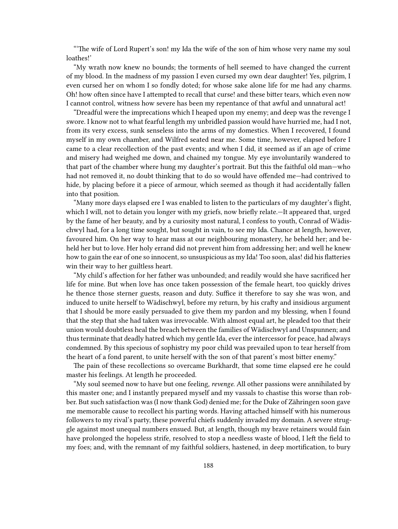"'The wife of Lord Rupert's son! my Ida the wife of the son of him whose very name my soul loathes!'

"My wrath now knew no bounds; the torments of hell seemed to have changed the current of my blood. In the madness of my passion I even cursed my own dear daughter! Yes, pilgrim, I even cursed her on whom I so fondly doted; for whose sake alone life for me had any charms. Oh! how often since have I attempted to recall that curse! and these bitter tears, which even now I cannot control, witness how severe has been my repentance of that awful and unnatural act!

"Dreadful were the imprecations which I heaped upon my enemy; and deep was the revenge I swore. I know not to what fearful length my unbridled passion would have hurried me, had I not, from its very excess, sunk senseless into the arms of my domestics. When I recovered, I found myself in my own chamber, and Wilfred seated near me. Some time, however, elapsed before I came to a clear recollection of the past events; and when I did, it seemed as if an age of crime and misery had weighed me down, and chained my tongue. My eye involuntarily wandered to that part of the chamber where hung my daughter's portrait. But this the faithful old man—who had not removed it, no doubt thinking that to do so would have offended me—had contrived to hide, by placing before it a piece of armour, which seemed as though it had accidentally fallen into that position.

"Many more days elapsed ere I was enabled to listen to the particulars of my daughter's flight, which I will, not to detain you longer with my griefs, now briefly relate.—It appeared that, urged by the fame of her beauty, and by a curiosity most natural, I confess to youth, Conrad of Wädischwyl had, for a long time sought, but sought in vain, to see my Ida. Chance at length, however, favoured him. On her way to hear mass at our neighbouring monastery, he beheld her; and beheld her but to love. Her holy errand did not prevent him from addressing her; and well he knew how to gain the ear of one so innocent, so unsuspicious as my Ida! Too soon, alas! did his flatteries win their way to her guiltless heart.

"My child's affection for her father was unbounded; and readily would she have sacrificed her life for mine. But when love has once taken possession of the female heart, too quickly drives he thence those sterner guests, reason and duty. Suffice it therefore to say she was won, and induced to unite herself to Wädischwyl, before my return, by his crafty and insidious argument that I should be more easily persuaded to give them my pardon and my blessing, when I found that the step that she had taken was irrevocable. With almost equal art, he pleaded too that their union would doubtless heal the breach between the families of Wädischwyl and Unspunnen; and thus terminate that deadly hatred which my gentle Ida, ever the intercessor for peace, had always condemned. By this specious of sophistry my poor child was prevailed upon to tear herself from the heart of a fond parent, to unite herself with the son of that parent's most bitter enemy."

The pain of these recollections so overcame Burkhardt, that some time elapsed ere he could master his feelings. At length he proceeded.

"My soul seemed now to have but one feeling, *revenge*. All other passions were annihilated by this master one; and I instantly prepared myself and my vassals to chastise this worse than robber. But such satisfaction was (I now thank God) denied me; for the Duke of Zähringen soon gave me memorable cause to recollect his parting words. Having attached himself with his numerous followers to my rival's party, these powerful chiefs suddenly invaded my domain. A severe struggle against most unequal numbers ensued. But, at length, though my brave retainers would fain have prolonged the hopeless strife, resolved to stop a needless waste of blood, I left the field to my foes; and, with the remnant of my faithful soldiers, hastened, in deep mortification, to bury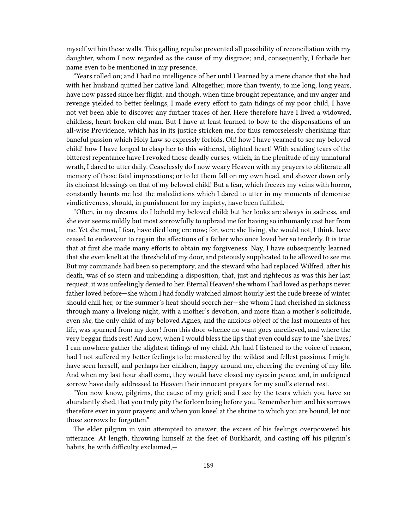myself within these walls. This galling repulse prevented all possibility of reconciliation with my daughter, whom I now regarded as the cause of my disgrace; and, consequently, I forbade her name even to be mentioned in my presence.

"Years rolled on; and I had no intelligence of her until I learned by a mere chance that she had with her husband quitted her native land. Altogether, more than twenty, to me long, long years, have now passed since her flight; and though, when time brought repentance, and my anger and revenge yielded to better feelings, I made every effort to gain tidings of my poor child, I have not yet been able to discover any further traces of her. Here therefore have I lived a widowed, childless, heart-broken old man. But I have at least learned to bow to the dispensations of an all-wise Providence, which has in its justice stricken me, for thus remorselessly cherishing that baneful passion which Holy Law so expressly forbids. Oh! how I have yearned to see my beloved child! how I have longed to clasp her to this withered, blighted heart! With scalding tears of the bitterest repentance have I revoked those deadly curses, which, in the plenitude of my unnatural wrath, I dared to utter daily. Ceaselessly do I now weary Heaven with my prayers to obliterate all memory of those fatal imprecations; or to let them fall on my own head, and shower down only its choicest blessings on that of my beloved child! But a fear, which freezes my veins with horror, constantly haunts me lest the maledictions which I dared to utter in my moments of demoniac vindictiveness, should, in punishment for my impiety, have been fulfilled.

"Often, in my dreams, do I behold my beloved child; but her looks are always in sadness, and she ever seems mildly but most sorrowfully to upbraid me for having so inhumanly cast her from me. Yet she must, I fear, have died long ere now; for, were she living, she would not, I think, have ceased to endeavour to regain the affections of a father who once loved her so tenderly. It is true that at first she made many efforts to obtain my forgiveness. Nay, I have subsequently learned that she even knelt at the threshold of my door, and piteously supplicated to be allowed to see me. But my commands had been so peremptory, and the steward who had replaced Wilfred, after his death, was of so stern and unbending a disposition, that, just and righteous as was this her last request, it was unfeelingly denied to her. Eternal Heaven! she whom I had loved as perhaps never father loved before—she whom I had fondly watched almost hourly lest the rude breeze of winter should chill her, or the summer's heat should scorch her—she whom I had cherished in sickness through many a livelong night, with a mother's devotion, and more than a mother's solicitude, even *she*, the only child of my beloved Agnes, and the anxious object of the last moments of her life, was spurned from my door! from this door whence no want goes unrelieved, and where the very beggar finds rest! And now, when I would bless the lips that even could say to me 'she lives,' I can nowhere gather the slightest tidings of my child. Ah, had I listened to the voice of reason, had I not suffered my better feelings to be mastered by the wildest and fellest passions, I might have seen herself, and perhaps her children, happy around me, cheering the evening of my life. And when my last hour shall come, they would have closed my eyes in peace, and, in unfeigned sorrow have daily addressed to Heaven their innocent prayers for my soul's eternal rest.

"You now know, pilgrims, the cause of my grief; and I see by the tears which you have so abundantly shed, that you truly pity the forlorn being before you. Remember him and his sorrows therefore ever in your prayers; and when you kneel at the shrine to which you are bound, let not those sorrows be forgotten."

The elder pilgrim in vain attempted to answer; the excess of his feelings overpowered his utterance. At length, throwing himself at the feet of Burkhardt, and casting off his pilgrim's habits, he with difficulty exclaimed,—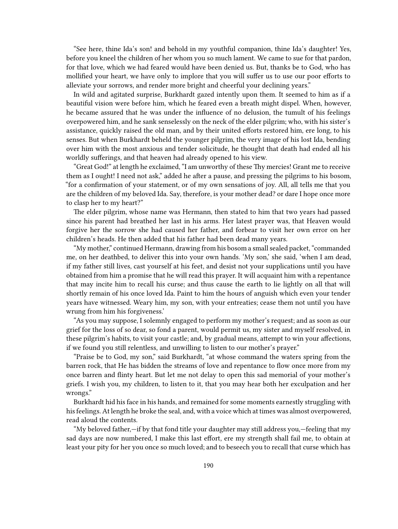"See here, thine Ida's son! and behold in my youthful companion, thine Ida's daughter! Yes, before you kneel the children of her whom you so much lament. We came to sue for that pardon, for that love, which we had feared would have been denied us. But, thanks be to God, who has mollified your heart, we have only to implore that you will suffer us to use our poor efforts to alleviate your sorrows, and render more bright and cheerful your declining years."

In wild and agitated surprise, Burkhardt gazed intently upon them. It seemed to him as if a beautiful vision were before him, which he feared even a breath might dispel. When, however, he became assured that he was under the influence of no delusion, the tumult of his feelings overpowered him, and he sank senselessly on the neck of the elder pilgrim; who, with his sister's assistance, quickly raised the old man, and by their united efforts restored him, ere long, to his senses. But when Burkhardt beheld the younger pilgrim, the very image of his lost Ida, bending over him with the most anxious and tender solicitude, he thought that death had ended all his worldly sufferings, and that heaven had already opened to his view.

"Great God!" at length he exclaimed, "I am unworthy of these Thy mercies! Grant me to receive them as I ought! I need not ask," added he after a pause, and pressing the pilgrims to his bosom, "for a confirmation of your statement, or of my own sensations of joy. All, all tells me that you are the children of my beloved Ida. Say, therefore, is your mother dead? or dare I hope once more to clasp her to my heart?"

The elder pilgrim, whose name was Hermann, then stated to him that two years had passed since his parent had breathed her last in his arms. Her latest prayer was, that Heaven would forgive her the sorrow she had caused her father, and forbear to visit her own error on her children's heads. He then added that his father had been dead many years.

"My mother," continued Hermann, drawing from his bosom a small sealed packet, "commanded me, on her deathbed, to deliver this into your own hands. 'My son,' she said, 'when I am dead, if my father still lives, cast yourself at his feet, and desist not your supplications until you have obtained from him a promise that he will read this prayer. It will acquaint him with a repentance that may incite him to recall his curse; and thus cause the earth to lie lightly on all that will shortly remain of his once loved Ida. Paint to him the hours of anguish which even your tender years have witnessed. Weary him, my son, with your entreaties; cease them not until you have wrung from him his forgiveness.'

"As you may suppose, I solemnly engaged to perform my mother's request; and as soon as our grief for the loss of so dear, so fond a parent, would permit us, my sister and myself resolved, in these pilgrim's habits, to visit your castle; and, by gradual means, attempt to win your affections, if we found you still relentless, and unwilling to listen to our mother's prayer."

"Praise be to God, my son," said Burkhardt, "at whose command the waters spring from the barren rock, that He has bidden the streams of love and repentance to flow once more from my once barren and flinty heart. But let me not delay to open this sad memorial of your mother's griefs. I wish you, my children, to listen to it, that you may hear both her exculpation and her wrongs."

Burkhardt hid his face in his hands, and remained for some moments earnestly struggling with his feelings. At length he broke the seal, and, with a voice which at times was almost overpowered, read aloud the contents.

"My beloved father,—if by that fond title your daughter may still address you,—feeling that my sad days are now numbered, I make this last effort, ere my strength shall fail me, to obtain at least your pity for her you once so much loved; and to beseech you to recall that curse which has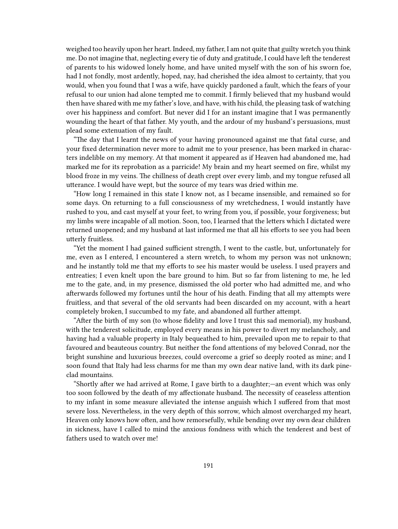weighed too heavily upon her heart. Indeed, my father, I am not quite that guilty wretch you think me. Do not imagine that, neglecting every tie of duty and gratitude, I could have left the tenderest of parents to his widowed lonely home, and have united myself with the son of his sworn foe, had I not fondly, most ardently, hoped, nay, had cherished the idea almost to certainty, that you would, when you found that I was a wife, have quickly pardoned a fault, which the fears of your refusal to our union had alone tempted me to commit. I firmly believed that my husband would then have shared with me my father's love, and have, with his child, the pleasing task of watching over his happiness and comfort. But never did I for an instant imagine that I was permanently wounding the heart of that father. My youth, and the ardour of my husband's persuasions, must plead some extenuation of my fault.

"The day that I learnt the news of your having pronounced against me that fatal curse, and your fixed determination never more to admit me to your presence, has been marked in characters indelible on my memory. At that moment it appeared as if Heaven had abandoned me, had marked me for its reprobation as a parricide! My brain and my heart seemed on fire, whilst my blood froze in my veins. The chillness of death crept over every limb, and my tongue refused all utterance. I would have wept, but the source of my tears was dried within me.

"How long I remained in this state I know not, as I became insensible, and remained so for some days. On returning to a full consciousness of my wretchedness, I would instantly have rushed to you, and cast myself at your feet, to wring from you, if possible, your forgiveness; but my limbs were incapable of all motion. Soon, too, I learned that the letters which I dictated were returned unopened; and my husband at last informed me that all his efforts to see you had been utterly fruitless.

"Yet the moment I had gained sufficient strength, I went to the castle, but, unfortunately for me, even as I entered, I encountered a stern wretch, to whom my person was not unknown; and he instantly told me that my efforts to see his master would be useless. I used prayers and entreaties; I even knelt upon the bare ground to him. But so far from listening to me, he led me to the gate, and, in my presence, dismissed the old porter who had admitted me, and who afterwards followed my fortunes until the hour of his death. Finding that all my attempts were fruitless, and that several of the old servants had been discarded on my account, with a heart completely broken, I succumbed to my fate, and abandoned all further attempt.

"After the birth of my son (to whose fidelity and love I trust this sad memorial), my husband, with the tenderest solicitude, employed every means in his power to divert my melancholy, and having had a valuable property in Italy bequeathed to him, prevailed upon me to repair to that favoured and beauteous country. But neither the fond attentions of my beloved Conrad, nor the bright sunshine and luxurious breezes, could overcome a grief so deeply rooted as mine; and I soon found that Italy had less charms for me than my own dear native land, with its dark pineclad mountains.

"Shortly after we had arrived at Rome, I gave birth to a daughter;—an event which was only too soon followed by the death of my affectionate husband. The necessity of ceaseless attention to my infant in some measure alleviated the intense anguish which I suffered from that most severe loss. Nevertheless, in the very depth of this sorrow, which almost overcharged my heart, Heaven only knows how often, and how remorsefully, while bending over my own dear children in sickness, have I called to mind the anxious fondness with which the tenderest and best of fathers used to watch over me!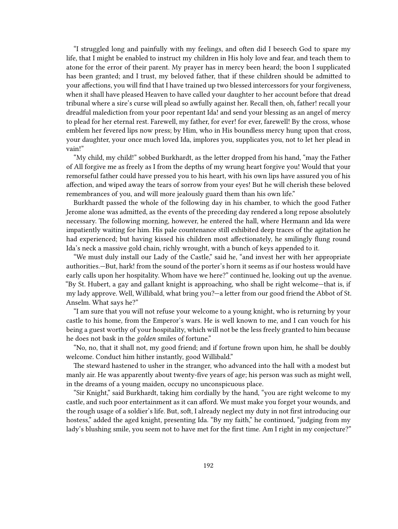"I struggled long and painfully with my feelings, and often did I beseech God to spare my life, that I might be enabled to instruct my children in His holy love and fear, and teach them to atone for the error of their parent. My prayer has in mercy been heard; the boon I supplicated has been granted; and I trust, my beloved father, that if these children should be admitted to your affections, you will find that I have trained up two blessed intercessors for your forgiveness, when it shall have pleased Heaven to have called your daughter to her account before that dread tribunal where a sire's curse will plead so awfully against her. Recall then, oh, father! recall your dreadful malediction from your poor repentant Ida! and send your blessing as an angel of mercy to plead for her eternal rest. Farewell, my father, for ever! for ever, farewell! By the cross, whose emblem her fevered lips now press; by Him, who in His boundless mercy hung upon that cross, your daughter, your once much loved Ida, implores you, supplicates you, not to let her plead in vain!"

"My child, my child!" sobbed Burkhardt, as the letter dropped from his hand, "may the Father of All forgive me as freely as I from the depths of my wrung heart forgive you! Would that your remorseful father could have pressed you to his heart, with his own lips have assured you of his affection, and wiped away the tears of sorrow from your eyes! But he will cherish these beloved remembrances of you, and will more jealously guard them than his own life."

Burkhardt passed the whole of the following day in his chamber, to which the good Father Jerome alone was admitted, as the events of the preceding day rendered a long repose absolutely necessary. The following morning, however, he entered the hall, where Hermann and Ida were impatiently waiting for him. His pale countenance still exhibited deep traces of the agitation he had experienced; but having kissed his children most affectionately, he smilingly flung round Ida's neck a massive gold chain, richly wrought, with a bunch of keys appended to it.

"We must duly install our Lady of the Castle," said he, "and invest her with her appropriate authorities.—But, hark! from the sound of the porter's horn it seems as if our hostess would have early calls upon her hospitality. Whom have we here?" continued he, looking out up the avenue. "By St. Hubert, a gay and gallant knight is approaching, who shall be right welcome—that is, if my lady approve. Well, Willibald, what bring you?—a letter from our good friend the Abbot of St. Anselm. What says he?"

"I am sure that you will not refuse your welcome to a young knight, who is returning by your castle to his home, from the Emperor's wars. He is well known to me, and I can vouch for his being a guest worthy of your hospitality, which will not be the less freely granted to him because he does not bask in the *golden* smiles of fortune."

"No, no, that it shall not, my good friend; and if fortune frown upon him, he shall be doubly welcome. Conduct him hither instantly, good Willibald."

The steward hastened to usher in the stranger, who advanced into the hall with a modest but manly air. He was apparently about twenty-five years of age; his person was such as might well, in the dreams of a young maiden, occupy no unconspicuous place.

"Sir Knight," said Burkhardt, taking him cordially by the hand, "you are right welcome to my castle, and such poor entertainment as it can afford. We must make you forget your wounds, and the rough usage of a soldier's life. But, soft, I already neglect my duty in not first introducing our hostess," added the aged knight, presenting Ida. "By my faith," he continued, "judging from my lady's blushing smile, you seem not to have met for the first time. Am I right in my conjecture?"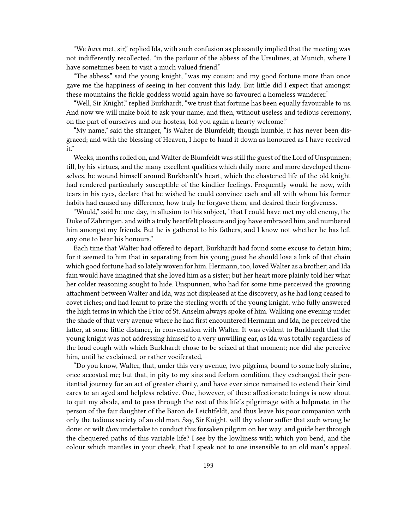"We *have* met, sir," replied Ida, with such confusion as pleasantly implied that the meeting was not indifferently recollected, "in the parlour of the abbess of the Ursulines, at Munich, where I have sometimes been to visit a much valued friend."

"The abbess," said the young knight, "was my cousin; and my good fortune more than once gave me the happiness of seeing in her convent this lady. But little did I expect that amongst these mountains the fickle goddess would again have so favoured a homeless wanderer."

"Well, Sir Knight," replied Burkhardt, "we trust that fortune has been equally favourable to us. And now we will make bold to ask your name; and then, without useless and tedious ceremony, on the part of ourselves and our hostess, bid you again a hearty welcome."

"My name," said the stranger, "is Walter de Blumfeldt; though humble, it has never been disgraced; and with the blessing of Heaven, I hope to hand it down as honoured as I have received it."

Weeks, months rolled on, and Walter de Blumfeldt was still the guest of the Lord of Unspunnen; till, by his virtues, and the many excellent qualities which daily more and more developed themselves, he wound himself around Burkhardt's heart, which the chastened life of the old knight had rendered particularly susceptible of the kindlier feelings. Frequently would he now, with tears in his eyes, declare that he wished he could convince each and all with whom his former habits had caused any difference, how truly he forgave them, and desired their forgiveness.

"Would," said he one day, in allusion to this subject, "that I could have met my old enemy, the Duke of Zähringen, and with a truly heartfelt pleasure and joy have embraced him, and numbered him amongst my friends. But he is gathered to his fathers, and I know not whether he has left any one to bear his honours."

Each time that Walter had offered to depart, Burkhardt had found some excuse to detain him; for it seemed to him that in separating from his young guest he should lose a link of that chain which good fortune had so lately woven for him. Hermann, too, loved Walter as a brother; and Ida fain would have imagined that she loved him as a sister; but her heart more plainly told her what her colder reasoning sought to hide. Unspunnen, who had for some time perceived the growing attachment between Walter and Ida, was not displeased at the discovery, as he had long ceased to covet riches; and had learnt to prize the sterling worth of the young knight, who fully answered the high terms in which the Prior of St. Anselm always spoke of him. Walking one evening under the shade of that very avenue where he had first encountered Hermann and Ida, he perceived the latter, at some little distance, in conversation with Walter. It was evident to Burkhardt that the young knight was not addressing himself to a very unwilling ear, as Ida was totally regardless of the loud cough with which Burkhardt chose to be seized at that moment; nor did she perceive him, until he exclaimed, or rather vociferated,—

"Do you know, Walter, that, under this very avenue, two pilgrims, bound to some holy shrine, once accosted me; but that, in pity to my sins and forlorn condition, they exchanged their penitential journey for an act of greater charity, and have ever since remained to extend their kind cares to an aged and helpless relative. One, however, of these affectionate beings is now about to quit my abode, and to pass through the rest of this life's pilgrimage with a helpmate, in the person of the fair daughter of the Baron de Leichtfeldt, and thus leave his poor companion with only the tedious society of an old man. Say, Sir Knight, will thy valour suffer that such wrong be done; or wilt *thou* undertake to conduct this forsaken pilgrim on her way, and guide her through the chequered paths of this variable life? I see by the lowliness with which you bend, and the colour which mantles in your cheek, that I speak not to one insensible to an old man's appeal.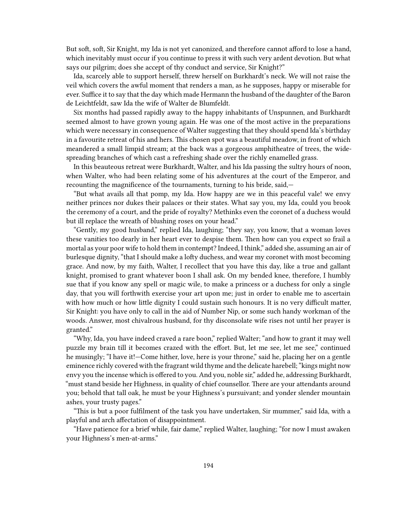But soft, soft, Sir Knight, my Ida is not yet canonized, and therefore cannot afford to lose a hand, which inevitably must occur if you continue to press it with such very ardent devotion. But what says our pilgrim; does she accept of thy conduct and service, Sir Knight?"

Ida, scarcely able to support herself, threw herself on Burkhardt's neck. We will not raise the veil which covers the awful moment that renders a man, as he supposes, happy or miserable for ever. Suffice it to say that the day which made Hermann the husband of the daughter of the Baron de Leichtfeldt, saw Ida the wife of Walter de Blumfeldt.

Six months had passed rapidly away to the happy inhabitants of Unspunnen, and Burkhardt seemed almost to have grown young again. He was one of the most active in the preparations which were necessary in consequence of Walter suggesting that they should spend Ida's birthday in a favourite retreat of his and hers. This chosen spot was a beautiful meadow, in front of which meandered a small limpid stream; at the back was a gorgeous amphitheatre of trees, the widespreading branches of which cast a refreshing shade over the richly enamelled grass.

In this beauteous retreat were Burkhardt, Walter, and his Ida passing the sultry hours of noon, when Walter, who had been relating some of his adventures at the court of the Emperor, and recounting the magnificence of the tournaments, turning to his bride, said,—

"But what avails all that pomp, my Ida. How happy are we in this peaceful vale! we envy neither princes nor dukes their palaces or their states. What say you, my Ida, could you brook the ceremony of a court, and the pride of royalty? Methinks even the coronet of a duchess would but ill replace the wreath of blushing roses on your head."

"Gently, my good husband," replied Ida, laughing; "they say, you know, that a woman loves these vanities too dearly in her heart ever to despise them. Then how can you expect so frail a mortal as your poor wife to hold them in contempt? Indeed, I think," added she, assuming an air of burlesque dignity, "that I should make a lofty duchess, and wear my coronet with most becoming grace. And now, by my faith, Walter, I recollect that you have this day, like a true and gallant knight, promised to grant whatever boon I shall ask. On my bended knee, therefore, I humbly sue that if you know any spell or magic wile, to make a princess or a duchess for only a single day, that you will forthwith exercise your art upon me; just in order to enable me to ascertain with how much or how little dignity I could sustain such honours. It is no very difficult matter, Sir Knight: you have only to call in the aid of Number Nip, or some such handy workman of the woods. Answer, most chivalrous husband, for thy disconsolate wife rises not until her prayer is granted."

"Why, Ida, you have indeed craved a rare boon," replied Walter; "and how to grant it may well puzzle my brain till it becomes crazed with the effort. But, let me see, let me see," continued he musingly; "I have it!—Come hither, love, here is your throne," said he, placing her on a gentle eminence richly covered with the fragrant wild thyme and the delicate harebell; "kings might now envy you the incense which is offered to you. And you, noble sir," added he, addressing Burkhardt, "must stand beside her Highness, in quality of chief counsellor. There are your attendants around you; behold that tall oak, he must be your Highness's pursuivant; and yonder slender mountain ashes, your trusty pages."

"This is but a poor fulfilment of the task you have undertaken, Sir mummer," said Ida, with a playful and arch affectation of disappointment.

"Have patience for a brief while, fair dame," replied Walter, laughing; "for now I must awaken your Highness's men-at-arms."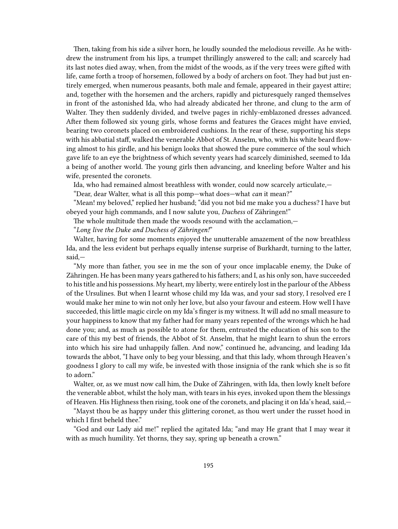Then, taking from his side a silver horn, he loudly sounded the melodious reveille. As he withdrew the instrument from his lips, a trumpet thrillingly answered to the call; and scarcely had its last notes died away, when, from the midst of the woods, as if the very trees were gifted with life, came forth a troop of horsemen, followed by a body of archers on foot. They had but just entirely emerged, when numerous peasants, both male and female, appeared in their gayest attire; and, together with the horsemen and the archers, rapidly and picturesquely ranged themselves in front of the astonished Ida, who had already abdicated her throne, and clung to the arm of Walter. They then suddenly divided, and twelve pages in richly-emblazoned dresses advanced. After them followed six young girls, whose forms and features the Graces might have envied, bearing two coronets placed on embroidered cushions. In the rear of these, supporting his steps with his abbatial staff, walked the venerable Abbot of St. Anselm, who, with his white beard flowing almost to his girdle, and his benign looks that showed the pure commerce of the soul which gave life to an eye the brightness of which seventy years had scarcely diminished, seemed to Ida a being of another world. The young girls then advancing, and kneeling before Walter and his wife, presented the coronets.

Ida, who had remained almost breathless with wonder, could now scarcely articulate,—

"Dear, dear Walter, what is all this pomp—what does—what *can* it mean?"

"Mean! my beloved," replied her husband; "did you not bid me make you a duchess? I have but obeyed your high commands, and I now salute you, *Duchess* of Zähringen!"

The whole multitude then made the woods resound with the acclamation,—

"*Long live the Duke and Duchess of Zähringen!*"

Walter, having for some moments enjoyed the unutterable amazement of the now breathless Ida, and the less evident but perhaps equally intense surprise of Burkhardt, turning to the latter, said,—

"My more than father, you see in me the son of your once implacable enemy, the Duke of Zähringen. He has been many years gathered to his fathers; and I, as his only son, have succeeded to his title and his possessions. My heart, my liberty, were entirely lost in the parlour of the Abbess of the Ursulines. But when I learnt whose child my Ida was, and your sad story, I resolved ere I would make her mine to win not only her love, but also your favour and esteem. How well I have succeeded, this little magic circle on my Ida's finger is my witness. It will add no small measure to your happiness to know that my father had for many years repented of the wrongs which he had done you; and, as much as possible to atone for them, entrusted the education of his son to the care of this my best of friends, the Abbot of St. Anselm, that he might learn to shun the errors into which his sire had unhappily fallen. And now," continued he, advancing, and leading Ida towards the abbot, "I have only to beg your blessing, and that this lady, whom through Heaven's goodness I glory to call my wife, be invested with those insignia of the rank which she is so fit to adorn."

Walter, or, as we must now call him, the Duke of Zähringen, with Ida, then lowly knelt before the venerable abbot, whilst the holy man, with tears in his eyes, invoked upon them the blessings of Heaven. His Highness then rising, took one of the coronets, and placing it on Ida's head, said,—

"Mayst thou be as happy under this glittering coronet, as thou wert under the russet hood in which I first beheld thee."

"God and our Lady aid me!" replied the agitated Ida; "and may He grant that I may wear it with as much humility. Yet thorns, they say, spring up beneath a crown."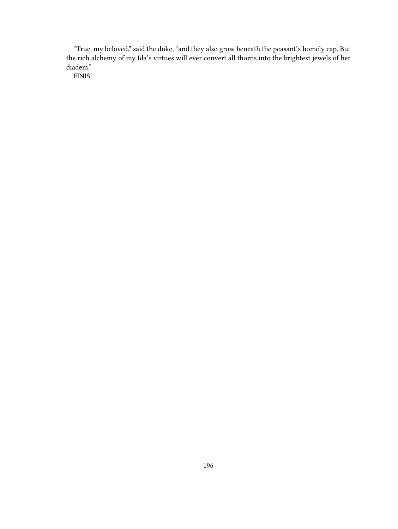"True, my beloved," said the duke, "and they also grow beneath the peasant's homely cap. But the rich alchemy of my Ida's virtues will ever convert all thorns into the brightest jewels of her diadem."

FINIS.